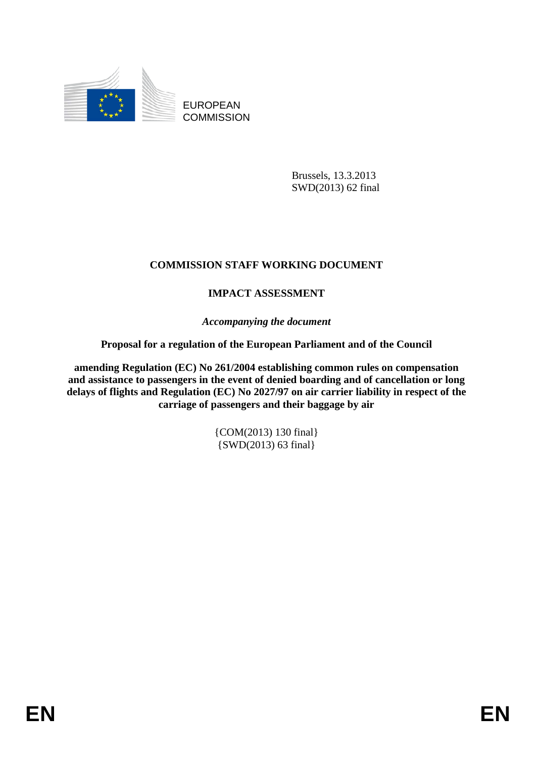

EUROPEAN **COMMISSION** 

> Brussels, 13.3.2013 SWD(2013) 62 final

# **COMMISSION STAFF WORKING DOCUMENT**

# **IMPACT ASSESSMENT**

*Accompanying the document* 

### **Proposal for a regulation of the European Parliament and of the Council**

**amending Regulation (EC) No 261/2004 establishing common rules on compensation and assistance to passengers in the event of denied boarding and of cancellation or long delays of flights and Regulation (EC) No 2027/97 on air carrier liability in respect of the carriage of passengers and their baggage by air** 

> {COM(2013) 130 final} {SWD(2013) 63 final}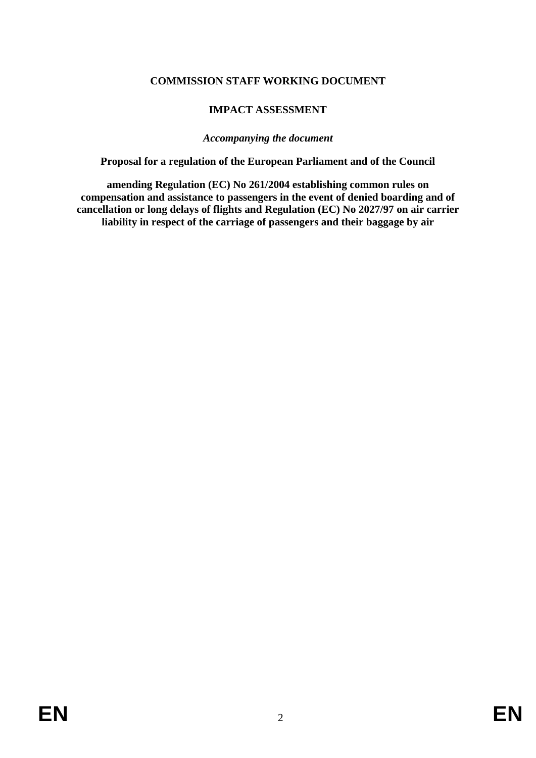### **COMMISSION STAFF WORKING DOCUMENT**

# **IMPACT ASSESSMENT**

#### *Accompanying the document*

**Proposal for a regulation of the European Parliament and of the Council** 

**amending Regulation (EC) No 261/2004 establishing common rules on compensation and assistance to passengers in the event of denied boarding and of cancellation or long delays of flights and Regulation (EC) No 2027/97 on air carrier liability in respect of the carriage of passengers and their baggage by air**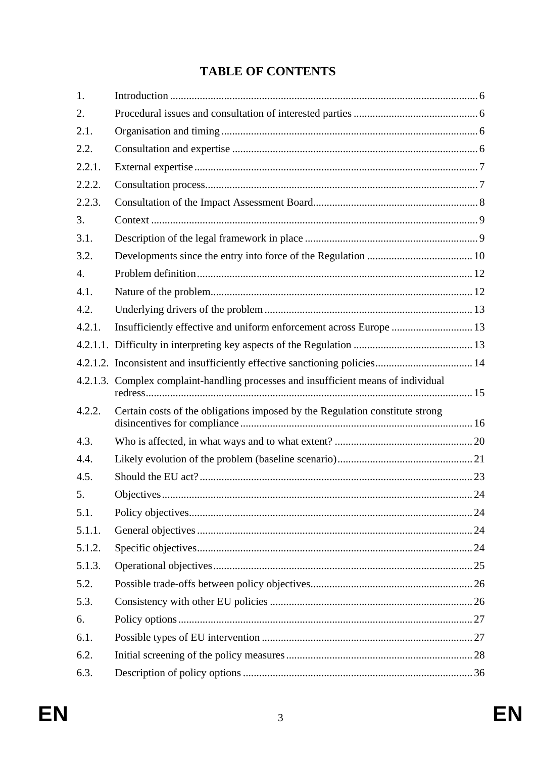# **TABLE OF CONTENTS**

| 1.               |                                                                                    |  |
|------------------|------------------------------------------------------------------------------------|--|
| 2.               |                                                                                    |  |
| 2.1.             |                                                                                    |  |
| 2.2.             |                                                                                    |  |
| 2.2.1.           |                                                                                    |  |
| 2.2.2.           |                                                                                    |  |
| 2.2.3.           |                                                                                    |  |
| 3.               |                                                                                    |  |
| 3.1.             |                                                                                    |  |
| 3.2.             |                                                                                    |  |
| $\overline{4}$ . |                                                                                    |  |
| 4.1.             |                                                                                    |  |
| 4.2.             |                                                                                    |  |
| 4.2.1.           | Insufficiently effective and uniform enforcement across Europe  13                 |  |
|                  |                                                                                    |  |
|                  | 4.2.1.2. Inconsistent and insufficiently effective sanctioning policies 14         |  |
|                  | 4.2.1.3. Complex complaint-handling processes and insufficient means of individual |  |
| 4.2.2.           | Certain costs of the obligations imposed by the Regulation constitute strong       |  |
| 4.3.             |                                                                                    |  |
| 4.4.             |                                                                                    |  |
| 4.5.             |                                                                                    |  |
| 5.               |                                                                                    |  |
| 5.1.             |                                                                                    |  |
| 5.1.1.           |                                                                                    |  |
| 5.1.2.           |                                                                                    |  |
| 5.1.3.           |                                                                                    |  |
| 5.2.             |                                                                                    |  |
| 5.3.             |                                                                                    |  |
| 6.               |                                                                                    |  |
| 6.1.             |                                                                                    |  |
| 6.2.             |                                                                                    |  |
| 6.3.             |                                                                                    |  |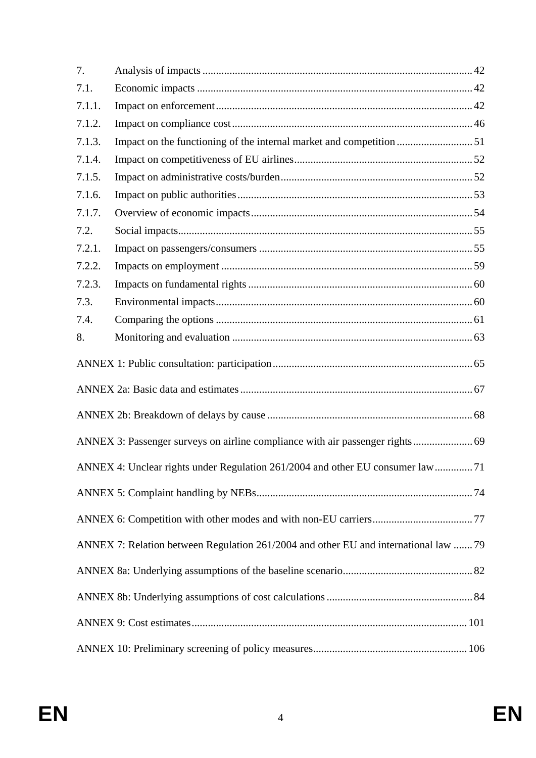| 7.     |                                                                                      |  |
|--------|--------------------------------------------------------------------------------------|--|
| 7.1.   |                                                                                      |  |
| 7.1.1. |                                                                                      |  |
| 7.1.2. |                                                                                      |  |
| 7.1.3. | Impact on the functioning of the internal market and competition 51                  |  |
| 7.1.4. |                                                                                      |  |
| 7.1.5. |                                                                                      |  |
| 7.1.6. |                                                                                      |  |
| 7.1.7. |                                                                                      |  |
| 7.2.   |                                                                                      |  |
| 7.2.1. |                                                                                      |  |
| 7.2.2. |                                                                                      |  |
| 7.2.3. |                                                                                      |  |
| 7.3.   |                                                                                      |  |
| 7.4.   |                                                                                      |  |
| 8.     |                                                                                      |  |
|        |                                                                                      |  |
|        |                                                                                      |  |
|        |                                                                                      |  |
|        | ANNEX 3: Passenger surveys on airline compliance with air passenger rights 69        |  |
|        | ANNEX 4: Unclear rights under Regulation 261/2004 and other EU consumer law  71      |  |
|        |                                                                                      |  |
|        |                                                                                      |  |
|        | ANNEX 7: Relation between Regulation 261/2004 and other EU and international law  79 |  |
|        |                                                                                      |  |
|        |                                                                                      |  |
|        |                                                                                      |  |
|        |                                                                                      |  |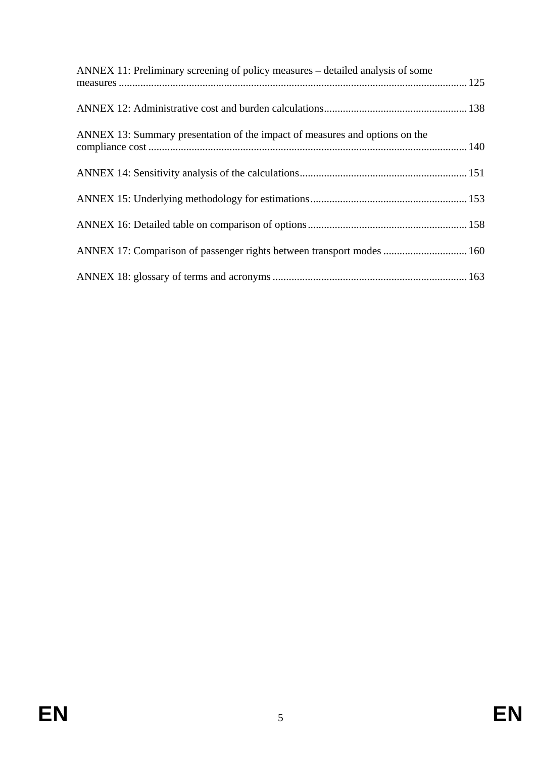| ANNEX 11: Preliminary screening of policy measures – detailed analysis of some |  |
|--------------------------------------------------------------------------------|--|
|                                                                                |  |
| ANNEX 13: Summary presentation of the impact of measures and options on the    |  |
|                                                                                |  |
|                                                                                |  |
|                                                                                |  |
| ANNEX 17: Comparison of passenger rights between transport modes  160          |  |
|                                                                                |  |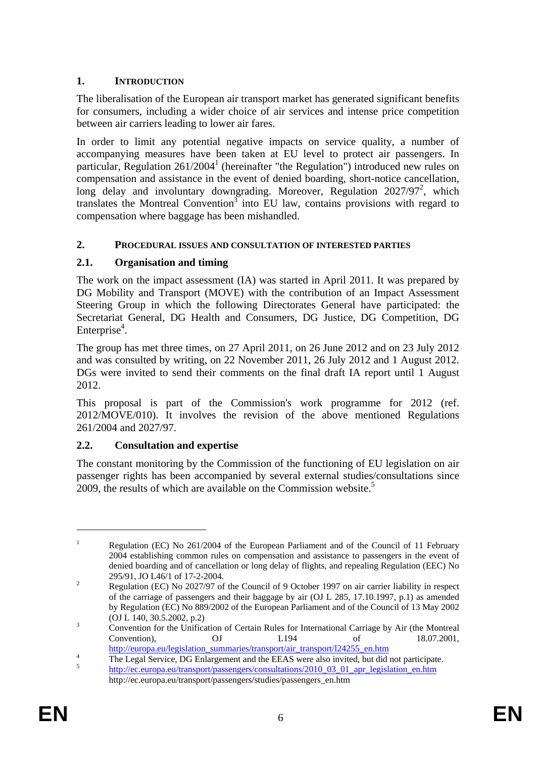# <span id="page-5-0"></span>**1. INTRODUCTION**

The liberalisation of the European air transport market has generated significant benefits for consumers, including a wider choice of air services and intense price competition between air carriers leading to lower air fares.

In order to limit any potential negative impacts on service quality, a number of accompanying measures have been taken at EU level to protect air passengers. In particular, Regulation 261/2004<sup>1</sup> (hereinafter "the Regulation") introduced new rules on compensation and assistance in the event of denied boarding, short-notice cancellation, long delay and involuntary downgrading. Moreover, Regulation 2027/97<sup>2</sup>, which translates the Montreal Convention<sup>3</sup> into EU law, contains provisions with regard to compensation where baggage has been mishandled.

### <span id="page-5-1"></span>**2. PROCEDURAL ISSUES AND CONSULTATION OF INTERESTED PARTIES**

# <span id="page-5-2"></span>**2.1. Organisation and timing**

The work on the impact assessment (IA) was started in April 2011. It was prepared by DG Mobility and Transport (MOVE) with the contribution of an Impact Assessment Steering Group in which the following Directorates General have participated: the Secretariat General, DG Health and Consumers, DG Justice, DG Competition, DG Enterprise<sup>4</sup>.

The group has met three times, on 27 April 2011, on 26 June 2012 and on 23 July 2012 and was consulted by writing, on 22 November 2011, 26 July 2012 and 1 August 2012. DGs were invited to send their comments on the final draft IA report until 1 August 2012.

This proposal is part of the Commission's work programme for 2012 (ref. 2012/MOVE/010). It involves the revision of the above mentioned Regulations 261/2004 and 2027/97.

### <span id="page-5-3"></span>**2.2. Consultation and expertise**

The constant monitoring by the Commission of the functioning of EU legislation on air passenger rights has been accompanied by several external studies/consultations since 2009, the results of which are available on the Commission website.<sup>5</sup>

<u>.</u>

<sup>1</sup> Regulation (EC) No 261/2004 of the European Parliament and of the Council of 11 February 2004 establishing common rules on compensation and assistance to passengers in the event of denied boarding and of cancellation or long delay of flights, and repealing Regulation (EEC) No 295/91, JO L46/1 of 17-2-2004.

Regulation (EC) No 2027/97 of the Council of 9 October 1997 on air carrier liability in respect of the carriage of passengers and their baggage by air (OJ L 285, 17.10.1997, p.1) as amended by Regulation (EC) No 889/2002 of the European Parliament and of the Council of 13 May 2002 (OJ L 140, 30.5.2002, p.2)

Convention for the Unification of Certain Rules for International Carriage by Air (the Montreal Convention), OJ L194 of 18.07.2001,

[http://europa.eu/legislation\\_summaries/transport/air\\_transport/l24255\\_en.htm](http://europa.eu/legislation_summaries/transport/air_transport/l24255_en.htm)

<sup>&</sup>lt;sup>4</sup> The Legal Service, DG Enlargement and the EEAS were also invited, but did not participate. [http://ec.europa.eu/transport/passengers/consultations/2010\\_03\\_01\\_apr\\_legislation\\_en.htm](http://ec.europa.eu/transport/passengers/consultations/2010_03_01_apr_legislation_en.htm) http://ec.europa.eu/transport/passengers/studies/passengers\_en.htm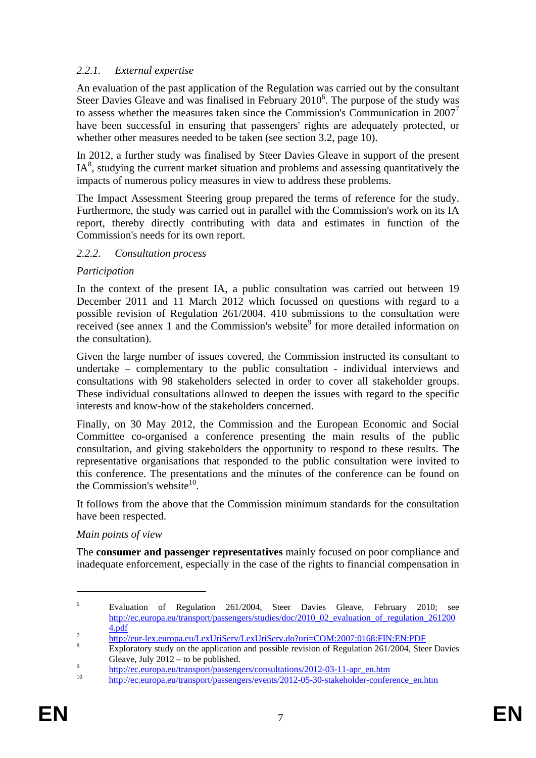# <span id="page-6-0"></span>*2.2.1. External expertise*

An evaluation of the past application of the Regulation was carried out by the consultant Steer Davies Gleave and was finalised in February 2010<sup>6</sup>. The purpose of the study was to assess whether the measures taken since the Commission's Communication in  $2007<sup>7</sup>$ have been successful in ensuring that passengers' rights are adequately protected, or whether other measures needed to be taken (see section 3.2, page 10).

In 2012, a further study was finalised by Steer Davies Gleave in support of the present  $IA<sup>8</sup>$ , studying the current market situation and problems and assessing quantitatively the impacts of numerous policy measures in view to address these problems.

The Impact Assessment Steering group prepared the terms of reference for the study. Furthermore, the study was carried out in parallel with the Commission's work on its IA report, thereby directly contributing with data and estimates in function of the Commission's needs for its own report.

#### <span id="page-6-1"></span>*2.2.2. Consultation process*

#### *Participation*

In the context of the present IA, a public consultation was carried out between 19 December 2011 and 11 March 2012 which focussed on questions with regard to a possible revision of Regulation 261/2004. 410 submissions to the consultation were received (see annex 1 and the Commission's website<sup>9</sup> for more detailed information on the consultation).

Given the large number of issues covered, the Commission instructed its consultant to undertake – complementary to the public consultation - individual interviews and consultations with 98 stakeholders selected in order to cover all stakeholder groups. These individual consultations allowed to deepen the issues with regard to the specific interests and know-how of the stakeholders concerned.

Finally, on 30 May 2012, the Commission and the European Economic and Social Committee co-organised a conference presenting the main results of the public consultation, and giving stakeholders the opportunity to respond to these results. The representative organisations that responded to the public consultation were invited to this conference. The presentations and the minutes of the conference can be found on the Commission's website<sup>10</sup>

It follows from the above that the Commission minimum standards for the consultation have been respected.

### *Main points of view*

The **consumer and passenger representatives** mainly focused on poor compliance and inadequate enforcement, especially in the case of the rights to financial compensation in

<u>.</u>

<sup>6</sup> Evaluation of Regulation 261/2004, Steer Davies Gleave, February 2010; see [http://ec.europa.eu/transport/passengers/studies/doc/2010\\_02\\_evaluation\\_of\\_regulation\\_261200](http://ec.europa.eu/transport/passengers/studies/doc/2010_02_evaluation_of_regulation_2612004.pdf)

[<sup>4.</sup>pdf](http://ec.europa.eu/transport/passengers/studies/doc/2010_02_evaluation_of_regulation_2612004.pdf)<br>
<u><http://eur-lex.europa.eu/LexUriServ/LexUriServ.do?uri=COM:2007:0168:FIN:EN:PDF></u><br>
8

Exploratory study on the application and possible revision of Regulation 261/2004, Steer Davies Gleave, July 2012 – to be published.<br>
<sup>9</sup> [http://ec.europa.eu/transport/passengers/consultations/2012-03-11-apr\\_en.htm](http://ec.europa.eu/transport/passengers/consultations/2012-03-11-apr_en.htm) [http://ec.europa.eu/transport/passengers/events/2012-05-30-stakeholder-conference\\_en.htm](http://ec.europa.eu/transport/passengers/events/2012-05-30-stakeholder-conference_en.htm)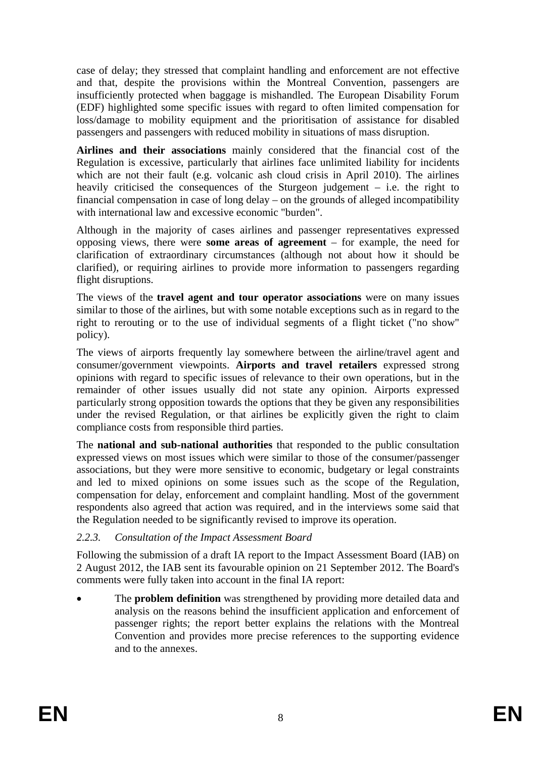case of delay; they stressed that complaint handling and enforcement are not effective and that, despite the provisions within the Montreal Convention, passengers are insufficiently protected when baggage is mishandled. The European Disability Forum (EDF) highlighted some specific issues with regard to often limited compensation for loss/damage to mobility equipment and the prioritisation of assistance for disabled passengers and passengers with reduced mobility in situations of mass disruption.

**Airlines and their associations** mainly considered that the financial cost of the Regulation is excessive, particularly that airlines face unlimited liability for incidents which are not their fault (e.g. volcanic ash cloud crisis in April 2010). The airlines heavily criticised the consequences of the Sturgeon judgement – i.e. the right to financial compensation in case of long delay – on the grounds of alleged incompatibility with international law and excessive economic "burden".

Although in the majority of cases airlines and passenger representatives expressed opposing views, there were **some areas of agreement** – for example, the need for clarification of extraordinary circumstances (although not about how it should be clarified), or requiring airlines to provide more information to passengers regarding flight disruptions.

The views of the **travel agent and tour operator associations** were on many issues similar to those of the airlines, but with some notable exceptions such as in regard to the right to rerouting or to the use of individual segments of a flight ticket ("no show" policy).

The views of airports frequently lay somewhere between the airline/travel agent and consumer/government viewpoints. **Airports and travel retailers** expressed strong opinions with regard to specific issues of relevance to their own operations, but in the remainder of other issues usually did not state any opinion. Airports expressed particularly strong opposition towards the options that they be given any responsibilities under the revised Regulation, or that airlines be explicitly given the right to claim compliance costs from responsible third parties.

The **national and sub-national authorities** that responded to the public consultation expressed views on most issues which were similar to those of the consumer/passenger associations, but they were more sensitive to economic, budgetary or legal constraints and led to mixed opinions on some issues such as the scope of the Regulation, compensation for delay, enforcement and complaint handling. Most of the government respondents also agreed that action was required, and in the interviews some said that the Regulation needed to be significantly revised to improve its operation.

# <span id="page-7-0"></span>*2.2.3. Consultation of the Impact Assessment Board*

Following the submission of a draft IA report to the Impact Assessment Board (IAB) on 2 August 2012, the IAB sent its favourable opinion on 21 September 2012. The Board's comments were fully taken into account in the final IA report:

• The **problem definition** was strengthened by providing more detailed data and analysis on the reasons behind the insufficient application and enforcement of passenger rights; the report better explains the relations with the Montreal Convention and provides more precise references to the supporting evidence and to the annexes.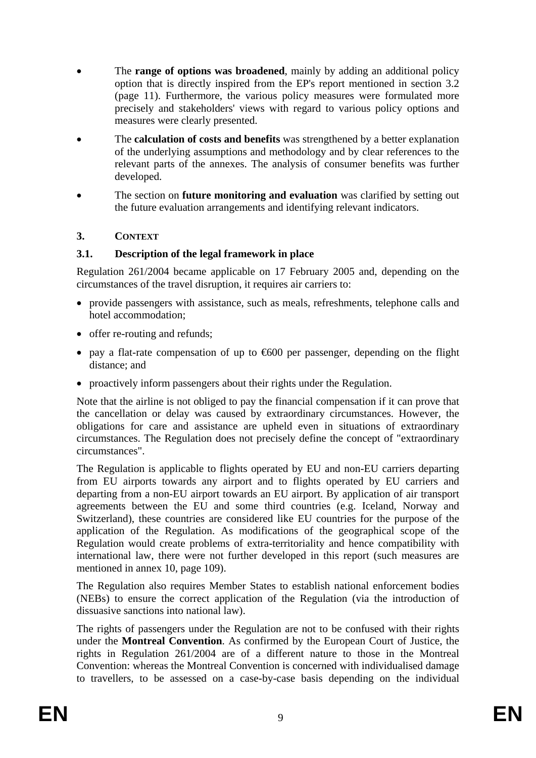- The **range of options was broadened**, mainly by adding an additional policy option that is directly inspired from the EP's report mentioned in section 3.2 (page 11). Furthermore, the various policy measures were formulated more precisely and stakeholders' views with regard to various policy options and measures were clearly presented.
- The **calculation of costs and benefits** was strengthened by a better explanation of the underlying assumptions and methodology and by clear references to the relevant parts of the annexes. The analysis of consumer benefits was further developed.
- The section on **future monitoring and evaluation** was clarified by setting out the future evaluation arrangements and identifying relevant indicators.

# <span id="page-8-0"></span>**3. CONTEXT**

#### <span id="page-8-1"></span>**3.1. Description of the legal framework in place**

Regulation 261/2004 became applicable on 17 February 2005 and, depending on the circumstances of the travel disruption, it requires air carriers to:

- provide passengers with assistance, such as meals, refreshments, telephone calls and hotel accommodation;
- offer re-routing and refunds;
- pay a flat-rate compensation of up to  $600$  per passenger, depending on the flight distance; and
- proactively inform passengers about their rights under the Regulation.

Note that the airline is not obliged to pay the financial compensation if it can prove that the cancellation or delay was caused by extraordinary circumstances. However, the obligations for care and assistance are upheld even in situations of extraordinary circumstances. The Regulation does not precisely define the concept of "extraordinary circumstances".

The Regulation is applicable to flights operated by EU and non-EU carriers departing from EU airports towards any airport and to flights operated by EU carriers and departing from a non-EU airport towards an EU airport. By application of air transport agreements between the EU and some third countries (e.g. Iceland, Norway and Switzerland), these countries are considered like EU countries for the purpose of the application of the Regulation. As modifications of the geographical scope of the Regulation would create problems of extra-territoriality and hence compatibility with international law, there were not further developed in this report (such measures are mentioned in annex 10, page 109).

The Regulation also requires Member States to establish national enforcement bodies (NEBs) to ensure the correct application of the Regulation (via the introduction of dissuasive sanctions into national law).

The rights of passengers under the Regulation are not to be confused with their rights under the **Montreal Convention**. As confirmed by the European Court of Justice, the rights in Regulation 261/2004 are of a different nature to those in the Montreal Convention: whereas the Montreal Convention is concerned with individualised damage to travellers, to be assessed on a case-by-case basis depending on the individual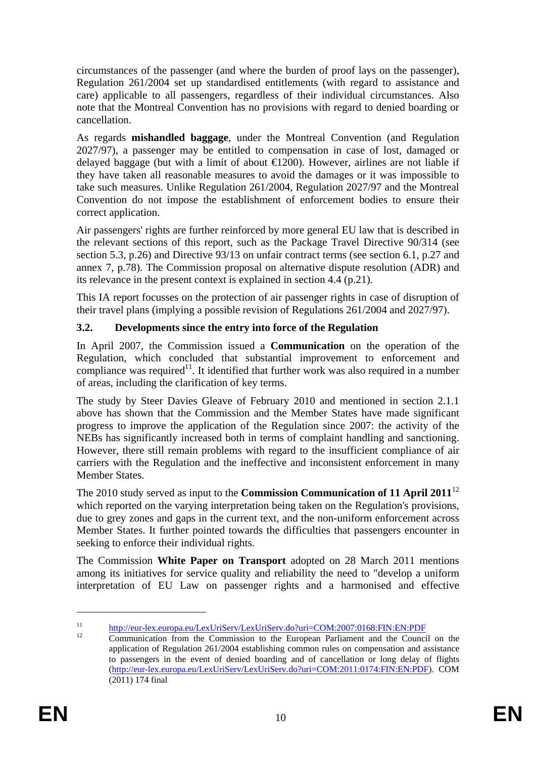circumstances of the passenger (and where the burden of proof lays on the passenger), Regulation 261/2004 set up standardised entitlements (with regard to assistance and care) applicable to all passengers, regardless of their individual circumstances. Also note that the Montreal Convention has no provisions with regard to denied boarding or cancellation.

As regards **mishandled baggage**, under the Montreal Convention (and Regulation 2027/97), a passenger may be entitled to compensation in case of lost, damaged or delayed baggage (but with a limit of about  $\bigoplus$  200). However, airlines are not liable if they have taken all reasonable measures to avoid the damages or it was impossible to take such measures. Unlike Regulation 261/2004, Regulation 2027/97 and the Montreal Convention do not impose the establishment of enforcement bodies to ensure their correct application.

Air passengers' rights are further reinforced by more general EU law that is described in the relevant sections of this report, such as the Package Travel Directive 90/314 (see section 5.3, p.26) and Directive 93/13 on unfair contract terms (see section 6.1, p.27 and annex 7, p.78). The Commission proposal on alternative dispute resolution (ADR) and its relevance in the present context is explained in section 4.4 (p.21).

This IA report focusses on the protection of air passenger rights in case of disruption of their travel plans (implying a possible revision of Regulations 261/2004 and 2027/97).

# <span id="page-9-0"></span>**3.2. Developments since the entry into force of the Regulation**

In April 2007, the Commission issued a **Communication** on the operation of the Regulation, which concluded that substantial improvement to enforcement and compliance was required<sup>11</sup>. It identified that further work was also required in a number of areas, including the clarification of key terms.

The study by Steer Davies Gleave of February 2010 and mentioned in section 2.1.1 above has shown that the Commission and the Member States have made significant progress to improve the application of the Regulation since 2007: the activity of the NEBs has significantly increased both in terms of complaint handling and sanctioning. However, there still remain problems with regard to the insufficient compliance of air carriers with the Regulation and the ineffective and inconsistent enforcement in many Member States.

The 2010 study served as input to the **Commission Communication of 11 April 2011**<sup>12</sup> which reported on the varying interpretation being taken on the Regulation's provisions, due to grey zones and gaps in the current text, and the non-uniform enforcement across Member States. It further pointed towards the difficulties that passengers encounter in seeking to enforce their individual rights.

The Commission **White Paper on Transport** adopted on 28 March 2011 mentions among its initiatives for service quality and reliability the need to "develop a uniform interpretation of EU Law on passenger rights and a harmonised and effective

<sup>&</sup>lt;sup>11</sup> <http://eur-lex.europa.eu/LexUriServ/LexUriServ.do?uri=COM:2007:0168:FIN:EN:PDF><br><sup>12</sup> Communication from the Commission to the European Parliament and the Council on the

application of Regulation 261/2004 establishing common rules on compensation and assistance to passengers in the event of denied boarding and of cancellation or long delay of flights [\(http://eur-lex.europa.eu/LexUriServ/LexUriServ.do?uri=COM:2011:0174:FIN:EN:PDF\)](http://eur-lex.europa.eu/LexUriServ/LexUriServ.do?uri=COM:2011:0174:FIN:EN:PDF). COM (2011) 174 final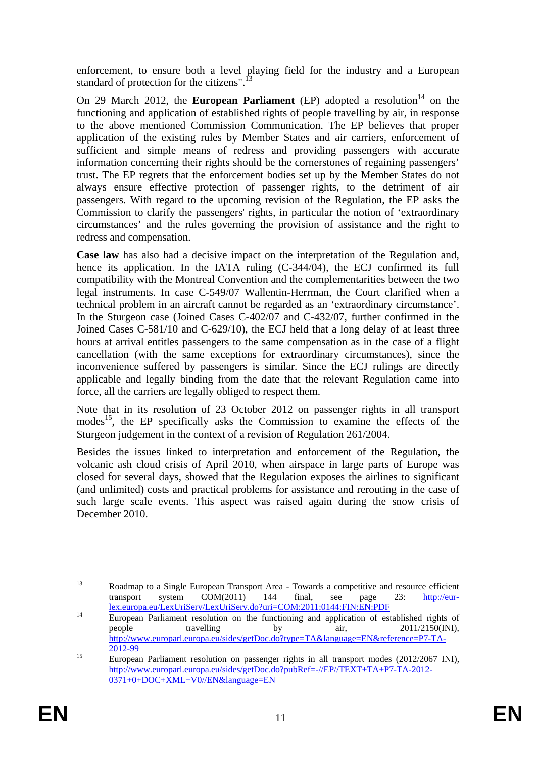enforcement, to ensure both a level playing field for the industry and a European standard of protection for the citizens".<sup>13</sup>

On 29 March 2012, the **European Parliament** (EP) adopted a resolution<sup>14</sup> on the functioning and application of established rights of people travelling by air, in response to the above mentioned Commission Communication. The EP believes that proper application of the existing rules by Member States and air carriers, enforcement of sufficient and simple means of redress and providing passengers with accurate information concerning their rights should be the cornerstones of regaining passengers' trust. The EP regrets that the enforcement bodies set up by the Member States do not always ensure effective protection of passenger rights, to the detriment of air passengers. With regard to the upcoming revision of the Regulation, the EP asks the Commission to clarify the passengers' rights, in particular the notion of 'extraordinary circumstances' and the rules governing the provision of assistance and the right to redress and compensation.

**Case law** has also had a decisive impact on the interpretation of the Regulation and, hence its application. In the IATA ruling (C-344/04), the ECJ confirmed its full compatibility with the Montreal Convention and the complementarities between the two legal instruments. In case C-549/07 Wallentin-Herrman, the Court clarified when a technical problem in an aircraft cannot be regarded as an 'extraordinary circumstance'. In the Sturgeon case (Joined Cases C-402/07 and C-432/07, further confirmed in the Joined Cases C-581/10 and C-629/10), the ECJ held that a long delay of at least three hours at arrival entitles passengers to the same compensation as in the case of a flight cancellation (with the same exceptions for extraordinary circumstances), since the inconvenience suffered by passengers is similar. Since the ECJ rulings are directly applicable and legally binding from the date that the relevant Regulation came into force, all the carriers are legally obliged to respect them.

Note that in its resolution of 23 October 2012 on passenger rights in all transport modes<sup>15</sup>, the EP specifically asks the Commission to examine the effects of the Sturgeon judgement in the context of a revision of Regulation 261/2004.

Besides the issues linked to interpretation and enforcement of the Regulation, the volcanic ash cloud crisis of April 2010, when airspace in large parts of Europe was closed for several days, showed that the Regulation exposes the airlines to significant (and unlimited) costs and practical problems for assistance and rerouting in the case of such large scale events. This aspect was raised again during the snow crisis of December 2010.

<sup>&</sup>lt;sup>13</sup> Roadmap to a Single European Transport Area - Towards a competitive and resource efficient transport system COM(2011) 144 final, see page 23: [http://eur-](http://eur-lex.europa.eu/LexUriServ/LexUriServ.do?uri=COM:2011:0144:FIN:EN:PDF)

[lex.europa.eu/LexUriServ/LexUriServ.do?uri=COM:2011:0144:FIN:EN:PDF](http://eur-lex.europa.eu/LexUriServ/LexUriServ.do?uri=COM:2011:0144:FIN:EN:PDF)<br>
European Parliament resolution on the functioning and application of established rights of<br>
travelling by air, 2011/2150(INI). people travelling by air, 2011/2150(INI), [http://www.europarl.europa.eu/sides/getDoc.do?type=TA&language=EN&reference=P7-TA-](http://www.europarl.europa.eu/sides/getDoc.do?type=TA&language=EN&reference=P7-TA-2012-99) $\frac{2012-99}{2012-99}$  $\frac{2012-99}{2012-99}$  $\frac{2012-99}{2012-99}$  European Parliament resolution on passenger rights in all transport modes (2012/2067 INI),

[http://www.europarl.europa.eu/sides/getDoc.do?pubRef=-//EP//TEXT+TA+P7-TA-2012-](http://www.europarl.europa.eu/sides/getDoc.do?pubRef=-//EP//TEXT+TA+P7-TA-2012-0371+0+DOC+XML+V0//EN&language=EN) [0371+0+DOC+XML+V0//EN&language=EN](http://www.europarl.europa.eu/sides/getDoc.do?pubRef=-//EP//TEXT+TA+P7-TA-2012-0371+0+DOC+XML+V0//EN&language=EN)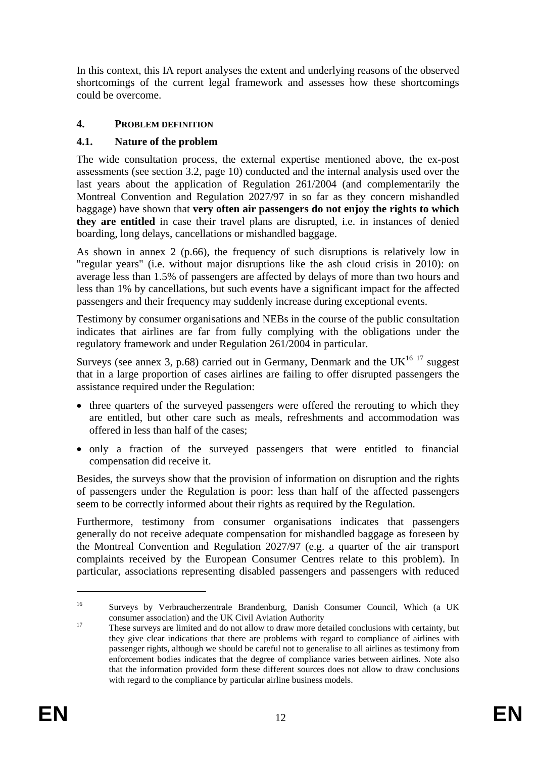In this context, this IA report analyses the extent and underlying reasons of the observed shortcomings of the current legal framework and assesses how these shortcomings could be overcome.

# <span id="page-11-0"></span>**4. PROBLEM DEFINITION**

# <span id="page-11-1"></span>**4.1. Nature of the problem**

The wide consultation process, the external expertise mentioned above, the ex-post assessments (see section 3.2, page 10) conducted and the internal analysis used over the last years about the application of Regulation 261/2004 (and complementarily the Montreal Convention and Regulation 2027/97 in so far as they concern mishandled baggage) have shown that **very often air passengers do not enjoy the rights to which they are entitled** in case their travel plans are disrupted, i.e. in instances of denied boarding, long delays, cancellations or mishandled baggage.

As shown in annex 2 (p.66), the frequency of such disruptions is relatively low in "regular years" (i.e. without major disruptions like the ash cloud crisis in 2010): on average less than 1.5% of passengers are affected by delays of more than two hours and less than 1% by cancellations, but such events have a significant impact for the affected passengers and their frequency may suddenly increase during exceptional events.

Testimony by consumer organisations and NEBs in the course of the public consultation indicates that airlines are far from fully complying with the obligations under the regulatory framework and under Regulation 261/2004 in particular.

Surveys (see annex 3, p.68) carried out in Germany, Denmark and the UK $^{16}$  17 suggest that in a large proportion of cases airlines are failing to offer disrupted passengers the assistance required under the Regulation:

- three quarters of the surveyed passengers were offered the rerouting to which they are entitled, but other care such as meals, refreshments and accommodation was offered in less than half of the cases;
- only a fraction of the surveyed passengers that were entitled to financial compensation did receive it.

Besides, the surveys show that the provision of information on disruption and the rights of passengers under the Regulation is poor: less than half of the affected passengers seem to be correctly informed about their rights as required by the Regulation.

Furthermore, testimony from consumer organisations indicates that passengers generally do not receive adequate compensation for mishandled baggage as foreseen by the Montreal Convention and Regulation 2027/97 (e.g. a quarter of the air transport complaints received by the European Consumer Centres relate to this problem). In particular, associations representing disabled passengers and passengers with reduced

<u>.</u>

<sup>16</sup> Surveys by Verbraucherzentrale Brandenburg, Danish Consumer Council, Which (a UK

consumer association) and the UK Civil Aviation Authority<br>
These surveys are limited and do not allow to draw more detailed conclusions with certainty, but they give clear indications that there are problems with regard to compliance of airlines with passenger rights, although we should be careful not to generalise to all airlines as testimony from enforcement bodies indicates that the degree of compliance varies between airlines. Note also that the information provided form these different sources does not allow to draw conclusions with regard to the compliance by particular airline business models.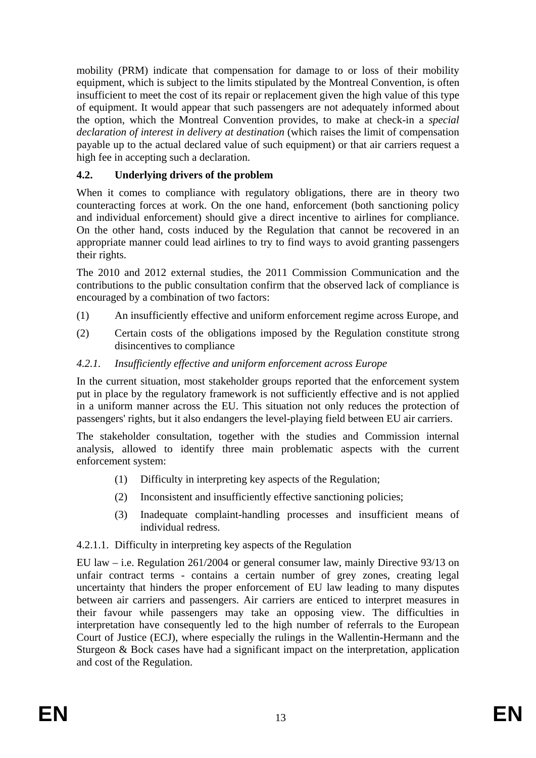mobility (PRM) indicate that compensation for damage to or loss of their mobility equipment, which is subject to the limits stipulated by the Montreal Convention, is often insufficient to meet the cost of its repair or replacement given the high value of this type of equipment. It would appear that such passengers are not adequately informed about the option, which the Montreal Convention provides, to make at check-in a *special declaration of interest in delivery at destination* (which raises the limit of compensation payable up to the actual declared value of such equipment) or that air carriers request a high fee in accepting such a declaration.

# <span id="page-12-0"></span>**4.2. Underlying drivers of the problem**

When it comes to compliance with regulatory obligations, there are in theory two counteracting forces at work. On the one hand, enforcement (both sanctioning policy and individual enforcement) should give a direct incentive to airlines for compliance. On the other hand, costs induced by the Regulation that cannot be recovered in an appropriate manner could lead airlines to try to find ways to avoid granting passengers their rights.

The 2010 and 2012 external studies, the 2011 Commission Communication and the contributions to the public consultation confirm that the observed lack of compliance is encouraged by a combination of two factors:

- (1) An insufficiently effective and uniform enforcement regime across Europe, and
- (2) Certain costs of the obligations imposed by the Regulation constitute strong disincentives to compliance

# <span id="page-12-1"></span>*4.2.1. Insufficiently effective and uniform enforcement across Europe*

In the current situation, most stakeholder groups reported that the enforcement system put in place by the regulatory framework is not sufficiently effective and is not applied in a uniform manner across the EU. This situation not only reduces the protection of passengers' rights, but it also endangers the level-playing field between EU air carriers.

The stakeholder consultation, together with the studies and Commission internal analysis, allowed to identify three main problematic aspects with the current enforcement system:

- (1) Difficulty in interpreting key aspects of the Regulation;
- (2) Inconsistent and insufficiently effective sanctioning policies;
- (3) Inadequate complaint-handling processes and insufficient means of individual redress.

### <span id="page-12-2"></span>4.2.1.1. Difficulty in interpreting key aspects of the Regulation

EU law – i.e. Regulation 261/2004 or general consumer law, mainly Directive 93/13 on unfair contract terms - contains a certain number of grey zones, creating legal uncertainty that hinders the proper enforcement of EU law leading to many disputes between air carriers and passengers. Air carriers are enticed to interpret measures in their favour while passengers may take an opposing view. The difficulties in interpretation have consequently led to the high number of referrals to the European Court of Justice (ECJ), where especially the rulings in the Wallentin-Hermann and the Sturgeon & Bock cases have had a significant impact on the interpretation, application and cost of the Regulation.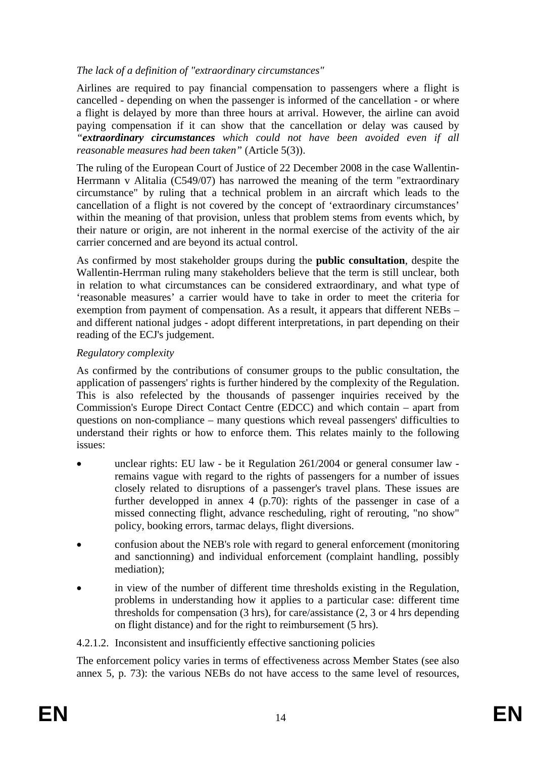# *The lack of a definition of "extraordinary circumstances"*

Airlines are required to pay financial compensation to passengers where a flight is cancelled - depending on when the passenger is informed of the cancellation - or where a flight is delayed by more than three hours at arrival. However, the airline can avoid paying compensation if it can show that the cancellation or delay was caused by *"extraordinary circumstances which could not have been avoided even if all reasonable measures had been taken"* (Article 5(3)).

The ruling of the European Court of Justice of 22 December 2008 in the case Wallentin-Herrmann v Alitalia (C549/07) has narrowed the meaning of the term "extraordinary circumstance" by ruling that a technical problem in an aircraft which leads to the cancellation of a flight is not covered by the concept of 'extraordinary circumstances' within the meaning of that provision, unless that problem stems from events which, by their nature or origin, are not inherent in the normal exercise of the activity of the air carrier concerned and are beyond its actual control.

As confirmed by most stakeholder groups during the **public consultation**, despite the Wallentin-Herrman ruling many stakeholders believe that the term is still unclear, both in relation to what circumstances can be considered extraordinary, and what type of 'reasonable measures' a carrier would have to take in order to meet the criteria for exemption from payment of compensation. As a result, it appears that different NEBs – and different national judges - adopt different interpretations, in part depending on their reading of the ECJ's judgement.

### *Regulatory complexity*

As confirmed by the contributions of consumer groups to the public consultation, the application of passengers' rights is further hindered by the complexity of the Regulation. This is also refelected by the thousands of passenger inquiries received by the Commission's Europe Direct Contact Centre (EDCC) and which contain – apart from questions on non-compliance – many questions which reveal passengers' difficulties to understand their rights or how to enforce them. This relates mainly to the following issues:

- unclear rights: EU law be it Regulation 261/2004 or general consumer law remains vague with regard to the rights of passengers for a number of issues closely related to disruptions of a passenger's travel plans. These issues are further developped in annex  $4$  (p.70): rights of the passenger in case of a missed connecting flight, advance rescheduling, right of rerouting, "no show" policy, booking errors, tarmac delays, flight diversions.
- confusion about the NEB's role with regard to general enforcement (monitoring and sanctionning) and individual enforcement (complaint handling, possibly mediation);
- in view of the number of different time thresholds existing in the Regulation, problems in understanding how it applies to a particular case: different time thresholds for compensation (3 hrs), for care/assistance (2, 3 or 4 hrs depending on flight distance) and for the right to reimbursement (5 hrs).

### <span id="page-13-0"></span>4.2.1.2. Inconsistent and insufficiently effective sanctioning policies

The enforcement policy varies in terms of effectiveness across Member States (see also annex 5, p. 73): the various NEBs do not have access to the same level of resources,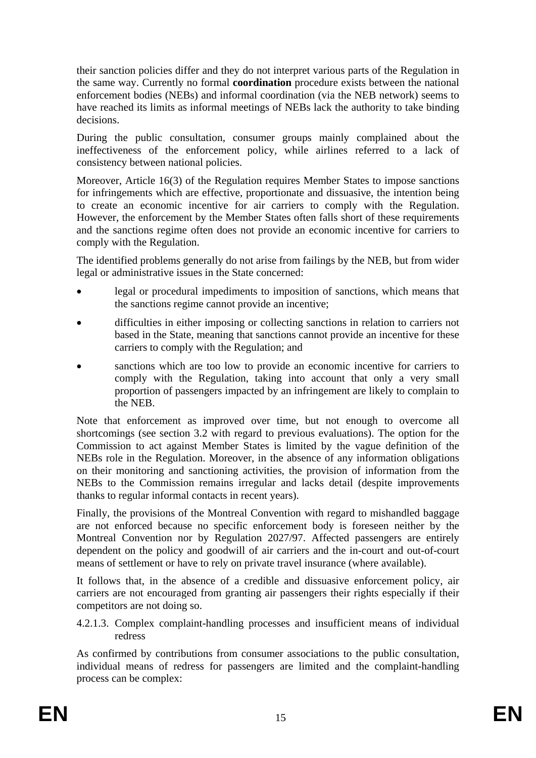their sanction policies differ and they do not interpret various parts of the Regulation in the same way. Currently no formal **coordination** procedure exists between the national enforcement bodies (NEBs) and informal coordination (via the NEB network) seems to have reached its limits as informal meetings of NEBs lack the authority to take binding decisions.

During the public consultation, consumer groups mainly complained about the ineffectiveness of the enforcement policy, while airlines referred to a lack of consistency between national policies.

Moreover, Article 16(3) of the Regulation requires Member States to impose sanctions for infringements which are effective, proportionate and dissuasive, the intention being to create an economic incentive for air carriers to comply with the Regulation. However, the enforcement by the Member States often falls short of these requirements and the sanctions regime often does not provide an economic incentive for carriers to comply with the Regulation.

The identified problems generally do not arise from failings by the NEB, but from wider legal or administrative issues in the State concerned:

- legal or procedural impediments to imposition of sanctions, which means that the sanctions regime cannot provide an incentive;
- difficulties in either imposing or collecting sanctions in relation to carriers not based in the State, meaning that sanctions cannot provide an incentive for these carriers to comply with the Regulation; and
- sanctions which are too low to provide an economic incentive for carriers to comply with the Regulation, taking into account that only a very small proportion of passengers impacted by an infringement are likely to complain to the NEB.

Note that enforcement as improved over time, but not enough to overcome all shortcomings (see section 3.2 with regard to previous evaluations). The option for the Commission to act against Member States is limited by the vague definition of the NEBs role in the Regulation. Moreover, in the absence of any information obligations on their monitoring and sanctioning activities, the provision of information from the NEBs to the Commission remains irregular and lacks detail (despite improvements thanks to regular informal contacts in recent years).

Finally, the provisions of the Montreal Convention with regard to mishandled baggage are not enforced because no specific enforcement body is foreseen neither by the Montreal Convention nor by Regulation 2027/97. Affected passengers are entirely dependent on the policy and goodwill of air carriers and the in-court and out-of-court means of settlement or have to rely on private travel insurance (where available).

It follows that, in the absence of a credible and dissuasive enforcement policy, air carriers are not encouraged from granting air passengers their rights especially if their competitors are not doing so.

<span id="page-14-0"></span>4.2.1.3. Complex complaint-handling processes and insufficient means of individual redress

As confirmed by contributions from consumer associations to the public consultation, individual means of redress for passengers are limited and the complaint-handling process can be complex: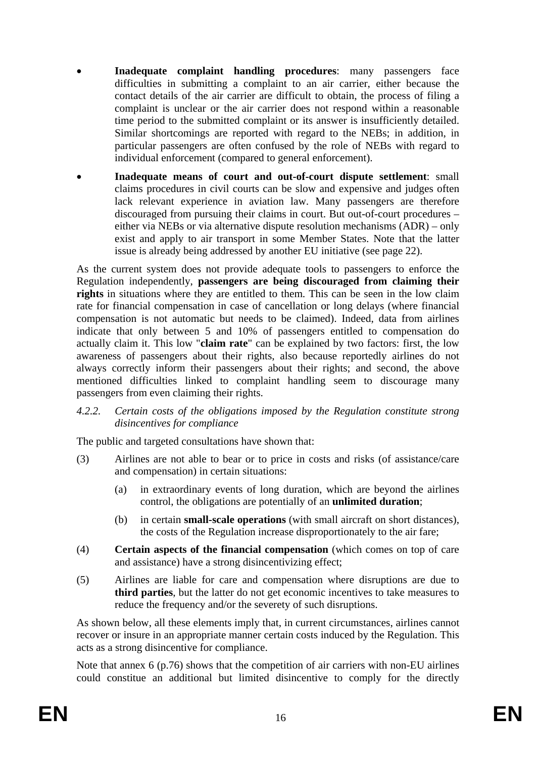- **Inadequate complaint handling procedures**: many passengers face difficulties in submitting a complaint to an air carrier, either because the contact details of the air carrier are difficult to obtain, the process of filing a complaint is unclear or the air carrier does not respond within a reasonable time period to the submitted complaint or its answer is insufficiently detailed. Similar shortcomings are reported with regard to the NEBs; in addition, in particular passengers are often confused by the role of NEBs with regard to individual enforcement (compared to general enforcement).
- **Inadequate means of court and out-of-court dispute settlement**: small claims procedures in civil courts can be slow and expensive and judges often lack relevant experience in aviation law. Many passengers are therefore discouraged from pursuing their claims in court. But out-of-court procedures – either via NEBs or via alternative dispute resolution mechanisms (ADR) – only exist and apply to air transport in some Member States. Note that the latter issue is already being addressed by another EU initiative (see page 22).

As the current system does not provide adequate tools to passengers to enforce the Regulation independently, **passengers are being discouraged from claiming their**  rights in situations where they are entitled to them. This can be seen in the low claim rate for financial compensation in case of cancellation or long delays (where financial compensation is not automatic but needs to be claimed). Indeed, data from airlines indicate that only between 5 and 10% of passengers entitled to compensation do actually claim it. This low "**claim rate**" can be explained by two factors: first, the low awareness of passengers about their rights, also because reportedly airlines do not always correctly inform their passengers about their rights; and second, the above mentioned difficulties linked to complaint handling seem to discourage many passengers from even claiming their rights.

<span id="page-15-0"></span>*4.2.2. Certain costs of the obligations imposed by the Regulation constitute strong disincentives for compliance* 

The public and targeted consultations have shown that:

- (3) Airlines are not able to bear or to price in costs and risks (of assistance/care and compensation) in certain situations:
	- (a) in extraordinary events of long duration, which are beyond the airlines control, the obligations are potentially of an **unlimited duration**;
	- (b) in certain **small-scale operations** (with small aircraft on short distances), the costs of the Regulation increase disproportionately to the air fare;
- (4) **Certain aspects of the financial compensation** (which comes on top of care and assistance) have a strong disincentivizing effect;
- (5) Airlines are liable for care and compensation where disruptions are due to **third parties**, but the latter do not get economic incentives to take measures to reduce the frequency and/or the severety of such disruptions.

As shown below, all these elements imply that, in current circumstances, airlines cannot recover or insure in an appropriate manner certain costs induced by the Regulation. This acts as a strong disincentive for compliance.

Note that annex 6 (p.76) shows that the competition of air carriers with non-EU airlines could constitue an additional but limited disincentive to comply for the directly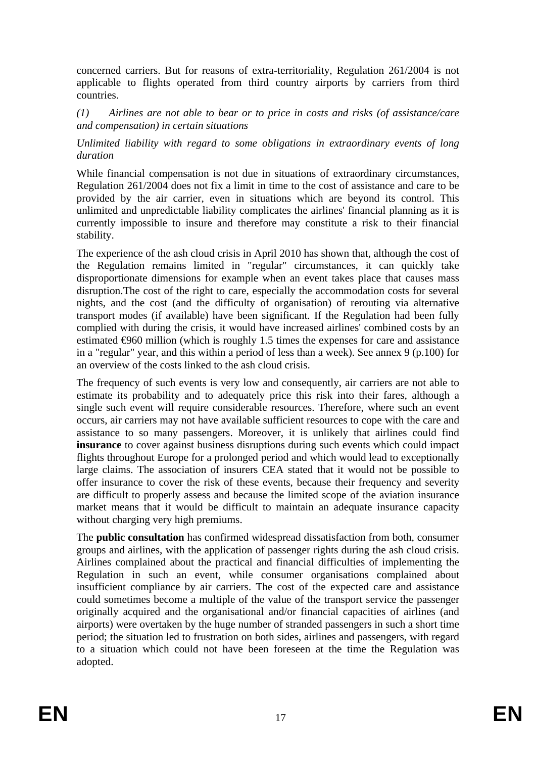concerned carriers. But for reasons of extra-territoriality, Regulation 261/2004 is not applicable to flights operated from third country airports by carriers from third countries.

*(1) Airlines are not able to bear or to price in costs and risks (of assistance/care and compensation) in certain situations* 

*Unlimited liability with regard to some obligations in extraordinary events of long duration* 

While financial compensation is not due in situations of extraordinary circumstances, Regulation 261/2004 does not fix a limit in time to the cost of assistance and care to be provided by the air carrier, even in situations which are beyond its control. This unlimited and unpredictable liability complicates the airlines' financial planning as it is currently impossible to insure and therefore may constitute a risk to their financial stability.

The experience of the ash cloud crisis in April 2010 has shown that, although the cost of the Regulation remains limited in "regular" circumstances, it can quickly take disproportionate dimensions for example when an event takes place that causes mass disruption.The cost of the right to care, especially the accommodation costs for several nights, and the cost (and the difficulty of organisation) of rerouting via alternative transport modes (if available) have been significant. If the Regulation had been fully complied with during the crisis, it would have increased airlines' combined costs by an estimated  $\Theta$ 60 million (which is roughly 1.5 times the expenses for care and assistance in a "regular" year, and this within a period of less than a week). See annex 9 (p.100) for an overview of the costs linked to the ash cloud crisis.

The frequency of such events is very low and consequently, air carriers are not able to estimate its probability and to adequately price this risk into their fares, although a single such event will require considerable resources. Therefore, where such an event occurs, air carriers may not have available sufficient resources to cope with the care and assistance to so many passengers. Moreover, it is unlikely that airlines could find **insurance** to cover against business disruptions during such events which could impact flights throughout Europe for a prolonged period and which would lead to exceptionally large claims. The association of insurers CEA stated that it would not be possible to offer insurance to cover the risk of these events, because their frequency and severity are difficult to properly assess and because the limited scope of the aviation insurance market means that it would be difficult to maintain an adequate insurance capacity without charging very high premiums.

The **public consultation** has confirmed widespread dissatisfaction from both, consumer groups and airlines, with the application of passenger rights during the ash cloud crisis. Airlines complained about the practical and financial difficulties of implementing the Regulation in such an event, while consumer organisations complained about insufficient compliance by air carriers. The cost of the expected care and assistance could sometimes become a multiple of the value of the transport service the passenger originally acquired and the organisational and/or financial capacities of airlines (and airports) were overtaken by the huge number of stranded passengers in such a short time period; the situation led to frustration on both sides, airlines and passengers, with regard to a situation which could not have been foreseen at the time the Regulation was adopted.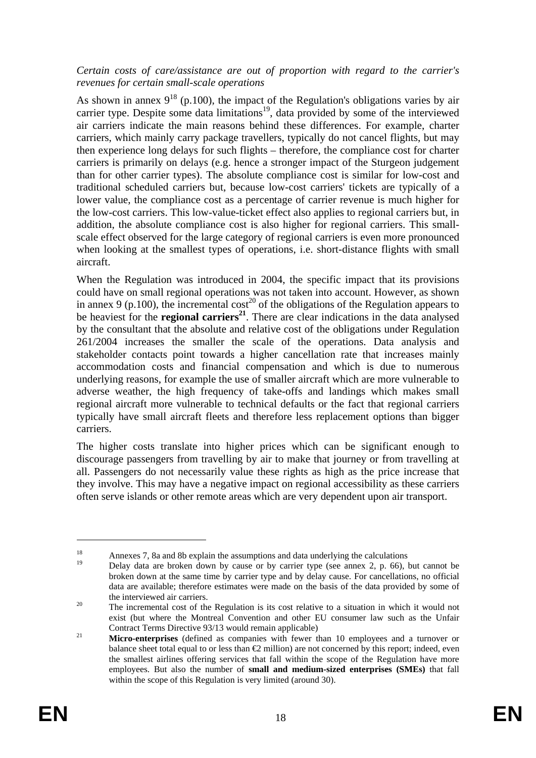#### *Certain costs of care/assistance are out of proportion with regard to the carrier's revenues for certain small-scale operations*

As shown in annex  $9^{18}$  (p.100), the impact of the Regulation's obligations varies by air carrier type. Despite some data limitations<sup>19</sup>, data provided by some of the interviewed air carriers indicate the main reasons behind these differences. For example, charter carriers, which mainly carry package travellers, typically do not cancel flights, but may then experience long delays for such flights – therefore, the compliance cost for charter carriers is primarily on delays (e.g. hence a stronger impact of the Sturgeon judgement than for other carrier types). The absolute compliance cost is similar for low-cost and traditional scheduled carriers but, because low-cost carriers' tickets are typically of a lower value, the compliance cost as a percentage of carrier revenue is much higher for the low-cost carriers. This low-value-ticket effect also applies to regional carriers but, in addition, the absolute compliance cost is also higher for regional carriers. This smallscale effect observed for the large category of regional carriers is even more pronounced when looking at the smallest types of operations, i.e. short-distance flights with small aircraft.

When the Regulation was introduced in 2004, the specific impact that its provisions could have on small regional operations was not taken into account. However, as shown in annex 9 (p.100), the incremental cost<sup>20</sup> of the obligations of the Regulation appears to be heaviest for the **regional carriers<sup>21</sup>**. There are clear indications in the data analysed by the consultant that the absolute and relative cost of the obligations under Regulation 261/2004 increases the smaller the scale of the operations. Data analysis and stakeholder contacts point towards a higher cancellation rate that increases mainly accommodation costs and financial compensation and which is due to numerous underlying reasons, for example the use of smaller aircraft which are more vulnerable to adverse weather, the high frequency of take-offs and landings which makes small regional aircraft more vulnerable to technical defaults or the fact that regional carriers typically have small aircraft fleets and therefore less replacement options than bigger carriers.

The higher costs translate into higher prices which can be significant enough to discourage passengers from travelling by air to make that journey or from travelling at all. Passengers do not necessarily value these rights as high as the price increase that they involve. This may have a negative impact on regional accessibility as these carriers often serve islands or other remote areas which are very dependent upon air transport.

<sup>&</sup>lt;sup>18</sup> Annexes 7, 8a and 8b explain the assumptions and data underlying the calculations

<sup>19</sup> Delay data are broken down by cause or by carrier type (see annex 2, p. 66), but cannot be broken down at the same time by carrier type and by delay cause. For cancellations, no official data are available; therefore estimates were made on the basis of the data provided by some of the interviewed air carriers.<br><sup>20</sup> The incremental cost of the Regulation is its cost relative to a situation in which it would not

exist (but where the Montreal Convention and other EU consumer law such as the Unfair

Contract Terms Directive 93/13 would remain applicable) 21 **Micro-enterprises** (defined as companies with fewer than 10 employees and a turnover or balance sheet total equal to or less than  $\mathcal Q$  million) are not concerned by this report; indeed, even the smallest airlines offering services that fall within the scope of the Regulation have more employees. But also the number of **small and medium-sized enterprises (SMEs)** that fall within the scope of this Regulation is very limited (around 30).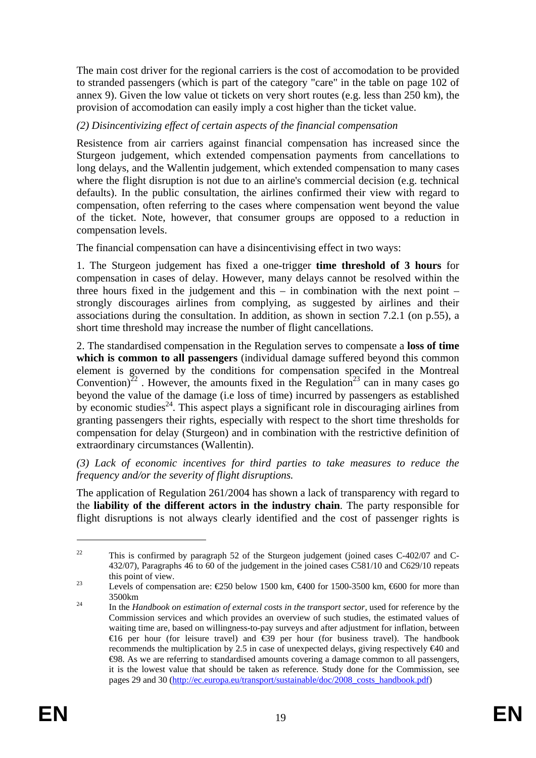The main cost driver for the regional carriers is the cost of accomodation to be provided to stranded passengers (which is part of the category "care" in the table on page 102 of annex 9). Given the low value ot tickets on very short routes (e.g. less than 250 km), the provision of accomodation can easily imply a cost higher than the ticket value.

### *(2) Disincentivizing effect of certain aspects of the financial compensation*

Resistence from air carriers against financial compensation has increased since the Sturgeon judgement, which extended compensation payments from cancellations to long delays, and the Wallentin judgement, which extended compensation to many cases where the flight disruption is not due to an airline's commercial decision (e.g. technical defaults). In the public consultation, the airlines confirmed their view with regard to compensation, often referring to the cases where compensation went beyond the value of the ticket. Note, however, that consumer groups are opposed to a reduction in compensation levels.

The financial compensation can have a disincentivising effect in two ways:

1. The Sturgeon judgement has fixed a one-trigger **time threshold of 3 hours** for compensation in cases of delay. However, many delays cannot be resolved within the three hours fixed in the judgement and this  $-$  in combination with the next point  $$ strongly discourages airlines from complying, as suggested by airlines and their associations during the consultation. In addition, as shown in section 7.2.1 (on p.55), a short time threshold may increase the number of flight cancellations.

2. The standardised compensation in the Regulation serves to compensate a **loss of time which is common to all passengers** (individual damage suffered beyond this common element is governed by the conditions for compensation specifed in the Montreal Convention)<sup>22</sup>. However, the amounts fixed in the Regulation<sup>23</sup> can in many cases go beyond the value of the damage (i.e loss of time) incurred by passengers as established by economic studies<sup>24</sup>. This aspect plays a significant role in discouraging airlines from granting passengers their rights, especially with respect to the short time thresholds for compensation for delay (Sturgeon) and in combination with the restrictive definition of extraordinary circumstances (Wallentin).

*(3) Lack of economic incentives for third parties to take measures to reduce the frequency and/or the severity of flight disruptions.* 

The application of Regulation 261/2004 has shown a lack of transparency with regard to the **liability of the different actors in the industry chain**. The party responsible for flight disruptions is not always clearly identified and the cost of passenger rights is

<sup>&</sup>lt;sup>22</sup> This is confirmed by paragraph 52 of the Sturgeon judgement (joined cases C-402/07 and C-432/07), Paragraphs 46 to 60 of the judgement in the joined cases C581/10 and C629/10 repeats this point of view.<br>
23 Levels of compensation are:  $\text{\textsterling}50$  below 1500 km,  $\text{\textsterling}400$  for 1500-3500 km,  $\text{\textsterling}600$  for more than

<sup>3500</sup>km 24 In the *Handbook on estimation of external costs in the transport sector,* used for reference by the

Commission services and which provides an overview of such studies, the estimated values of waiting time are, based on willingness-to-pay surveys and after adjustment for inflation, between €16 per hour (for leisure travel) and €39 per hour (for business travel). The handbook recommends the multiplication by 2.5 in case of unexpected delays, giving respectively  $\bigoplus$  and €98. As we are referring to standardised amounts covering a damage common to all passengers, it is the lowest value that should be taken as reference. Study done for the Commission, see [pages 29 and 30 \(http://ec.europa.eu/transport/sustainable/doc/2008\\_costs\\_handbook.pdf\)](http://ec.europa.eu/transport/sustainable/doc/2008_costs_handbook.pdf)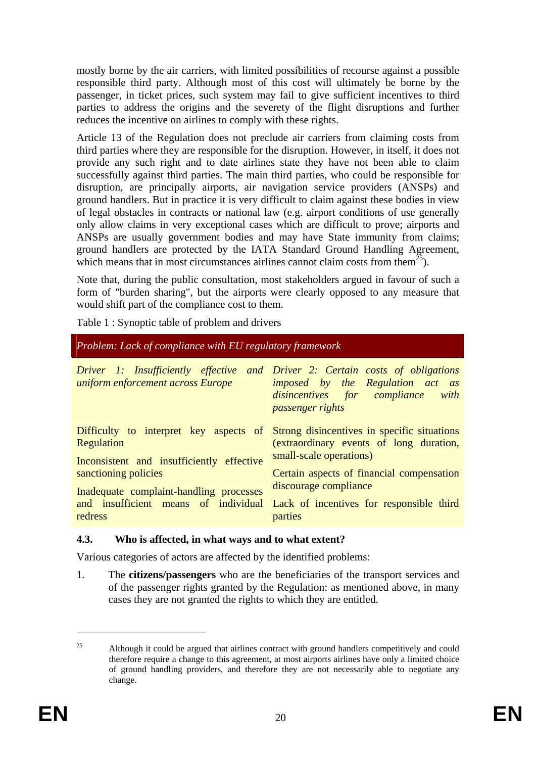mostly borne by the air carriers, with limited possibilities of recourse against a possible responsible third party. Although most of this cost will ultimately be borne by the passenger, in ticket prices, such system may fail to give sufficient incentives to third parties to address the origins and the severety of the flight disruptions and further reduces the incentive on airlines to comply with these rights.

Article 13 of the Regulation does not preclude air carriers from claiming costs from third parties where they are responsible for the disruption. However, in itself, it does not provide any such right and to date airlines state they have not been able to claim successfully against third parties. The main third parties, who could be responsible for disruption, are principally airports, air navigation service providers (ANSPs) and ground handlers. But in practice it is very difficult to claim against these bodies in view of legal obstacles in contracts or national law (e.g. airport conditions of use generally only allow claims in very exceptional cases which are difficult to prove; airports and ANSPs are usually government bodies and may have State immunity from claims; ground handlers are protected by the IATA Standard Ground Handling Agreement, which means that in most circumstances airlines cannot claim costs from them<sup>25</sup>).

Note that, during the public consultation, most stakeholders argued in favour of such a form of "burden sharing", but the airports were clearly opposed to any measure that would shift part of the compliance cost to them.

Table 1 : Synoptic table of problem and drivers

| Problem: Lack of compliance with EU regulatory framework                                                                                             |                                                                                                         |  |  |  |  |  |  |  |  |
|------------------------------------------------------------------------------------------------------------------------------------------------------|---------------------------------------------------------------------------------------------------------|--|--|--|--|--|--|--|--|
| Driver 1: Insufficiently effective and Driver 2: Certain costs of obligations<br>uniform enforcement across Europe                                   | <i>imposed</i> by the Regulation act as<br>disincentives for compliance with<br><i>passenger rights</i> |  |  |  |  |  |  |  |  |
| Difficulty to interpret key aspects of Strong disincentives in specific situations<br><b>Regulation</b><br>Inconsistent and insufficiently effective | (extraordinary events of long duration,<br>small-scale operations)                                      |  |  |  |  |  |  |  |  |
| sanctioning policies<br>Inadequate complaint-handling processes                                                                                      | Certain aspects of financial compensation<br>discourage compliance                                      |  |  |  |  |  |  |  |  |
| and insufficient means of individual<br>redress                                                                                                      | Lack of incentives for responsible third<br>parties                                                     |  |  |  |  |  |  |  |  |

### <span id="page-19-0"></span>**4.3. Who is affected, in what ways and to what extent?**

Various categories of actors are affected by the identified problems:

1. The **citizens/passengers** who are the beneficiaries of the transport services and of the passenger rights granted by the Regulation: as mentioned above, in many cases they are not granted the rights to which they are entitled.

<sup>&</sup>lt;sup>25</sup> Although it could be argued that airlines contract with ground handlers competitively and could therefore require a change to this agreement, at most airports airlines have only a limited choice of ground handling providers, and therefore they are not necessarily able to negotiate any change.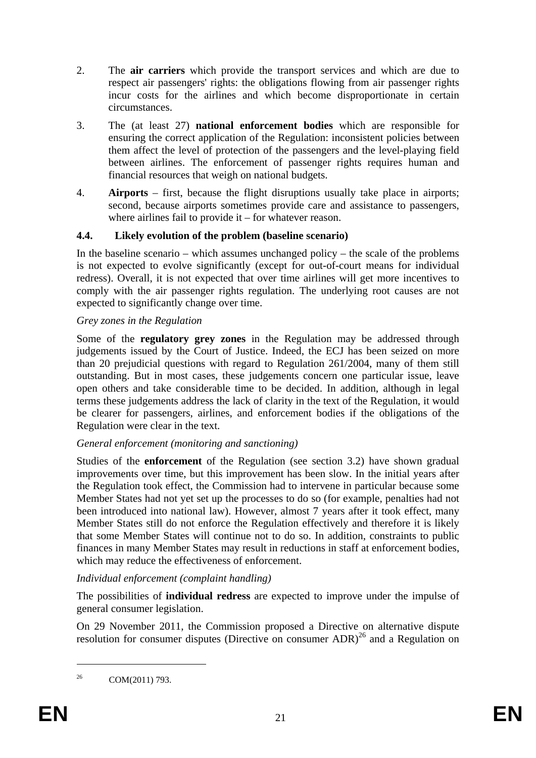- 2. The **air carriers** which provide the transport services and which are due to respect air passengers' rights: the obligations flowing from air passenger rights incur costs for the airlines and which become disproportionate in certain circumstances.
- 3. The (at least 27) **national enforcement bodies** which are responsible for ensuring the correct application of the Regulation: inconsistent policies between them affect the level of protection of the passengers and the level-playing field between airlines. The enforcement of passenger rights requires human and financial resources that weigh on national budgets.
- 4. **Airports** first, because the flight disruptions usually take place in airports; second, because airports sometimes provide care and assistance to passengers, where airlines fail to provide it – for whatever reason.

# <span id="page-20-0"></span>**4.4. Likely evolution of the problem (baseline scenario)**

In the baseline scenario – which assumes unchanged policy – the scale of the problems is not expected to evolve significantly (except for out-of-court means for individual redress). Overall, it is not expected that over time airlines will get more incentives to comply with the air passenger rights regulation. The underlying root causes are not expected to significantly change over time.

### *Grey zones in the Regulation*

Some of the **regulatory grey zones** in the Regulation may be addressed through judgements issued by the Court of Justice. Indeed, the ECJ has been seized on more than 20 prejudicial questions with regard to Regulation 261/2004, many of them still outstanding. But in most cases, these judgements concern one particular issue, leave open others and take considerable time to be decided. In addition, although in legal terms these judgements address the lack of clarity in the text of the Regulation, it would be clearer for passengers, airlines, and enforcement bodies if the obligations of the Regulation were clear in the text.

# *General enforcement (monitoring and sanctioning)*

Studies of the **enforcement** of the Regulation (see section 3.2) have shown gradual improvements over time, but this improvement has been slow. In the initial years after the Regulation took effect, the Commission had to intervene in particular because some Member States had not yet set up the processes to do so (for example, penalties had not been introduced into national law). However, almost 7 years after it took effect, many Member States still do not enforce the Regulation effectively and therefore it is likely that some Member States will continue not to do so. In addition, constraints to public finances in many Member States may result in reductions in staff at enforcement bodies, which may reduce the effectiveness of enforcement.

### *Individual enforcement (complaint handling)*

The possibilities of **individual redress** are expected to improve under the impulse of general consumer legislation.

On 29 November 2011, the Commission proposed a Directive on alternative dispute resolution for consumer disputes (Directive on consumer ADR)<sup>26</sup> and a Regulation on

<sup>26</sup> COM(2011) 793.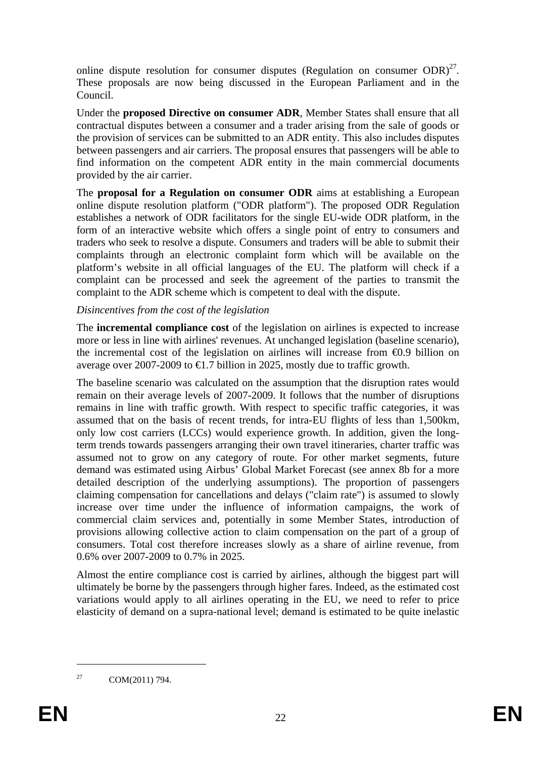online dispute resolution for consumer disputes (Regulation on consumer  $ODR$ )<sup>27</sup>. These proposals are now being discussed in the European Parliament and in the Council.

Under the **proposed Directive on consumer ADR**, Member States shall ensure that all contractual disputes between a consumer and a trader arising from the sale of goods or the provision of services can be submitted to an ADR entity. This also includes disputes between passengers and air carriers. The proposal ensures that passengers will be able to find information on the competent ADR entity in the main commercial documents provided by the air carrier.

The **proposal for a Regulation on consumer ODR** aims at establishing a European online dispute resolution platform ("ODR platform"). The proposed ODR Regulation establishes a network of ODR facilitators for the single EU-wide ODR platform, in the form of an interactive website which offers a single point of entry to consumers and traders who seek to resolve a dispute. Consumers and traders will be able to submit their complaints through an electronic complaint form which will be available on the platform's website in all official languages of the EU. The platform will check if a complaint can be processed and seek the agreement of the parties to transmit the complaint to the ADR scheme which is competent to deal with the dispute.

### *Disincentives from the cost of the legislation*

The **incremental compliance cost** of the legislation on airlines is expected to increase more or less in line with airlines' revenues. At unchanged legislation (baseline scenario), the incremental cost of the legislation on airlines will increase from  $\Theta$ .9 billion on average over 2007-2009 to  $\bigoplus$ .7 billion in 2025, mostly due to traffic growth.

The baseline scenario was calculated on the assumption that the disruption rates would remain on their average levels of 2007-2009. It follows that the number of disruptions remains in line with traffic growth. With respect to specific traffic categories, it was assumed that on the basis of recent trends, for intra-EU flights of less than 1,500km, only low cost carriers (LCCs) would experience growth. In addition, given the longterm trends towards passengers arranging their own travel itineraries, charter traffic was assumed not to grow on any category of route. For other market segments, future demand was estimated using Airbus' Global Market Forecast (see annex 8b for a more detailed description of the underlying assumptions). The proportion of passengers claiming compensation for cancellations and delays ("claim rate") is assumed to slowly increase over time under the influence of information campaigns, the work of commercial claim services and, potentially in some Member States, introduction of provisions allowing collective action to claim compensation on the part of a group of consumers. Total cost therefore increases slowly as a share of airline revenue, from 0.6% over 2007-2009 to 0.7% in 2025.

Almost the entire compliance cost is carried by airlines, although the biggest part will ultimately be borne by the passengers through higher fares. Indeed, as the estimated cost variations would apply to all airlines operating in the EU, we need to refer to price elasticity of demand on a supra-national level; demand is estimated to be quite inelastic

<sup>&</sup>lt;sup>27</sup> COM(2011) 794.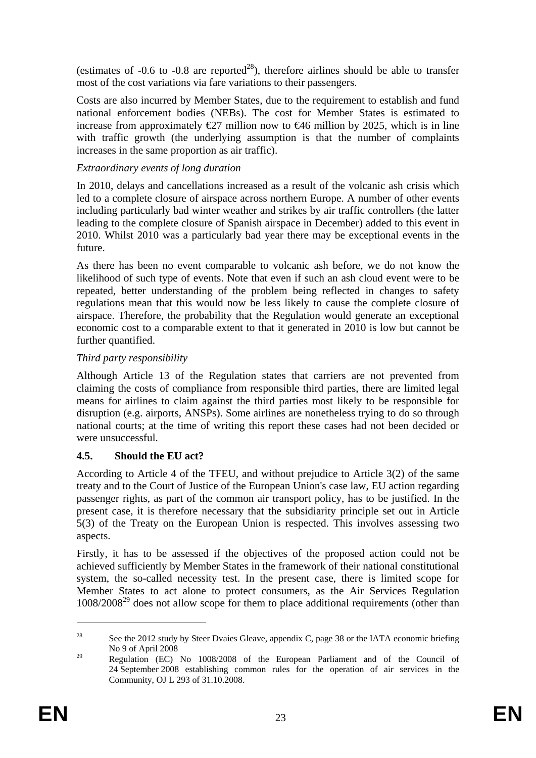(estimates of -0.6 to -0.8 are reported<sup>28</sup>), therefore airlines should be able to transfer most of the cost variations via fare variations to their passengers.

Costs are also incurred by Member States, due to the requirement to establish and fund national enforcement bodies (NEBs). The cost for Member States is estimated to increase from approximately  $\epsilon$ 27 million now to  $\epsilon$ 46 million by 2025, which is in line with traffic growth (the underlying assumption is that the number of complaints increases in the same proportion as air traffic).

### *Extraordinary events of long duration*

In 2010, delays and cancellations increased as a result of the volcanic ash crisis which led to a complete closure of airspace across northern Europe. A number of other events including particularly bad winter weather and strikes by air traffic controllers (the latter leading to the complete closure of Spanish airspace in December) added to this event in 2010. Whilst 2010 was a particularly bad year there may be exceptional events in the future.

As there has been no event comparable to volcanic ash before, we do not know the likelihood of such type of events. Note that even if such an ash cloud event were to be repeated, better understanding of the problem being reflected in changes to safety regulations mean that this would now be less likely to cause the complete closure of airspace. Therefore, the probability that the Regulation would generate an exceptional economic cost to a comparable extent to that it generated in 2010 is low but cannot be further quantified.

# *Third party responsibility*

Although Article 13 of the Regulation states that carriers are not prevented from claiming the costs of compliance from responsible third parties, there are limited legal means for airlines to claim against the third parties most likely to be responsible for disruption (e.g. airports, ANSPs). Some airlines are nonetheless trying to do so through national courts; at the time of writing this report these cases had not been decided or were unsuccessful.

# <span id="page-22-0"></span>**4.5. Should the EU act?**

According to Article 4 of the TFEU, and without prejudice to Article 3(2) of the same treaty and to the Court of Justice of the European Union's case law, EU action regarding passenger rights, as part of the common air transport policy, has to be justified. In the present case, it is therefore necessary that the subsidiarity principle set out in Article 5(3) of the Treaty on the European Union is respected. This involves assessing two aspects.

Firstly, it has to be assessed if the objectives of the proposed action could not be achieved sufficiently by Member States in the framework of their national constitutional system, the so-called necessity test. In the present case, there is limited scope for Member States to act alone to protect consumers, as the Air Services Regulation  $1008/2008^{29}$  does not allow scope for them to place additional requirements (other than

<u>.</u>

<sup>&</sup>lt;sup>28</sup> See the 2012 study by Steer Dvaies Gleave, appendix C, page 38 or the IATA economic briefing No 9 of April 2008

<sup>&</sup>lt;sup>29</sup> Regulation (EC) No 1008/2008 of the European Parliament and of the Council of 24 September 2008 establishing common rules for the operation of air services in the Community, OJ L 293 of 31.10.2008.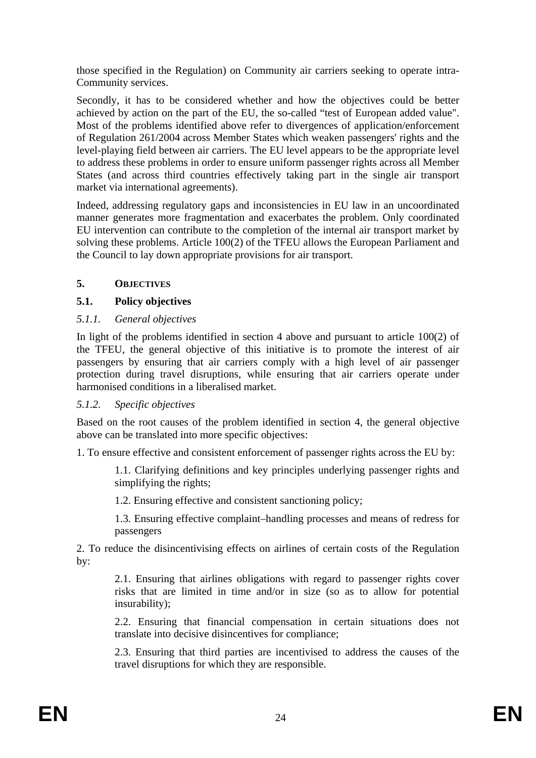those specified in the Regulation) on Community air carriers seeking to operate intra-Community services.

Secondly, it has to be considered whether and how the objectives could be better achieved by action on the part of the EU, the so-called "test of European added value". Most of the problems identified above refer to divergences of application/enforcement of Regulation 261/2004 across Member States which weaken passengers' rights and the level-playing field between air carriers. The EU level appears to be the appropriate level to address these problems in order to ensure uniform passenger rights across all Member States (and across third countries effectively taking part in the single air transport market via international agreements).

Indeed, addressing regulatory gaps and inconsistencies in EU law in an uncoordinated manner generates more fragmentation and exacerbates the problem. Only coordinated EU intervention can contribute to the completion of the internal air transport market by solving these problems. Article 100(2) of the TFEU allows the European Parliament and the Council to lay down appropriate provisions for air transport.

# <span id="page-23-0"></span>**5. OBJECTIVES**

# <span id="page-23-1"></span>**5.1. Policy objectives**

# <span id="page-23-2"></span>*5.1.1. General objectives*

In light of the problems identified in section 4 above and pursuant to article 100(2) of the TFEU, the general objective of this initiative is to promote the interest of air passengers by ensuring that air carriers comply with a high level of air passenger protection during travel disruptions, while ensuring that air carriers operate under harmonised conditions in a liberalised market.

### <span id="page-23-3"></span>*5.1.2. Specific objectives*

Based on the root causes of the problem identified in section 4, the general objective above can be translated into more specific objectives:

1. To ensure effective and consistent enforcement of passenger rights across the EU by:

1.1. Clarifying definitions and key principles underlying passenger rights and simplifying the rights;

1.2. Ensuring effective and consistent sanctioning policy;

1.3. Ensuring effective complaint–handling processes and means of redress for passengers

2. To reduce the disincentivising effects on airlines of certain costs of the Regulation by:

2.1. Ensuring that airlines obligations with regard to passenger rights cover risks that are limited in time and/or in size (so as to allow for potential insurability);

2.2. Ensuring that financial compensation in certain situations does not translate into decisive disincentives for compliance;

2.3. Ensuring that third parties are incentivised to address the causes of the travel disruptions for which they are responsible.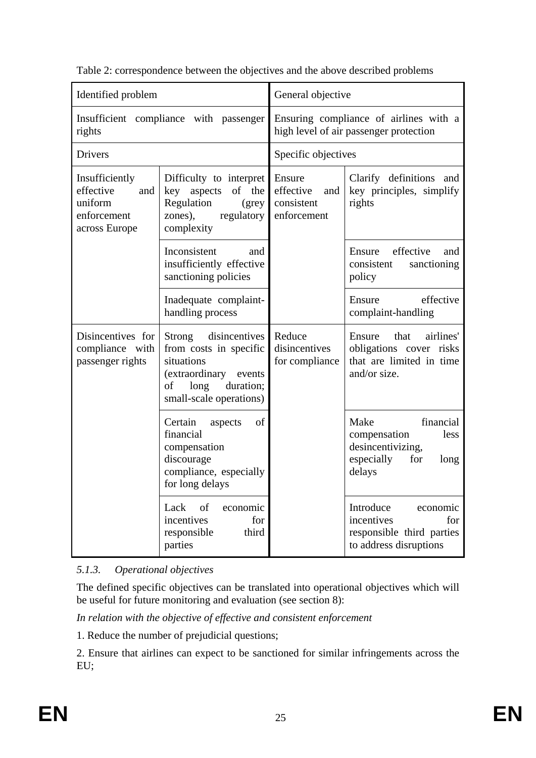| Identified problem                                                            |                                                                                                                                                | General objective                                       |                                                                                                       |
|-------------------------------------------------------------------------------|------------------------------------------------------------------------------------------------------------------------------------------------|---------------------------------------------------------|-------------------------------------------------------------------------------------------------------|
| rights                                                                        | Insufficient compliance with passenger                                                                                                         |                                                         | Ensuring compliance of airlines with a<br>high level of air passenger protection                      |
| Drivers                                                                       |                                                                                                                                                | Specific objectives                                     |                                                                                                       |
| Insufficiently<br>effective<br>and<br>uniform<br>enforcement<br>across Europe | Difficulty to interpret<br>aspects<br>of the<br>key<br>Regulation<br>(grey)<br>zones),<br>regulatory<br>complexity                             | Ensure<br>effective<br>and<br>consistent<br>enforcement | Clarify definitions<br>and<br>key principles, simplify<br>rights                                      |
|                                                                               | Inconsistent<br>and<br>insufficiently effective<br>sanctioning policies                                                                        |                                                         | effective<br>Ensure<br>and<br>consistent<br>sanctioning<br>policy                                     |
|                                                                               | Inadequate complaint-<br>handling process                                                                                                      |                                                         | effective<br>Ensure<br>complaint-handling                                                             |
| Disincentives for<br>compliance with<br>passenger rights                      | Strong<br>disincentives<br>from costs in specific<br>situations<br>(extraordinary events<br>duration;<br>of<br>long<br>small-scale operations) | Reduce<br>disincentives<br>for compliance               | airlines'<br>Ensure<br>that<br>obligations cover risks<br>that are limited in time<br>and/or size.    |
|                                                                               | Certain<br>of<br>aspects<br>financial<br>compensation<br>discourage<br>compliance, especially<br>for long delays                               |                                                         | Make<br>financial<br>less<br>compensation<br>desincentivizing,<br>especially<br>for<br>long<br>delays |
|                                                                               | of<br>Lack<br>economic<br>incentives<br>for<br>responsible<br>third<br>parties                                                                 |                                                         | Introduce<br>economic<br>incentives<br>for<br>responsible third parties<br>to address disruptions     |

Table 2: correspondence between the objectives and the above described problems

# <span id="page-24-0"></span>*5.1.3. Operational objectives*

The defined specific objectives can be translated into operational objectives which will be useful for future monitoring and evaluation (see section 8):

*In relation with the objective of effective and consistent enforcement* 

1. Reduce the number of prejudicial questions;

2. Ensure that airlines can expect to be sanctioned for similar infringements across the EU;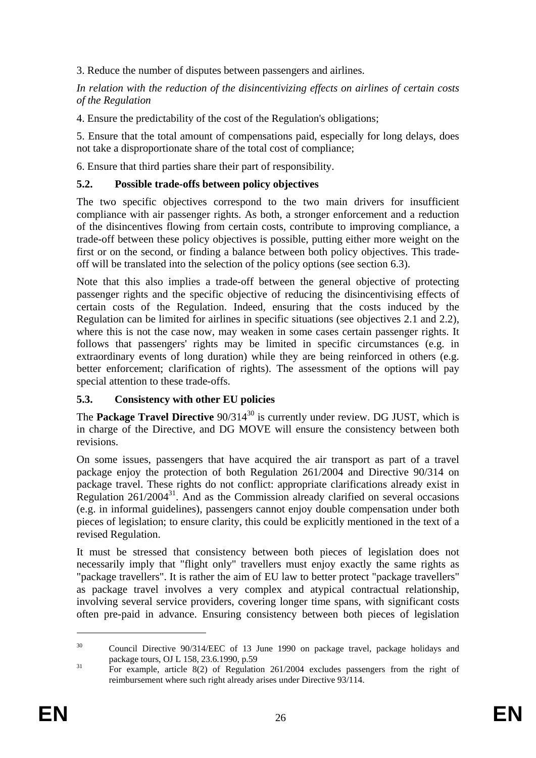3. Reduce the number of disputes between passengers and airlines.

*In relation with the reduction of the disincentivizing effects on airlines of certain costs of the Regulation* 

4. Ensure the predictability of the cost of the Regulation's obligations;

5. Ensure that the total amount of compensations paid, especially for long delays, does not take a disproportionate share of the total cost of compliance;

6. Ensure that third parties share their part of responsibility.

# <span id="page-25-0"></span>**5.2. Possible trade-offs between policy objectives**

The two specific objectives correspond to the two main drivers for insufficient compliance with air passenger rights. As both, a stronger enforcement and a reduction of the disincentives flowing from certain costs, contribute to improving compliance, a trade-off between these policy objectives is possible, putting either more weight on the first or on the second, or finding a balance between both policy objectives. This tradeoff will be translated into the selection of the policy options (see section 6.3).

Note that this also implies a trade-off between the general objective of protecting passenger rights and the specific objective of reducing the disincentivising effects of certain costs of the Regulation. Indeed, ensuring that the costs induced by the Regulation can be limited for airlines in specific situations (see objectives 2.1 and 2.2), where this is not the case now, may weaken in some cases certain passenger rights. It follows that passengers' rights may be limited in specific circumstances (e.g. in extraordinary events of long duration) while they are being reinforced in others (e.g. better enforcement; clarification of rights). The assessment of the options will pay special attention to these trade-offs.

# <span id="page-25-1"></span>**5.3. Consistency with other EU policies**

The **Package Travel Directive** 90/314<sup>30</sup> is currently under review. DG JUST, which is in charge of the Directive, and DG MOVE will ensure the consistency between both revisions.

On some issues, passengers that have acquired the air transport as part of a travel package enjoy the protection of both Regulation 261/2004 and Directive 90/314 on package travel. These rights do not conflict: appropriate clarifications already exist in Regulation  $261/2004^{31}$ . And as the Commission already clarified on several occasions (e.g. in informal guidelines), passengers cannot enjoy double compensation under both pieces of legislation; to ensure clarity, this could be explicitly mentioned in the text of a revised Regulation.

It must be stressed that consistency between both pieces of legislation does not necessarily imply that "flight only" travellers must enjoy exactly the same rights as "package travellers". It is rather the aim of EU law to better protect "package travellers" as package travel involves a very complex and atypical contractual relationship, involving several service providers, covering longer time spans, with significant costs often pre-paid in advance. Ensuring consistency between both pieces of legislation

<sup>&</sup>lt;sup>30</sup> Council Directive 90/314/EEC of 13 June 1990 on package travel, package holidays and package tours, OJ L 158, 23.6.1990, p.59<br><sup>31</sup> For example, article 8(2) of Regulation 261/2004 excludes passengers from the right of

reimbursement where such right already arises under Directive 93/114.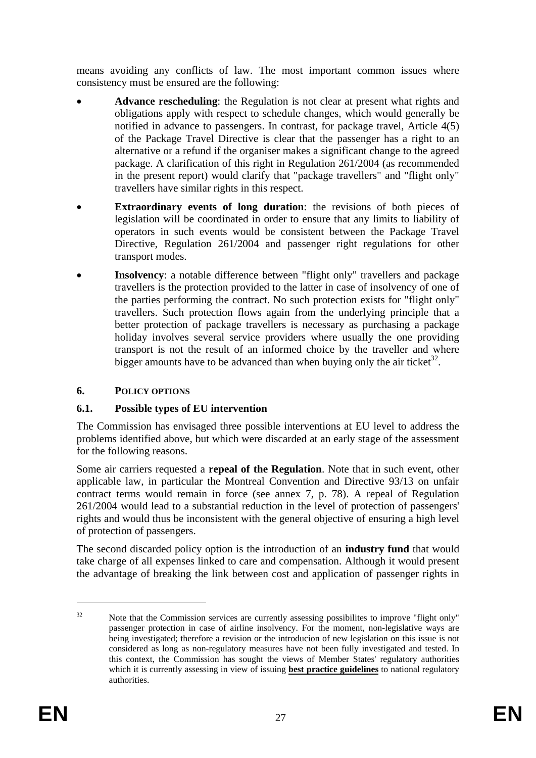means avoiding any conflicts of law. The most important common issues where consistency must be ensured are the following:

- **Advance rescheduling**: the Regulation is not clear at present what rights and obligations apply with respect to schedule changes, which would generally be notified in advance to passengers. In contrast, for package travel, Article 4(5) of the Package Travel Directive is clear that the passenger has a right to an alternative or a refund if the organiser makes a significant change to the agreed package. A clarification of this right in Regulation 261/2004 (as recommended in the present report) would clarify that "package travellers" and "flight only" travellers have similar rights in this respect.
- **Extraordinary events of long duration**: the revisions of both pieces of legislation will be coordinated in order to ensure that any limits to liability of operators in such events would be consistent between the Package Travel Directive, Regulation 261/2004 and passenger right regulations for other transport modes.
- **Insolvency**: a notable difference between "flight only" travellers and package travellers is the protection provided to the latter in case of insolvency of one of the parties performing the contract. No such protection exists for "flight only" travellers. Such protection flows again from the underlying principle that a better protection of package travellers is necessary as purchasing a package holiday involves several service providers where usually the one providing transport is not the result of an informed choice by the traveller and where bigger amounts have to be advanced than when buying only the air ticket<sup>32</sup>.

### <span id="page-26-0"></span>**6. POLICY OPTIONS**

### <span id="page-26-1"></span>**6.1. Possible types of EU intervention**

The Commission has envisaged three possible interventions at EU level to address the problems identified above, but which were discarded at an early stage of the assessment for the following reasons.

Some air carriers requested a **repeal of the Regulation**. Note that in such event, other applicable law, in particular the Montreal Convention and Directive 93/13 on unfair contract terms would remain in force (see annex 7, p. 78). A repeal of Regulation 261/2004 would lead to a substantial reduction in the level of protection of passengers' rights and would thus be inconsistent with the general objective of ensuring a high level of protection of passengers.

The second discarded policy option is the introduction of an **industry fund** that would take charge of all expenses linked to care and compensation. Although it would present the advantage of breaking the link between cost and application of passenger rights in

<sup>&</sup>lt;sup>32</sup> Note that the Commission services are currently assessing possibilites to improve "flight only" passenger protection in case of airline insolvency. For the moment, non-legislative ways are being investigated; therefore a revision or the introducion of new legislation on this issue is not considered as long as non-regulatory measures have not been fully investigated and tested. In this context, the Commission has sought the views of Member States' regulatory authorities which it is currently assessing in view of issuing **best practice guidelines** to national regulatory authorities.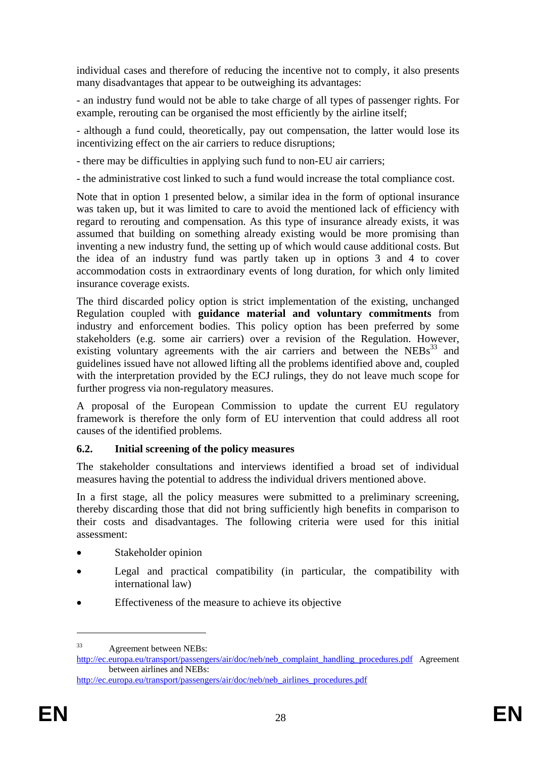individual cases and therefore of reducing the incentive not to comply, it also presents many disadvantages that appear to be outweighing its advantages:

- an industry fund would not be able to take charge of all types of passenger rights. For example, rerouting can be organised the most efficiently by the airline itself;

- although a fund could, theoretically, pay out compensation, the latter would lose its incentivizing effect on the air carriers to reduce disruptions;

- there may be difficulties in applying such fund to non-EU air carriers;

- the administrative cost linked to such a fund would increase the total compliance cost.

Note that in option 1 presented below, a similar idea in the form of optional insurance was taken up, but it was limited to care to avoid the mentioned lack of efficiency with regard to rerouting and compensation. As this type of insurance already exists, it was assumed that building on something already existing would be more promising than inventing a new industry fund, the setting up of which would cause additional costs. But the idea of an industry fund was partly taken up in options 3 and 4 to cover accommodation costs in extraordinary events of long duration, for which only limited insurance coverage exists.

The third discarded policy option is strict implementation of the existing, unchanged Regulation coupled with **guidance material and voluntary commitments** from industry and enforcement bodies. This policy option has been preferred by some stakeholders (e.g. some air carriers) over a revision of the Regulation. However, existing voluntary agreements with the air carriers and between the  $NEBs<sup>33</sup>$  and guidelines issued have not allowed lifting all the problems identified above and, coupled with the interpretation provided by the ECJ rulings, they do not leave much scope for further progress via non-regulatory measures.

A proposal of the European Commission to update the current EU regulatory framework is therefore the only form of EU intervention that could address all root causes of the identified problems.

### <span id="page-27-0"></span>**6.2. Initial screening of the policy measures**

The stakeholder consultations and interviews identified a broad set of individual measures having the potential to address the individual drivers mentioned above.

In a first stage, all the policy measures were submitted to a preliminary screening, thereby discarding those that did not bring sufficiently high benefits in comparison to their costs and disadvantages. The following criteria were used for this initial assessment:

- Stakeholder opinion
- Legal and practical compatibility (in particular, the compatibility with international law)
- Effectiveness of the measure to achieve its objective

<sup>33</sup> Agreement between NEBs:

[http://ec.europa.eu/transport/passengers/air/doc/neb/neb\\_complaint\\_handling\\_procedures.pdf](http://ec.europa.eu/transport/passengers/air/doc/neb/neb_complaint_handling_procedures.pdf) Agreement between airlines and NEBs:

[http://ec.europa.eu/transport/passengers/air/doc/neb/neb\\_airlines\\_procedures.pdf](http://ec.europa.eu/transport/passengers/air/doc/neb/neb_airlines_procedures.pdf)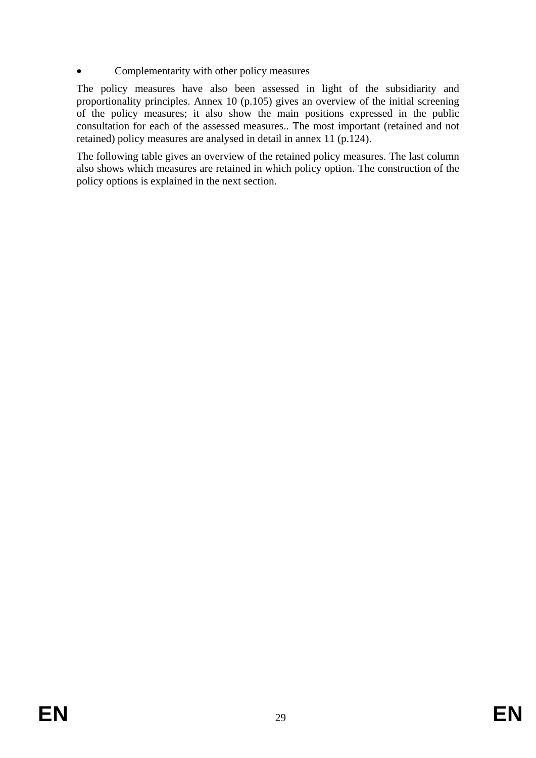# • Complementarity with other policy measures

The policy measures have also been assessed in light of the subsidiarity and proportionality principles. Annex 10 (p.105) gives an overview of the initial screening of the policy measures; it also show the main positions expressed in the public consultation for each of the assessed measures.. The most important (retained and not retained) policy measures are analysed in detail in annex 11 (p.124).

The following table gives an overview of the retained policy measures. The last column also shows which measures are retained in which policy option. The construction of the policy options is explained in the next section.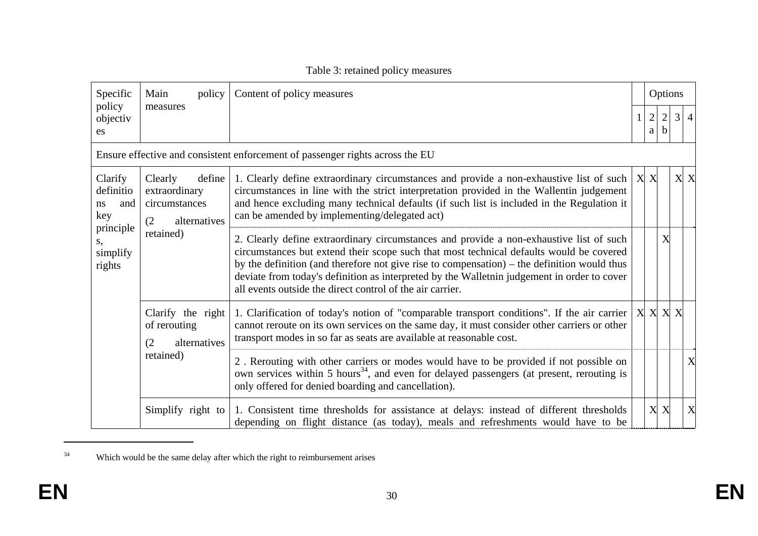| Specific                                 | Main<br>policy                                                             | Content of policy measures                                                                                                                                                                                                                                                                                                                                                                                                                      |                       | Options             |                |                         |
|------------------------------------------|----------------------------------------------------------------------------|-------------------------------------------------------------------------------------------------------------------------------------------------------------------------------------------------------------------------------------------------------------------------------------------------------------------------------------------------------------------------------------------------------------------------------------------------|-----------------------|---------------------|----------------|-------------------------|
| policy<br>objectiv<br>es                 | measures                                                                   |                                                                                                                                                                                                                                                                                                                                                                                                                                                 | $\overline{c}$<br>a l | $\overline{c}$<br>b | $\mathfrak{Z}$ | $\overline{4}$          |
|                                          |                                                                            | Ensure effective and consistent enforcement of passenger rights across the EU                                                                                                                                                                                                                                                                                                                                                                   |                       |                     |                |                         |
| Clarify<br>definitio<br>and<br>ns<br>key | Clearly<br>define<br>extraordinary<br>circumstances<br>(2)<br>alternatives | 1. Clearly define extraordinary circumstances and provide a non-exhaustive list of such $ X $<br>circumstances in line with the strict interpretation provided in the Wallentin judgement<br>and hence excluding many technical defaults (if such list is included in the Regulation it<br>can be amended by implementing/delegated act)                                                                                                        |                       |                     |                | $\mathbf{X} \mathbf{X}$ |
| principle<br>S,<br>simplify<br>rights    | retained)                                                                  | 2. Clearly define extraordinary circumstances and provide a non-exhaustive list of such<br>circumstances but extend their scope such that most technical defaults would be covered<br>by the definition (and therefore not give rise to compensation) $-$ the definition would thus<br>deviate from today's definition as interpreted by the Walletnin judgement in order to cover<br>all events outside the direct control of the air carrier. |                       | X                   |                |                         |
|                                          | Clarify the right<br>of rerouting<br>alternatives<br>(2)                   | 1. Clarification of today's notion of "comparable transport conditions". If the air carrier<br>cannot reroute on its own services on the same day, it must consider other carriers or other<br>transport modes in so far as seats are available at reasonable cost.                                                                                                                                                                             | $X \times X$          |                     |                |                         |
|                                          | retained)                                                                  | 2. Rerouting with other carriers or modes would have to be provided if not possible on<br>own services within 5 hours <sup>34</sup> , and even for delayed passengers (at present, rerouting is<br>only offered for denied boarding and cancellation).                                                                                                                                                                                          |                       |                     |                | X                       |
|                                          | Simplify right to                                                          | 1. Consistent time thresholds for assistance at delays: instead of different thresholds<br>depending on flight distance (as today), meals and refreshments would have to be                                                                                                                                                                                                                                                                     | X                     | X                   |                | X                       |

# Table 3: retained policy measures

<sup>&</sup>lt;sup>34</sup> Which would be the same delay after which the right to reimbursement arises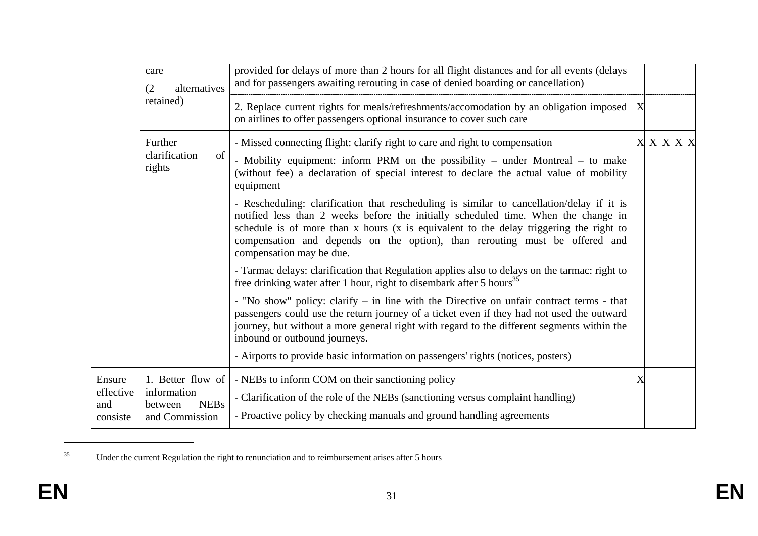|                                        | care<br>alternatives<br>(2)                                                  | provided for delays of more than 2 hours for all flight distances and for all events (delays<br>and for passengers awaiting rerouting in case of denied boarding or cancellation)                                                                                                                                                                                                    |                  |                       |  |  |
|----------------------------------------|------------------------------------------------------------------------------|--------------------------------------------------------------------------------------------------------------------------------------------------------------------------------------------------------------------------------------------------------------------------------------------------------------------------------------------------------------------------------------|------------------|-----------------------|--|--|
|                                        | retained)                                                                    | 2. Replace current rights for meals/refreshments/accomodation by an obligation imposed<br>on airlines to offer passengers optional insurance to cover such care                                                                                                                                                                                                                      | $\boldsymbol{X}$ |                       |  |  |
|                                        | Further<br>of<br>clarification<br>rights                                     | - Missed connecting flight: clarify right to care and right to compensation<br>- Mobility equipment: inform PRM on the possibility - under Montreal - to make<br>(without fee) a declaration of special interest to declare the actual value of mobility<br>equipment                                                                                                                |                  | $X \times X \times X$ |  |  |
|                                        |                                                                              | - Rescheduling: clarification that rescheduling is similar to cancellation/delay if it is<br>notified less than 2 weeks before the initially scheduled time. When the change in<br>schedule is of more than x hours (x is equivalent to the delay triggering the right to<br>compensation and depends on the option), than rerouting must be offered and<br>compensation may be due. |                  |                       |  |  |
|                                        |                                                                              | - Tarmac delays: clarification that Regulation applies also to delays on the tarmac: right to<br>free drinking water after 1 hour, right to disembark after 5 hours <sup>35</sup>                                                                                                                                                                                                    |                  |                       |  |  |
|                                        |                                                                              | - "No show" policy: clarify - in line with the Directive on unfair contract terms - that<br>passengers could use the return journey of a ticket even if they had not used the outward<br>journey, but without a more general right with regard to the different segments within the<br>inbound or outbound journeys.                                                                 |                  |                       |  |  |
|                                        |                                                                              | - Airports to provide basic information on passengers' rights (notices, posters)                                                                                                                                                                                                                                                                                                     |                  |                       |  |  |
| Ensure<br>effective<br>and<br>consiste | 1. Better flow of<br>information<br><b>NEBs</b><br>between<br>and Commission | - NEBs to inform COM on their sanctioning policy<br>- Clarification of the role of the NEBs (sanctioning versus complaint handling)<br>- Proactive policy by checking manuals and ground handling agreements                                                                                                                                                                         | X                |                       |  |  |

<sup>&</sup>lt;sup>35</sup> Under the current Regulation the right to renunciation and to reimbursement arises after 5 hours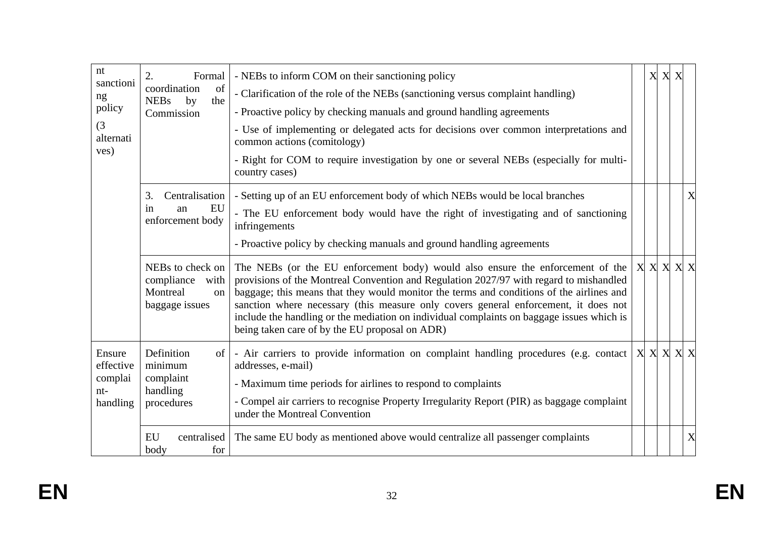| nt<br>sanctioni                | 2.<br>Formal                                                               | - NEBs to inform COM on their sanctioning policy                                                                                                                                                                                                                                                                                                                                                                                                                                                                           | X | X X |     |
|--------------------------------|----------------------------------------------------------------------------|----------------------------------------------------------------------------------------------------------------------------------------------------------------------------------------------------------------------------------------------------------------------------------------------------------------------------------------------------------------------------------------------------------------------------------------------------------------------------------------------------------------------------|---|-----|-----|
| ng                             | of<br>coordination<br><b>NEBs</b><br>the<br>by                             | - Clarification of the role of the NEBs (sanctioning versus complaint handling)                                                                                                                                                                                                                                                                                                                                                                                                                                            |   |     |     |
| policy                         | Commission                                                                 | - Proactive policy by checking manuals and ground handling agreements                                                                                                                                                                                                                                                                                                                                                                                                                                                      |   |     |     |
| (3)<br>alternati               |                                                                            | - Use of implementing or delegated acts for decisions over common interpretations and<br>common actions (comitology)                                                                                                                                                                                                                                                                                                                                                                                                       |   |     |     |
| ves)                           |                                                                            | - Right for COM to require investigation by one or several NEBs (especially for multi-<br>country cases)                                                                                                                                                                                                                                                                                                                                                                                                                   |   |     |     |
|                                | Centralisation<br>3.                                                       | - Setting up of an EU enforcement body of which NEBs would be local branches                                                                                                                                                                                                                                                                                                                                                                                                                                               |   |     | X   |
|                                | EU<br>an<br>in<br>enforcement body                                         | - The EU enforcement body would have the right of investigating and of sanctioning<br>infringements                                                                                                                                                                                                                                                                                                                                                                                                                        |   |     |     |
|                                |                                                                            | - Proactive policy by checking manuals and ground handling agreements                                                                                                                                                                                                                                                                                                                                                                                                                                                      |   |     |     |
|                                | NEBs to check on<br>compliance<br>with<br>Montreal<br>on<br>baggage issues | The NEBs (or the EU enforcement body) would also ensure the enforcement of the $ X  X   X   X$<br>provisions of the Montreal Convention and Regulation 2027/97 with regard to mishandled<br>baggage; this means that they would monitor the terms and conditions of the airlines and<br>sanction where necessary (this measure only covers general enforcement, it does not<br>include the handling or the mediation on individual complaints on baggage issues which is<br>being taken care of by the EU proposal on ADR) |   |     |     |
| Ensure<br>effective<br>complai | Definition<br>of<br>minimum<br>complaint                                   | - Air carriers to provide information on complaint handling procedures (e.g. contact $ X  X  X $<br>addresses, e-mail)                                                                                                                                                                                                                                                                                                                                                                                                     |   |     | X X |
| $nt-$                          | handling                                                                   | - Maximum time periods for airlines to respond to complaints                                                                                                                                                                                                                                                                                                                                                                                                                                                               |   |     |     |
| handling                       | procedures                                                                 | - Compel air carriers to recognise Property Irregularity Report (PIR) as baggage complaint<br>under the Montreal Convention                                                                                                                                                                                                                                                                                                                                                                                                |   |     |     |
|                                | EU<br>centralised<br>body<br>for                                           | The same EU body as mentioned above would centralize all passenger complaints                                                                                                                                                                                                                                                                                                                                                                                                                                              |   |     | X   |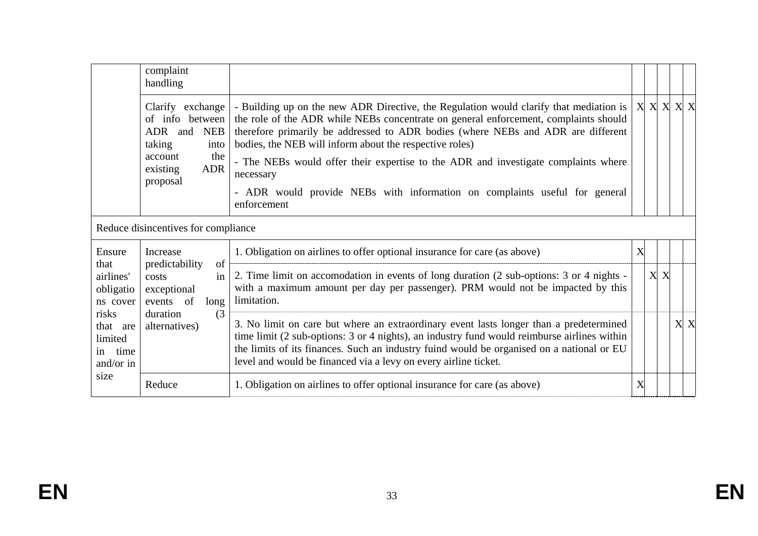|                                                      | complaint<br>handling                                                                                                           |                                                                                                                                                                                                                                                                                                                                                                                                                                                                                                                                             |   |     |     |
|------------------------------------------------------|---------------------------------------------------------------------------------------------------------------------------------|---------------------------------------------------------------------------------------------------------------------------------------------------------------------------------------------------------------------------------------------------------------------------------------------------------------------------------------------------------------------------------------------------------------------------------------------------------------------------------------------------------------------------------------------|---|-----|-----|
|                                                      | Clarify exchange<br>of info between<br>ADR<br>and NEB<br>taking<br>into<br>the<br>account<br><b>ADR</b><br>existing<br>proposal | - Building up on the new ADR Directive, the Regulation would clarify that mediation is $ X  X  X  X$<br>the role of the ADR while NEBs concentrate on general enforcement, complaints should<br>therefore primarily be addressed to ADR bodies (where NEBs and ADR are different<br>bodies, the NEB will inform about the respective roles)<br>- The NEBs would offer their expertise to the ADR and investigate complaints where<br>necessary<br>- ADR would provide NEBs with information on complaints useful for general<br>enforcement |   |     |     |
|                                                      | Reduce disincentives for compliance                                                                                             |                                                                                                                                                                                                                                                                                                                                                                                                                                                                                                                                             |   |     |     |
| Ensure                                               | Increase                                                                                                                        | 1. Obligation on airlines to offer optional insurance for care (as above)                                                                                                                                                                                                                                                                                                                                                                                                                                                                   | X |     |     |
| that<br>airlines'<br>obligatio<br>ns cover           | of<br>predictability<br>costs<br>in<br>exceptional<br>events of<br>long                                                         | 2. Time limit on accomodation in events of long duration (2 sub-options: 3 or 4 nights -<br>with a maximum amount per day per passenger). PRM would not be impacted by this<br>limitation.                                                                                                                                                                                                                                                                                                                                                  |   | X X |     |
| risks<br>that are<br>limited<br>in time<br>and/or in | duration<br>(3)<br>alternatives)                                                                                                | 3. No limit on care but where an extraordinary event lasts longer than a predetermined<br>time limit (2 sub-options: 3 or 4 nights), an industry fund would reimburse airlines within<br>the limits of its finances. Such an industry fuind would be organised on a national or EU<br>level and would be financed via a levy on every airline ticket.                                                                                                                                                                                       |   |     | X X |
| size                                                 | Reduce                                                                                                                          | 1. Obligation on airlines to offer optional insurance for care (as above)                                                                                                                                                                                                                                                                                                                                                                                                                                                                   | X |     |     |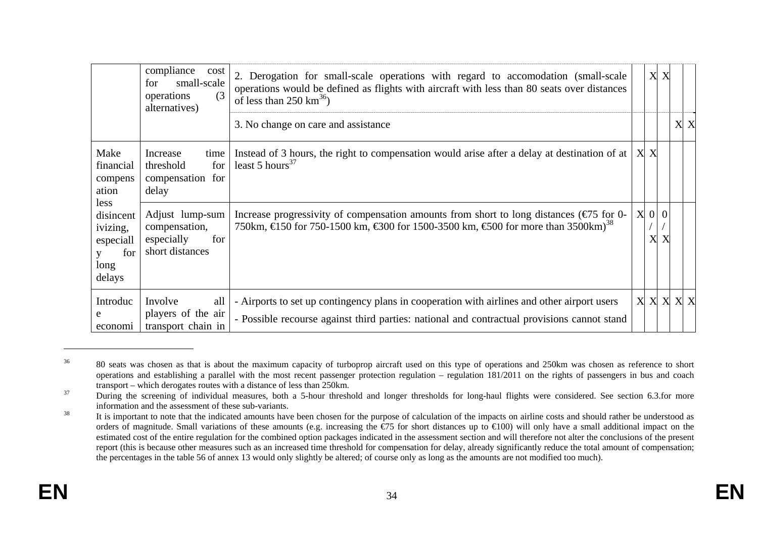|                                                                     | compliance<br>cost<br>small-scale<br>for<br>(3)<br>operations<br>alternatives) | 2. Derogation for small-scale operations with regard to accomodation (small-scale<br>operations would be defined as flights with aircraft with less than 80 seats over distances<br>of less than 250 $km^{36}$ ) |                          | X X |     |  |
|---------------------------------------------------------------------|--------------------------------------------------------------------------------|------------------------------------------------------------------------------------------------------------------------------------------------------------------------------------------------------------------|--------------------------|-----|-----|--|
|                                                                     |                                                                                | 3. No change on care and assistance                                                                                                                                                                              |                          |     | X X |  |
| Make<br>financial<br>compens<br>ation                               | Increase<br>time<br>for<br>threshold<br>compensation for<br>delay              | Instead of 3 hours, the right to compensation would arise after a delay at destination of at<br>least 5 hours <sup>37</sup>                                                                                      | X X                      |     |     |  |
| less<br>disincent<br>ivizing,<br>especiall<br>for<br>long<br>delays | Adjust lump-sum<br>compensation,<br>for<br>especially<br>short distances       | Increase progressivity of compensation amounts from short to long distances $(\epsilon \to 5$ for 0-<br>750km, €150 for 750-1500 km, €300 for 1500-3500 km, €500 for more than 3500 km) <sup>38</sup>            | $X \vert 0 \vert 0$<br>X |     |     |  |
| Introduc<br>e<br>economi                                            | Involve<br>all<br>players of the air<br>transport chain in                     | - Airports to set up contingency plans in cooperation with airlines and other airport users<br>- Possible recourse against third parties: national and contractual provisions cannot stand                       | X X X X X                |     |     |  |

<sup>&</sup>lt;sup>36</sup> 80 seats was chosen as that is about the maximum capacity of turboprop aircraft used on this type of operations and 250km was chosen as reference to short operations and establishing a parallel with the most recent passenger protection regulation – regulation 181/2011 on the rights of passengers in bus and coach transport – which derogates routes with a distance of less than 250km.

<sup>&</sup>lt;sup>37</sup> During the screening of individual measures, both a 5-hour threshold and longer thresholds for long-haul flights were considered. See section 6.3.for more information and the assessment of these sub-variants.

<sup>&</sup>lt;sup>38</sup> It is important to note that the indicated amounts have been chosen for the purpose of calculation of the impacts on airline costs and should rather be understood as orders of magnitude. Small variations of these amounts (e.g. increasing the  $\epsilon/5$  for short distances up to  $\epsilon/100$ ) will only have a small additional impact on the estimated cost of the entire regulation for the combined option packages indicated in the assessment section and will therefore not alter the conclusions of the present report (this is because other measures such as an increased time threshold for compensation for delay, already significantly reduce the total amount of compensation; the percentages in the table 56 of annex 13 would only slightly be altered; of course only as long as the amounts are not modified too much).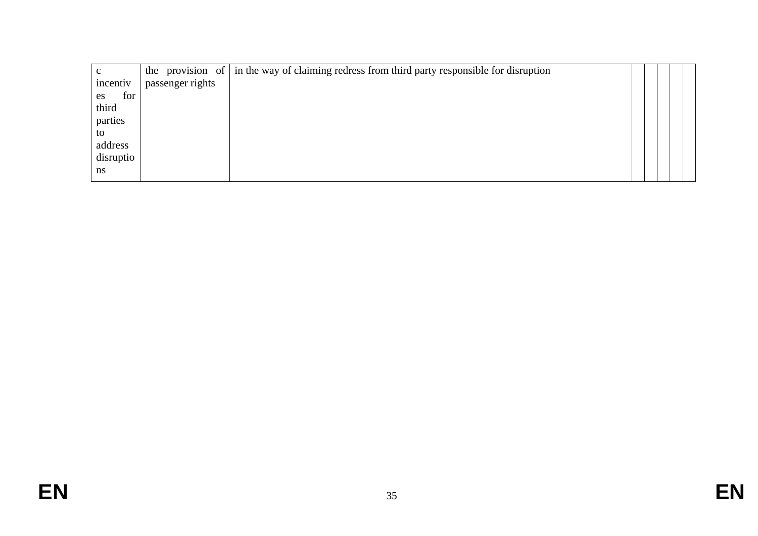|           |                  | the provision of $\vert$ in the way of claiming redress from third party responsible for disruption |  |  |
|-----------|------------------|-----------------------------------------------------------------------------------------------------|--|--|
| incentiv  | passenger rights |                                                                                                     |  |  |
| for<br>es |                  |                                                                                                     |  |  |
| third     |                  |                                                                                                     |  |  |
| parties   |                  |                                                                                                     |  |  |
| to        |                  |                                                                                                     |  |  |
| address   |                  |                                                                                                     |  |  |
| disruptio |                  |                                                                                                     |  |  |
| ns        |                  |                                                                                                     |  |  |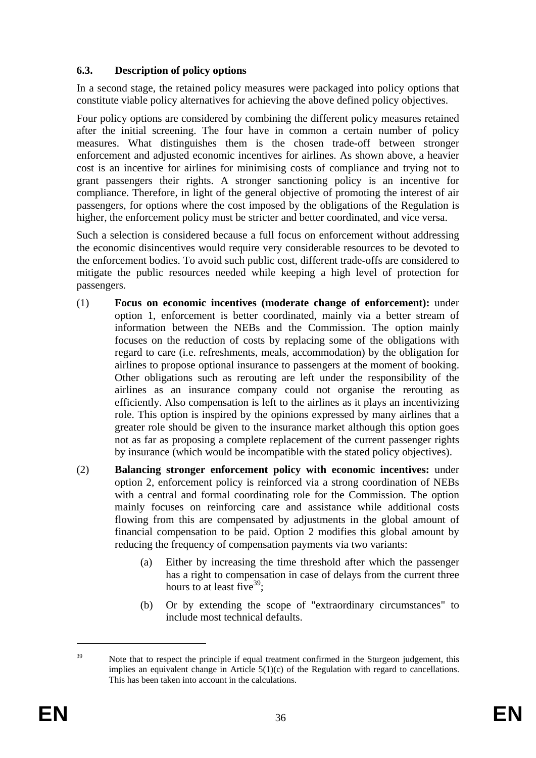# <span id="page-35-0"></span>**6.3. Description of policy options**

In a second stage, the retained policy measures were packaged into policy options that constitute viable policy alternatives for achieving the above defined policy objectives.

Four policy options are considered by combining the different policy measures retained after the initial screening. The four have in common a certain number of policy measures. What distinguishes them is the chosen trade-off between stronger enforcement and adjusted economic incentives for airlines. As shown above, a heavier cost is an incentive for airlines for minimising costs of compliance and trying not to grant passengers their rights. A stronger sanctioning policy is an incentive for compliance. Therefore, in light of the general objective of promoting the interest of air passengers, for options where the cost imposed by the obligations of the Regulation is higher, the enforcement policy must be stricter and better coordinated, and vice versa.

Such a selection is considered because a full focus on enforcement without addressing the economic disincentives would require very considerable resources to be devoted to the enforcement bodies. To avoid such public cost, different trade-offs are considered to mitigate the public resources needed while keeping a high level of protection for passengers.

- (1) **Focus on economic incentives (moderate change of enforcement):** under option 1, enforcement is better coordinated, mainly via a better stream of information between the NEBs and the Commission. The option mainly focuses on the reduction of costs by replacing some of the obligations with regard to care (i.e. refreshments, meals, accommodation) by the obligation for airlines to propose optional insurance to passengers at the moment of booking. Other obligations such as rerouting are left under the responsibility of the airlines as an insurance company could not organise the rerouting as efficiently. Also compensation is left to the airlines as it plays an incentivizing role. This option is inspired by the opinions expressed by many airlines that a greater role should be given to the insurance market although this option goes not as far as proposing a complete replacement of the current passenger rights by insurance (which would be incompatible with the stated policy objectives).
- (2) **Balancing stronger enforcement policy with economic incentives:** under option 2, enforcement policy is reinforced via a strong coordination of NEBs with a central and formal coordinating role for the Commission. The option mainly focuses on reinforcing care and assistance while additional costs flowing from this are compensated by adjustments in the global amount of financial compensation to be paid. Option 2 modifies this global amount by reducing the frequency of compensation payments via two variants:
	- (a) Either by increasing the time threshold after which the passenger has a right to compensation in case of delays from the current three hours to at least five  $39$ :
	- (b) Or by extending the scope of "extraordinary circumstances" to include most technical defaults.

<sup>&</sup>lt;sup>39</sup> Note that to respect the principle if equal treatment confirmed in the Sturgeon judgement, this implies an equivalent change in Article  $5(1)(c)$  of the Regulation with regard to cancellations. This has been taken into account in the calculations.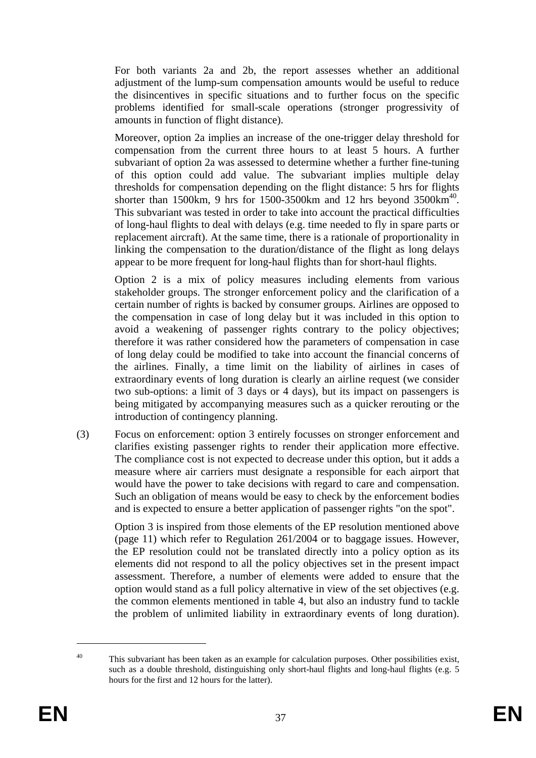For both variants 2a and 2b, the report assesses whether an additional adjustment of the lump-sum compensation amounts would be useful to reduce the disincentives in specific situations and to further focus on the specific problems identified for small-scale operations (stronger progressivity of amounts in function of flight distance).

Moreover, option 2a implies an increase of the one-trigger delay threshold for compensation from the current three hours to at least 5 hours. A further subvariant of option 2a was assessed to determine whether a further fine-tuning of this option could add value. The subvariant implies multiple delay thresholds for compensation depending on the flight distance: 5 hrs for flights shorter than 1500km, 9 hrs for 1500-3500km and 12 hrs beyond  $3500 \text{km}^{40}$ . This subvariant was tested in order to take into account the practical difficulties of long-haul flights to deal with delays (e.g. time needed to fly in spare parts or replacement aircraft). At the same time, there is a rationale of proportionality in linking the compensation to the duration/distance of the flight as long delays appear to be more frequent for long-haul flights than for short-haul flights.

Option 2 is a mix of policy measures including elements from various stakeholder groups. The stronger enforcement policy and the clarification of a certain number of rights is backed by consumer groups. Airlines are opposed to the compensation in case of long delay but it was included in this option to avoid a weakening of passenger rights contrary to the policy objectives; therefore it was rather considered how the parameters of compensation in case of long delay could be modified to take into account the financial concerns of the airlines. Finally, a time limit on the liability of airlines in cases of extraordinary events of long duration is clearly an airline request (we consider two sub-options: a limit of 3 days or 4 days), but its impact on passengers is being mitigated by accompanying measures such as a quicker rerouting or the introduction of contingency planning.

(3) Focus on enforcement: option 3 entirely focusses on stronger enforcement and clarifies existing passenger rights to render their application more effective. The compliance cost is not expected to decrease under this option, but it adds a measure where air carriers must designate a responsible for each airport that would have the power to take decisions with regard to care and compensation. Such an obligation of means would be easy to check by the enforcement bodies and is expected to ensure a better application of passenger rights "on the spot".

Option 3 is inspired from those elements of the EP resolution mentioned above (page 11) which refer to Regulation 261/2004 or to baggage issues. However, the EP resolution could not be translated directly into a policy option as its elements did not respond to all the policy objectives set in the present impact assessment. Therefore, a number of elements were added to ensure that the option would stand as a full policy alternative in view of the set objectives (e.g. the common elements mentioned in table 4, but also an industry fund to tackle the problem of unlimited liability in extraordinary events of long duration).

 $40$  This subvariant has been taken as an example for calculation purposes. Other possibilities exist, such as a double threshold, distinguishing only short-haul flights and long-haul flights (e.g. 5 hours for the first and 12 hours for the latter).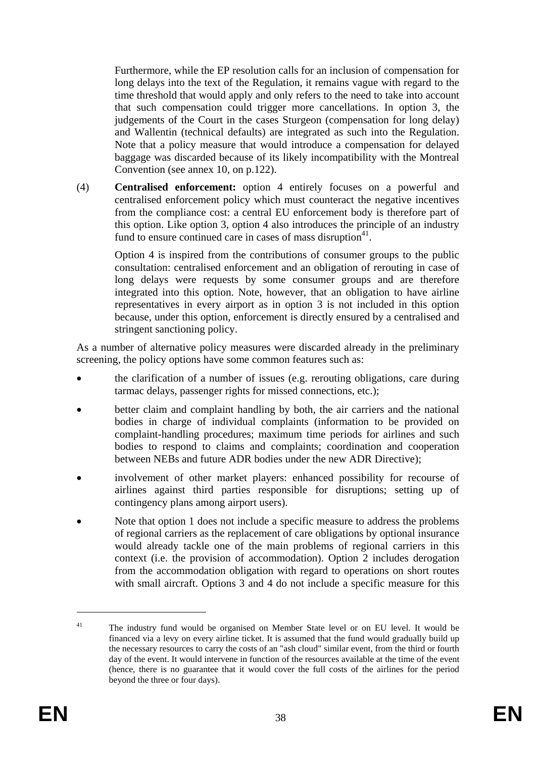Furthermore, while the EP resolution calls for an inclusion of compensation for long delays into the text of the Regulation, it remains vague with regard to the time threshold that would apply and only refers to the need to take into account that such compensation could trigger more cancellations. In option 3, the judgements of the Court in the cases Sturgeon (compensation for long delay) and Wallentin (technical defaults) are integrated as such into the Regulation. Note that a policy measure that would introduce a compensation for delayed baggage was discarded because of its likely incompatibility with the Montreal Convention (see annex 10, on p.122).

(4) **Centralised enforcement:** option 4 entirely focuses on a powerful and centralised enforcement policy which must counteract the negative incentives from the compliance cost: a central EU enforcement body is therefore part of this option. Like option 3, option 4 also introduces the principle of an industry fund to ensure continued care in cases of mass disruption $41$ .

Option 4 is inspired from the contributions of consumer groups to the public consultation: centralised enforcement and an obligation of rerouting in case of long delays were requests by some consumer groups and are therefore integrated into this option. Note, however, that an obligation to have airline representatives in every airport as in option 3 is not included in this option because, under this option, enforcement is directly ensured by a centralised and stringent sanctioning policy.

As a number of alternative policy measures were discarded already in the preliminary screening, the policy options have some common features such as:

- the clarification of a number of issues (e.g. rerouting obligations, care during tarmac delays, passenger rights for missed connections, etc.);
- better claim and complaint handling by both, the air carriers and the national bodies in charge of individual complaints (information to be provided on complaint-handling procedures; maximum time periods for airlines and such bodies to respond to claims and complaints; coordination and cooperation between NEBs and future ADR bodies under the new ADR Directive);
- involvement of other market players: enhanced possibility for recourse of airlines against third parties responsible for disruptions; setting up of contingency plans among airport users).
- Note that option 1 does not include a specific measure to address the problems of regional carriers as the replacement of care obligations by optional insurance would already tackle one of the main problems of regional carriers in this context (i.e. the provision of accommodation). Option 2 includes derogation from the accommodation obligation with regard to operations on short routes with small aircraft. Options 3 and 4 do not include a specific measure for this

<sup>&</sup>lt;sup>41</sup> The industry fund would be organised on Member State level or on EU level. It would be financed via a levy on every airline ticket. It is assumed that the fund would gradually build up the necessary resources to carry the costs of an "ash cloud" similar event, from the third or fourth day of the event. It would intervene in function of the resources available at the time of the event (hence, there is no guarantee that it would cover the full costs of the airlines for the period beyond the three or four days).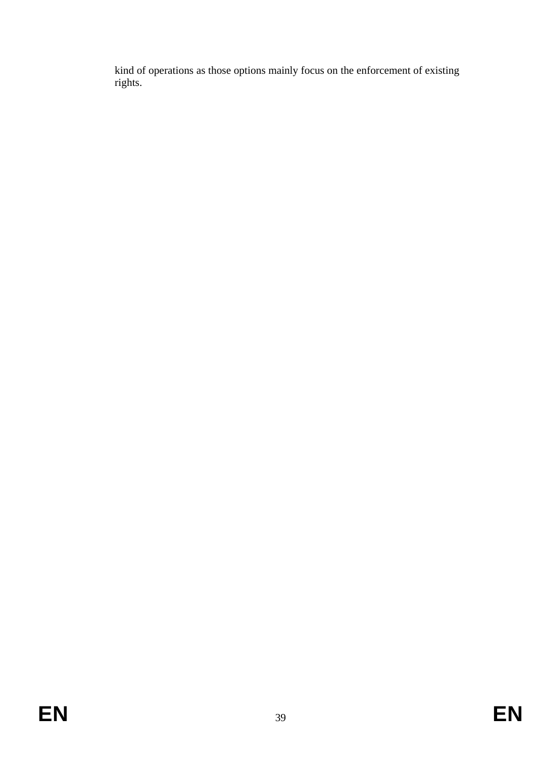kind of operations as those options mainly focus on the enforcement of existing rights.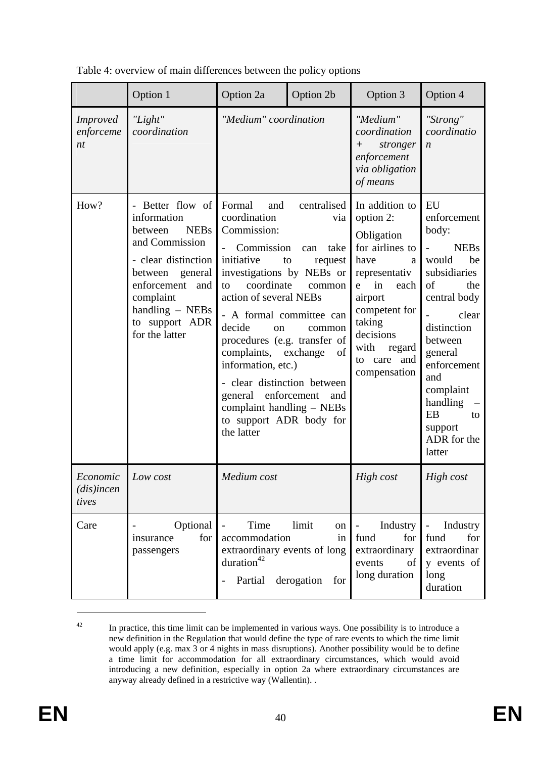|                                    | Option 1                                                                                                                                                                                                           | Option 2a                                                                                                                                                                                                                                                                                                                                                                            | Option 2b                                                                                                      | Option 3                                                                                                                                                                                                             | Option 4                                                                                                                                                                                                                                           |
|------------------------------------|--------------------------------------------------------------------------------------------------------------------------------------------------------------------------------------------------------------------|--------------------------------------------------------------------------------------------------------------------------------------------------------------------------------------------------------------------------------------------------------------------------------------------------------------------------------------------------------------------------------------|----------------------------------------------------------------------------------------------------------------|----------------------------------------------------------------------------------------------------------------------------------------------------------------------------------------------------------------------|----------------------------------------------------------------------------------------------------------------------------------------------------------------------------------------------------------------------------------------------------|
| <i>Improved</i><br>enforceme<br>nt | "Light"<br>coordination                                                                                                                                                                                            | "Medium" coordination                                                                                                                                                                                                                                                                                                                                                                |                                                                                                                | "Medium"<br>coordination<br>stronger<br>$+$<br>enforcement<br>via obligation<br>of means                                                                                                                             | "Strong"<br>coordinatio<br>$\boldsymbol{n}$                                                                                                                                                                                                        |
| How?                               | Better flow of<br>information<br><b>NEBs</b><br>between<br>and Commission<br>- clear distinction<br>between<br>general<br>enforcement<br>and<br>complaint<br>handling $-$ NEBs<br>to support ADR<br>for the latter | Formal<br>and<br>coordination<br>Commission:<br>Commission<br>initiative<br>investigations by NEBs or<br>coordinate<br>to<br>action of several NEBs<br>- A formal committee can<br>decide<br>on<br>procedures (e.g. transfer of<br>complaints,<br>information, etc.)<br>- clear distinction between<br>general<br>complaint handling - NEBs<br>to support ADR body for<br>the latter | centralised<br>via<br>take<br>can<br>to<br>request<br>common<br>common<br>exchange<br>of<br>enforcement<br>and | In addition to<br>option 2:<br>Obligation<br>for airlines to<br>have<br>a<br>representativ<br>in<br>each<br>e<br>airport<br>competent for<br>taking<br>decisions<br>with<br>regard<br>to care<br>and<br>compensation | EU<br>enforcement<br>body:<br><b>NEBs</b><br>would<br>be<br>subsidiaries<br>of<br>the<br>central body<br>clear<br>distinction<br>between<br>general<br>enforcement<br>and<br>complaint<br>handling<br>EB<br>to<br>support<br>ADR for the<br>latter |
| Economic<br>$(dis)$ incen<br>tives | Low cost                                                                                                                                                                                                           | Medium cost                                                                                                                                                                                                                                                                                                                                                                          |                                                                                                                | High cost                                                                                                                                                                                                            | High cost                                                                                                                                                                                                                                          |
| Care                               | Optional<br>for<br>insurance<br>passengers                                                                                                                                                                         | Time<br>accommodation<br>extraordinary events of long<br>duration <sup>42</sup><br>Partial derogation                                                                                                                                                                                                                                                                                | limit<br>on<br>in<br>for                                                                                       | Industry<br>$\overline{\phantom{0}}$<br>fund<br>for<br>extraordinary<br>events<br>of<br>long duration                                                                                                                | Industry<br>$\overline{\phantom{0}}$<br>fund<br>for<br>extraordinar<br>y events of<br>long<br>duration                                                                                                                                             |

Table 4: overview of main differences between the policy options

<sup>&</sup>lt;sup>42</sup> In practice, this time limit can be implemented in various ways. One possibility is to introduce a new definition in the Regulation that would define the type of rare events to which the time limit would apply (e.g. max 3 or 4 nights in mass disruptions). Another possibility would be to define a time limit for accommodation for all extraordinary circumstances, which would avoid introducing a new definition, especially in option 2a where extraordinary circumstances are anyway already defined in a restrictive way (Wallentin). .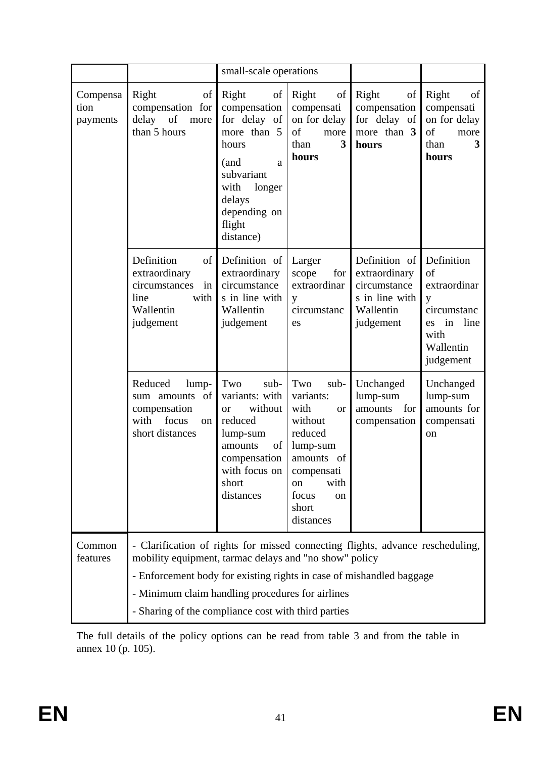|                              |                                                                                                                                                                                                                                                                                                                             | small-scale operations                                                                                                                                                                                                                                                                                                                                                                                                                               |                                                                               |                                                                                            |                                                                                                            |  |  |
|------------------------------|-----------------------------------------------------------------------------------------------------------------------------------------------------------------------------------------------------------------------------------------------------------------------------------------------------------------------------|------------------------------------------------------------------------------------------------------------------------------------------------------------------------------------------------------------------------------------------------------------------------------------------------------------------------------------------------------------------------------------------------------------------------------------------------------|-------------------------------------------------------------------------------|--------------------------------------------------------------------------------------------|------------------------------------------------------------------------------------------------------------|--|--|
| Compensa<br>tion<br>payments | of<br>Right<br>compensation for<br>delay of<br>more<br>than 5 hours                                                                                                                                                                                                                                                         | Right<br>$\sigma$<br>compensation<br>for delay of<br>more than 5<br>hours<br>(and<br>a<br>subvariant<br>with<br>longer<br>delays<br>depending on<br>flight<br>distance)                                                                                                                                                                                                                                                                              | of<br>Right<br>compensati<br>on for delay<br>of<br>more<br>3<br>than<br>hours | of<br>Right<br>compensation<br>for delay of<br>more than 3<br>hours                        | Right<br>of<br>compensati<br>on for delay<br>of<br>more<br>3<br>than<br>hours                              |  |  |
|                              | Definition<br>of<br>extraordinary<br>circumstances<br>in<br>line<br>with<br>Wallentin<br>judgement                                                                                                                                                                                                                          | Definition of<br>extraordinary<br>circumstance<br>s in line with<br>Wallentin<br>judgement                                                                                                                                                                                                                                                                                                                                                           | Larger<br>for<br>scope<br>extraordinar<br>y<br>circumstanc<br>es              | Definition of<br>extraordinary<br>circumstance<br>s in line with<br>Wallentin<br>judgement | Definition<br>of<br>extraordinar<br>y<br>circumstanc<br>in<br>line<br>es<br>with<br>Wallentin<br>judgement |  |  |
|                              | Reduced<br>lump-<br>of<br>sum amounts<br>compensation<br>focus<br>with<br><sub>on</sub><br>short distances                                                                                                                                                                                                                  | Two<br>Two<br>Unchanged<br>sub-<br>sub-<br>Unchanged<br>lump-sum<br>lump-sum<br>variants: with<br>variants:<br>with<br>amounts for<br>without<br>amounts<br>for<br><b>or</b><br><sub>or</sub><br>reduced<br>without<br>compensation<br>compensati<br>reduced<br>lump-sum<br>on<br>lump-sum<br>amounts<br>of<br>compensation<br>amounts<br>of<br>with focus on<br>compensati<br>short<br>with<br>on<br>distances<br>focus<br>on<br>short<br>distances |                                                                               |                                                                                            |                                                                                                            |  |  |
| Common<br>features           | - Clarification of rights for missed connecting flights, advance rescheduling,<br>mobility equipment, tarmac delays and "no show" policy<br>- Enforcement body for existing rights in case of mishandled baggage<br>- Minimum claim handling procedures for airlines<br>- Sharing of the compliance cost with third parties |                                                                                                                                                                                                                                                                                                                                                                                                                                                      |                                                                               |                                                                                            |                                                                                                            |  |  |

The full details of the policy options can be read from table 3 and from the table in annex 10 (p. 105).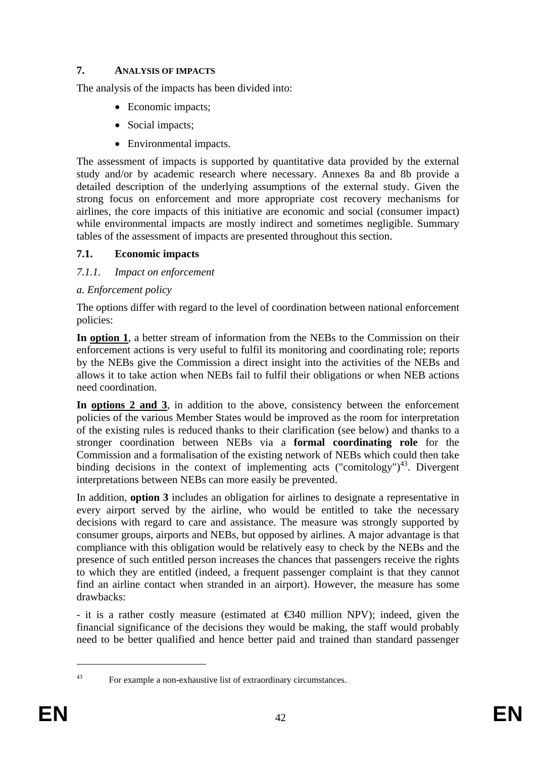# **7. ANALYSIS OF IMPACTS**

The analysis of the impacts has been divided into:

- Economic impacts:
- Social impacts;
- Environmental impacts.

The assessment of impacts is supported by quantitative data provided by the external study and/or by academic research where necessary. Annexes 8a and 8b provide a detailed description of the underlying assumptions of the external study. Given the strong focus on enforcement and more appropriate cost recovery mechanisms for airlines, the core impacts of this initiative are economic and social (consumer impact) while environmental impacts are mostly indirect and sometimes negligible. Summary tables of the assessment of impacts are presented throughout this section.

# **7.1. Economic impacts**

# *7.1.1. Impact on enforcement*

# *a. Enforcement policy*

The options differ with regard to the level of coordination between national enforcement policies:

**In option 1**, a better stream of information from the NEBs to the Commission on their enforcement actions is very useful to fulfil its monitoring and coordinating role; reports by the NEBs give the Commission a direct insight into the activities of the NEBs and allows it to take action when NEBs fail to fulfil their obligations or when NEB actions need coordination.

**In options 2 and 3**, in addition to the above, consistency between the enforcement policies of the various Member States would be improved as the room for interpretation of the existing rules is reduced thanks to their clarification (see below) and thanks to a stronger coordination between NEBs via a **formal coordinating role** for the Commission and a formalisation of the existing network of NEBs which could then take binding decisions in the context of implementing acts ("comitology") $43$ . Divergent interpretations between NEBs can more easily be prevented.

In addition, **option 3** includes an obligation for airlines to designate a representative in every airport served by the airline, who would be entitled to take the necessary decisions with regard to care and assistance. The measure was strongly supported by consumer groups, airports and NEBs, but opposed by airlines. A major advantage is that compliance with this obligation would be relatively easy to check by the NEBs and the presence of such entitled person increases the chances that passengers receive the rights to which they are entitled (indeed, a frequent passenger complaint is that they cannot find an airline contact when stranded in an airport). However, the measure has some drawbacks:

- it is a rather costly measure (estimated at  $\epsilon$ 340 million NPV); indeed, given the financial significance of the decisions they would be making, the staff would probably need to be better qualified and hence better paid and trained than standard passenger

<sup>1</sup> 

<sup>43</sup> For example a non-exhaustive list of extraordinary circumstances.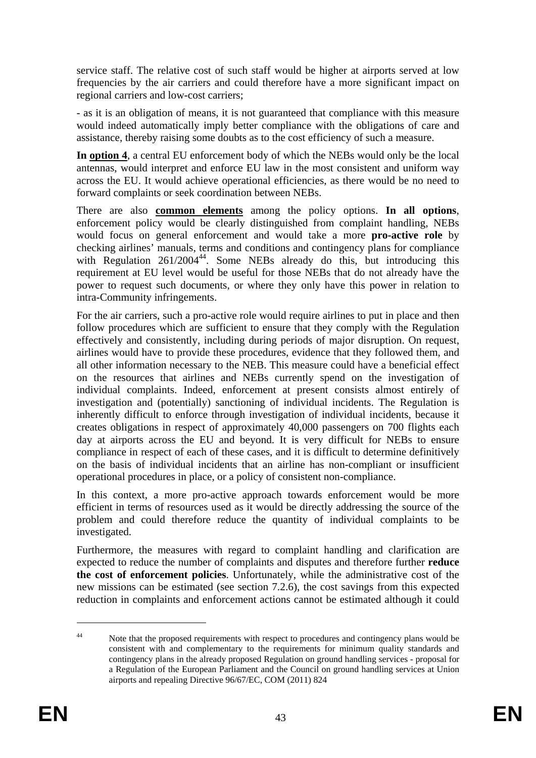service staff. The relative cost of such staff would be higher at airports served at low frequencies by the air carriers and could therefore have a more significant impact on regional carriers and low-cost carriers;

- as it is an obligation of means, it is not guaranteed that compliance with this measure would indeed automatically imply better compliance with the obligations of care and assistance, thereby raising some doubts as to the cost efficiency of such a measure.

**In option 4**, a central EU enforcement body of which the NEBs would only be the local antennas, would interpret and enforce EU law in the most consistent and uniform way across the EU. It would achieve operational efficiencies, as there would be no need to forward complaints or seek coordination between NEBs.

There are also **common elements** among the policy options. **In all options**, enforcement policy would be clearly distinguished from complaint handling, NEBs would focus on general enforcement and would take a more **pro-active role** by checking airlines' manuals, terms and conditions and contingency plans for compliance with Regulation  $261/2004^{44}$ . Some NEBs already do this, but introducing this requirement at EU level would be useful for those NEBs that do not already have the power to request such documents, or where they only have this power in relation to intra-Community infringements.

For the air carriers, such a pro-active role would require airlines to put in place and then follow procedures which are sufficient to ensure that they comply with the Regulation effectively and consistently, including during periods of major disruption. On request, airlines would have to provide these procedures, evidence that they followed them, and all other information necessary to the NEB. This measure could have a beneficial effect on the resources that airlines and NEBs currently spend on the investigation of individual complaints. Indeed, enforcement at present consists almost entirely of investigation and (potentially) sanctioning of individual incidents. The Regulation is inherently difficult to enforce through investigation of individual incidents, because it creates obligations in respect of approximately 40,000 passengers on 700 flights each day at airports across the EU and beyond. It is very difficult for NEBs to ensure compliance in respect of each of these cases, and it is difficult to determine definitively on the basis of individual incidents that an airline has non-compliant or insufficient operational procedures in place, or a policy of consistent non-compliance.

In this context, a more pro-active approach towards enforcement would be more efficient in terms of resources used as it would be directly addressing the source of the problem and could therefore reduce the quantity of individual complaints to be investigated.

Furthermore, the measures with regard to complaint handling and clarification are expected to reduce the number of complaints and disputes and therefore further **reduce the cost of enforcement policies**. Unfortunately, while the administrative cost of the new missions can be estimated (see section 7.2.6), the cost savings from this expected reduction in complaints and enforcement actions cannot be estimated although it could

<u>.</u>

<sup>44</sup> Note that the proposed requirements with respect to procedures and contingency plans would be consistent with and complementary to the requirements for minimum quality standards and contingency plans in the already proposed Regulation on ground handling services - proposal for a Regulation of the European Parliament and the Council on ground handling services at Union airports and repealing Directive 96/67/EC, COM (2011) 824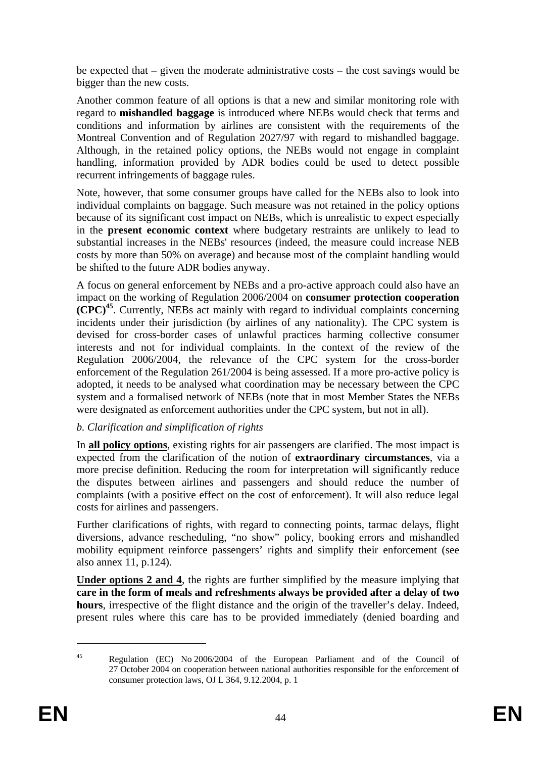be expected that – given the moderate administrative costs – the cost savings would be bigger than the new costs.

Another common feature of all options is that a new and similar monitoring role with regard to **mishandled baggage** is introduced where NEBs would check that terms and conditions and information by airlines are consistent with the requirements of the Montreal Convention and of Regulation 2027/97 with regard to mishandled baggage. Although, in the retained policy options, the NEBs would not engage in complaint handling, information provided by ADR bodies could be used to detect possible recurrent infringements of baggage rules.

Note, however, that some consumer groups have called for the NEBs also to look into individual complaints on baggage. Such measure was not retained in the policy options because of its significant cost impact on NEBs, which is unrealistic to expect especially in the **present economic context** where budgetary restraints are unlikely to lead to substantial increases in the NEBs' resources (indeed, the measure could increase NEB costs by more than 50% on average) and because most of the complaint handling would be shifted to the future ADR bodies anyway.

A focus on general enforcement by NEBs and a pro-active approach could also have an impact on the working of Regulation 2006/2004 on **consumer protection cooperation (CPC)<sup>45</sup>**. Currently, NEBs act mainly with regard to individual complaints concerning incidents under their jurisdiction (by airlines of any nationality). The CPC system is devised for cross-border cases of unlawful practices harming collective consumer interests and not for individual complaints. In the context of the review of the Regulation 2006/2004, the relevance of the CPC system for the cross-border enforcement of the Regulation 261/2004 is being assessed. If a more pro-active policy is adopted, it needs to be analysed what coordination may be necessary between the CPC system and a formalised network of NEBs (note that in most Member States the NEBs were designated as enforcement authorities under the CPC system, but not in all).

# *b. Clarification and simplification of rights*

In **all policy options**, existing rights for air passengers are clarified. The most impact is expected from the clarification of the notion of **extraordinary circumstances**, via a more precise definition. Reducing the room for interpretation will significantly reduce the disputes between airlines and passengers and should reduce the number of complaints (with a positive effect on the cost of enforcement). It will also reduce legal costs for airlines and passengers.

Further clarifications of rights, with regard to connecting points, tarmac delays, flight diversions, advance rescheduling, "no show" policy, booking errors and mishandled mobility equipment reinforce passengers' rights and simplify their enforcement (see also annex 11, p.124).

**Under options 2 and 4**, the rights are further simplified by the measure implying that **care in the form of meals and refreshments always be provided after a delay of two hours**, irrespective of the flight distance and the origin of the traveller's delay. Indeed, present rules where this care has to be provided immediately (denied boarding and

<sup>45</sup> Regulation (EC) No 2006/2004 of the European Parliament and of the Council of 27 October 2004 on cooperation between national authorities responsible for the enforcement of consumer protection laws, OJ L 364, 9.12.2004, p. 1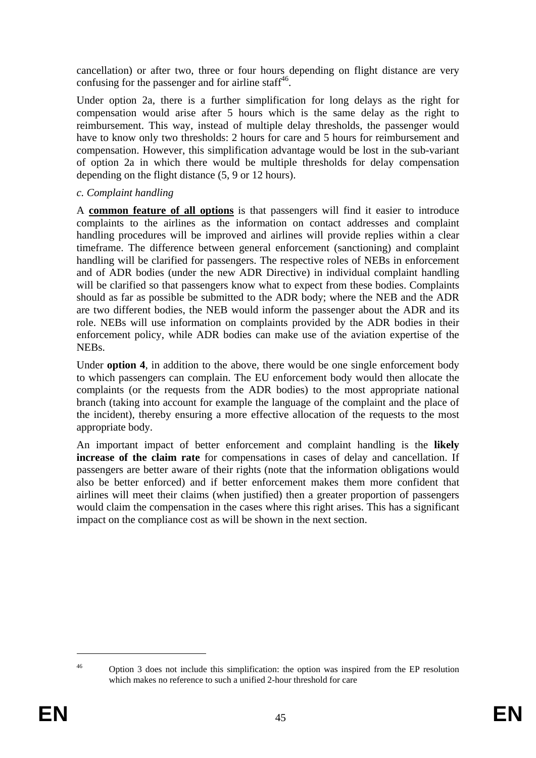cancellation) or after two, three or four hours depending on flight distance are very confusing for the passenger and for airline staff<sup>46</sup>.

Under option 2a, there is a further simplification for long delays as the right for compensation would arise after 5 hours which is the same delay as the right to reimbursement. This way, instead of multiple delay thresholds, the passenger would have to know only two thresholds: 2 hours for care and 5 hours for reimbursement and compensation. However, this simplification advantage would be lost in the sub-variant of option 2a in which there would be multiple thresholds for delay compensation depending on the flight distance (5, 9 or 12 hours).

# *c. Complaint handling*

A **common feature of all options** is that passengers will find it easier to introduce complaints to the airlines as the information on contact addresses and complaint handling procedures will be improved and airlines will provide replies within a clear timeframe. The difference between general enforcement (sanctioning) and complaint handling will be clarified for passengers. The respective roles of NEBs in enforcement and of ADR bodies (under the new ADR Directive) in individual complaint handling will be clarified so that passengers know what to expect from these bodies. Complaints should as far as possible be submitted to the ADR body; where the NEB and the ADR are two different bodies, the NEB would inform the passenger about the ADR and its role. NEBs will use information on complaints provided by the ADR bodies in their enforcement policy, while ADR bodies can make use of the aviation expertise of the NEBs.

Under **option 4**, in addition to the above, there would be one single enforcement body to which passengers can complain. The EU enforcement body would then allocate the complaints (or the requests from the ADR bodies) to the most appropriate national branch (taking into account for example the language of the complaint and the place of the incident), thereby ensuring a more effective allocation of the requests to the most appropriate body.

An important impact of better enforcement and complaint handling is the **likely increase of the claim rate** for compensations in cases of delay and cancellation. If passengers are better aware of their rights (note that the information obligations would also be better enforced) and if better enforcement makes them more confident that airlines will meet their claims (when justified) then a greater proportion of passengers would claim the compensation in the cases where this right arises. This has a significant impact on the compliance cost as will be shown in the next section.

<sup>&</sup>lt;u>.</u>

<sup>&</sup>lt;sup>46</sup> Option 3 does not include this simplification: the option was inspired from the EP resolution which makes no reference to such a unified 2-hour threshold for care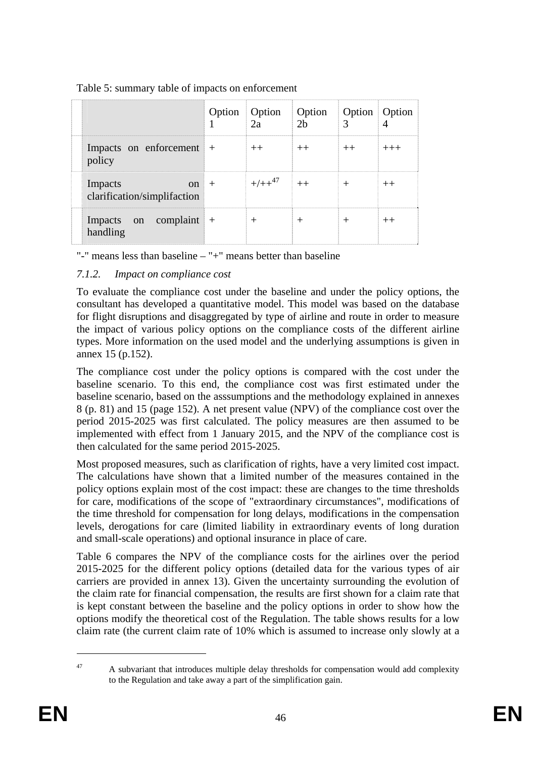|                                                        | Option   Option   Option<br>$\Box$ 2.2 | 2 <sub>h</sub> | <b>Option</b> Option<br>$\mathcal{R}$ |          |
|--------------------------------------------------------|----------------------------------------|----------------|---------------------------------------|----------|
| Impacts on enforcement +<br>policy                     | $^{++}$                                | $^{++}$        | $^{++}$                               | $^{+++}$ |
| Impacts<br>$\alpha$ n +<br>clarification/simplifaction | $+/-+^{47}$ ++                         |                | $^{+}$                                | $^{++}$  |
| Impacts on complaint $+$<br>handling                   | $^+$                                   | $^+$           |                                       |          |

#### Table 5: summary table of impacts on enforcement

"-" means less than baseline  $-$  "+" means better than baseline

# *7.1.2. Impact on compliance cost*

To evaluate the compliance cost under the baseline and under the policy options, the consultant has developed a quantitative model. This model was based on the database for flight disruptions and disaggregated by type of airline and route in order to measure the impact of various policy options on the compliance costs of the different airline types. More information on the used model and the underlying assumptions is given in annex 15 (p.152).

The compliance cost under the policy options is compared with the cost under the baseline scenario. To this end, the compliance cost was first estimated under the baseline scenario, based on the asssumptions and the methodology explained in annexes 8 (p. 81) and 15 (page 152). A net present value (NPV) of the compliance cost over the period 2015-2025 was first calculated. The policy measures are then assumed to be implemented with effect from 1 January 2015, and the NPV of the compliance cost is then calculated for the same period 2015-2025.

Most proposed measures, such as clarification of rights, have a very limited cost impact. The calculations have shown that a limited number of the measures contained in the policy options explain most of the cost impact: these are changes to the time thresholds for care, modifications of the scope of "extraordinary circumstances", modifications of the time threshold for compensation for long delays, modifications in the compensation levels, derogations for care (limited liability in extraordinary events of long duration and small-scale operations) and optional insurance in place of care.

Table 6 compares the NPV of the compliance costs for the airlines over the period 2015-2025 for the different policy options (detailed data for the various types of air carriers are provided in annex 13). Given the uncertainty surrounding the evolution of the claim rate for financial compensation, the results are first shown for a claim rate that is kept constant between the baseline and the policy options in order to show how the options modify the theoretical cost of the Regulation. The table shows results for a low claim rate (the current claim rate of 10% which is assumed to increase only slowly at a

<u>.</u>

 $47$  A subvariant that introduces multiple delay thresholds for compensation would add complexity to the Regulation and take away a part of the simplification gain.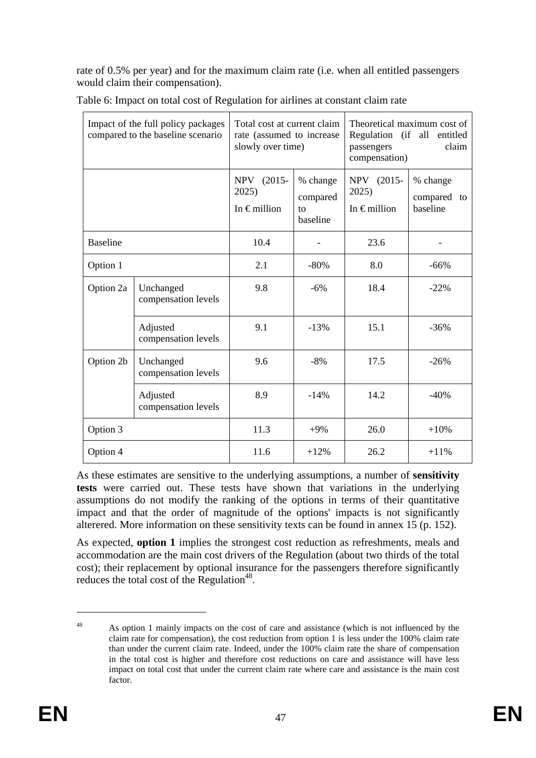rate of 0.5% per year) and for the maximum claim rate (i.e. when all entitled passengers would claim their compensation).

| Impact of the full policy packages<br>compared to the baseline scenario |                                  | Total cost at current claim<br>rate (assumed to increase<br>slowly over time) |                                        | Theoretical maximum cost of<br>Regulation (if all entitled<br>claim<br>passengers<br>compensation) |                                     |
|-------------------------------------------------------------------------|----------------------------------|-------------------------------------------------------------------------------|----------------------------------------|----------------------------------------------------------------------------------------------------|-------------------------------------|
|                                                                         |                                  | $(2015 -$<br><b>NPV</b><br>2025<br>In $\epsilon$ million                      | % change<br>compared<br>to<br>baseline | $(2015 -$<br><b>NPV</b><br>2025)<br>In $\epsilon$ million                                          | % change<br>compared to<br>baseline |
| <b>Baseline</b>                                                         |                                  | 10.4                                                                          |                                        | 23.6                                                                                               |                                     |
| Option 1                                                                |                                  | 2.1                                                                           | 8.0<br>$-80\%$                         |                                                                                                    | $-66%$                              |
| Option 2a                                                               | Unchanged<br>compensation levels | 9.8                                                                           | $-6%$                                  | 18.4                                                                                               | $-22%$                              |
|                                                                         | Adjusted<br>compensation levels  | 9.1                                                                           | $-13%$                                 | 15.1                                                                                               | $-36%$                              |
| Option 2b                                                               | Unchanged<br>compensation levels | 9.6                                                                           | $-8%$                                  | 17.5                                                                                               | $-26%$                              |
|                                                                         | Adjusted<br>compensation levels  | 8.9                                                                           | $-14%$                                 | 14.2                                                                                               | $-40%$                              |
| Option 3                                                                |                                  | 11.3                                                                          | $+9%$                                  | 26.0                                                                                               | $+10%$                              |
| Option 4                                                                |                                  | 11.6                                                                          | $+12%$                                 | 26.2                                                                                               | $+11%$                              |

Table 6: Impact on total cost of Regulation for airlines at constant claim rate

As these estimates are sensitive to the underlying assumptions, a number of **sensitivity tests** were carried out. These tests have shown that variations in the underlying assumptions do not modify the ranking of the options in terms of their quantitative impact and that the order of magnitude of the options' impacts is not significantly alterered. More information on these sensitivity texts can be found in annex 15 (p. 152).

As expected, **option 1** implies the strongest cost reduction as refreshments, meals and accommodation are the main cost drivers of the Regulation (about two thirds of the total cost); their replacement by optional insurance for the passengers therefore significantly reduces the total cost of the Regulation<sup>48</sup>.

<sup>&</sup>lt;sup>48</sup> As option 1 mainly impacts on the cost of care and assistance (which is not influenced by the claim rate for compensation), the cost reduction from option 1 is less under the 100% claim rate than under the current claim rate. Indeed, under the 100% claim rate the share of compensation in the total cost is higher and therefore cost reductions on care and assistance will have less impact on total cost that under the current claim rate where care and assistance is the main cost factor.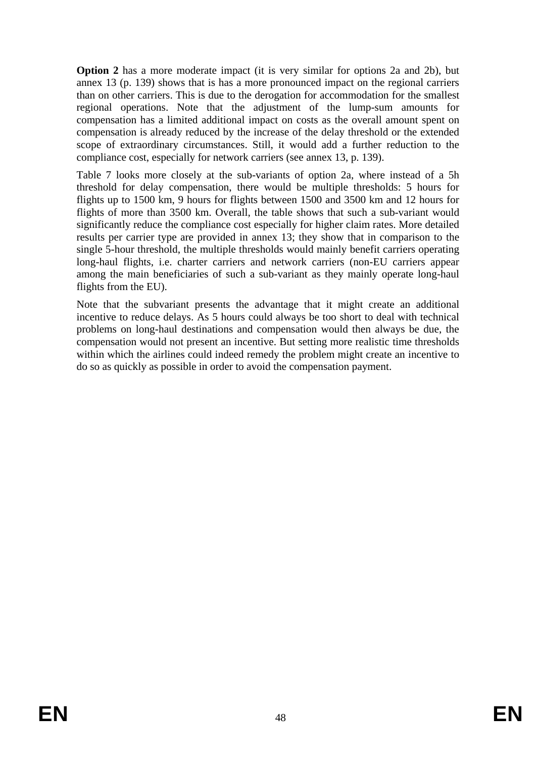**Option 2** has a more moderate impact (it is very similar for options 2a and 2b), but annex 13 (p. 139) shows that is has a more pronounced impact on the regional carriers than on other carriers. This is due to the derogation for accommodation for the smallest regional operations. Note that the adjustment of the lump-sum amounts for compensation has a limited additional impact on costs as the overall amount spent on compensation is already reduced by the increase of the delay threshold or the extended scope of extraordinary circumstances. Still, it would add a further reduction to the compliance cost, especially for network carriers (see annex 13, p. 139).

Table 7 looks more closely at the sub-variants of option 2a, where instead of a 5h threshold for delay compensation, there would be multiple thresholds: 5 hours for flights up to 1500 km, 9 hours for flights between 1500 and 3500 km and 12 hours for flights of more than 3500 km. Overall, the table shows that such a sub-variant would significantly reduce the compliance cost especially for higher claim rates. More detailed results per carrier type are provided in annex 13; they show that in comparison to the single 5-hour threshold, the multiple thresholds would mainly benefit carriers operating long-haul flights, i.e. charter carriers and network carriers (non-EU carriers appear among the main beneficiaries of such a sub-variant as they mainly operate long-haul flights from the EU).

Note that the subvariant presents the advantage that it might create an additional incentive to reduce delays. As 5 hours could always be too short to deal with technical problems on long-haul destinations and compensation would then always be due, the compensation would not present an incentive. But setting more realistic time thresholds within which the airlines could indeed remedy the problem might create an incentive to do so as quickly as possible in order to avoid the compensation payment.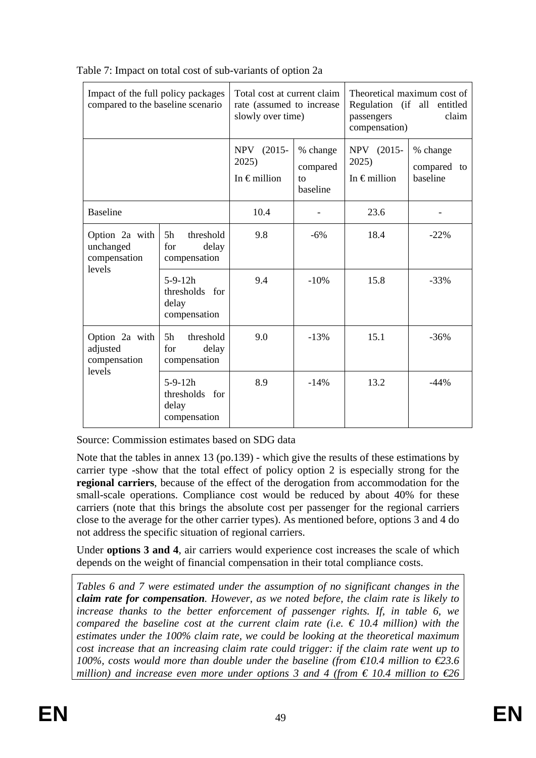| Impact of the full policy packages<br>compared to the baseline scenario |                                                      | Total cost at current claim<br>rate (assumed to increase<br>slowly over time) |                                        | Theoretical maximum cost of<br>Regulation (if all entitled<br>claim<br>passengers<br>compensation) |                                     |
|-------------------------------------------------------------------------|------------------------------------------------------|-------------------------------------------------------------------------------|----------------------------------------|----------------------------------------------------------------------------------------------------|-------------------------------------|
|                                                                         |                                                      | NPV (2015-<br>2025)<br>In $\epsilon$ million                                  | % change<br>compared<br>to<br>baseline | NPV (2015-<br>2025)<br>In $\epsilon$ million                                                       | % change<br>compared to<br>baseline |
| <b>Baseline</b>                                                         |                                                      | 10.4                                                                          |                                        | 23.6                                                                                               |                                     |
| Option 2a with<br>unchanged<br>compensation<br>levels                   | 5h<br>threshold<br>for<br>delay<br>compensation      | 9.8                                                                           | $-6%$                                  | 18.4                                                                                               | $-22\%$                             |
|                                                                         | $5-9-12h$<br>thresholds for<br>delay<br>compensation | 9.4                                                                           | $-10%$                                 | 15.8                                                                                               | $-33%$                              |
| Option 2a with<br>adjusted<br>compensation<br>levels                    | 5h<br>threshold<br>for<br>delay<br>compensation      | 9.0                                                                           | $-13%$                                 | 15.1                                                                                               | $-36%$                              |
|                                                                         | $5-9-12h$<br>thresholds for<br>delay<br>compensation | 8.9                                                                           | $-14%$                                 | 13.2                                                                                               | $-44%$                              |

Table 7: Impact on total cost of sub-variants of option 2a

Source: Commission estimates based on SDG data

Note that the tables in annex 13 (po.139) - which give the results of these estimations by carrier type -show that the total effect of policy option 2 is especially strong for the **regional carriers**, because of the effect of the derogation from accommodation for the small-scale operations. Compliance cost would be reduced by about 40% for these carriers (note that this brings the absolute cost per passenger for the regional carriers close to the average for the other carrier types). As mentioned before, options 3 and 4 do not address the specific situation of regional carriers.

Under **options 3 and 4**, air carriers would experience cost increases the scale of which depends on the weight of financial compensation in their total compliance costs.

*Tables 6 and 7 were estimated under the assumption of no significant changes in the claim rate for compensation. However, as we noted before, the claim rate is likely to increase thanks to the better enforcement of passenger rights. If, in table 6, we compared the baseline cost at the current claim rate (i.e.*  $\epsilon$  10.4 million) with the *estimates under the 100% claim rate, we could be looking at the theoretical maximum cost increase that an increasing claim rate could trigger: if the claim rate went up to 100%, costs would more than double under the baseline (from €10.4 million to €23.6 million)* and increase even more under options 3 and 4 (from  $\epsilon$  10.4 million to  $\epsilon$ 26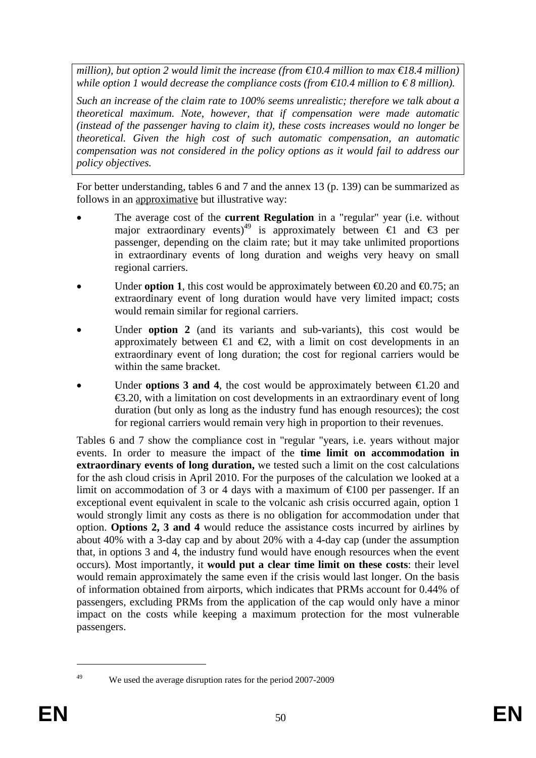*million), but option 2 would limit the increase (from €10.4 million to max €18.4 million) while option 1 would decrease the compliance costs (from*  $\epsilon$ *10.4 million to*  $\epsilon$ 8 *million).* 

*Such an increase of the claim rate to 100% seems unrealistic; therefore we talk about a theoretical maximum. Note, however, that if compensation were made automatic (instead of the passenger having to claim it), these costs increases would no longer be theoretical. Given the high cost of such automatic compensation, an automatic compensation was not considered in the policy options as it would fail to address our policy objectives.*

For better understanding, tables 6 and 7 and the annex 13 (p. 139) can be summarized as follows in an approximative but illustrative way:

- The average cost of the **current Regulation** in a "regular" year (i.e. without major extraordinary events)<sup>49</sup> is approximately between  $\epsilon$  and  $\epsilon$  per passenger, depending on the claim rate; but it may take unlimited proportions in extraordinary events of long duration and weighs very heavy on small regional carriers.
- Under **option 1**, this cost would be approximately between  $\Theta$ . 20 and  $\Theta$ . 75; an extraordinary event of long duration would have very limited impact; costs would remain similar for regional carriers.
- Under **option 2** (and its variants and sub-variants), this cost would be approximately between  $\in$  and  $\infty$ , with a limit on cost developments in an extraordinary event of long duration; the cost for regional carriers would be within the same bracket.
- Under **options 3 and 4**, the cost would be approximately between  $\epsilon$ 1.20 and  $\epsilon$ 3.20, with a limitation on cost developments in an extraordinary event of long duration (but only as long as the industry fund has enough resources); the cost for regional carriers would remain very high in proportion to their revenues.

Tables 6 and 7 show the compliance cost in "regular "years, i.e. years without major events. In order to measure the impact of the **time limit on accommodation in extraordinary events of long duration,** we tested such a limit on the cost calculations for the ash cloud crisis in April 2010. For the purposes of the calculation we looked at a limit on accommodation of 3 or 4 days with a maximum of €100 per passenger. If an exceptional event equivalent in scale to the volcanic ash crisis occurred again, option 1 would strongly limit any costs as there is no obligation for accommodation under that option. **Options 2, 3 and 4** would reduce the assistance costs incurred by airlines by about 40% with a 3-day cap and by about 20% with a 4-day cap (under the assumption that, in options 3 and 4, the industry fund would have enough resources when the event occurs)*.* Most importantly, it **would put a clear time limit on these costs**: their level would remain approximately the same even if the crisis would last longer. On the basis of information obtained from airports, which indicates that PRMs account for 0.44% of passengers, excluding PRMs from the application of the cap would only have a minor impact on the costs while keeping a maximum protection for the most vulnerable passengers.

<sup>1</sup> 

<sup>&</sup>lt;sup>49</sup> We used the average disruption rates for the period 2007-2009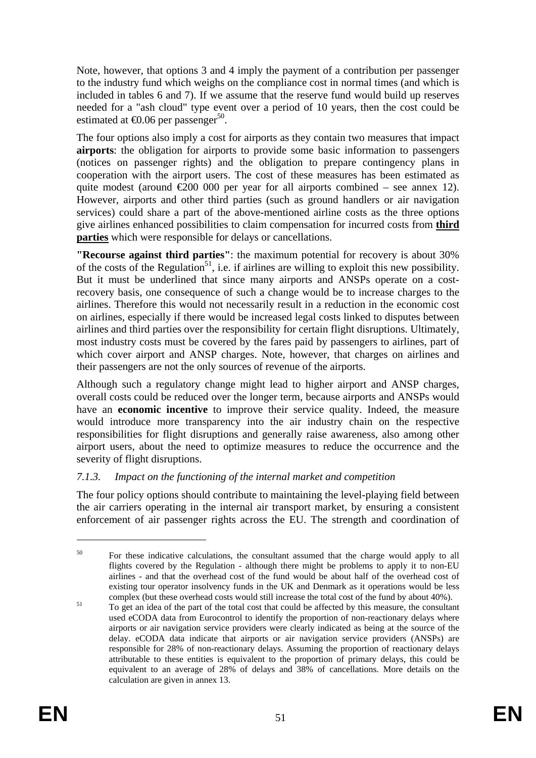Note, however, that options 3 and 4 imply the payment of a contribution per passenger to the industry fund which weighs on the compliance cost in normal times (and which is included in tables 6 and 7). If we assume that the reserve fund would build up reserves needed for a "ash cloud" type event over a period of 10 years, then the cost could be estimated at  $\text{\textsterling}0.06$  per passenger<sup>50</sup>.

The four options also imply a cost for airports as they contain two measures that impact **airports**: the obligation for airports to provide some basic information to passengers (notices on passenger rights) and the obligation to prepare contingency plans in cooperation with the airport users. The cost of these measures has been estimated as quite modest (around  $\epsilon 200\,000$  per year for all airports combined – see annex 12). However, airports and other third parties (such as ground handlers or air navigation services) could share a part of the above-mentioned airline costs as the three options give airlines enhanced possibilities to claim compensation for incurred costs from **third parties** which were responsible for delays or cancellations.

**"Recourse against third parties"**: the maximum potential for recovery is about 30% of the costs of the Regulation<sup>51</sup>, i.e. if airlines are willing to exploit this new possibility. But it must be underlined that since many airports and ANSPs operate on a costrecovery basis, one consequence of such a change would be to increase charges to the airlines. Therefore this would not necessarily result in a reduction in the economic cost on airlines, especially if there would be increased legal costs linked to disputes between airlines and third parties over the responsibility for certain flight disruptions. Ultimately, most industry costs must be covered by the fares paid by passengers to airlines, part of which cover airport and ANSP charges. Note, however, that charges on airlines and their passengers are not the only sources of revenue of the airports.

Although such a regulatory change might lead to higher airport and ANSP charges, overall costs could be reduced over the longer term, because airports and ANSPs would have an **economic incentive** to improve their service quality. Indeed, the measure would introduce more transparency into the air industry chain on the respective responsibilities for flight disruptions and generally raise awareness, also among other airport users, about the need to optimize measures to reduce the occurrence and the severity of flight disruptions.

# *7.1.3. Impact on the functioning of the internal market and competition*

The four policy options should contribute to maintaining the level-playing field between the air carriers operating in the internal air transport market, by ensuring a consistent enforcement of air passenger rights across the EU. The strength and coordination of

<sup>&</sup>lt;sup>50</sup> For these indicative calculations, the consultant assumed that the charge would apply to all flights covered by the Regulation - although there might be problems to apply it to non-EU airlines - and that the overhead cost of the fund would be about half of the overhead cost of existing tour operator insolvency funds in the UK and Denmark as it operations would be less complex (but these overhead costs would still increase the total cost of the fund by about 40%).

<sup>&</sup>lt;sup>51</sup> To get an idea of the part of the total cost that could be affected by this measure, the consultant used eCODA data from Eurocontrol to identify the proportion of non-reactionary delays where airports or air navigation service providers were clearly indicated as being at the source of the delay. eCODA data indicate that airports or air navigation service providers (ANSPs) are responsible for 28% of non-reactionary delays. Assuming the proportion of reactionary delays attributable to these entities is equivalent to the proportion of primary delays, this could be equivalent to an average of 28% of delays and 38% of cancellations. More details on the calculation are given in annex 13.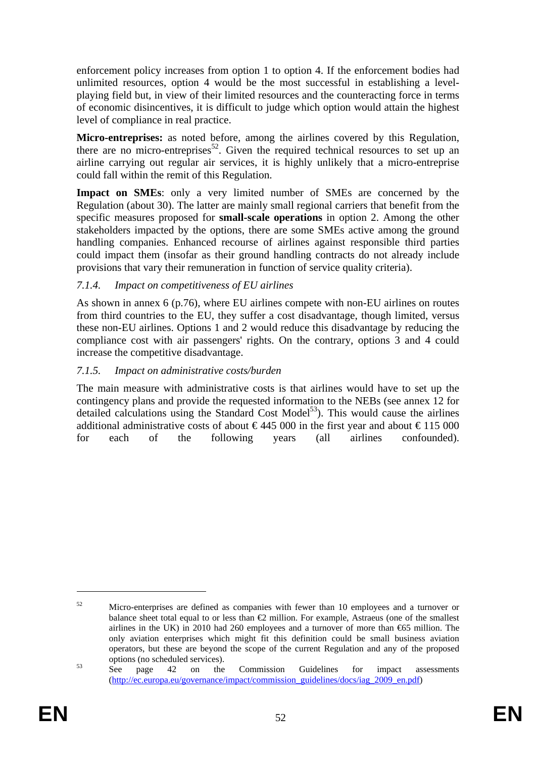enforcement policy increases from option 1 to option 4. If the enforcement bodies had unlimited resources, option 4 would be the most successful in establishing a levelplaying field but, in view of their limited resources and the counteracting force in terms of economic disincentives, it is difficult to judge which option would attain the highest level of compliance in real practice.

**Micro-entreprises:** as noted before, among the airlines covered by this Regulation, there are no micro-entreprises<sup>52</sup>. Given the required technical resources to set up an airline carrying out regular air services, it is highly unlikely that a micro-entreprise could fall within the remit of this Regulation.

**Impact on SMEs**: only a very limited number of SMEs are concerned by the Regulation (about 30). The latter are mainly small regional carriers that benefit from the specific measures proposed for **small-scale operations** in option 2. Among the other stakeholders impacted by the options, there are some SMEs active among the ground handling companies. Enhanced recourse of airlines against responsible third parties could impact them (insofar as their ground handling contracts do not already include provisions that vary their remuneration in function of service quality criteria).

# *7.1.4. Impact on competitiveness of EU airlines*

As shown in annex 6 (p.76), where EU airlines compete with non-EU airlines on routes from third countries to the EU, they suffer a cost disadvantage, though limited, versus these non-EU airlines. Options 1 and 2 would reduce this disadvantage by reducing the compliance cost with air passengers' rights. On the contrary, options 3 and 4 could increase the competitive disadvantage.

# *7.1.5. Impact on administrative costs/burden*

The main measure with administrative costs is that airlines would have to set up the contingency plans and provide the requested information to the NEBs (see annex 12 for detailed calculations using the Standard Cost Model<sup>53</sup>). This would cause the airlines additional administrative costs of about  $\epsilon$ 445 000 in the first year and about  $\epsilon$ 115 000 for each of the following years (all airlines confounded).

<u>.</u>

<sup>&</sup>lt;sup>52</sup> Micro-enterprises are defined as companies with fewer than 10 employees and a turnover or balance sheet total equal to or less than  $\bigoplus$  million. For example, Astraeus (one of the smallest airlines in the UK) in 2010 had 260 employees and a turnover of more than  $\mathfrak{S}5$  million. The only aviation enterprises which might fit this definition could be small business aviation operators, but these are beyond the scope of the current Regulation and any of the proposed options (no scheduled services). 53 See page 42 on the Commission Guidelines for impact assessments

[<sup>\(</sup>http://ec.europa.eu/governance/impact/commission\\_guidelines/docs/iag\\_2009\\_en.pdf\)](http://ec.europa.eu/governance/impact/commission_guidelines/docs/iag_2009_en.pdf)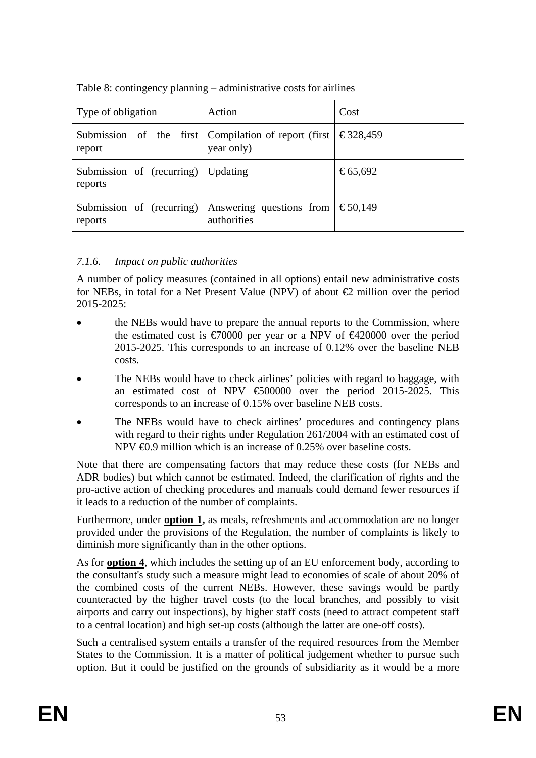|  | Table 8: contingency planning – administrative costs for airlines |
|--|-------------------------------------------------------------------|
|--|-------------------------------------------------------------------|

| Type of obligation                              | Action                                                               | Cost     |
|-------------------------------------------------|----------------------------------------------------------------------|----------|
| report                                          | Submission of the first Compilation of report (first  <br>year only) | €328,459 |
| Submission of (recurring)   Updating<br>reports |                                                                      | €65,692  |
| Submission of (recurring)<br>reports            | Answering questions from<br>authorities                              | €50,149  |

# *7.1.6. Impact on public authorities*

A number of policy measures (contained in all options) entail new administrative costs for NEBs, in total for a Net Present Value (NPV) of about  $\bigoplus$  million over the period 2015-2025:

- the NEBs would have to prepare the annual reports to the Commission, where the estimated cost is  $\epsilon$ 70000 per year or a NPV of  $\epsilon$ 420000 over the period 2015-2025. This corresponds to an increase of 0.12% over the baseline NEB costs.
- The NEBs would have to check airlines' policies with regard to baggage, with an estimated cost of NPV €500000 over the period 2015-2025. This corresponds to an increase of 0.15% over baseline NEB costs.
- The NEBs would have to check airlines' procedures and contingency plans with regard to their rights under Regulation 261/2004 with an estimated cost of NPV **€0.9** million which is an increase of 0.25% over baseline costs.

Note that there are compensating factors that may reduce these costs (for NEBs and ADR bodies) but which cannot be estimated. Indeed, the clarification of rights and the pro-active action of checking procedures and manuals could demand fewer resources if it leads to a reduction of the number of complaints.

Furthermore, under **option 1,** as meals, refreshments and accommodation are no longer provided under the provisions of the Regulation, the number of complaints is likely to diminish more significantly than in the other options.

As for **option 4**, which includes the setting up of an EU enforcement body, according to the consultant's study such a measure might lead to economies of scale of about 20% of the combined costs of the current NEBs. However, these savings would be partly counteracted by the higher travel costs (to the local branches, and possibly to visit airports and carry out inspections), by higher staff costs (need to attract competent staff to a central location) and high set-up costs (although the latter are one-off costs).

Such a centralised system entails a transfer of the required resources from the Member States to the Commission. It is a matter of political judgement whether to pursue such option. But it could be justified on the grounds of subsidiarity as it would be a more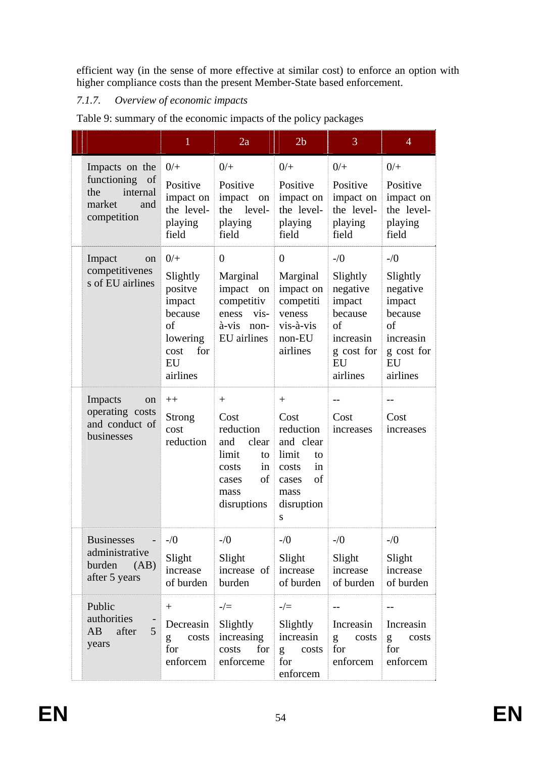efficient way (in the sense of more effective at similar cost) to enforce an option with higher compliance costs than the present Member-State based enforcement.

# *7.1.7. Overview of economic impacts*

|                                                                                     | $\mathbf{1}$                                                                                         | 2a                                                                                                           | 2 <sub>b</sub>                                                                                                | 3                                                                                                      | $\overline{4}$                                                                                         |
|-------------------------------------------------------------------------------------|------------------------------------------------------------------------------------------------------|--------------------------------------------------------------------------------------------------------------|---------------------------------------------------------------------------------------------------------------|--------------------------------------------------------------------------------------------------------|--------------------------------------------------------------------------------------------------------|
| Impacts on the<br>functioning of<br>internal<br>the<br>market<br>and<br>competition | $0/+$<br>Positive<br>impact on<br>the level-<br>playing<br>field                                     | $0/+$<br>Positive<br>impact<br>on<br>the<br>level-<br>playing<br>field                                       | $0/+$<br>Positive<br>impact on<br>the level-<br>playing<br>field                                              | $0/+$<br>Positive<br>impact on<br>the level-<br>playing<br>field                                       | $0/+$<br>Positive<br>impact on<br>the level-<br>playing<br>field                                       |
| Impact<br>on<br>competitivenes<br>s of EU airlines                                  | $0/+$<br>Slightly<br>positve<br>impact<br>because<br>of<br>lowering<br>for<br>cost<br>EU<br>airlines | $\overline{0}$<br>Marginal<br>impact on<br>competitiv<br>eness vis-<br>à-vis<br>non-<br>EU airlines          | $\overline{0}$<br>Marginal<br>impact on<br>competiti<br>veness<br>vis-à-vis<br>non-EU<br>airlines             | $-1/0$<br>Slightly<br>negative<br>impact<br>because<br>of<br>increasin<br>g cost for<br>EU<br>airlines | $-$ /0<br>Slightly<br>negative<br>impact<br>because<br>of<br>increasin<br>g cost for<br>EU<br>airlines |
| Impacts<br>on<br>operating costs<br>and conduct of<br>businesses                    | $++$<br>Strong<br>cost<br>reduction                                                                  | $+$<br>Cost<br>reduction<br>and<br>clear<br>limit<br>to<br>in<br>costs<br>of<br>cases<br>mass<br>disruptions | $+$<br>Cost<br>reduction<br>and clear<br>limit<br>to<br>in<br>costs<br>of<br>cases<br>mass<br>disruption<br>S | $-$<br>Cost<br>increases                                                                               | Cost<br>increases                                                                                      |
| <b>Businesses</b><br>administrative<br>burden<br>(AB)<br>after 5 years              | $-1/0$<br>Slight<br>increase<br>of burden                                                            | $-1/0$<br>Slight<br>increase of<br>burden                                                                    | $-1/0$<br>Slight<br>increase<br>of burden                                                                     | $-1/0$<br>Slight<br>increase<br>of burden                                                              | $-1/0$<br>Slight<br>increase<br>of burden                                                              |
| Public<br>authorities<br>$\overline{5}$<br>after<br>AB<br>years                     | $+$<br>Decreasin<br>costs<br>g<br>for<br>enforcem                                                    | $-/-$<br>Slightly<br>increasing<br>for<br>costs<br>enforceme                                                 | $-/-$<br>Slightly<br>increasin<br>costs<br>g<br>for<br>enforcem                                               | Increasin<br>g<br>costs<br>for<br>enforcem                                                             | $-$<br>Increasin<br>costs<br>g<br>for<br>enforcem                                                      |

Table 9: summary of the economic impacts of the policy packages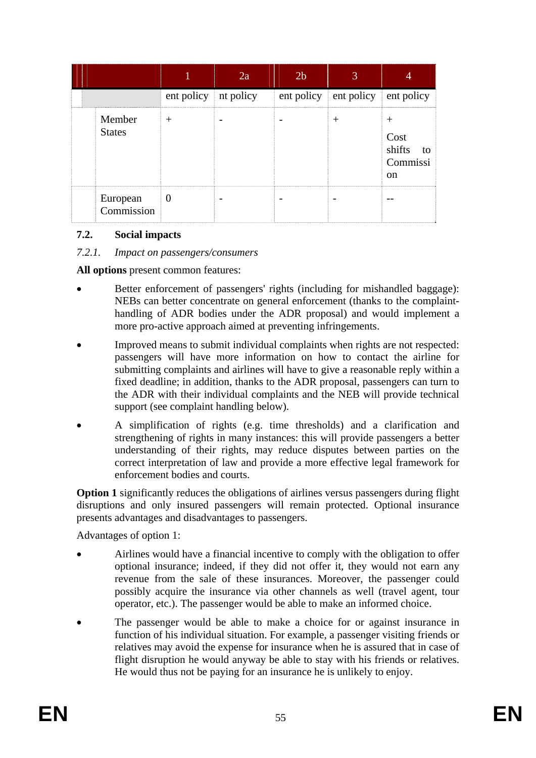|                         |                                  | 2a | 2 <sub>b</sub> |                                  |                                                        |
|-------------------------|----------------------------------|----|----------------|----------------------------------|--------------------------------------------------------|
|                         | ent policy   nt policy           |    |                | ent policy ent policy ent policy |                                                        |
| Member<br><b>States</b> | $^{+}$                           |    |                |                                  | ┿<br>Cost<br>shifts<br>to<br>Commissi<br><sub>on</sub> |
| European<br>Commission  | $\begin{array}{c} 0 \end{array}$ |    |                |                                  |                                                        |

#### **7.2. Social impacts**

#### *7.2.1. Impact on passengers/consumers*

**All options** present common features:

- Better enforcement of passengers' rights (including for mishandled baggage): NEBs can better concentrate on general enforcement (thanks to the complainthandling of ADR bodies under the ADR proposal) and would implement a more pro-active approach aimed at preventing infringements.
- Improved means to submit individual complaints when rights are not respected: passengers will have more information on how to contact the airline for submitting complaints and airlines will have to give a reasonable reply within a fixed deadline; in addition, thanks to the ADR proposal, passengers can turn to the ADR with their individual complaints and the NEB will provide technical support (see complaint handling below).
- A simplification of rights (e.g. time thresholds) and a clarification and strengthening of rights in many instances: this will provide passengers a better understanding of their rights, may reduce disputes between parties on the correct interpretation of law and provide a more effective legal framework for enforcement bodies and courts.

**Option 1** significantly reduces the obligations of airlines versus passengers during flight disruptions and only insured passengers will remain protected. Optional insurance presents advantages and disadvantages to passengers.

Advantages of option 1:

- Airlines would have a financial incentive to comply with the obligation to offer optional insurance; indeed, if they did not offer it, they would not earn any revenue from the sale of these insurances. Moreover, the passenger could possibly acquire the insurance via other channels as well (travel agent, tour operator, etc.). The passenger would be able to make an informed choice.
- The passenger would be able to make a choice for or against insurance in function of his individual situation. For example, a passenger visiting friends or relatives may avoid the expense for insurance when he is assured that in case of flight disruption he would anyway be able to stay with his friends or relatives. He would thus not be paying for an insurance he is unlikely to enjoy.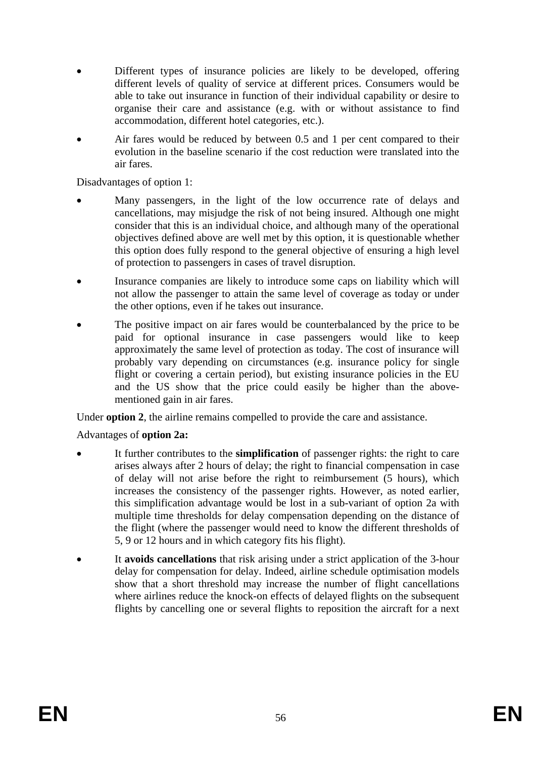- Different types of insurance policies are likely to be developed, offering different levels of quality of service at different prices. Consumers would be able to take out insurance in function of their individual capability or desire to organise their care and assistance (e.g. with or without assistance to find accommodation, different hotel categories, etc.).
- Air fares would be reduced by between 0.5 and 1 per cent compared to their evolution in the baseline scenario if the cost reduction were translated into the air fares.

Disadvantages of option 1:

- Many passengers, in the light of the low occurrence rate of delays and cancellations, may misjudge the risk of not being insured. Although one might consider that this is an individual choice, and although many of the operational objectives defined above are well met by this option, it is questionable whether this option does fully respond to the general objective of ensuring a high level of protection to passengers in cases of travel disruption.
- Insurance companies are likely to introduce some caps on liability which will not allow the passenger to attain the same level of coverage as today or under the other options, even if he takes out insurance.
- The positive impact on air fares would be counterbalanced by the price to be paid for optional insurance in case passengers would like to keep approximately the same level of protection as today. The cost of insurance will probably vary depending on circumstances (e.g. insurance policy for single flight or covering a certain period), but existing insurance policies in the EU and the US show that the price could easily be higher than the abovementioned gain in air fares.

Under **option 2**, the airline remains compelled to provide the care and assistance.

#### Advantages of **option 2a:**

- It further contributes to the **simplification** of passenger rights: the right to care arises always after 2 hours of delay; the right to financial compensation in case of delay will not arise before the right to reimbursement (5 hours), which increases the consistency of the passenger rights. However, as noted earlier, this simplification advantage would be lost in a sub-variant of option 2a with multiple time thresholds for delay compensation depending on the distance of the flight (where the passenger would need to know the different thresholds of 5, 9 or 12 hours and in which category fits his flight).
- It **avoids cancellations** that risk arising under a strict application of the 3-hour delay for compensation for delay. Indeed, airline schedule optimisation models show that a short threshold may increase the number of flight cancellations where airlines reduce the knock-on effects of delayed flights on the subsequent flights by cancelling one or several flights to reposition the aircraft for a next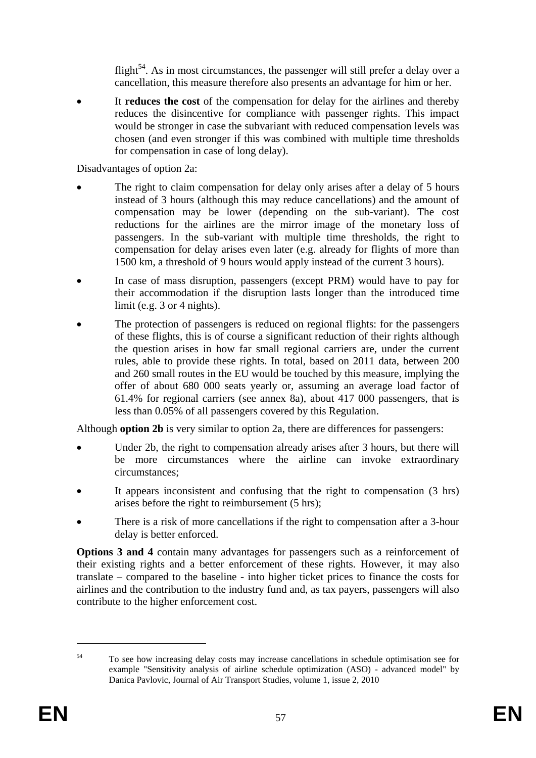flight<sup>54</sup>. As in most circumstances, the passenger will still prefer a delay over a cancellation, this measure therefore also presents an advantage for him or her.

It **reduces the cost** of the compensation for delay for the airlines and thereby reduces the disincentive for compliance with passenger rights. This impact would be stronger in case the subvariant with reduced compensation levels was chosen (and even stronger if this was combined with multiple time thresholds for compensation in case of long delay).

Disadvantages of option 2a:

- The right to claim compensation for delay only arises after a delay of 5 hours instead of 3 hours (although this may reduce cancellations) and the amount of compensation may be lower (depending on the sub-variant). The cost reductions for the airlines are the mirror image of the monetary loss of passengers. In the sub-variant with multiple time thresholds, the right to compensation for delay arises even later (e.g. already for flights of more than 1500 km, a threshold of 9 hours would apply instead of the current 3 hours).
- In case of mass disruption, passengers (except PRM) would have to pay for their accommodation if the disruption lasts longer than the introduced time limit (e.g. 3 or 4 nights).
- The protection of passengers is reduced on regional flights: for the passengers of these flights, this is of course a significant reduction of their rights although the question arises in how far small regional carriers are, under the current rules, able to provide these rights. In total, based on 2011 data, between 200 and 260 small routes in the EU would be touched by this measure, implying the offer of about 680 000 seats yearly or, assuming an average load factor of 61.4% for regional carriers (see annex 8a), about 417 000 passengers, that is less than 0.05% of all passengers covered by this Regulation.

Although **option 2b** is very similar to option 2a, there are differences for passengers:

- Under 2b, the right to compensation already arises after 3 hours, but there will be more circumstances where the airline can invoke extraordinary circumstances;
- It appears inconsistent and confusing that the right to compensation (3 hrs) arises before the right to reimbursement (5 hrs);
- There is a risk of more cancellations if the right to compensation after a 3-hour delay is better enforced.

**Options 3 and 4** contain many advantages for passengers such as a reinforcement of their existing rights and a better enforcement of these rights. However, it may also translate – compared to the baseline - into higher ticket prices to finance the costs for airlines and the contribution to the industry fund and, as tax payers, passengers will also contribute to the higher enforcement cost.

<sup>54</sup> To see how increasing delay costs may increase cancellations in schedule optimisation see for example "Sensitivity analysis of airline schedule optimization (ASO) - advanced model" by Danica Pavlovic, Journal of Air Transport Studies, volume 1, issue 2, 2010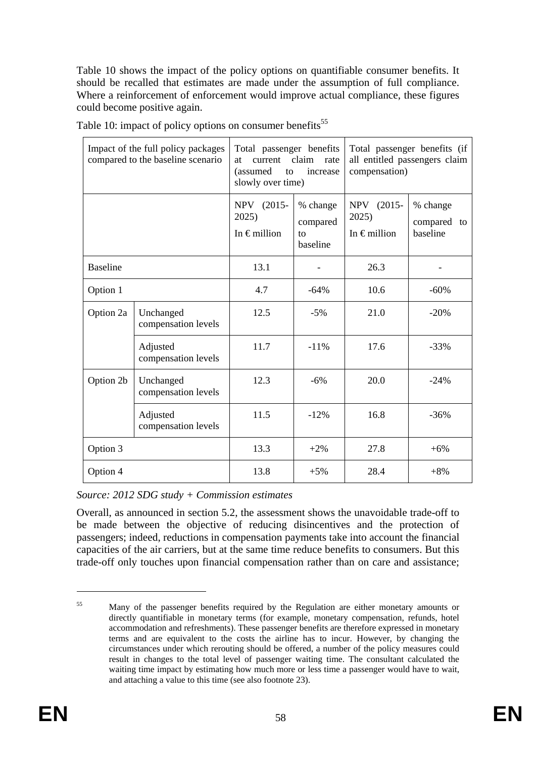Table 10 shows the impact of the policy options on quantifiable consumer benefits. It should be recalled that estimates are made under the assumption of full compliance. Where a reinforcement of enforcement would improve actual compliance, these figures could become positive again.

| Impact of the full policy packages<br>compared to the baseline scenario |                                  | Total passenger benefits<br>claim<br>current<br>rate<br><b>at</b><br>(assumed<br>increase<br>to<br>slowly over time) |                                        | Total passenger benefits (if<br>all entitled passengers claim<br>compensation) |                                     |
|-------------------------------------------------------------------------|----------------------------------|----------------------------------------------------------------------------------------------------------------------|----------------------------------------|--------------------------------------------------------------------------------|-------------------------------------|
|                                                                         |                                  | $(2015 -$<br><b>NPV</b><br>2025)<br>In $\epsilon$ million                                                            | % change<br>compared<br>to<br>baseline | <b>NPV</b><br>$(2015 -$<br>2025)<br>In $\epsilon$ million                      | % change<br>compared to<br>baseline |
| <b>Baseline</b>                                                         |                                  | 13.1                                                                                                                 |                                        | 26.3                                                                           |                                     |
| Option 1                                                                |                                  | 4.7                                                                                                                  | $-64%$                                 | 10.6                                                                           | $-60%$                              |
| Option 2a                                                               | Unchanged<br>compensation levels | 12.5                                                                                                                 | $-5\%$                                 | 21.0                                                                           | $-20%$                              |
|                                                                         | Adjusted<br>compensation levels  | 11.7                                                                                                                 | $-11\%$                                | 17.6                                                                           | $-33%$                              |
| Option 2b                                                               | Unchanged<br>compensation levels | 12.3                                                                                                                 | $-6%$                                  | 20.0                                                                           | $-24%$                              |
|                                                                         | Adjusted<br>compensation levels  | 11.5                                                                                                                 | $-12%$                                 | 16.8                                                                           | $-36%$                              |
| Option 3                                                                |                                  | 13.3                                                                                                                 | $+2%$                                  | 27.8                                                                           | $+6%$                               |
| Option 4                                                                |                                  | 13.8                                                                                                                 | $+5%$                                  | 28.4                                                                           | $+8%$                               |

Table 10: impact of policy options on consumer benefits<sup>55</sup>

*Source: 2012 SDG study + Commission estimates* 

Overall, as announced in section 5.2, the assessment shows the unavoidable trade-off to be made between the objective of reducing disincentives and the protection of passengers; indeed, reductions in compensation payments take into account the financial capacities of the air carriers, but at the same time reduce benefits to consumers. But this trade-off only touches upon financial compensation rather than on care and assistance;

<u>.</u>

<sup>&</sup>lt;sup>55</sup> Many of the passenger benefits required by the Regulation are either monetary amounts or directly quantifiable in monetary terms (for example, monetary compensation, refunds, hotel accommodation and refreshments). These passenger benefits are therefore expressed in monetary terms and are equivalent to the costs the airline has to incur. However, by changing the circumstances under which rerouting should be offered, a number of the policy measures could result in changes to the total level of passenger waiting time. The consultant calculated the waiting time impact by estimating how much more or less time a passenger would have to wait, and attaching a value to this time (see also footnote 23).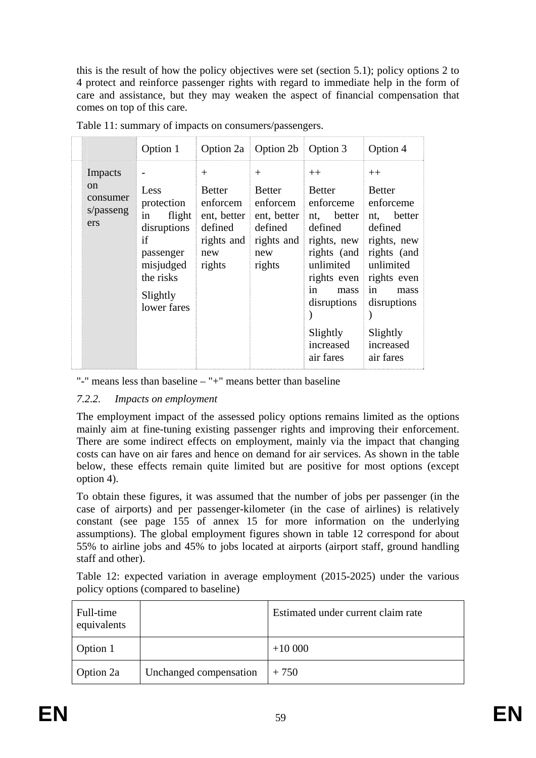this is the result of how the policy objectives were set (section 5.1); policy options 2 to 4 protect and reinforce passenger rights with regard to immediate help in the form of care and assistance, but they may weaken the aspect of financial compensation that comes on top of this care.

|                                                     | Option 1                                                                                                                  |                                                                                            | Option 2a   Option 2b   Option 3                                                                |                                                                                                                                                                                                           | Option 4                                                                                                                                                      |
|-----------------------------------------------------|---------------------------------------------------------------------------------------------------------------------------|--------------------------------------------------------------------------------------------|-------------------------------------------------------------------------------------------------|-----------------------------------------------------------------------------------------------------------------------------------------------------------------------------------------------------------|---------------------------------------------------------------------------------------------------------------------------------------------------------------|
| Impacts<br>$\alpha$<br>consumer<br>s/passeng<br>ers | Less<br>protection<br>in<br>flight<br>disruptions<br>if<br>passenger<br>misjudged<br>the risks<br>Slightly<br>lower fares | $^{+}$<br><b>Better</b><br>enfore<br>ent, better<br>defined<br>rights and<br>new<br>rights | $^{+}$<br><b>Better</b><br>enforcement<br>ent, better<br>defined<br>rights and<br>new<br>rights | $++$<br>Better<br>enforceme<br>nt, better<br>defined<br>rights, new rights, new<br>rights (and rights (and<br>unlimited<br>rights even<br>in<br>mass<br>disruptions<br>Slightly<br>increased<br>air fares | $++$<br><b>Better</b><br>enforceme<br>better<br>nt,<br>defined<br>unlimited<br>rights even<br>in<br>mass<br>disruptions<br>Slightly<br>increased<br>air fares |

Table 11: summary of impacts on consumers/passengers.

"-" means less than baseline – "+" means better than baseline

# *7.2.2. Impacts on employment*

The employment impact of the assessed policy options remains limited as the options mainly aim at fine-tuning existing passenger rights and improving their enforcement. There are some indirect effects on employment, mainly via the impact that changing costs can have on air fares and hence on demand for air services. As shown in the table below, these effects remain quite limited but are positive for most options (except option 4).

To obtain these figures, it was assumed that the number of jobs per passenger (in the case of airports) and per passenger-kilometer (in the case of airlines) is relatively constant (see page 155 of annex 15 for more information on the underlying assumptions). The global employment figures shown in table 12 correspond for about 55% to airline jobs and 45% to jobs located at airports (airport staff, ground handling staff and other).

Table 12: expected variation in average employment (2015-2025) under the various policy options (compared to baseline)

| Full-time<br>equivalents |                        | Estimated under current claim rate |
|--------------------------|------------------------|------------------------------------|
| Option 1                 |                        | $+10000$                           |
| Option 2a                | Unchanged compensation | $+750$                             |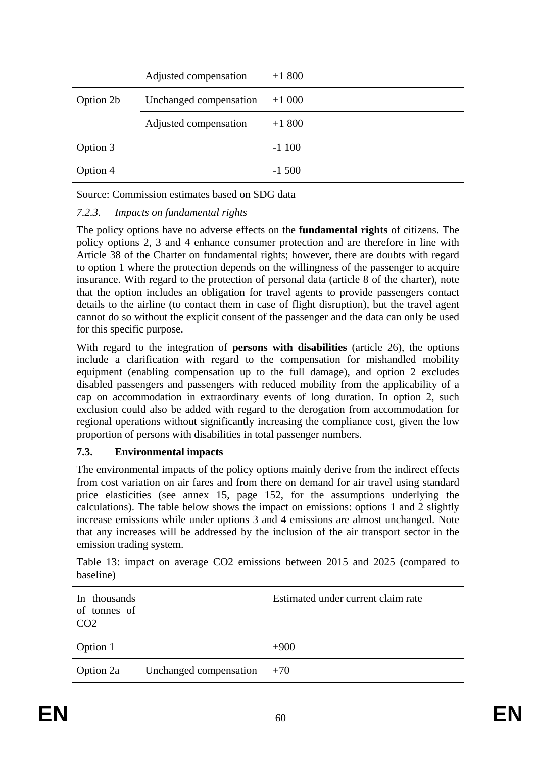|           | Adjusted compensation  | $+1800$  |
|-----------|------------------------|----------|
| Option 2b | Unchanged compensation | $+1000$  |
|           | Adjusted compensation  | $+1800$  |
| Option 3  |                        | $-1100$  |
| Option 4  |                        | $-1,500$ |

Source: Commission estimates based on SDG data

# *7.2.3. Impacts on fundamental rights*

The policy options have no adverse effects on the **fundamental rights** of citizens. The policy options 2, 3 and 4 enhance consumer protection and are therefore in line with Article 38 of the Charter on fundamental rights; however, there are doubts with regard to option 1 where the protection depends on the willingness of the passenger to acquire insurance. With regard to the protection of personal data (article 8 of the charter), note that the option includes an obligation for travel agents to provide passengers contact details to the airline (to contact them in case of flight disruption), but the travel agent cannot do so without the explicit consent of the passenger and the data can only be used for this specific purpose.

With regard to the integration of **persons with disabilities** (article 26), the options include a clarification with regard to the compensation for mishandled mobility equipment (enabling compensation up to the full damage), and option 2 excludes disabled passengers and passengers with reduced mobility from the applicability of a cap on accommodation in extraordinary events of long duration. In option 2, such exclusion could also be added with regard to the derogation from accommodation for regional operations without significantly increasing the compliance cost, given the low proportion of persons with disabilities in total passenger numbers.

# **7.3. Environmental impacts**

The environmental impacts of the policy options mainly derive from the indirect effects from cost variation on air fares and from there on demand for air travel using standard price elasticities (see annex 15, page 152, for the assumptions underlying the calculations). The table below shows the impact on emissions: options 1 and 2 slightly increase emissions while under options 3 and 4 emissions are almost unchanged. Note that any increases will be addressed by the inclusion of the air transport sector in the emission trading system.

Table 13: impact on average CO2 emissions between 2015 and 2025 (compared to baseline)

| In thousands<br>of tonnes of |                        | Estimated under current claim rate |
|------------------------------|------------------------|------------------------------------|
| Option 1                     |                        | $+900$                             |
| Option 2a                    | Unchanged compensation | $+70$                              |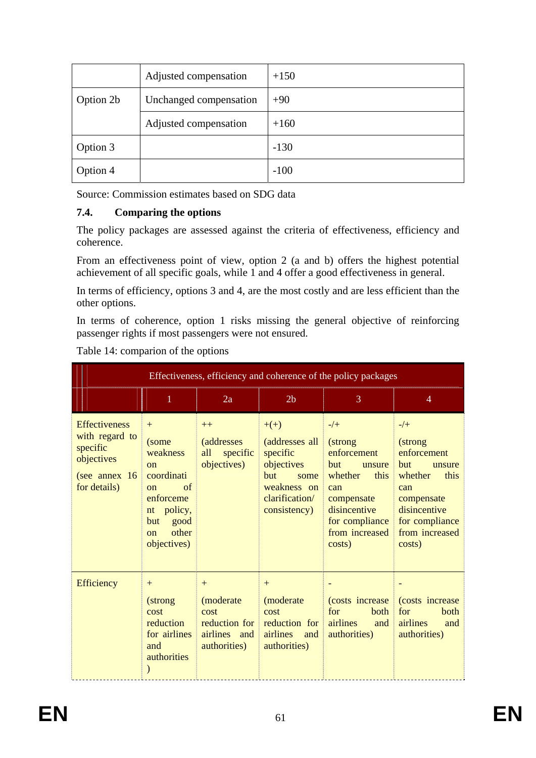|           | Adjusted compensation  | $+150$ |
|-----------|------------------------|--------|
| Option 2b | Unchanged compensation | $+90$  |
|           | Adjusted compensation  | $+160$ |
| Option 3  |                        | $-130$ |
| Option 4  |                        | $-100$ |

Source: Commission estimates based on SDG data

# **7.4. Comparing the options**

The policy packages are assessed against the criteria of effectiveness, efficiency and coherence.

From an effectiveness point of view, option 2 (a and b) offers the highest potential achievement of all specific goals, while 1 and 4 offer a good effectiveness in general.

In terms of efficiency, options 3 and 4, are the most costly and are less efficient than the other options.

In terms of coherence, option 1 risks missing the general objective of reinforcing passenger rights if most passengers were not ensured.

|                                                                                                     | Effectiveness, efficiency and coherence of the policy packages                                                                                       |                                                              |                                                                                                                    |                                                                                                                                                               |                                                                                                                                                         |
|-----------------------------------------------------------------------------------------------------|------------------------------------------------------------------------------------------------------------------------------------------------------|--------------------------------------------------------------|--------------------------------------------------------------------------------------------------------------------|---------------------------------------------------------------------------------------------------------------------------------------------------------------|---------------------------------------------------------------------------------------------------------------------------------------------------------|
|                                                                                                     | 1                                                                                                                                                    | 2a                                                           | 2 <sub>b</sub>                                                                                                     | 3                                                                                                                                                             | 4                                                                                                                                                       |
| <b>Effectiveness</b><br>with regard to<br>specific<br>objectives<br>(see annex $16$<br>for details) | $+$<br>(some<br>weakness<br><sub>on</sub><br>coordinati<br>of<br>$\alpha$<br>enforceme<br>policy,<br>nt<br>good<br>but<br>other<br>on<br>objectives) | $++$<br><i>(addresses)</i><br>all<br>specific<br>objectives) | $+(+)$<br>(addresses all<br>specific<br>objectives<br>but<br>some<br>weakness on<br>clarification/<br>consistency) | $-/+$<br>(strong<br>enforcement<br><b>but</b><br>unsure<br>whether<br>this<br>can<br>compensate<br>disincentive<br>for compliance<br>from increased<br>costs) | $-/+$<br>(strong)<br>enforcement<br>but<br>unsure<br>whether<br>this<br>can<br>compensate<br>disincentive<br>for compliance<br>from increased<br>costs) |
| <b>Efficiency</b>                                                                                   | $+$<br>(strong<br>cost<br>reduction<br>for airlines<br>and<br>authorities                                                                            | $+$<br>(moderate<br>cost<br>airlines and<br>authorities)     | $+$<br>(moderate)<br>cost<br>reduction for reduction for airlines<br>airlines<br>and<br>authorities)               | for<br>both<br>and<br>authorities)                                                                                                                            | (costs increase costs increase)<br>for<br>both<br>airlines<br>and<br>authorities)                                                                       |

Table 14: comparion of the options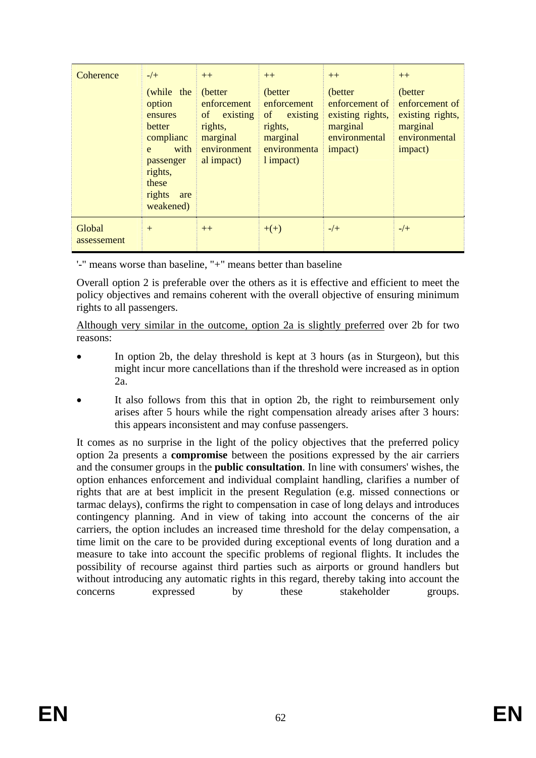| Coherence             | $-/-$<br>(while the<br>option<br>ensures<br>better<br>complianc<br>with<br>e <sub>1</sub><br>passenger<br>rights,<br>these<br>rights<br>are<br>weakened) | $++$<br>(better)<br>enforcement<br>of existing<br>rights,<br>marginal<br>environment<br>al impact) | $++$<br>(better)<br>enforcement<br>of<br>existing<br>rights,<br>marginal<br>environmenta<br>1 impact) | $++$<br>(better)<br>enforcement of<br>existing rights,<br>marginal<br>environmental<br>impact) | $++$<br>(better<br>enforcement of<br>existing rights,<br>marginal<br>environmental<br>impact) |
|-----------------------|----------------------------------------------------------------------------------------------------------------------------------------------------------|----------------------------------------------------------------------------------------------------|-------------------------------------------------------------------------------------------------------|------------------------------------------------------------------------------------------------|-----------------------------------------------------------------------------------------------|
| Global<br>assessement | $+$                                                                                                                                                      | $++$                                                                                               | $+(+)$                                                                                                | $-/-$                                                                                          | $-/-$                                                                                         |

'-" means worse than baseline, "+" means better than baseline

Overall option 2 is preferable over the others as it is effective and efficient to meet the policy objectives and remains coherent with the overall objective of ensuring minimum rights to all passengers.

Although very similar in the outcome, option 2a is slightly preferred over 2b for two reasons:

- In option 2b, the delay threshold is kept at 3 hours (as in Sturgeon), but this might incur more cancellations than if the threshold were increased as in option  $2a$
- It also follows from this that in option 2b, the right to reimbursement only arises after 5 hours while the right compensation already arises after 3 hours: this appears inconsistent and may confuse passengers.

It comes as no surprise in the light of the policy objectives that the preferred policy option 2a presents a **compromise** between the positions expressed by the air carriers and the consumer groups in the **public consultation**. In line with consumers' wishes, the option enhances enforcement and individual complaint handling, clarifies a number of rights that are at best implicit in the present Regulation (e.g. missed connections or tarmac delays), confirms the right to compensation in case of long delays and introduces contingency planning. And in view of taking into account the concerns of the air carriers, the option includes an increased time threshold for the delay compensation, a time limit on the care to be provided during exceptional events of long duration and a measure to take into account the specific problems of regional flights. It includes the possibility of recourse against third parties such as airports or ground handlers but without introducing any automatic rights in this regard, thereby taking into account the concerns expressed by these stakeholder groups.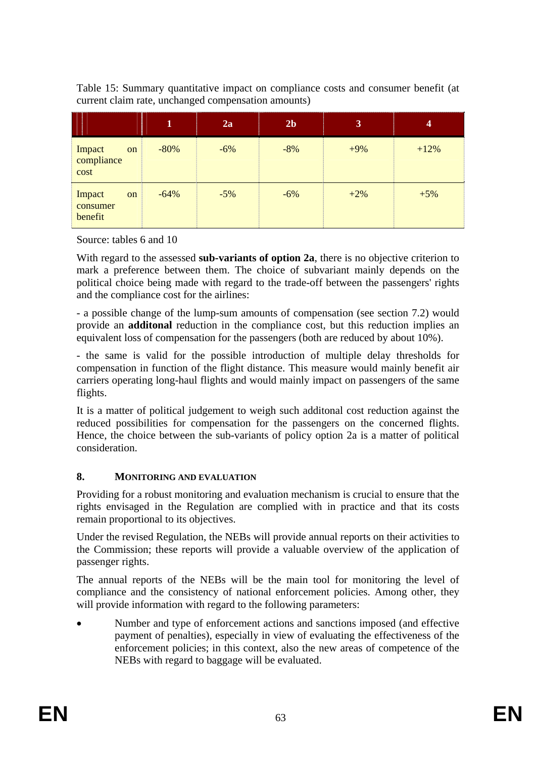Table 15: Summary quantitative impact on compliance costs and consumer benefit (at current claim rate, unchanged compensation amounts)

|                               |    | $\mathbf{1}$ | 2a    | 2 <sub>b</sub> | $\overline{\mathbf{3}}$ | 4      |
|-------------------------------|----|--------------|-------|----------------|-------------------------|--------|
| Impact<br>compliance<br>cost  | on | $-80%$       | $-6%$ | $-8%$          | $+9%$                   | $+12%$ |
| Impact<br>consumer<br>benefit | on | $-64%$       | $-5%$ | $-6%$          | $+2%$                   | $+5%$  |

Source: tables 6 and 10

With regard to the assessed **sub-variants of option 2a**, there is no objective criterion to mark a preference between them. The choice of subvariant mainly depends on the political choice being made with regard to the trade-off between the passengers' rights and the compliance cost for the airlines:

- a possible change of the lump-sum amounts of compensation (see section 7.2) would provide an **additonal** reduction in the compliance cost, but this reduction implies an equivalent loss of compensation for the passengers (both are reduced by about 10%).

- the same is valid for the possible introduction of multiple delay thresholds for compensation in function of the flight distance. This measure would mainly benefit air carriers operating long-haul flights and would mainly impact on passengers of the same flights.

It is a matter of political judgement to weigh such additonal cost reduction against the reduced possibilities for compensation for the passengers on the concerned flights. Hence, the choice between the sub-variants of policy option 2a is a matter of political consideration.

# **8. MONITORING AND EVALUATION**

Providing for a robust monitoring and evaluation mechanism is crucial to ensure that the rights envisaged in the Regulation are complied with in practice and that its costs remain proportional to its objectives.

Under the revised Regulation, the NEBs will provide annual reports on their activities to the Commission; these reports will provide a valuable overview of the application of passenger rights.

The annual reports of the NEBs will be the main tool for monitoring the level of compliance and the consistency of national enforcement policies. Among other, they will provide information with regard to the following parameters:

• Number and type of enforcement actions and sanctions imposed (and effective payment of penalties), especially in view of evaluating the effectiveness of the enforcement policies; in this context, also the new areas of competence of the NEBs with regard to baggage will be evaluated.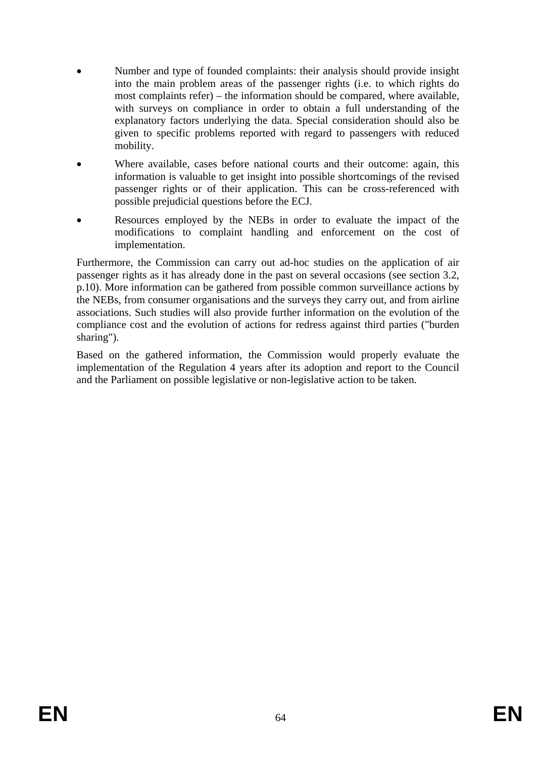- Number and type of founded complaints: their analysis should provide insight into the main problem areas of the passenger rights (i.e. to which rights do most complaints refer) – the information should be compared, where available, with surveys on compliance in order to obtain a full understanding of the explanatory factors underlying the data. Special consideration should also be given to specific problems reported with regard to passengers with reduced mobility.
- Where available, cases before national courts and their outcome: again, this information is valuable to get insight into possible shortcomings of the revised passenger rights or of their application. This can be cross-referenced with possible prejudicial questions before the ECJ.
- Resources employed by the NEBs in order to evaluate the impact of the modifications to complaint handling and enforcement on the cost of implementation.

Furthermore, the Commission can carry out ad-hoc studies on the application of air passenger rights as it has already done in the past on several occasions (see section 3.2, p.10). More information can be gathered from possible common surveillance actions by the NEBs, from consumer organisations and the surveys they carry out, and from airline associations. Such studies will also provide further information on the evolution of the compliance cost and the evolution of actions for redress against third parties ("burden sharing").

Based on the gathered information, the Commission would properly evaluate the implementation of the Regulation 4 years after its adoption and report to the Council and the Parliament on possible legislative or non-legislative action to be taken.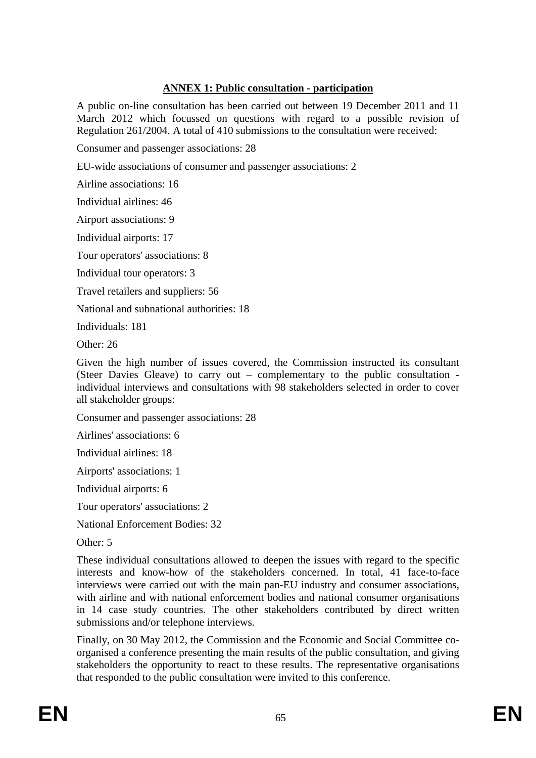# **ANNEX 1: Public consultation - participation**

A public on-line consultation has been carried out between 19 December 2011 and 11 March 2012 which focussed on questions with regard to a possible revision of Regulation 261/2004. A total of 410 submissions to the consultation were received:

Consumer and passenger associations: 28

EU-wide associations of consumer and passenger associations: 2

Airline associations: 16

Individual airlines: 46

Airport associations: 9

Individual airports: 17

Tour operators' associations: 8

Individual tour operators: 3

Travel retailers and suppliers: 56

National and subnational authorities: 18

Individuals: 181

Other: 26

Given the high number of issues covered, the Commission instructed its consultant (Steer Davies Gleave) to carry out – complementary to the public consultation individual interviews and consultations with 98 stakeholders selected in order to cover all stakeholder groups:

Consumer and passenger associations: 28

Airlines' associations: 6

Individual airlines: 18

Airports' associations: 1

Individual airports: 6

Tour operators' associations: 2

National Enforcement Bodies: 32

Other: 5

These individual consultations allowed to deepen the issues with regard to the specific interests and know-how of the stakeholders concerned. In total, 41 face-to-face interviews were carried out with the main pan-EU industry and consumer associations, with airline and with national enforcement bodies and national consumer organisations in 14 case study countries. The other stakeholders contributed by direct written submissions and/or telephone interviews.

Finally, on 30 May 2012, the Commission and the Economic and Social Committee coorganised a conference presenting the main results of the public consultation, and giving stakeholders the opportunity to react to these results. The representative organisations that responded to the public consultation were invited to this conference.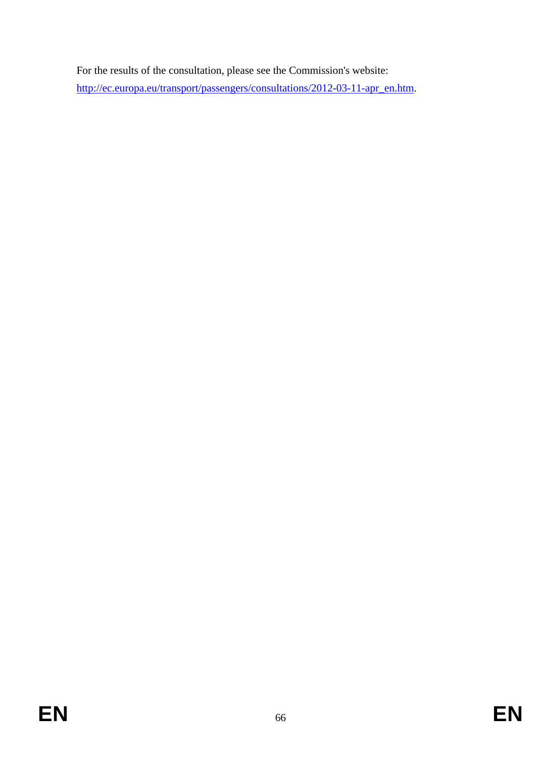For the results of the consultation, please see the Commission's website: [http://ec.europa.eu/transport/passengers/consultations/2012-03-11-apr\\_en.htm.](http://ec.europa.eu/transport/passengers/consultations/2012-03-11-apr_en.htm)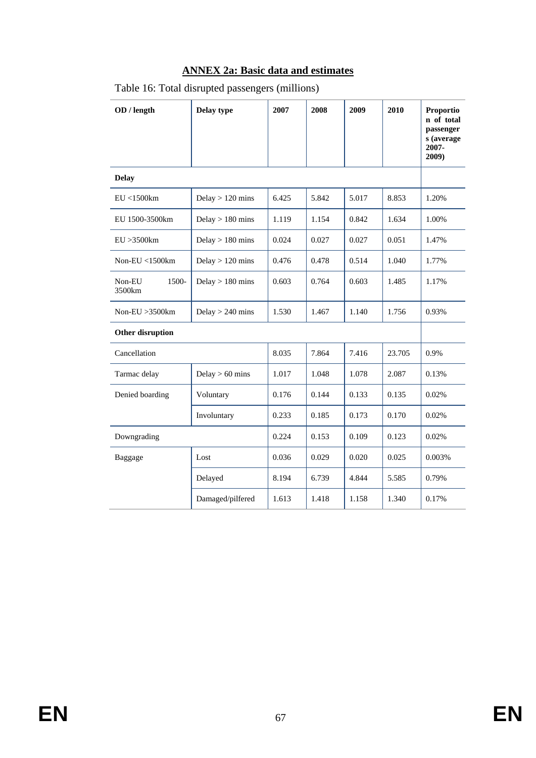# **ANNEX 2a: Basic data and estimates**

| OD / length                  | Delay type         | 2007  | 2008  | 2009  | 2010   | Proportio<br>n of total<br>passenger<br>s (average<br>2007-<br>2009) |
|------------------------------|--------------------|-------|-------|-------|--------|----------------------------------------------------------------------|
| <b>Delay</b>                 |                    |       |       |       |        |                                                                      |
| EU < 1500km                  | Delay $> 120$ mins | 6.425 | 5.842 | 5.017 | 8.853  | 1.20%                                                                |
| EU 1500-3500km               | Delay $> 180$ mins | 1.119 | 1.154 | 0.842 | 1.634  | 1.00%                                                                |
| EU > 3500km                  | Delay $> 180$ mins | 0.024 | 0.027 | 0.027 | 0.051  | 1.47%                                                                |
| Non-EU <1500km               | Delay $> 120$ mins | 0.476 | 0.478 | 0.514 | 1.040  | 1.77%                                                                |
| $1500 -$<br>Non-EU<br>3500km | Delay $> 180$ mins | 0.603 | 0.764 | 0.603 | 1.485  | 1.17%                                                                |
| Non-EU $>3500$ km            | Delay $> 240$ mins | 1.530 | 1.467 | 1.140 | 1.756  | 0.93%                                                                |
| Other disruption             |                    |       |       |       |        |                                                                      |
| Cancellation                 |                    | 8.035 | 7.864 | 7.416 | 23.705 | 0.9%                                                                 |
| Tarmac delay                 | Delay $> 60$ mins  | 1.017 | 1.048 | 1.078 | 2.087  | 0.13%                                                                |
| Denied boarding              | Voluntary          | 0.176 | 0.144 | 0.133 | 0.135  | 0.02%                                                                |
|                              | Involuntary        | 0.233 | 0.185 | 0.173 | 0.170  | 0.02%                                                                |
| Downgrading                  |                    | 0.224 | 0.153 | 0.109 | 0.123  | 0.02%                                                                |
| Baggage                      | Lost               | 0.036 | 0.029 | 0.020 | 0.025  | 0.003%                                                               |
|                              | Delayed            | 8.194 | 6.739 | 4.844 | 5.585  | 0.79%                                                                |
|                              | Damaged/pilfered   | 1.613 | 1.418 | 1.158 | 1.340  | 0.17%                                                                |

# Table 16: Total disrupted passengers (millions)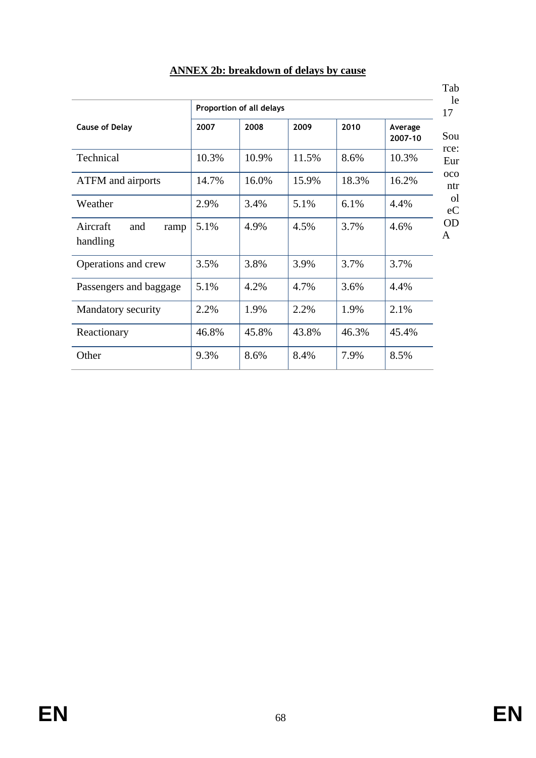|                                     | Proportion of all delays |       |       |       |                    |  |
|-------------------------------------|--------------------------|-------|-------|-------|--------------------|--|
| <b>Cause of Delay</b>               | 2007                     | 2008  | 2009  | 2010  | Average<br>2007-10 |  |
| Technical                           | 10.3%                    | 10.9% | 11.5% | 8.6%  | 10.3%              |  |
| ATFM and airports                   | 14.7%                    | 16.0% | 15.9% | 18.3% | 16.2%              |  |
| Weather                             | 2.9%                     | 3.4%  | 5.1%  | 6.1%  | 4.4%               |  |
| Aircraft<br>and<br>ramp<br>handling | 5.1%                     | 4.9%  | 4.5%  | 3.7%  | 4.6%               |  |
| Operations and crew                 | 3.5%                     | 3.8%  | 3.9%  | 3.7%  | 3.7%               |  |
| Passengers and baggage              | 5.1%                     | 4.2%  | 4.7%  | 3.6%  | 4.4%               |  |
| Mandatory security                  | 2.2%                     | 1.9%  | 2.2%  | 1.9%  | 2.1%               |  |
| Reactionary                         | 46.8%                    | 45.8% | 43.8% | 46.3% | 45.4%              |  |
| Other                               | 9.3%                     | 8.6%  | 8.4%  | 7.9%  | 8.5%               |  |

# **ANNEX 2b: breakdown of delays by cause**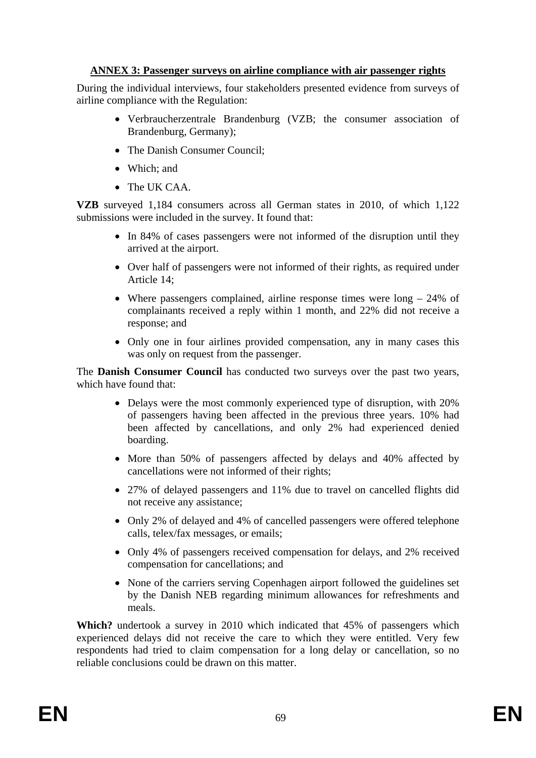# **ANNEX 3: Passenger surveys on airline compliance with air passenger rights**

During the individual interviews, four stakeholders presented evidence from surveys of airline compliance with the Regulation:

- Verbraucherzentrale Brandenburg (VZB; the consumer association of Brandenburg, Germany);
- The Danish Consumer Council;
- Which: and
- The UK CAA.

**VZB** surveyed 1,184 consumers across all German states in 2010, of which 1,122 submissions were included in the survey. It found that:

- In 84% of cases passengers were not informed of the disruption until they arrived at the airport.
- Over half of passengers were not informed of their rights, as required under Article 14;
- Where passengers complained, airline response times were long 24% of complainants received a reply within 1 month, and 22% did not receive a response; and
- Only one in four airlines provided compensation, any in many cases this was only on request from the passenger.

The **Danish Consumer Council** has conducted two surveys over the past two years, which have found that:

- Delays were the most commonly experienced type of disruption, with 20% of passengers having been affected in the previous three years. 10% had been affected by cancellations, and only 2% had experienced denied boarding.
- More than 50% of passengers affected by delays and 40% affected by cancellations were not informed of their rights;
- 27% of delayed passengers and 11% due to travel on cancelled flights did not receive any assistance;
- Only 2% of delayed and 4% of cancelled passengers were offered telephone calls, telex/fax messages, or emails;
- Only 4% of passengers received compensation for delays, and 2% received compensation for cancellations; and
- None of the carriers serving Copenhagen airport followed the guidelines set by the Danish NEB regarding minimum allowances for refreshments and meals.

**Which?** undertook a survey in 2010 which indicated that 45% of passengers which experienced delays did not receive the care to which they were entitled. Very few respondents had tried to claim compensation for a long delay or cancellation, so no reliable conclusions could be drawn on this matter.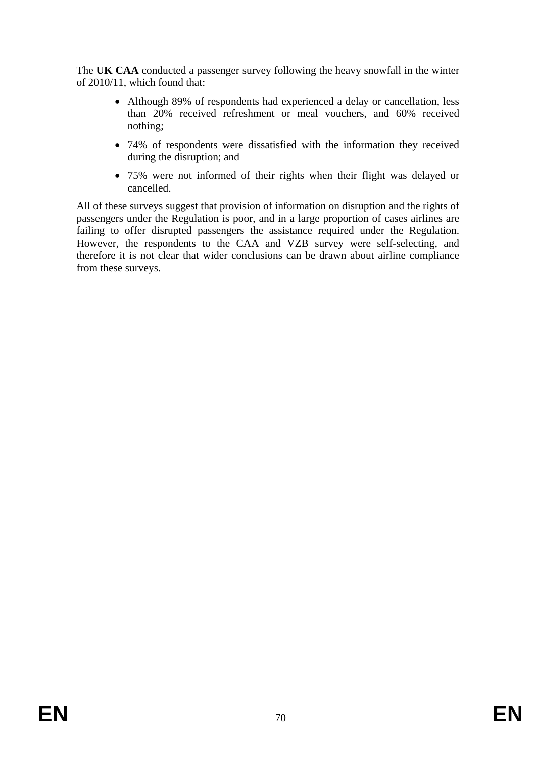The **UK CAA** conducted a passenger survey following the heavy snowfall in the winter of 2010/11, which found that:

- Although 89% of respondents had experienced a delay or cancellation, less than 20% received refreshment or meal vouchers, and 60% received nothing;
- 74% of respondents were dissatisfied with the information they received during the disruption; and
- 75% were not informed of their rights when their flight was delayed or cancelled.

All of these surveys suggest that provision of information on disruption and the rights of passengers under the Regulation is poor, and in a large proportion of cases airlines are failing to offer disrupted passengers the assistance required under the Regulation. However, the respondents to the CAA and VZB survey were self-selecting, and therefore it is not clear that wider conclusions can be drawn about airline compliance from these surveys.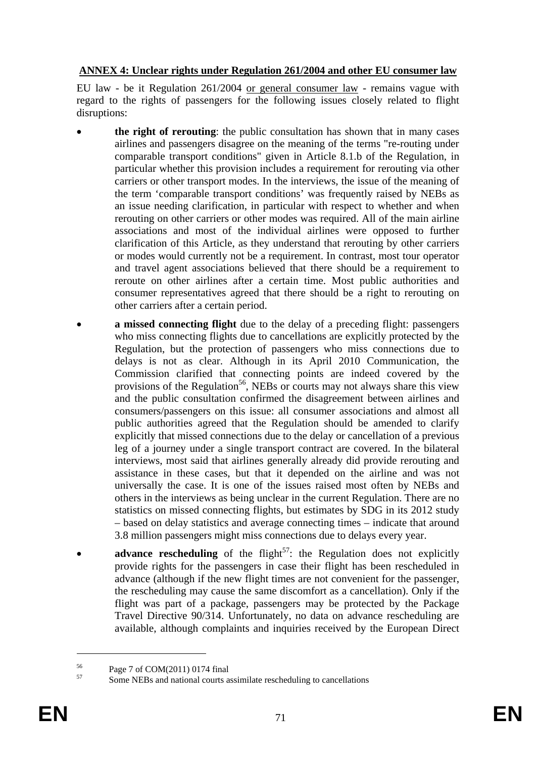# **ANNEX 4: Unclear rights under Regulation 261/2004 and other EU consumer law**

EU law - be it Regulation 261/2004 or general consumer law - remains vague with regard to the rights of passengers for the following issues closely related to flight disruptions:

- **the right of rerouting**: the public consultation has shown that in many cases airlines and passengers disagree on the meaning of the terms "re-routing under comparable transport conditions" given in Article 8.1.b of the Regulation, in particular whether this provision includes a requirement for rerouting via other carriers or other transport modes. In the interviews, the issue of the meaning of the term 'comparable transport conditions' was frequently raised by NEBs as an issue needing clarification, in particular with respect to whether and when rerouting on other carriers or other modes was required. All of the main airline associations and most of the individual airlines were opposed to further clarification of this Article, as they understand that rerouting by other carriers or modes would currently not be a requirement. In contrast, most tour operator and travel agent associations believed that there should be a requirement to reroute on other airlines after a certain time. Most public authorities and consumer representatives agreed that there should be a right to rerouting on other carriers after a certain period.
- **a missed connecting flight** due to the delay of a preceding flight: passengers who miss connecting flights due to cancellations are explicitly protected by the Regulation, but the protection of passengers who miss connections due to delays is not as clear. Although in its April 2010 Communication, the Commission clarified that connecting points are indeed covered by the provisions of the Regulation<sup>56</sup>, NEBs or courts may not always share this view and the public consultation confirmed the disagreement between airlines and consumers/passengers on this issue: all consumer associations and almost all public authorities agreed that the Regulation should be amended to clarify explicitly that missed connections due to the delay or cancellation of a previous leg of a journey under a single transport contract are covered. In the bilateral interviews, most said that airlines generally already did provide rerouting and assistance in these cases, but that it depended on the airline and was not universally the case. It is one of the issues raised most often by NEBs and others in the interviews as being unclear in the current Regulation. There are no statistics on missed connecting flights, but estimates by SDG in its 2012 study – based on delay statistics and average connecting times – indicate that around 3.8 million passengers might miss connections due to delays every year.
- **advance rescheduling** of the flight<sup>57</sup>: the Regulation does not explicitly provide rights for the passengers in case their flight has been rescheduled in advance (although if the new flight times are not convenient for the passenger, the rescheduling may cause the same discomfort as a cancellation). Only if the flight was part of a package, passengers may be protected by the Package Travel Directive 90/314. Unfortunately, no data on advance rescheduling are available, although complaints and inquiries received by the European Direct

<u>.</u>

 $^{56}$  Page 7 of COM(2011) 0174 final<br> $^{57}$  Same NEPs and national sources

Some NEBs and national courts assimilate rescheduling to cancellations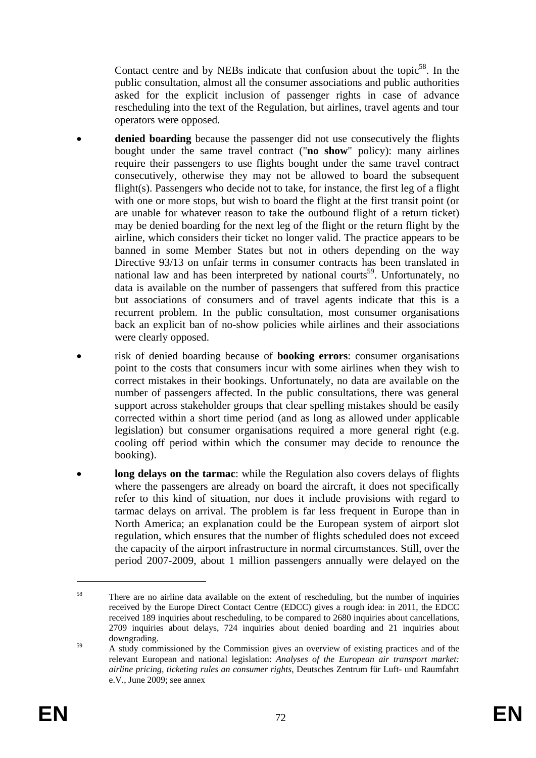Contact centre and by NEBs indicate that confusion about the topic<sup>58</sup>. In the public consultation, almost all the consumer associations and public authorities asked for the explicit inclusion of passenger rights in case of advance rescheduling into the text of the Regulation, but airlines, travel agents and tour operators were opposed.

- **denied boarding** because the passenger did not use consecutively the flights bought under the same travel contract ("**no show**" policy): many airlines require their passengers to use flights bought under the same travel contract consecutively, otherwise they may not be allowed to board the subsequent flight(s). Passengers who decide not to take, for instance, the first leg of a flight with one or more stops, but wish to board the flight at the first transit point (or are unable for whatever reason to take the outbound flight of a return ticket) may be denied boarding for the next leg of the flight or the return flight by the airline, which considers their ticket no longer valid. The practice appears to be banned in some Member States but not in others depending on the way Directive 93/13 on unfair terms in consumer contracts has been translated in national law and has been interpreted by national courts<sup>59</sup>. Unfortunately, no data is available on the number of passengers that suffered from this practice but associations of consumers and of travel agents indicate that this is a recurrent problem. In the public consultation, most consumer organisations back an explicit ban of no-show policies while airlines and their associations were clearly opposed.
- risk of denied boarding because of **booking errors**: consumer organisations point to the costs that consumers incur with some airlines when they wish to correct mistakes in their bookings. Unfortunately, no data are available on the number of passengers affected. In the public consultations, there was general support across stakeholder groups that clear spelling mistakes should be easily corrected within a short time period (and as long as allowed under applicable legislation) but consumer organisations required a more general right (e.g. cooling off period within which the consumer may decide to renounce the booking).
- **long delays on the tarmac**: while the Regulation also covers delays of flights where the passengers are already on board the aircraft, it does not specifically refer to this kind of situation, nor does it include provisions with regard to tarmac delays on arrival. The problem is far less frequent in Europe than in North America; an explanation could be the European system of airport slot regulation, which ensures that the number of flights scheduled does not exceed the capacity of the airport infrastructure in normal circumstances. Still, over the period 2007-2009, about 1 million passengers annually were delayed on the

<sup>58</sup> There are no airline data available on the extent of rescheduling, but the number of inquiries received by the Europe Direct Contact Centre (EDCC) gives a rough idea: in 2011, the EDCC received 189 inquiries about rescheduling, to be compared to 2680 inquiries about cancellations, 2709 inquiries about delays, 724 inquiries about denied boarding and 21 inquiries about downgrading.

<sup>&</sup>lt;sup>59</sup> A study commissioned by the Commission gives an overview of existing practices and of the relevant European and national legislation: *Analyses of the European air transport market: airline pricing, ticketing rules an consumer rights*, Deutsches Zentrum für Luft- und Raumfahrt e.V., June 2009; see annex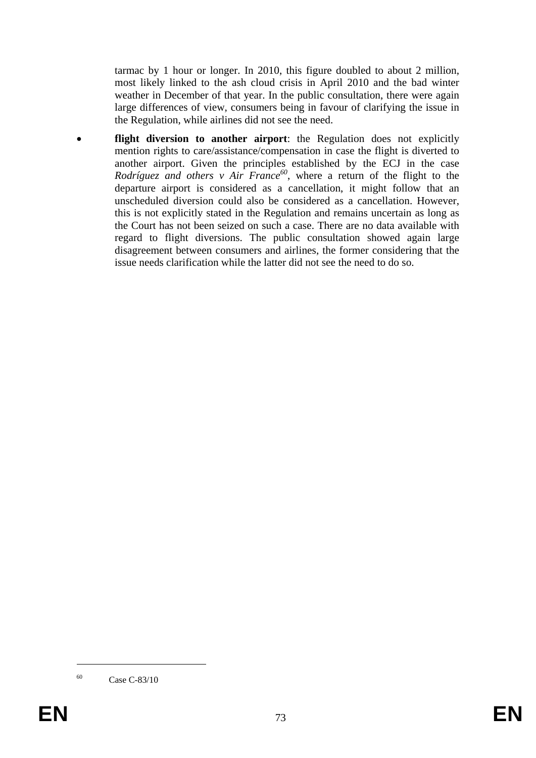tarmac by 1 hour or longer. In 2010, this figure doubled to about 2 million, most likely linked to the ash cloud crisis in April 2010 and the bad winter weather in December of that year. In the public consultation, there were again large differences of view, consumers being in favour of clarifying the issue in the Regulation, while airlines did not see the need.

flight diversion to another airport: the Regulation does not explicitly mention rights to care/assistance/compensation in case the flight is diverted to another airport. Given the principles established by the ECJ in the case *Rodríguez and others v Air France<sup>60</sup>*, where a return of the flight to the departure airport is considered as a cancellation, it might follow that an unscheduled diversion could also be considered as a cancellation. However, this is not explicitly stated in the Regulation and remains uncertain as long as the Court has not been seized on such a case. There are no data available with regard to flight diversions. The public consultation showed again large disagreement between consumers and airlines, the former considering that the issue needs clarification while the latter did not see the need to do so.

1

<sup>60</sup> Case C-83/10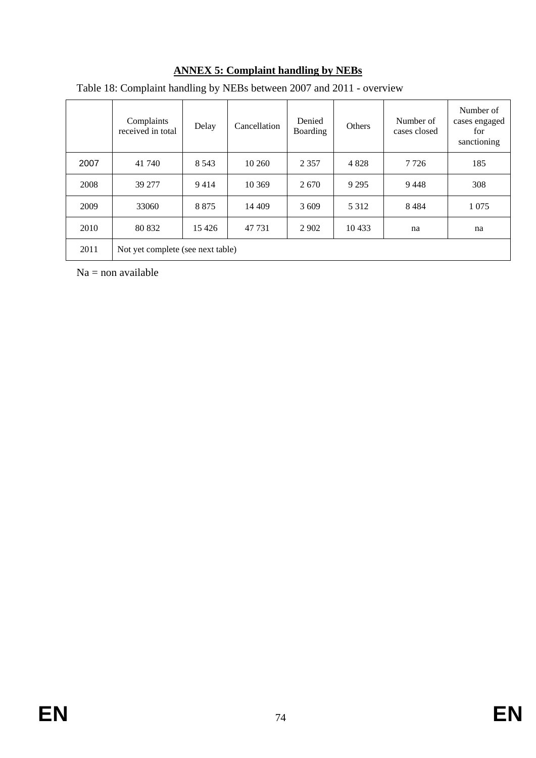|      | Complaints<br>received in total   | Delay   | Cancellation | Denied<br>Boarding | <b>Others</b> | Number of<br>cases closed | Number of<br>cases engaged<br>for<br>sanctioning |
|------|-----------------------------------|---------|--------------|--------------------|---------------|---------------------------|--------------------------------------------------|
| 2007 | 41 740                            | 8 5 4 3 | 10 260       | 2 3 5 7            | 4 8 2 8       | 7 7 2 6                   | 185                                              |
| 2008 | 39 277                            | 9414    | 10 369       | 2670               | 9 2 9 5       | 9448                      | 308                                              |
| 2009 | 33060                             | 8 8 7 5 | 14 409       | 3 6 0 9            | 5 3 1 2       | 8484                      | 1 0 7 5                                          |
| 2010 | 80 832                            | 15 4 26 | 47 731       | 2 9 0 2            | 10433         | na                        | na                                               |
| 2011 | Not yet complete (see next table) |         |              |                    |               |                           |                                                  |

# **ANNEX 5: Complaint handling by NEBs**

Table 18: Complaint handling by NEBs between 2007 and 2011 - overview

 $Na = non available$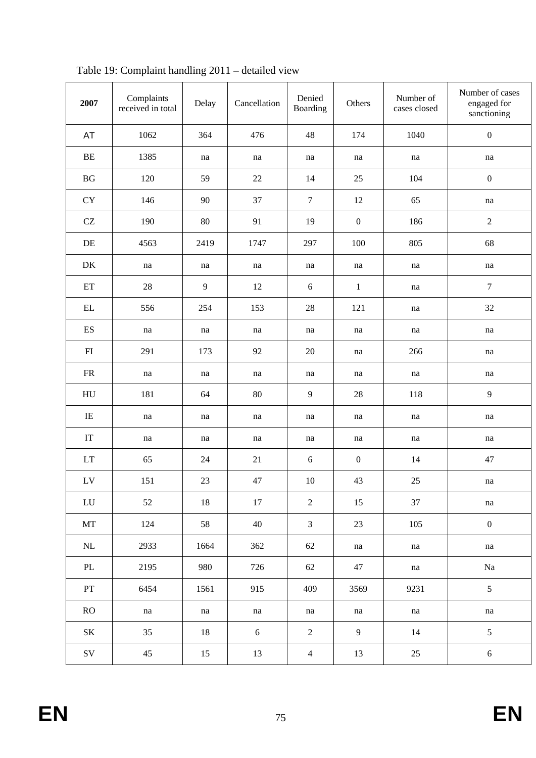| 2007                       | Complaints<br>received in total | Delay          | Cancellation | Denied<br>Boarding | Others           | Number of<br>cases closed | Number of cases<br>engaged for<br>sanctioning |
|----------------------------|---------------------------------|----------------|--------------|--------------------|------------------|---------------------------|-----------------------------------------------|
| AT                         | 1062                            | 364            | 476          | 48                 | 174              | 1040                      | $\boldsymbol{0}$                              |
| $\rm BE$                   | 1385                            | na             | na           | na                 | na               | na                        | na                                            |
| $\operatorname{B} G$       | 120                             | 59             | 22           | 14                 | 25               | 104                       | $\boldsymbol{0}$                              |
| ${\rm CY}$                 | 146                             | 90             | 37           | $\boldsymbol{7}$   | 12               | 65                        | na                                            |
| $\operatorname{CZ}$        | 190                             | $80\,$         | 91           | 19                 | $\boldsymbol{0}$ | 186                       | $\overline{2}$                                |
| $\rm DE$                   | 4563                            | 2419           | 1747         | 297                | 100              | 805                       | 68                                            |
| DK                         | na                              | na             | na           | na                 | na               | na                        | $\operatorname{na}$                           |
| $\mathop{\rm ET}\nolimits$ | $28\,$                          | $\overline{9}$ | 12           | $6\,$              | $\mathbf{1}$     | na                        | $\tau$                                        |
| $\mathop{\rm EL}$          | 556                             | 254            | 153          | 28                 | 121              | na                        | 32                                            |
| $\mathop{\hbox{\rm ES}}$   | na                              | na             | na           | na                 | na               | na                        | na                                            |
| FI                         | 291                             | 173            | 92           | 20                 | na               | 266                       | na                                            |
| ${\sf FR}$                 | na                              | na             | na           | na                 | na               | na                        | na                                            |
| HU                         | 181                             | 64             | 80           | 9                  | 28               | 118                       | $\overline{9}$                                |
| $\rm IE$                   | na                              | na             | na           | na                 | na               | na                        | na                                            |
| $\ensuremath{\mathsf{IT}}$ | na                              | na             | na           | na                 | na               | na                        | na                                            |
| LT                         | 65                              | 24             | 21           | $6\,$              | $\boldsymbol{0}$ | 14                        | 47                                            |
| ${\rm LV}$                 | 151                             | 23             | 47           | 10                 | 43               | 25                        | na                                            |
| ${\rm LU}$                 | 52                              | 18             | 17           | $\overline{2}$     | 15               | 37                        | na                                            |
| MT                         | 124                             | 58             | 40           | $\mathfrak{Z}$     | 23               | 105                       | $\boldsymbol{0}$                              |
| $\rm NL$                   | 2933                            | 1664           | 362          | 62                 | na               | na                        | na                                            |
| PL                         | 2195                            | 980            | 726          | 62                 | 47               | na                        | Na                                            |
| PT                         | 6454                            | 1561           | 915          | 409                | 3569             | 9231                      | 5                                             |
| RO                         | na                              | na             | na           | na                 | na               | na                        | na                                            |
| $\rm SK$                   | 35                              | 18             | 6            | $\sqrt{2}$         | 9                | 14                        | 5                                             |
| $\mathrm{SV}$              | 45                              | 15             | 13           | $\overline{4}$     | 13               | 25                        | $\sqrt{6}$                                    |

Table 19: Complaint handling 2011 – detailed view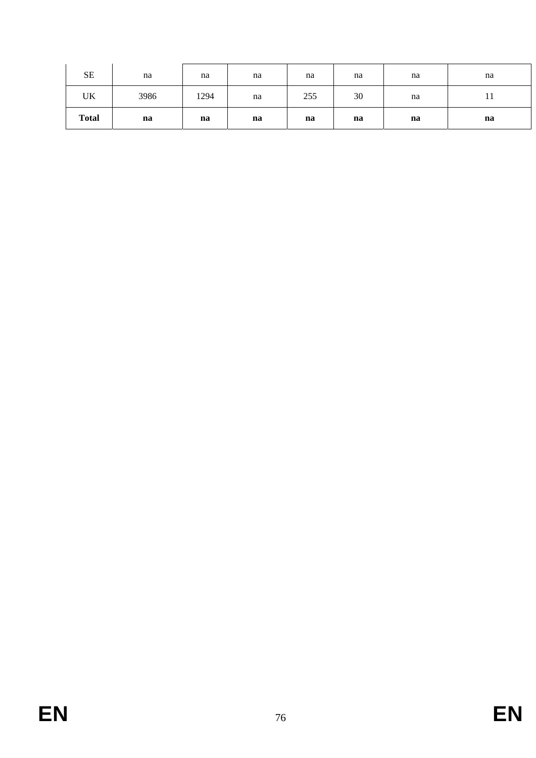| <b>SE</b>    | na   | na   | na | na  | na | na | na |
|--------------|------|------|----|-----|----|----|----|
| UK           | 3986 | 1294 | na | 255 | 30 | na | 11 |
| <b>Total</b> | na   | na   | na | na  | na | na | na |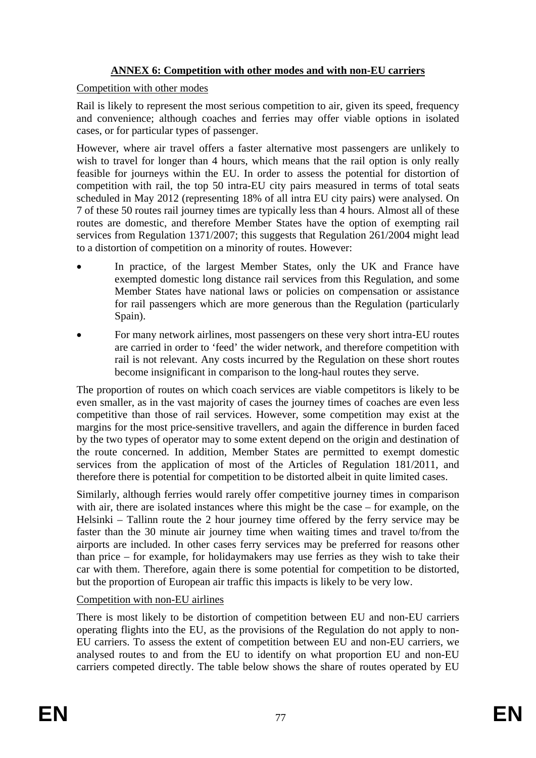# **ANNEX 6: Competition with other modes and with non-EU carriers**

# Competition with other modes

Rail is likely to represent the most serious competition to air, given its speed, frequency and convenience; although coaches and ferries may offer viable options in isolated cases, or for particular types of passenger.

However, where air travel offers a faster alternative most passengers are unlikely to wish to travel for longer than 4 hours, which means that the rail option is only really feasible for journeys within the EU. In order to assess the potential for distortion of competition with rail, the top 50 intra-EU city pairs measured in terms of total seats scheduled in May 2012 (representing 18% of all intra EU city pairs) were analysed. On 7 of these 50 routes rail journey times are typically less than 4 hours. Almost all of these routes are domestic, and therefore Member States have the option of exempting rail services from Regulation 1371/2007; this suggests that Regulation 261/2004 might lead to a distortion of competition on a minority of routes. However:

- In practice, of the largest Member States, only the UK and France have exempted domestic long distance rail services from this Regulation, and some Member States have national laws or policies on compensation or assistance for rail passengers which are more generous than the Regulation (particularly Spain).
- For many network airlines, most passengers on these very short intra-EU routes are carried in order to 'feed' the wider network, and therefore competition with rail is not relevant. Any costs incurred by the Regulation on these short routes become insignificant in comparison to the long-haul routes they serve.

The proportion of routes on which coach services are viable competitors is likely to be even smaller, as in the vast majority of cases the journey times of coaches are even less competitive than those of rail services. However, some competition may exist at the margins for the most price-sensitive travellers, and again the difference in burden faced by the two types of operator may to some extent depend on the origin and destination of the route concerned. In addition, Member States are permitted to exempt domestic services from the application of most of the Articles of Regulation 181/2011, and therefore there is potential for competition to be distorted albeit in quite limited cases.

Similarly, although ferries would rarely offer competitive journey times in comparison with air, there are isolated instances where this might be the case – for example, on the Helsinki – Tallinn route the 2 hour journey time offered by the ferry service may be faster than the 30 minute air journey time when waiting times and travel to/from the airports are included. In other cases ferry services may be preferred for reasons other than price – for example, for holidaymakers may use ferries as they wish to take their car with them. Therefore, again there is some potential for competition to be distorted, but the proportion of European air traffic this impacts is likely to be very low.

# Competition with non-EU airlines

There is most likely to be distortion of competition between EU and non-EU carriers operating flights into the EU, as the provisions of the Regulation do not apply to non-EU carriers. To assess the extent of competition between EU and non-EU carriers, we analysed routes to and from the EU to identify on what proportion EU and non-EU carriers competed directly. The table below shows the share of routes operated by EU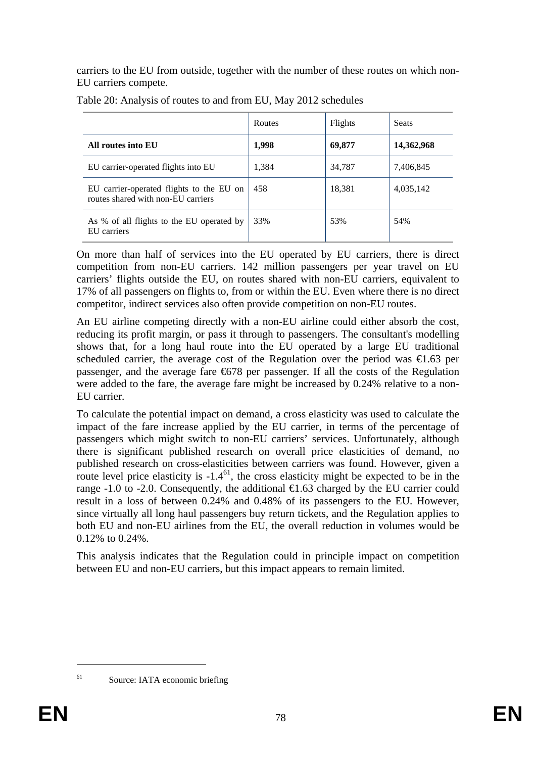carriers to the EU from outside, together with the number of these routes on which non-EU carriers compete.

|                                                                                | Routes | Flights | <b>Seats</b> |
|--------------------------------------------------------------------------------|--------|---------|--------------|
| All routes into EU                                                             | 1,998  | 69,877  | 14,362,968   |
| EU carrier-operated flights into EU                                            | 1,384  | 34,787  | 7,406,845    |
| EU carrier-operated flights to the EU on<br>routes shared with non-EU carriers | 458    | 18,381  | 4,035,142    |
| As % of all flights to the EU operated by<br>EU carriers                       | 33%    | 53%     | 54%          |

Table 20: Analysis of routes to and from EU, May 2012 schedules

On more than half of services into the EU operated by EU carriers, there is direct competition from non-EU carriers. 142 million passengers per year travel on EU carriers' flights outside the EU, on routes shared with non-EU carriers, equivalent to 17% of all passengers on flights to, from or within the EU. Even where there is no direct competitor, indirect services also often provide competition on non-EU routes.

An EU airline competing directly with a non-EU airline could either absorb the cost, reducing its profit margin, or pass it through to passengers. The consultant's modelling shows that, for a long haul route into the EU operated by a large EU traditional scheduled carrier, the average cost of the Regulation over the period was  $\epsilon 1.63$  per passenger, and the average fare  $6678$  per passenger. If all the costs of the Regulation were added to the fare, the average fare might be increased by 0.24% relative to a non-EU carrier.

To calculate the potential impact on demand, a cross elasticity was used to calculate the impact of the fare increase applied by the EU carrier, in terms of the percentage of passengers which might switch to non-EU carriers' services. Unfortunately, although there is significant published research on overall price elasticities of demand, no published research on cross-elasticities between carriers was found. However, given a route level price elasticity is  $-1.4^{61}$ , the cross elasticity might be expected to be in the range -1.0 to -2.0. Consequently, the additional  $\epsilon$ 1.63 charged by the EU carrier could result in a loss of between 0.24% and 0.48% of its passengers to the EU. However, since virtually all long haul passengers buy return tickets, and the Regulation applies to both EU and non-EU airlines from the EU, the overall reduction in volumes would be 0.12% to 0.24%.

This analysis indicates that the Regulation could in principle impact on competition between EU and non-EU carriers, but this impact appears to remain limited.

<sup>1</sup> 

<sup>&</sup>lt;sup>61</sup> Source: IATA economic briefing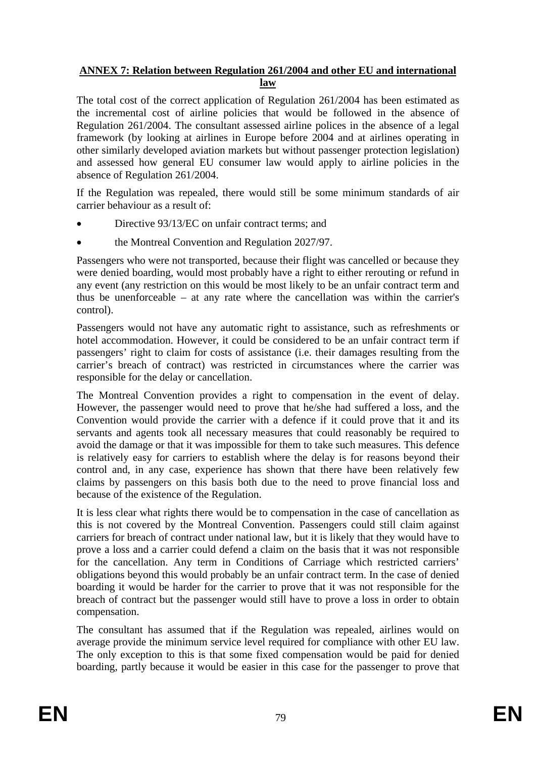# **ANNEX 7: Relation between Regulation 261/2004 and other EU and international law**

The total cost of the correct application of Regulation 261/2004 has been estimated as the incremental cost of airline policies that would be followed in the absence of Regulation 261/2004. The consultant assessed airline polices in the absence of a legal framework (by looking at airlines in Europe before 2004 and at airlines operating in other similarly developed aviation markets but without passenger protection legislation) and assessed how general EU consumer law would apply to airline policies in the absence of Regulation 261/2004.

If the Regulation was repealed, there would still be some minimum standards of air carrier behaviour as a result of:

- Directive 93/13/EC on unfair contract terms; and
- the Montreal Convention and Regulation 2027/97.

Passengers who were not transported, because their flight was cancelled or because they were denied boarding, would most probably have a right to either rerouting or refund in any event (any restriction on this would be most likely to be an unfair contract term and thus be unenforceable – at any rate where the cancellation was within the carrier's control).

Passengers would not have any automatic right to assistance, such as refreshments or hotel accommodation. However, it could be considered to be an unfair contract term if passengers' right to claim for costs of assistance (i.e. their damages resulting from the carrier's breach of contract) was restricted in circumstances where the carrier was responsible for the delay or cancellation.

The Montreal Convention provides a right to compensation in the event of delay. However, the passenger would need to prove that he/she had suffered a loss, and the Convention would provide the carrier with a defence if it could prove that it and its servants and agents took all necessary measures that could reasonably be required to avoid the damage or that it was impossible for them to take such measures. This defence is relatively easy for carriers to establish where the delay is for reasons beyond their control and, in any case, experience has shown that there have been relatively few claims by passengers on this basis both due to the need to prove financial loss and because of the existence of the Regulation.

It is less clear what rights there would be to compensation in the case of cancellation as this is not covered by the Montreal Convention. Passengers could still claim against carriers for breach of contract under national law, but it is likely that they would have to prove a loss and a carrier could defend a claim on the basis that it was not responsible for the cancellation. Any term in Conditions of Carriage which restricted carriers' obligations beyond this would probably be an unfair contract term. In the case of denied boarding it would be harder for the carrier to prove that it was not responsible for the breach of contract but the passenger would still have to prove a loss in order to obtain compensation.

The consultant has assumed that if the Regulation was repealed, airlines would on average provide the minimum service level required for compliance with other EU law. The only exception to this is that some fixed compensation would be paid for denied boarding, partly because it would be easier in this case for the passenger to prove that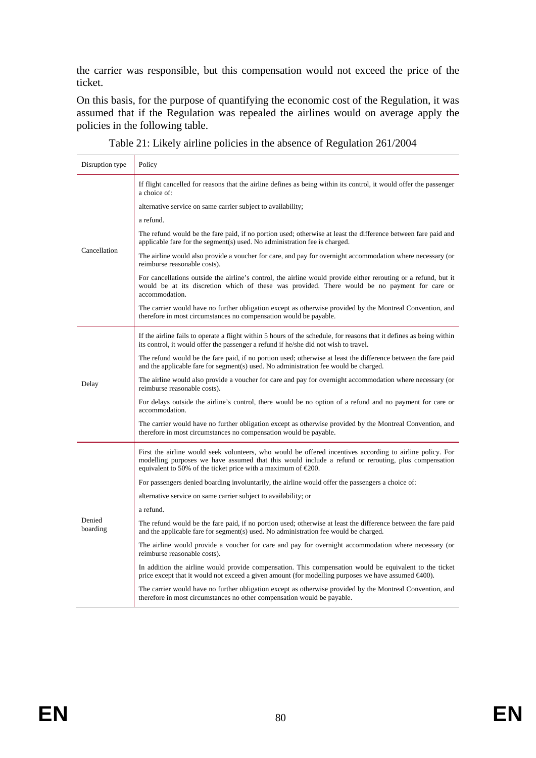the carrier was responsible, but this compensation would not exceed the price of the ticket.

On this basis, for the purpose of quantifying the economic cost of the Regulation, it was assumed that if the Regulation was repealed the airlines would on average apply the policies in the following table.

| Disruption type    | Policy                                                                                                                                                                                                                                                                                      |
|--------------------|---------------------------------------------------------------------------------------------------------------------------------------------------------------------------------------------------------------------------------------------------------------------------------------------|
|                    | If flight cancelled for reasons that the airline defines as being within its control, it would offer the passenger<br>a choice of:                                                                                                                                                          |
|                    | alternative service on same carrier subject to availability;                                                                                                                                                                                                                                |
|                    | a refund.                                                                                                                                                                                                                                                                                   |
|                    | The refund would be the fare paid, if no portion used; otherwise at least the difference between fare paid and<br>applicable fare for the segment(s) used. No administration fee is charged.                                                                                                |
| Cancellation       | The airline would also provide a voucher for care, and pay for overnight accommodation where necessary (or<br>reimburse reasonable costs).                                                                                                                                                  |
|                    | For cancellations outside the airline's control, the airline would provide either rerouting or a refund, but it<br>would be at its discretion which of these was provided. There would be no payment for care or<br>accommodation.                                                          |
|                    | The carrier would have no further obligation except as otherwise provided by the Montreal Convention, and<br>therefore in most circumstances no compensation would be payable.                                                                                                              |
|                    | If the airline fails to operate a flight within 5 hours of the schedule, for reasons that it defines as being within<br>its control, it would offer the passenger a refund if he/she did not wish to travel.                                                                                |
|                    | The refund would be the fare paid, if no portion used; otherwise at least the difference between the fare paid<br>and the applicable fare for segment(s) used. No administration fee would be charged.                                                                                      |
| Delay              | The airline would also provide a voucher for care and pay for overnight accommodation where necessary (or<br>reimburse reasonable costs).                                                                                                                                                   |
|                    | For delays outside the airline's control, there would be no option of a refund and no payment for care or<br>accommodation.                                                                                                                                                                 |
|                    | The carrier would have no further obligation except as otherwise provided by the Montreal Convention, and<br>therefore in most circumstances no compensation would be payable.                                                                                                              |
|                    | First the airline would seek volunteers, who would be offered incentives according to airline policy. For<br>modelling purposes we have assumed that this would include a refund or rerouting, plus compensation<br>equivalent to 50% of the ticket price with a maximum of $\epsilon$ 200. |
|                    | For passengers denied boarding involuntarily, the airline would offer the passengers a choice of:                                                                                                                                                                                           |
|                    | alternative service on same carrier subject to availability; or                                                                                                                                                                                                                             |
|                    | a refund.                                                                                                                                                                                                                                                                                   |
| Denied<br>boarding | The refund would be the fare paid, if no portion used; otherwise at least the difference between the fare paid<br>and the applicable fare for segment(s) used. No administration fee would be charged.                                                                                      |
|                    | The airline would provide a voucher for care and pay for overnight accommodation where necessary (or<br>reimburse reasonable costs).                                                                                                                                                        |
|                    | In addition the airline would provide compensation. This compensation would be equivalent to the ticket<br>price except that it would not exceed a given amount (for modelling purposes we have assumed $\epsilon 400$ ).                                                                   |
|                    | The carrier would have no further obligation except as otherwise provided by the Montreal Convention, and<br>therefore in most circumstances no other compensation would be payable.                                                                                                        |
|                    |                                                                                                                                                                                                                                                                                             |

Table 21: Likely airline policies in the absence of Regulation 261/2004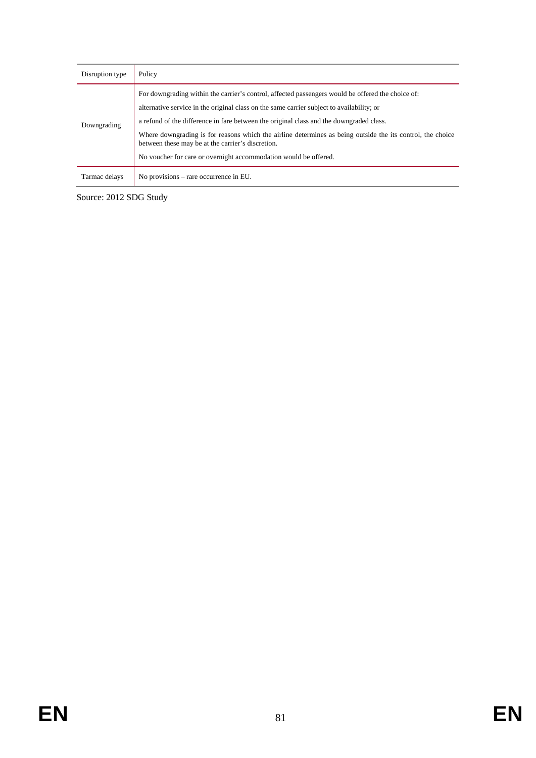| Disruption type | Policy                                                                                                                                                                                                                                                                                                                                                                                                                                                                                                                           |
|-----------------|----------------------------------------------------------------------------------------------------------------------------------------------------------------------------------------------------------------------------------------------------------------------------------------------------------------------------------------------------------------------------------------------------------------------------------------------------------------------------------------------------------------------------------|
| Downgrading     | For downgrading within the carrier's control, affected passengers would be offered the choice of:<br>alternative service in the original class on the same carrier subject to availability; or<br>a refund of the difference in fare between the original class and the downgraded class.<br>Where downgrading is for reasons which the airline determines as being outside the its control, the choice<br>between these may be at the carrier's discretion.<br>No voucher for care or overnight accommodation would be offered. |
| Tarmac delays   | No provisions – rare occurrence in EU.                                                                                                                                                                                                                                                                                                                                                                                                                                                                                           |

Source: 2012 SDG Study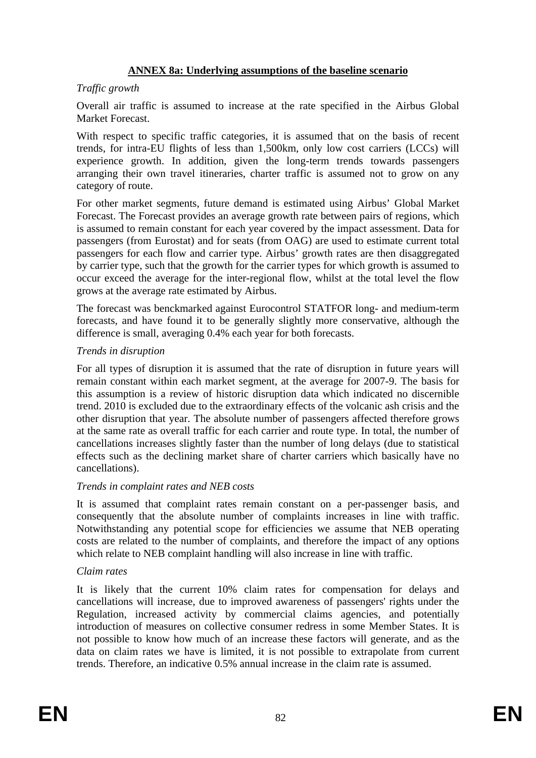# **ANNEX 8a: Underlying assumptions of the baseline scenario**

# *Traffic growth*

Overall air traffic is assumed to increase at the rate specified in the Airbus Global Market Forecast.

With respect to specific traffic categories, it is assumed that on the basis of recent trends, for intra-EU flights of less than 1,500km, only low cost carriers (LCCs) will experience growth. In addition, given the long-term trends towards passengers arranging their own travel itineraries, charter traffic is assumed not to grow on any category of route.

For other market segments, future demand is estimated using Airbus' Global Market Forecast. The Forecast provides an average growth rate between pairs of regions, which is assumed to remain constant for each year covered by the impact assessment. Data for passengers (from Eurostat) and for seats (from OAG) are used to estimate current total passengers for each flow and carrier type. Airbus' growth rates are then disaggregated by carrier type, such that the growth for the carrier types for which growth is assumed to occur exceed the average for the inter-regional flow, whilst at the total level the flow grows at the average rate estimated by Airbus.

The forecast was benckmarked against Eurocontrol STATFOR long- and medium-term forecasts, and have found it to be generally slightly more conservative, although the difference is small, averaging 0.4% each year for both forecasts.

#### *Trends in disruption*

For all types of disruption it is assumed that the rate of disruption in future years will remain constant within each market segment, at the average for 2007-9. The basis for this assumption is a review of historic disruption data which indicated no discernible trend. 2010 is excluded due to the extraordinary effects of the volcanic ash crisis and the other disruption that year. The absolute number of passengers affected therefore grows at the same rate as overall traffic for each carrier and route type. In total, the number of cancellations increases slightly faster than the number of long delays (due to statistical effects such as the declining market share of charter carriers which basically have no cancellations).

#### *Trends in complaint rates and NEB costs*

It is assumed that complaint rates remain constant on a per-passenger basis, and consequently that the absolute number of complaints increases in line with traffic. Notwithstanding any potential scope for efficiencies we assume that NEB operating costs are related to the number of complaints, and therefore the impact of any options which relate to NEB complaint handling will also increase in line with traffic.

# *Claim rates*

It is likely that the current 10% claim rates for compensation for delays and cancellations will increase, due to improved awareness of passengers' rights under the Regulation, increased activity by commercial claims agencies, and potentially introduction of measures on collective consumer redress in some Member States. It is not possible to know how much of an increase these factors will generate, and as the data on claim rates we have is limited, it is not possible to extrapolate from current trends. Therefore, an indicative 0.5% annual increase in the claim rate is assumed.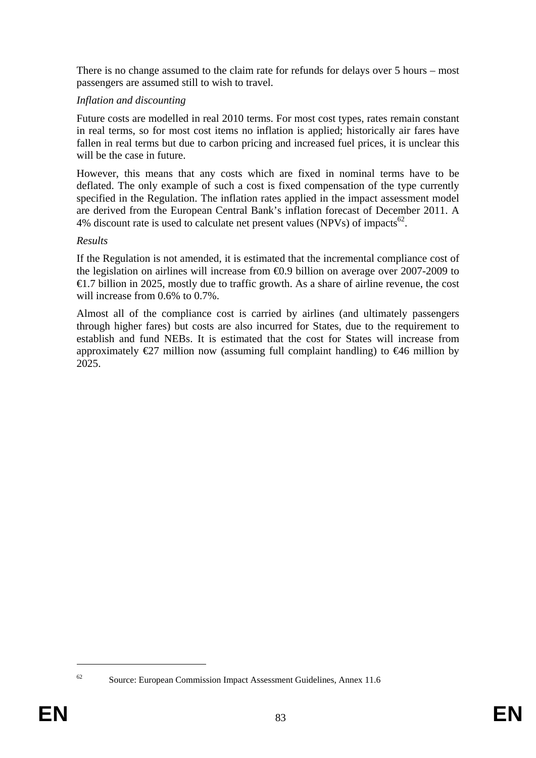There is no change assumed to the claim rate for refunds for delays over 5 hours – most passengers are assumed still to wish to travel.

# *Inflation and discounting*

Future costs are modelled in real 2010 terms. For most cost types, rates remain constant in real terms, so for most cost items no inflation is applied; historically air fares have fallen in real terms but due to carbon pricing and increased fuel prices, it is unclear this will be the case in future.

However, this means that any costs which are fixed in nominal terms have to be deflated. The only example of such a cost is fixed compensation of the type currently specified in the Regulation. The inflation rates applied in the impact assessment model are derived from the European Central Bank's inflation forecast of December 2011. A 4% discount rate is used to calculate net present values (NPVs) of impacts<sup>62</sup>.

#### *Results*

If the Regulation is not amended, it is estimated that the incremental compliance cost of the legislation on airlines will increase from €0.9 billion on average over 2007-2009 to  $\epsilon$ 1.7 billion in 2025, mostly due to traffic growth. As a share of airline revenue, the cost will increase from 0.6% to 0.7%.

Almost all of the compliance cost is carried by airlines (and ultimately passengers through higher fares) but costs are also incurred for States, due to the requirement to establish and fund NEBs. It is estimated that the cost for States will increase from approximately  $\epsilon$ 27 million now (assuming full complaint handling) to  $\epsilon$ 46 million by 2025.

<sup>1</sup> 

<sup>62</sup> Source: European Commission Impact Assessment Guidelines, Annex 11.6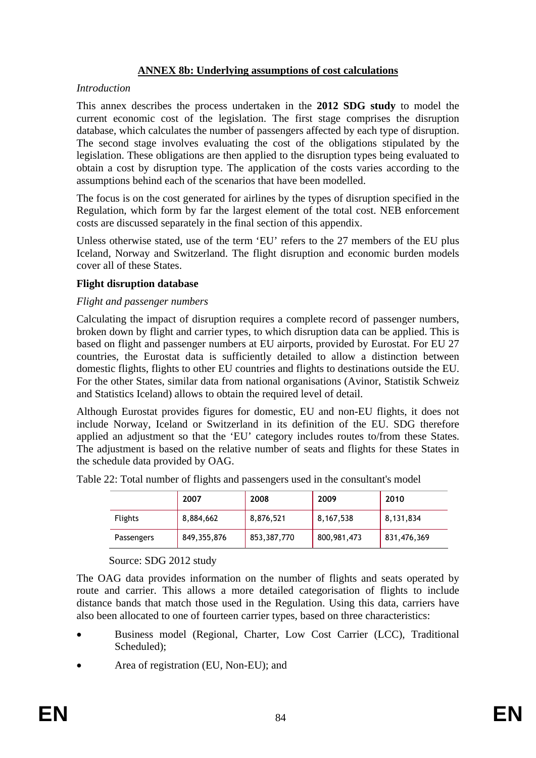# **ANNEX 8b: Underlying assumptions of cost calculations**

#### *Introduction*

This annex describes the process undertaken in the **2012 SDG study** to model the current economic cost of the legislation. The first stage comprises the disruption database, which calculates the number of passengers affected by each type of disruption. The second stage involves evaluating the cost of the obligations stipulated by the legislation. These obligations are then applied to the disruption types being evaluated to obtain a cost by disruption type. The application of the costs varies according to the assumptions behind each of the scenarios that have been modelled.

The focus is on the cost generated for airlines by the types of disruption specified in the Regulation, which form by far the largest element of the total cost. NEB enforcement costs are discussed separately in the final section of this appendix.

Unless otherwise stated, use of the term 'EU' refers to the 27 members of the EU plus Iceland, Norway and Switzerland. The flight disruption and economic burden models cover all of these States.

#### **Flight disruption database**

#### *Flight and passenger numbers*

Calculating the impact of disruption requires a complete record of passenger numbers, broken down by flight and carrier types, to which disruption data can be applied. This is based on flight and passenger numbers at EU airports, provided by Eurostat. For EU 27 countries, the Eurostat data is sufficiently detailed to allow a distinction between domestic flights, flights to other EU countries and flights to destinations outside the EU. For the other States, similar data from national organisations (Avinor, Statistik Schweiz and Statistics Iceland) allows to obtain the required level of detail.

Although Eurostat provides figures for domestic, EU and non-EU flights, it does not include Norway, Iceland or Switzerland in its definition of the EU. SDG therefore applied an adjustment so that the 'EU' category includes routes to/from these States. The adjustment is based on the relative number of seats and flights for these States in the schedule data provided by OAG.

|                | 2007          | 2008        | 2009        | 2010        |
|----------------|---------------|-------------|-------------|-------------|
| <b>Flights</b> | 8,884,662     | 8,876,521   | 8,167,538   | 8,131,834   |
| Passengers     | 849, 355, 876 | 853,387,770 | 800,981,473 | 831,476,369 |

Table 22: Total number of flights and passengers used in the consultant's model

Source: SDG 2012 study

The OAG data provides information on the number of flights and seats operated by route and carrier. This allows a more detailed categorisation of flights to include distance bands that match those used in the Regulation. Using this data, carriers have also been allocated to one of fourteen carrier types, based on three characteristics:

- Business model (Regional, Charter, Low Cost Carrier (LCC), Traditional Scheduled);
- Area of registration (EU, Non-EU); and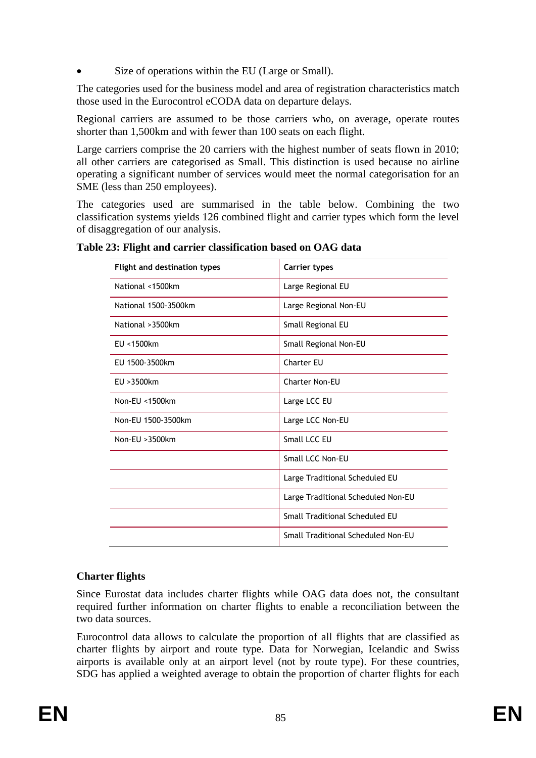Size of operations within the EU (Large or Small).

The categories used for the business model and area of registration characteristics match those used in the Eurocontrol eCODA data on departure delays.

Regional carriers are assumed to be those carriers who, on average, operate routes shorter than 1,500km and with fewer than 100 seats on each flight.

Large carriers comprise the 20 carriers with the highest number of seats flown in 2010; all other carriers are categorised as Small. This distinction is used because no airline operating a significant number of services would meet the normal categorisation for an SME (less than 250 employees).

The categories used are summarised in the table below. Combining the two classification systems yields 126 combined flight and carrier types which form the level of disaggregation of our analysis.

| Table 23: Flight and carrier classification based on OAG data |  |  |  |
|---------------------------------------------------------------|--|--|--|
|---------------------------------------------------------------|--|--|--|

| <b>Flight and destination types</b> | <b>Carrier types</b>               |
|-------------------------------------|------------------------------------|
| National <1500km                    | Large Regional EU                  |
| National 1500-3500km                | Large Regional Non-EU              |
| National > 3500km                   | Small Regional EU                  |
| EU <1500km                          | Small Regional Non-EU              |
| EU 1500-3500km                      | <b>Charter EU</b>                  |
| EU > 3500km                         | Charter Non-EU                     |
| Non-EU <1500km                      | Large LCC EU                       |
| Non-EU 1500-3500km                  | Large LCC Non-EU                   |
| Non-EU > 3500km                     | Small LCC EU                       |
|                                     | Small LCC Non-EU                   |
|                                     | Large Traditional Scheduled EU     |
|                                     | Large Traditional Scheduled Non-EU |
|                                     | Small Traditional Scheduled EU     |
|                                     | Small Traditional Scheduled Non-EU |

# **Charter flights**

Since Eurostat data includes charter flights while OAG data does not, the consultant required further information on charter flights to enable a reconciliation between the two data sources.

Eurocontrol data allows to calculate the proportion of all flights that are classified as charter flights by airport and route type. Data for Norwegian, Icelandic and Swiss airports is available only at an airport level (not by route type). For these countries, SDG has applied a weighted average to obtain the proportion of charter flights for each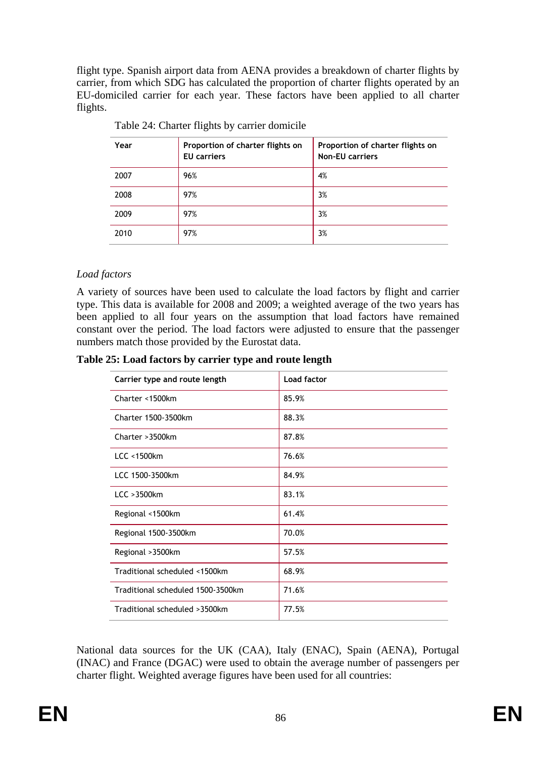flight type. Spanish airport data from AENA provides a breakdown of charter flights by carrier, from which SDG has calculated the proportion of charter flights operated by an EU-domiciled carrier for each year. These factors have been applied to all charter flights.

| Year | Proportion of charter flights on<br><b>EU</b> carriers | Proportion of charter flights on<br><b>Non-EU carriers</b> |
|------|--------------------------------------------------------|------------------------------------------------------------|
| 2007 | 96%                                                    | 4%                                                         |
| 2008 | 97%                                                    | 3%                                                         |
| 2009 | 97%                                                    | 3%                                                         |
| 2010 | 97%                                                    | 3%                                                         |

Table 24: Charter flights by carrier domicile

# *Load factors*

A variety of sources have been used to calculate the load factors by flight and carrier type. This data is available for 2008 and 2009; a weighted average of the two years has been applied to all four years on the assumption that load factors have remained constant over the period. The load factors were adjusted to ensure that the passenger numbers match those provided by the Eurostat data.

**Table 25: Load factors by carrier type and route length** 

| Carrier type and route length     | <b>Load factor</b> |
|-----------------------------------|--------------------|
| Charter <1500km                   | 85.9%              |
| Charter 1500-3500km               | 88.3%              |
| Charter > 3500km                  | 87.8%              |
| LCC < 1500km                      | 76.6%              |
| LCC 1500-3500km                   | 84.9%              |
| $LCC > 3500$ km                   | 83.1%              |
| Regional <1500km                  | 61.4%              |
| Regional 1500-3500km              | 70.0%              |
| Regional > 3500km                 | 57.5%              |
| Traditional scheduled <1500km     | 68.9%              |
| Traditional scheduled 1500-3500km | 71.6%              |
| Traditional scheduled >3500km     | 77.5%              |

National data sources for the UK (CAA), Italy (ENAC), Spain (AENA), Portugal (INAC) and France (DGAC) were used to obtain the average number of passengers per charter flight. Weighted average figures have been used for all countries: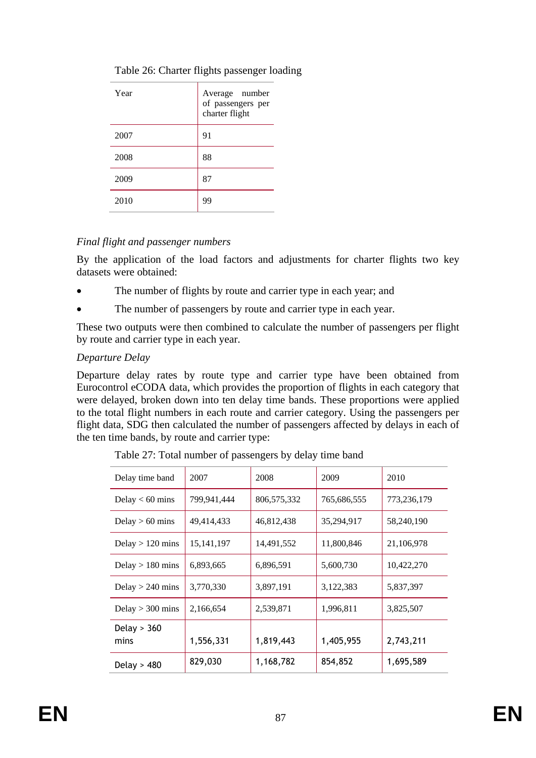| Year | Average number<br>of passengers per<br>charter flight |
|------|-------------------------------------------------------|
| 2007 | 91                                                    |
| 2008 | 88                                                    |
| 2009 | 87                                                    |
| 2010 | 99                                                    |

# Table 26: Charter flights passenger loading

# *Final flight and passenger numbers*

By the application of the load factors and adjustments for charter flights two key datasets were obtained:

- The number of flights by route and carrier type in each year; and
- The number of passengers by route and carrier type in each year.

These two outputs were then combined to calculate the number of passengers per flight by route and carrier type in each year.

# *Departure Delay*

Departure delay rates by route type and carrier type have been obtained from Eurocontrol eCODA data, which provides the proportion of flights in each category that were delayed, broken down into ten delay time bands. These proportions were applied to the total flight numbers in each route and carrier category. Using the passengers per flight data, SDG then calculated the number of passengers affected by delays in each of the ten time bands, by route and carrier type:

| Delay time band       | 2007         | 2008        | 2009        | 2010        |
|-----------------------|--------------|-------------|-------------|-------------|
| Delay $< 60$ mins     | 799,941,444  | 806,575,332 | 765,686,555 | 773,236,179 |
| Delay $> 60$ mins     | 49,414,433   | 46,812,438  | 35,294,917  | 58,240,190  |
| Delay $> 120$ mins    | 15, 141, 197 | 14,491,552  | 11,800,846  | 21,106,978  |
| Delay $> 180$ mins    | 6,893,665    | 6,896,591   | 5,600,730   | 10,422,270  |
| Delay $> 240$ mins    | 3,770,330    | 3,897,191   | 3,122,383   | 5,837,397   |
| Delay $>$ 300 mins    | 2,166,654    | 2,539,871   | 1,996,811   | 3,825,507   |
| Delay $> 360$<br>mins | 1,556,331    | 1,819,443   | 1,405,955   | 2,743,211   |
| Delay $> 480$         | 829,030      | 1,168,782   | 854,852     | 1,695,589   |

Table 27: Total number of passengers by delay time band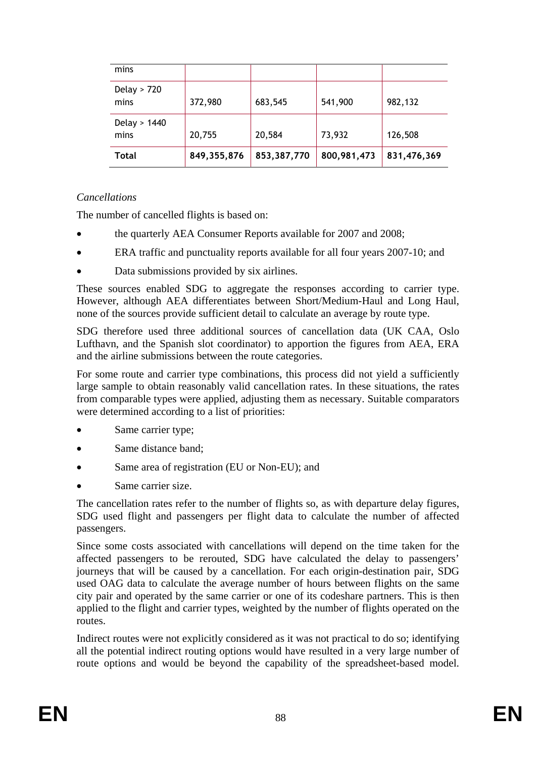| mins                   |               |             |             |             |
|------------------------|---------------|-------------|-------------|-------------|
| Delay $> 720$<br>mins  | 372,980       | 683,545     | 541,900     | 982,132     |
| Delay $> 1440$<br>mins | 20,755        | 20,584      | 73,932      | 126,508     |
| Total                  | 849, 355, 876 | 853,387,770 | 800,981,473 | 831,476,369 |

# *Cancellations*

The number of cancelled flights is based on:

- the quarterly AEA Consumer Reports available for 2007 and 2008;
- ERA traffic and punctuality reports available for all four years 2007-10; and
- Data submissions provided by six airlines.

These sources enabled SDG to aggregate the responses according to carrier type. However, although AEA differentiates between Short/Medium-Haul and Long Haul, none of the sources provide sufficient detail to calculate an average by route type.

SDG therefore used three additional sources of cancellation data (UK CAA, Oslo Lufthavn, and the Spanish slot coordinator) to apportion the figures from AEA, ERA and the airline submissions between the route categories.

For some route and carrier type combinations, this process did not yield a sufficiently large sample to obtain reasonably valid cancellation rates. In these situations, the rates from comparable types were applied, adjusting them as necessary. Suitable comparators were determined according to a list of priorities:

- Same carrier type;
- Same distance band:
- Same area of registration (EU or Non-EU); and
- Same carrier size.

The cancellation rates refer to the number of flights so, as with departure delay figures, SDG used flight and passengers per flight data to calculate the number of affected passengers.

Since some costs associated with cancellations will depend on the time taken for the affected passengers to be rerouted, SDG have calculated the delay to passengers' journeys that will be caused by a cancellation. For each origin-destination pair, SDG used OAG data to calculate the average number of hours between flights on the same city pair and operated by the same carrier or one of its codeshare partners. This is then applied to the flight and carrier types, weighted by the number of flights operated on the routes.

Indirect routes were not explicitly considered as it was not practical to do so; identifying all the potential indirect routing options would have resulted in a very large number of route options and would be beyond the capability of the spreadsheet-based model.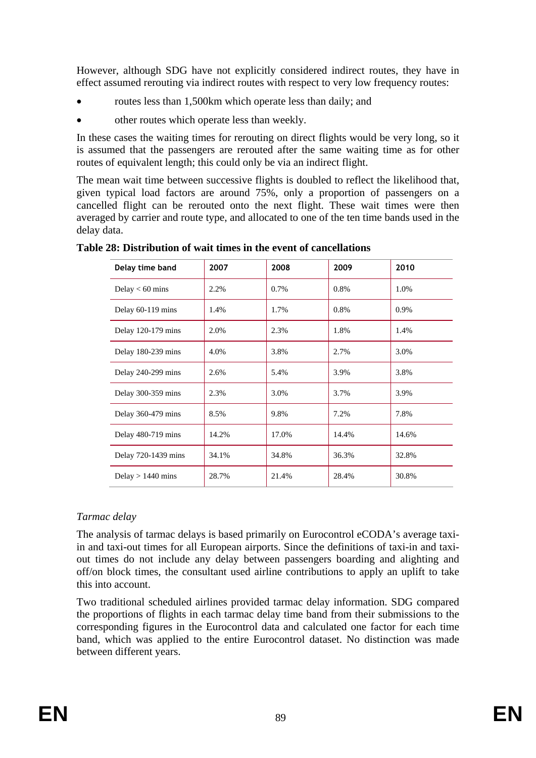However, although SDG have not explicitly considered indirect routes, they have in effect assumed rerouting via indirect routes with respect to very low frequency routes:

- routes less than 1,500km which operate less than daily; and
- other routes which operate less than weekly.

In these cases the waiting times for rerouting on direct flights would be very long, so it is assumed that the passengers are rerouted after the same waiting time as for other routes of equivalent length; this could only be via an indirect flight.

The mean wait time between successive flights is doubled to reflect the likelihood that, given typical load factors are around 75%, only a proportion of passengers on a cancelled flight can be rerouted onto the next flight. These wait times were then averaged by carrier and route type, and allocated to one of the ten time bands used in the delay data.

| Delay time band     | 2007  | 2008  | 2009  | 2010  |
|---------------------|-------|-------|-------|-------|
| Delay $< 60$ mins   | 2.2%  | 0.7%  | 0.8%  | 1.0%  |
| Delay 60-119 mins   | 1.4%  | 1.7%  | 0.8%  | 0.9%  |
| Delay 120-179 mins  | 2.0%  | 2.3%  | 1.8%  | 1.4%  |
| Delay 180-239 mins  | 4.0%  | 3.8%  | 2.7%  | 3.0%  |
| Delay 240-299 mins  | 2.6%  | 5.4%  | 3.9%  | 3.8%  |
| Delay 300-359 mins  | 2.3%  | 3.0%  | 3.7%  | 3.9%  |
| Delay 360-479 mins  | 8.5%  | 9.8%  | 7.2%  | 7.8%  |
| Delay 480-719 mins  | 14.2% | 17.0% | 14.4% | 14.6% |
| Delay 720-1439 mins | 34.1% | 34.8% | 36.3% | 32.8% |
| Delay $> 1440$ mins | 28.7% | 21.4% | 28.4% | 30.8% |

**Table 28: Distribution of wait times in the event of cancellations** 

# *Tarmac delay*

The analysis of tarmac delays is based primarily on Eurocontrol eCODA's average taxiin and taxi-out times for all European airports. Since the definitions of taxi-in and taxiout times do not include any delay between passengers boarding and alighting and off/on block times, the consultant used airline contributions to apply an uplift to take this into account.

Two traditional scheduled airlines provided tarmac delay information. SDG compared the proportions of flights in each tarmac delay time band from their submissions to the corresponding figures in the Eurocontrol data and calculated one factor for each time band, which was applied to the entire Eurocontrol dataset. No distinction was made between different years.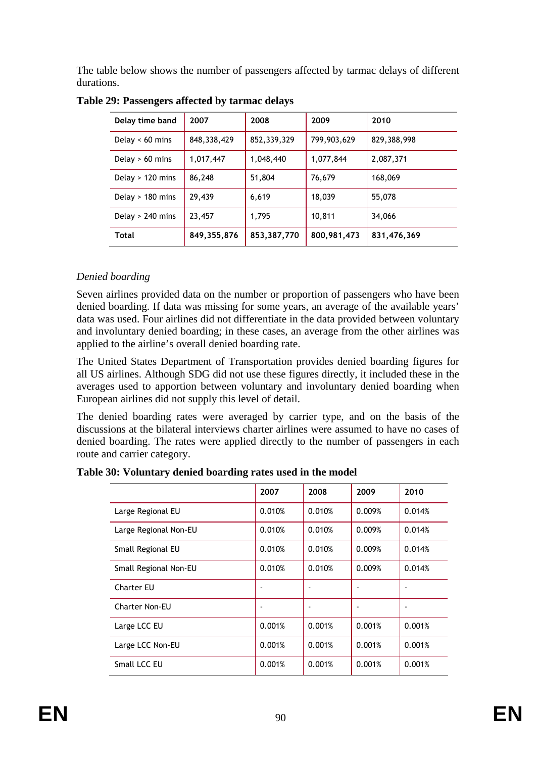The table below shows the number of passengers affected by tarmac delays of different durations.

| Delay time band    | 2007        | 2008        | 2009        | 2010        |
|--------------------|-------------|-------------|-------------|-------------|
| Delay $< 60$ mins  | 848,338,429 | 852,339,329 | 799,903,629 | 829,388,998 |
| Delay $> 60$ mins  | 1,017,447   | 1,048,440   | 1,077,844   | 2,087,371   |
| Delay $> 120$ mins | 86,248      | 51,804      | 76,679      | 168,069     |
| Delay $> 180$ mins | 29,439      | 6,619       | 18,039      | 55,078      |
| Delay $> 240$ mins | 23,457      | 1,795       | 10,811      | 34,066      |
| Total              | 849,355,876 | 853,387,770 | 800,981,473 | 831,476,369 |

**Table 29: Passengers affected by tarmac delays** 

# *Denied boarding*

Seven airlines provided data on the number or proportion of passengers who have been denied boarding. If data was missing for some years, an average of the available years' data was used. Four airlines did not differentiate in the data provided between voluntary and involuntary denied boarding; in these cases, an average from the other airlines was applied to the airline's overall denied boarding rate.

The United States Department of Transportation provides denied boarding figures for all US airlines. Although SDG did not use these figures directly, it included these in the averages used to apportion between voluntary and involuntary denied boarding when European airlines did not supply this level of detail.

The denied boarding rates were averaged by carrier type, and on the basis of the discussions at the bilateral interviews charter airlines were assumed to have no cases of denied boarding. The rates were applied directly to the number of passengers in each route and carrier category.

|                       | 2007                     | 2008   | 2009   | 2010                     |
|-----------------------|--------------------------|--------|--------|--------------------------|
| Large Regional EU     | 0.010%                   | 0.010% | 0.009% | 0.014%                   |
| Large Regional Non-EU | 0.010%                   | 0.010% | 0.009% | 0.014%                   |
| Small Regional EU     | 0.010%                   | 0.010% | 0.009% | 0.014%                   |
| Small Regional Non-EU | 0.010%                   | 0.010% | 0.009% | 0.014%                   |
| <b>Charter EU</b>     | $\overline{\phantom{a}}$ | ٠      | ۰      | $\overline{\phantom{a}}$ |
| <b>Charter Non-EU</b> | $\blacksquare$           |        |        |                          |
| Large LCC EU          | 0.001%                   | 0.001% | 0.001% | 0.001%                   |
| Large LCC Non-EU      | 0.001%                   | 0.001% | 0.001% | 0.001%                   |
| Small LCC EU          | 0.001%                   | 0.001% | 0.001% | 0.001%                   |

**Table 30: Voluntary denied boarding rates used in the model**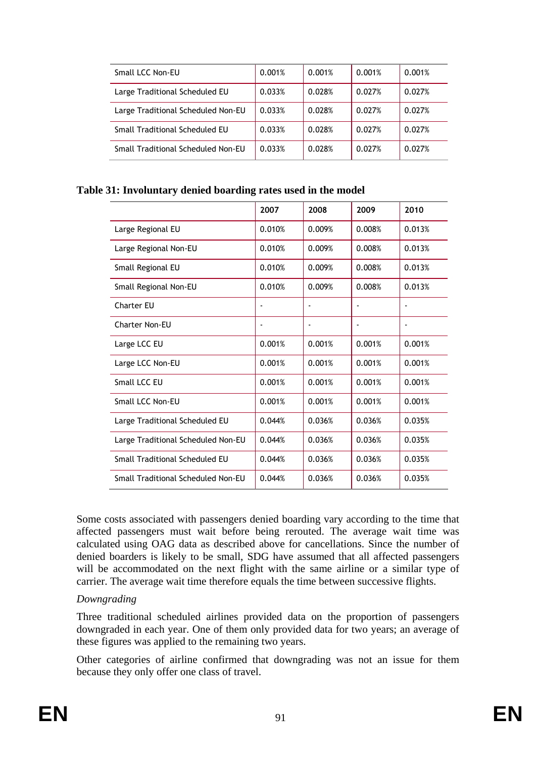| Small LCC Non-EU                   | 0.001% | 0.001% | 0.001% | 0.001% |
|------------------------------------|--------|--------|--------|--------|
| Large Traditional Scheduled EU     | 0.033% | 0.028% | 0.027% | 0.027% |
| Large Traditional Scheduled Non-EU | 0.033% | 0.028% | 0.027% | 0.027% |
| Small Traditional Scheduled EU     | 0.033% | 0.028% | 0.027% | 0.027% |
| Small Traditional Scheduled Non-EU | 0.033% | 0.028% | 0.027% | 0.027% |

#### **Table 31: Involuntary denied boarding rates used in the model**

|                                    | 2007           | 2008   | 2009                     | 2010                     |
|------------------------------------|----------------|--------|--------------------------|--------------------------|
| Large Regional EU                  | 0.010%         | 0.009% | 0.008%                   | 0.013%                   |
| Large Regional Non-EU              | 0.010%         | 0.009% | 0.008%                   | 0.013%                   |
| Small Regional EU                  | 0.010%         | 0.009% | 0.008%                   | 0.013%                   |
| Small Regional Non-EU              | 0.010%         | 0.009% | 0.008%                   | 0.013%                   |
| <b>Charter EU</b>                  | ٠              |        | $\overline{a}$           |                          |
| Charter Non-EU                     | $\blacksquare$ | ٠      | $\overline{\phantom{a}}$ | $\overline{\phantom{a}}$ |
| Large LCC EU                       | 0.001%         | 0.001% | 0.001%                   | 0.001%                   |
| Large LCC Non-EU                   | 0.001%         | 0.001% | 0.001%                   | 0.001%                   |
| Small LCC EU                       | 0.001%         | 0.001% | 0.001%                   | 0.001%                   |
| Small LCC Non-EU                   | 0.001%         | 0.001% | 0.001%                   | 0.001%                   |
| Large Traditional Scheduled EU     | 0.044%         | 0.036% | 0.036%                   | 0.035%                   |
| Large Traditional Scheduled Non-EU | 0.044%         | 0.036% | 0.036%                   | 0.035%                   |
| Small Traditional Scheduled EU     | 0.044%         | 0.036% | 0.036%                   | 0.035%                   |
| Small Traditional Scheduled Non-EU | 0.044%         | 0.036% | 0.036%                   | 0.035%                   |

Some costs associated with passengers denied boarding vary according to the time that affected passengers must wait before being rerouted. The average wait time was calculated using OAG data as described above for cancellations. Since the number of denied boarders is likely to be small, SDG have assumed that all affected passengers will be accommodated on the next flight with the same airline or a similar type of carrier. The average wait time therefore equals the time between successive flights.

#### *Downgrading*

Three traditional scheduled airlines provided data on the proportion of passengers downgraded in each year. One of them only provided data for two years; an average of these figures was applied to the remaining two years.

Other categories of airline confirmed that downgrading was not an issue for them because they only offer one class of travel.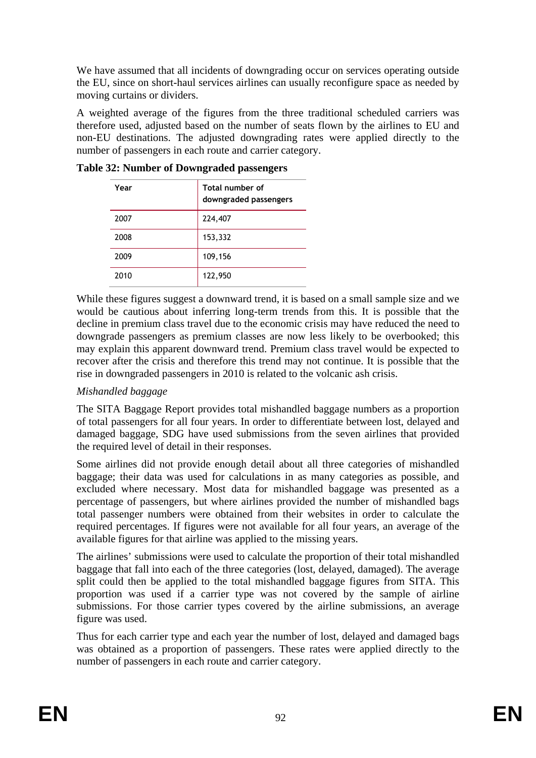We have assumed that all incidents of downgrading occur on services operating outside the EU, since on short-haul services airlines can usually reconfigure space as needed by moving curtains or dividers.

A weighted average of the figures from the three traditional scheduled carriers was therefore used, adjusted based on the number of seats flown by the airlines to EU and non-EU destinations. The adjusted downgrading rates were applied directly to the number of passengers in each route and carrier category.

| Year | Total number of<br>downgraded passengers |
|------|------------------------------------------|
| 2007 | 224,407                                  |
| 2008 | 153,332                                  |
| 2009 | 109,156                                  |
| 2010 | 122,950                                  |

**Table 32: Number of Downgraded passengers** 

While these figures suggest a downward trend, it is based on a small sample size and we would be cautious about inferring long-term trends from this. It is possible that the decline in premium class travel due to the economic crisis may have reduced the need to downgrade passengers as premium classes are now less likely to be overbooked; this may explain this apparent downward trend. Premium class travel would be expected to recover after the crisis and therefore this trend may not continue. It is possible that the rise in downgraded passengers in 2010 is related to the volcanic ash crisis.

# *Mishandled baggage*

The SITA Baggage Report provides total mishandled baggage numbers as a proportion of total passengers for all four years. In order to differentiate between lost, delayed and damaged baggage, SDG have used submissions from the seven airlines that provided the required level of detail in their responses.

Some airlines did not provide enough detail about all three categories of mishandled baggage; their data was used for calculations in as many categories as possible, and excluded where necessary. Most data for mishandled baggage was presented as a percentage of passengers, but where airlines provided the number of mishandled bags total passenger numbers were obtained from their websites in order to calculate the required percentages. If figures were not available for all four years, an average of the available figures for that airline was applied to the missing years.

The airlines' submissions were used to calculate the proportion of their total mishandled baggage that fall into each of the three categories (lost, delayed, damaged). The average split could then be applied to the total mishandled baggage figures from SITA. This proportion was used if a carrier type was not covered by the sample of airline submissions. For those carrier types covered by the airline submissions, an average figure was used.

Thus for each carrier type and each year the number of lost, delayed and damaged bags was obtained as a proportion of passengers. These rates were applied directly to the number of passengers in each route and carrier category.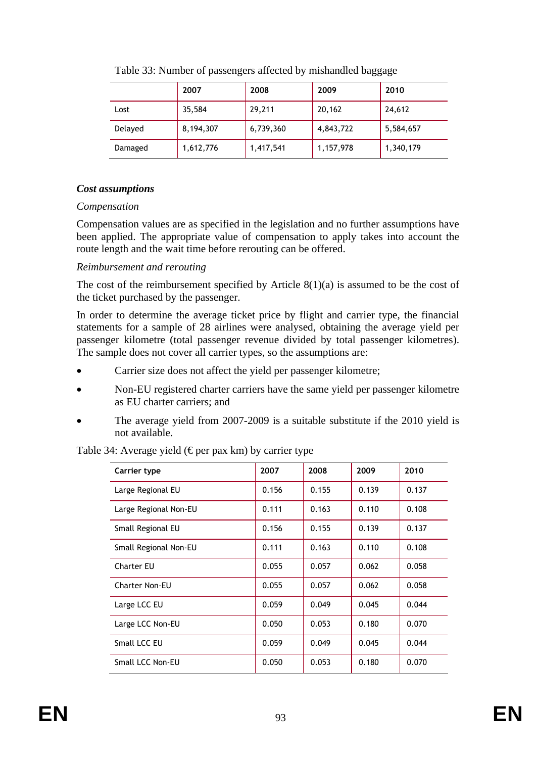|         | 2007      | 2008      | 2009      | 2010      |
|---------|-----------|-----------|-----------|-----------|
| Lost    | 35,584    | 29,211    | 20,162    | 24,612    |
| Delayed | 8,194,307 | 6,739,360 | 4,843,722 | 5,584,657 |
| Damaged | 1,612,776 | 1,417,541 | 1,157,978 | 1,340,179 |

Table 33: Number of passengers affected by mishandled baggage

# *Cost assumptions*

# *Compensation*

Compensation values are as specified in the legislation and no further assumptions have been applied. The appropriate value of compensation to apply takes into account the route length and the wait time before rerouting can be offered.

# *Reimbursement and rerouting*

The cost of the reimbursement specified by Article  $8(1)(a)$  is assumed to be the cost of the ticket purchased by the passenger.

In order to determine the average ticket price by flight and carrier type, the financial statements for a sample of 28 airlines were analysed, obtaining the average yield per passenger kilometre (total passenger revenue divided by total passenger kilometres). The sample does not cover all carrier types, so the assumptions are:

- Carrier size does not affect the yield per passenger kilometre;
- Non-EU registered charter carriers have the same yield per passenger kilometre as EU charter carriers; and
- The average yield from 2007-2009 is a suitable substitute if the 2010 yield is not available.

| Carrier type          | 2007  | 2008  | 2009  | 2010  |
|-----------------------|-------|-------|-------|-------|
| Large Regional EU     | 0.156 | 0.155 | 0.139 | 0.137 |
| Large Regional Non-EU | 0.111 | 0.163 | 0.110 | 0.108 |
| Small Regional EU     | 0.156 | 0.155 | 0.139 | 0.137 |
| Small Regional Non-EU | 0.111 | 0.163 | 0.110 | 0.108 |
| <b>Charter EU</b>     | 0.055 | 0.057 | 0.062 | 0.058 |
| <b>Charter Non-EU</b> | 0.055 | 0.057 | 0.062 | 0.058 |
| Large LCC EU          | 0.059 | 0.049 | 0.045 | 0.044 |
| Large LCC Non-EU      | 0.050 | 0.053 | 0.180 | 0.070 |
| Small LCC EU          | 0.059 | 0.049 | 0.045 | 0.044 |
| Small LCC Non-EU      | 0.050 | 0.053 | 0.180 | 0.070 |

Table 34: Average yield ( $\epsilon$  per pax km) by carrier type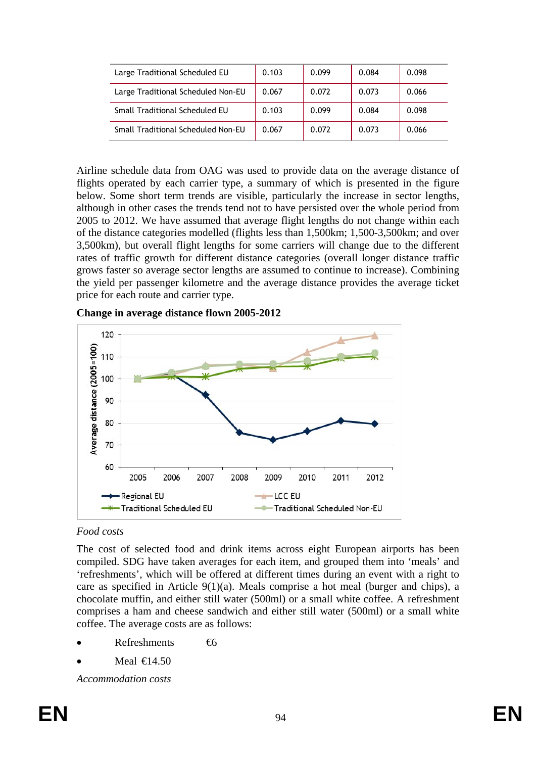| Large Traditional Scheduled EU     | 0.103 | 0.099 | 0.084 | 0.098 |
|------------------------------------|-------|-------|-------|-------|
| Large Traditional Scheduled Non-EU | 0.067 | 0.072 | 0.073 | 0.066 |
| Small Traditional Scheduled EU     | 0.103 | 0.099 | 0.084 | 0.098 |
| Small Traditional Scheduled Non-EU | 0.067 | 0.072 | 0.073 | 0.066 |

Airline schedule data from OAG was used to provide data on the average distance of flights operated by each carrier type, a summary of which is presented in the figure below. Some short term trends are visible, particularly the increase in sector lengths, although in other cases the trends tend not to have persisted over the whole period from 2005 to 2012. We have assumed that average flight lengths do not change within each of the distance categories modelled (flights less than 1,500km; 1,500-3,500km; and over 3,500km), but overall flight lengths for some carriers will change due to the different rates of traffic growth for different distance categories (overall longer distance traffic grows faster so average sector lengths are assumed to continue to increase). Combining the yield per passenger kilometre and the average distance provides the average ticket price for each route and carrier type.



**Change in average distance flown 2005-2012** 

# *Food costs*

The cost of selected food and drink items across eight European airports has been compiled. SDG have taken averages for each item, and grouped them into 'meals' and 'refreshments', which will be offered at different times during an event with a right to care as specified in Article 9(1)(a). Meals comprise a hot meal (burger and chips), a chocolate muffin, and either still water (500ml) or a small white coffee. A refreshment comprises a ham and cheese sandwich and either still water (500ml) or a small white coffee. The average costs are as follows:

- $Refreshments$   $\epsilon$
- Meal  $\bigoplus$  4.50

*Accommodation costs*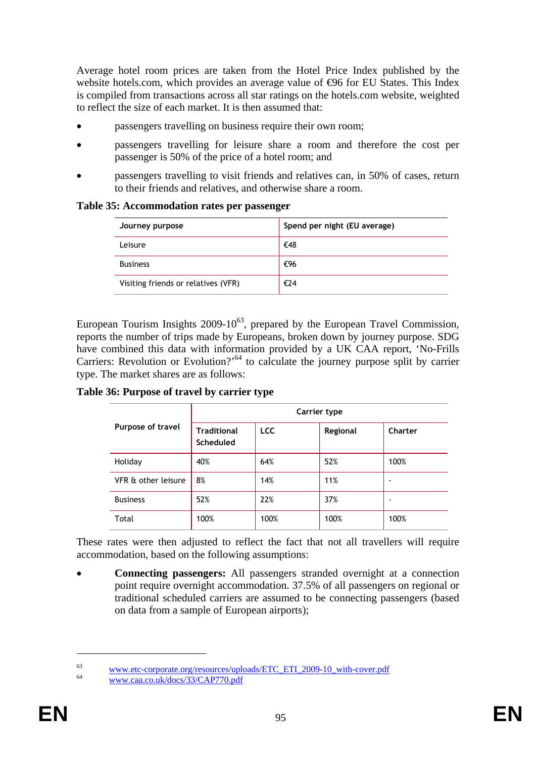Average hotel room prices are taken from the Hotel Price Index published by the website hotels.com, which provides an average value of  $\Theta$ 6 for EU States. This Index is compiled from transactions across all star ratings on the hotels.com website, weighted to reflect the size of each market. It is then assumed that:

- passengers travelling on business require their own room;
- passengers travelling for leisure share a room and therefore the cost per passenger is 50% of the price of a hotel room; and
- passengers travelling to visit friends and relatives can, in 50% of cases, return to their friends and relatives, and otherwise share a room.

**Table 35: Accommodation rates per passenger** 

| Journey purpose                     | Spend per night (EU average) |
|-------------------------------------|------------------------------|
| Leisure                             | €48                          |
| <b>Business</b>                     | €96                          |
| Visiting friends or relatives (VFR) | €24                          |

European Tourism Insights  $2009-10^{63}$ , prepared by the European Travel Commission, reports the number of trips made by Europeans, broken down by journey purpose. SDG have combined this data with information provided by a UK CAA report, 'No-Frills Carriers: Revolution or Evolution?'<sup>64</sup> to calculate the journey purpose split by carrier type. The market shares are as follows:

**Table 36: Purpose of travel by carrier type** 

|                     | Carrier type                           |            |          |         |  |  |
|---------------------|----------------------------------------|------------|----------|---------|--|--|
| Purpose of travel   | <b>Traditional</b><br><b>Scheduled</b> | <b>LCC</b> | Regional | Charter |  |  |
| Holiday             | 40%                                    | 64%        | 52%      | 100%    |  |  |
| VFR & other leisure | 8%                                     | 14%        | 11%      |         |  |  |
| <b>Business</b>     | 52%                                    | 22%        | 37%      |         |  |  |
| Total               | 100%                                   | 100%       | 100%     | 100%    |  |  |

These rates were then adjusted to reflect the fact that not all travellers will require accommodation, based on the following assumptions:

• **Connecting passengers:** All passengers stranded overnight at a connection point require overnight accommodation. 37.5% of all passengers on regional or traditional scheduled carriers are assumed to be connecting passengers (based on data from a sample of European airports);

<u>.</u>

<sup>&</sup>lt;sup>63</sup> [www.etc-corporate.org/resources/up](http://www.etc-corporate.org/resources/uploads/ETC_ETI_2009-10_with-cover.pdf)loads/ETC\_ETI\_2009-10\_with-cover.pdf [www.caa.co.uk/docs/33/CAP770.pdf](http://www.caa.co.uk/docs/33/CAP770.pdf)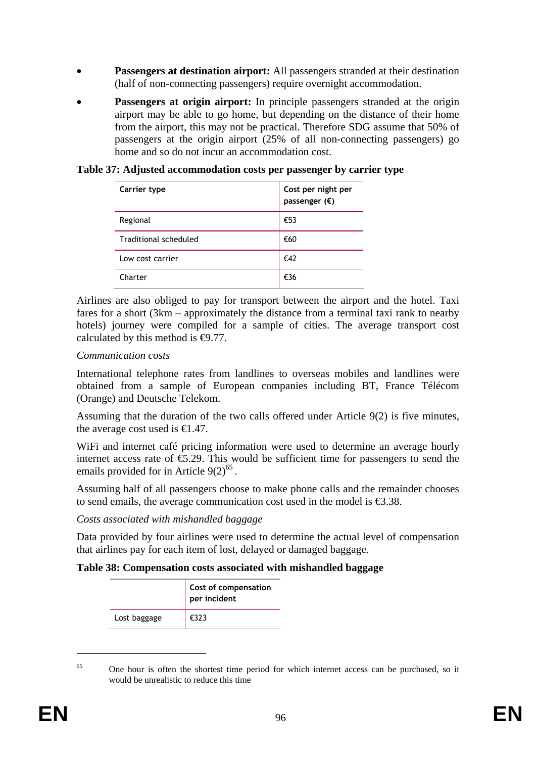- **Passengers at destination airport:** All passengers stranded at their destination (half of non-connecting passengers) require overnight accommodation.
- Passengers at origin airport: In principle passengers stranded at the origin airport may be able to go home, but depending on the distance of their home from the airport, this may not be practical. Therefore SDG assume that 50% of passengers at the origin airport (25% of all non-connecting passengers) go home and so do not incur an accommodation cost.

**Table 37: Adjusted accommodation costs per passenger by carrier type** 

| Carrier type          | Cost per night per<br>passenger $(\epsilon)$ |
|-----------------------|----------------------------------------------|
| Regional              | €53                                          |
| Traditional scheduled | €60                                          |
| Low cost carrier      | €42                                          |
| Charter               | €36                                          |

Airlines are also obliged to pay for transport between the airport and the hotel. Taxi fares for a short (3km – approximately the distance from a terminal taxi rank to nearby hotels) journey were compiled for a sample of cities. The average transport cost calculated by this method is  $\Theta$ .77.

#### *Communication costs*

International telephone rates from landlines to overseas mobiles and landlines were obtained from a sample of European companies including BT, France Télécom (Orange) and Deutsche Telekom.

Assuming that the duration of the two calls offered under Article 9(2) is five minutes, the average cost used is  $\in$  47.

WiFi and internet café pricing information were used to determine an average hourly internet access rate of  $\epsilon$ 5.29. This would be sufficient time for passengers to send the emails provided for in Article  $9(2)^{65}$ .

Assuming half of all passengers choose to make phone calls and the remainder chooses to send emails, the average communication cost used in the model is  $\epsilon$ 3.38.

#### *Costs associated with mishandled baggage*

Data provided by four airlines were used to determine the actual level of compensation that airlines pay for each item of lost, delayed or damaged baggage.

#### **Table 38: Compensation costs associated with mishandled baggage**

|              | Cost of compensation<br>per incident |
|--------------|--------------------------------------|
| Lost baggage | €323                                 |

<u>.</u>

 $65$  One hour is often the shortest time period for which internet access can be purchased, so it would be unrealistic to reduce this time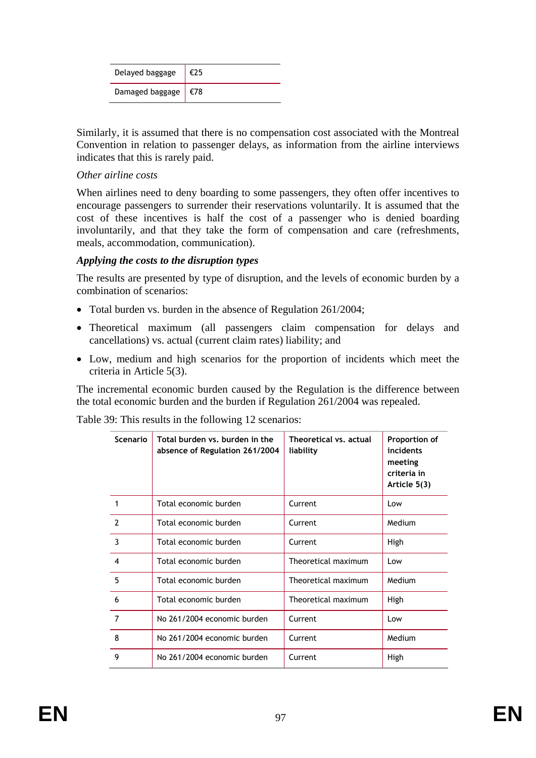| Delayed baggage                   |  |
|-----------------------------------|--|
| Damaged baggage $ $ $\epsilon$ 78 |  |

Similarly, it is assumed that there is no compensation cost associated with the Montreal Convention in relation to passenger delays, as information from the airline interviews indicates that this is rarely paid.

#### *Other airline costs*

When airlines need to deny boarding to some passengers, they often offer incentives to encourage passengers to surrender their reservations voluntarily. It is assumed that the cost of these incentives is half the cost of a passenger who is denied boarding involuntarily, and that they take the form of compensation and care (refreshments, meals, accommodation, communication).

# *Applying the costs to the disruption types*

The results are presented by type of disruption, and the levels of economic burden by a combination of scenarios:

- Total burden vs. burden in the absence of Regulation 261/2004;
- Theoretical maximum (all passengers claim compensation for delays and cancellations) vs. actual (current claim rates) liability; and
- Low, medium and high scenarios for the proportion of incidents which meet the criteria in Article 5(3).

The incremental economic burden caused by the Regulation is the difference between the total economic burden and the burden if Regulation 261/2004 was repealed.

| Scenario                 | Total burden vs. burden in the<br>absence of Regulation 261/2004 | Theoretical vs. actual<br>liability | Proportion of<br>incidents<br>meeting<br>criteria in<br>Article 5(3) |
|--------------------------|------------------------------------------------------------------|-------------------------------------|----------------------------------------------------------------------|
| 1                        | Total economic burden                                            | Current                             | Low                                                                  |
| $\overline{\phantom{a}}$ | Total economic burden                                            | Current                             | Medium                                                               |
| 3                        | Total economic burden                                            | Current                             | High                                                                 |
| $\overline{\mathbf{4}}$  | Total economic burden                                            | Theoretical maximum                 | Low                                                                  |
| 5                        | Total economic burden                                            | Theoretical maximum                 | Medium                                                               |
| 6                        | Total economic burden                                            | Theoretical maximum                 | High                                                                 |
| 7                        | No 261/2004 economic burden                                      | Current                             | Low                                                                  |
| 8                        | No 261/2004 economic burden                                      | Current                             | Medium                                                               |
| 9                        | No 261/2004 economic burden                                      | Current                             | High                                                                 |

Table 39: This results in the following 12 scenarios: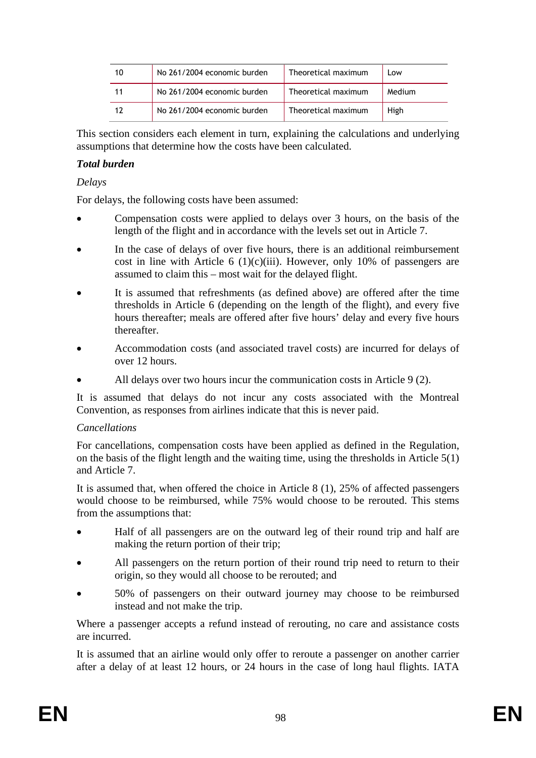| 10 | No 261/2004 economic burden | Theoretical maximum | Low    |
|----|-----------------------------|---------------------|--------|
|    | No 261/2004 economic burden | Theoretical maximum | Medium |
| 17 | No 261/2004 economic burden | Theoretical maximum | High   |

This section considers each element in turn, explaining the calculations and underlying assumptions that determine how the costs have been calculated.

# *Total burden*

#### *Delays*

For delays, the following costs have been assumed:

- Compensation costs were applied to delays over 3 hours, on the basis of the length of the flight and in accordance with the levels set out in Article 7.
- In the case of delays of over five hours, there is an additional reimbursement cost in line with Article 6 (1)(c)(iii). However, only 10% of passengers are assumed to claim this – most wait for the delayed flight.
- It is assumed that refreshments (as defined above) are offered after the time thresholds in Article 6 (depending on the length of the flight), and every five hours thereafter; meals are offered after five hours' delay and every five hours thereafter.
- Accommodation costs (and associated travel costs) are incurred for delays of over 12 hours.
- All delays over two hours incur the communication costs in Article 9 (2).

It is assumed that delays do not incur any costs associated with the Montreal Convention, as responses from airlines indicate that this is never paid.

#### *Cancellations*

For cancellations, compensation costs have been applied as defined in the Regulation, on the basis of the flight length and the waiting time, using the thresholds in Article 5(1) and Article 7.

It is assumed that, when offered the choice in Article 8 (1), 25% of affected passengers would choose to be reimbursed, while 75% would choose to be rerouted. This stems from the assumptions that:

- Half of all passengers are on the outward leg of their round trip and half are making the return portion of their trip;
- All passengers on the return portion of their round trip need to return to their origin, so they would all choose to be rerouted; and
- 50% of passengers on their outward journey may choose to be reimbursed instead and not make the trip.

Where a passenger accepts a refund instead of rerouting, no care and assistance costs are incurred.

It is assumed that an airline would only offer to reroute a passenger on another carrier after a delay of at least 12 hours, or 24 hours in the case of long haul flights. IATA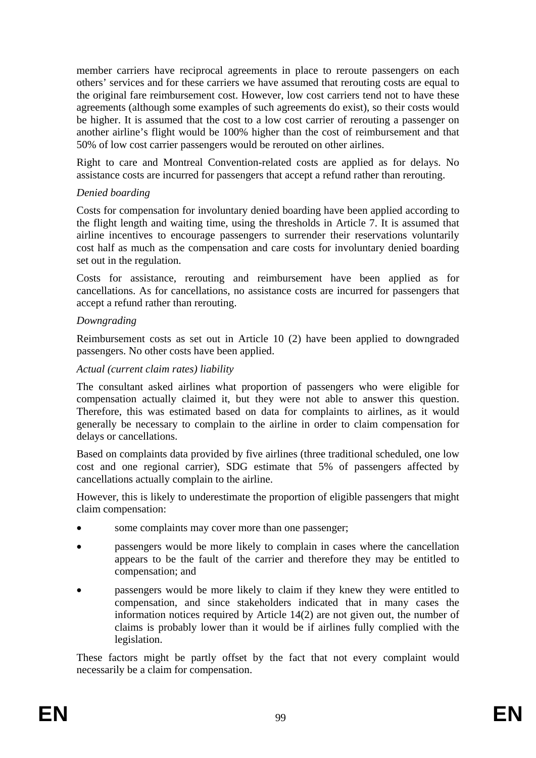member carriers have reciprocal agreements in place to reroute passengers on each others' services and for these carriers we have assumed that rerouting costs are equal to the original fare reimbursement cost. However, low cost carriers tend not to have these agreements (although some examples of such agreements do exist), so their costs would be higher. It is assumed that the cost to a low cost carrier of rerouting a passenger on another airline's flight would be 100% higher than the cost of reimbursement and that 50% of low cost carrier passengers would be rerouted on other airlines.

Right to care and Montreal Convention-related costs are applied as for delays. No assistance costs are incurred for passengers that accept a refund rather than rerouting.

# *Denied boarding*

Costs for compensation for involuntary denied boarding have been applied according to the flight length and waiting time, using the thresholds in Article 7. It is assumed that airline incentives to encourage passengers to surrender their reservations voluntarily cost half as much as the compensation and care costs for involuntary denied boarding set out in the regulation.

Costs for assistance, rerouting and reimbursement have been applied as for cancellations. As for cancellations, no assistance costs are incurred for passengers that accept a refund rather than rerouting.

# *Downgrading*

Reimbursement costs as set out in Article 10 (2) have been applied to downgraded passengers. No other costs have been applied.

#### *Actual (current claim rates) liability*

The consultant asked airlines what proportion of passengers who were eligible for compensation actually claimed it, but they were not able to answer this question. Therefore, this was estimated based on data for complaints to airlines, as it would generally be necessary to complain to the airline in order to claim compensation for delays or cancellations.

Based on complaints data provided by five airlines (three traditional scheduled, one low cost and one regional carrier), SDG estimate that 5% of passengers affected by cancellations actually complain to the airline.

However, this is likely to underestimate the proportion of eligible passengers that might claim compensation:

- some complaints may cover more than one passenger;
- passengers would be more likely to complain in cases where the cancellation appears to be the fault of the carrier and therefore they may be entitled to compensation; and
- passengers would be more likely to claim if they knew they were entitled to compensation, and since stakeholders indicated that in many cases the information notices required by Article 14(2) are not given out, the number of claims is probably lower than it would be if airlines fully complied with the legislation.

These factors might be partly offset by the fact that not every complaint would necessarily be a claim for compensation.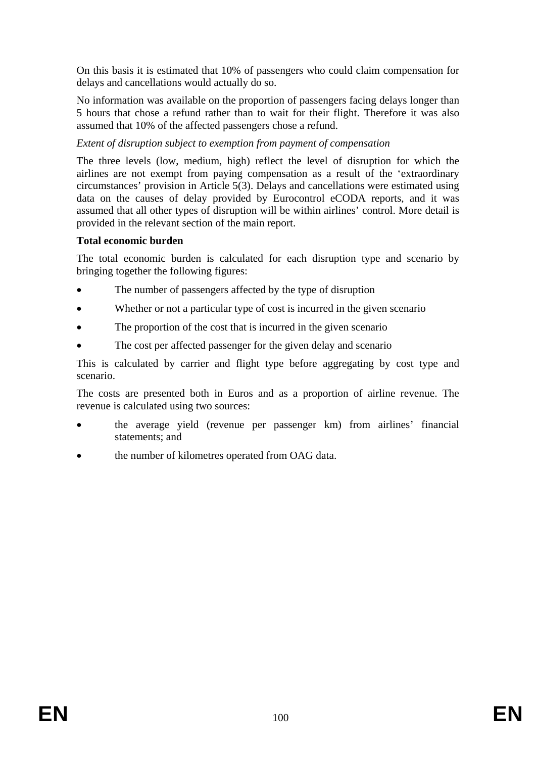On this basis it is estimated that 10% of passengers who could claim compensation for delays and cancellations would actually do so.

No information was available on the proportion of passengers facing delays longer than 5 hours that chose a refund rather than to wait for their flight. Therefore it was also assumed that 10% of the affected passengers chose a refund.

# *Extent of disruption subject to exemption from payment of compensation*

The three levels (low, medium, high) reflect the level of disruption for which the airlines are not exempt from paying compensation as a result of the 'extraordinary circumstances' provision in Article 5(3). Delays and cancellations were estimated using data on the causes of delay provided by Eurocontrol eCODA reports, and it was assumed that all other types of disruption will be within airlines' control. More detail is provided in the relevant section of the main report.

# **Total economic burden**

The total economic burden is calculated for each disruption type and scenario by bringing together the following figures:

- The number of passengers affected by the type of disruption
- Whether or not a particular type of cost is incurred in the given scenario
- The proportion of the cost that is incurred in the given scenario
- The cost per affected passenger for the given delay and scenario

This is calculated by carrier and flight type before aggregating by cost type and scenario.

The costs are presented both in Euros and as a proportion of airline revenue. The revenue is calculated using two sources:

- the average yield (revenue per passenger km) from airlines' financial statements; and
- the number of kilometres operated from OAG data.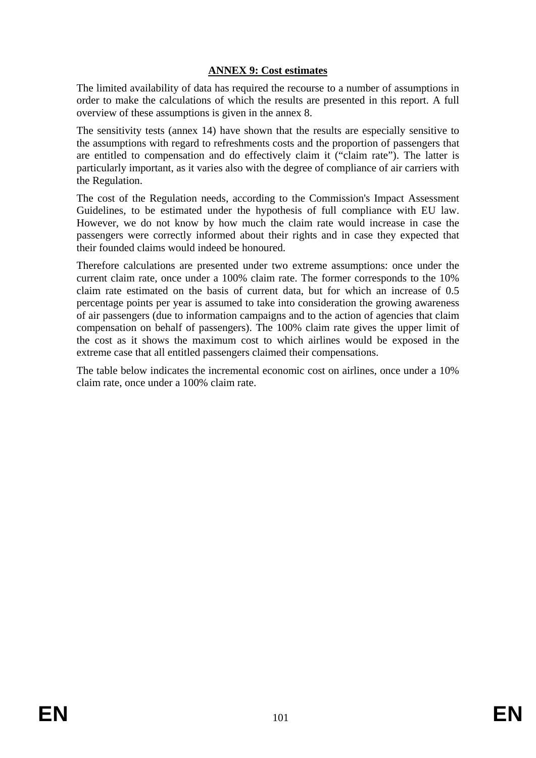# **ANNEX 9: Cost estimates**

The limited availability of data has required the recourse to a number of assumptions in order to make the calculations of which the results are presented in this report. A full overview of these assumptions is given in the annex 8.

The sensitivity tests (annex 14) have shown that the results are especially sensitive to the assumptions with regard to refreshments costs and the proportion of passengers that are entitled to compensation and do effectively claim it ("claim rate"). The latter is particularly important, as it varies also with the degree of compliance of air carriers with the Regulation.

The cost of the Regulation needs, according to the Commission's Impact Assessment Guidelines, to be estimated under the hypothesis of full compliance with EU law. However, we do not know by how much the claim rate would increase in case the passengers were correctly informed about their rights and in case they expected that their founded claims would indeed be honoured.

Therefore calculations are presented under two extreme assumptions: once under the current claim rate, once under a 100% claim rate. The former corresponds to the 10% claim rate estimated on the basis of current data, but for which an increase of 0.5 percentage points per year is assumed to take into consideration the growing awareness of air passengers (due to information campaigns and to the action of agencies that claim compensation on behalf of passengers). The 100% claim rate gives the upper limit of the cost as it shows the maximum cost to which airlines would be exposed in the extreme case that all entitled passengers claimed their compensations.

The table below indicates the incremental economic cost on airlines, once under a 10% claim rate, once under a 100% claim rate.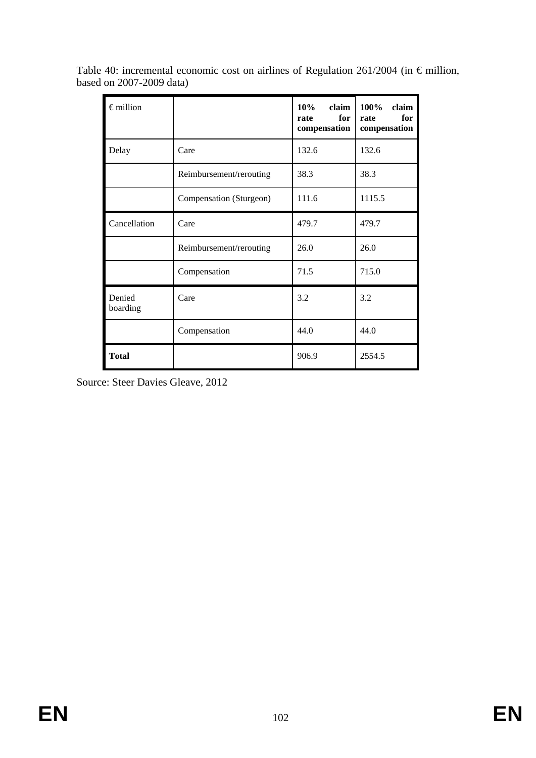| $\epsilon$ million |                         | $10\%$<br>claim<br>for<br>rate<br>compensation | 100%<br>claim<br>for<br>rate<br>compensation |
|--------------------|-------------------------|------------------------------------------------|----------------------------------------------|
| Delay              | Care                    | 132.6                                          | 132.6                                        |
|                    | Reimbursement/rerouting | 38.3                                           | 38.3                                         |
|                    | Compensation (Sturgeon) | 111.6                                          | 1115.5                                       |
| Cancellation       | Care                    | 479.7                                          | 479.7                                        |
|                    | Reimbursement/rerouting | 26.0                                           | 26.0                                         |
|                    | Compensation            | 71.5                                           | 715.0                                        |
| Denied<br>boarding | Care                    | 3.2                                            | 3.2                                          |
|                    | Compensation            | 44.0                                           | 44.0                                         |
| <b>Total</b>       |                         | 906.9                                          | 2554.5                                       |

Table 40: incremental economic cost on airlines of Regulation 261/2004 (in € million, based on 2007-2009 data)

Source: Steer Davies Gleave, 2012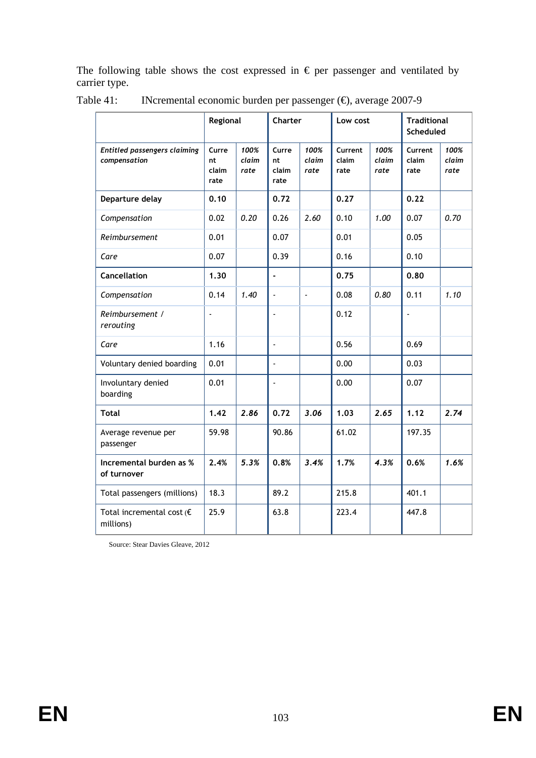The following table shows the cost expressed in  $\epsilon$  per passenger and ventilated by carrier type.

|                                                | Regional                      |                       | Charter                       |                       | Low cost                 |                       | <b>Traditional</b><br>Scheduled |                       |
|------------------------------------------------|-------------------------------|-----------------------|-------------------------------|-----------------------|--------------------------|-----------------------|---------------------------------|-----------------------|
| Entitled passengers claiming<br>compensation   | Curre<br>nt.<br>claim<br>rate | 100%<br>claim<br>rate | Curre<br>nt.<br>claim<br>rate | 100%<br>claim<br>rate | Current<br>claim<br>rate | 100%<br>claim<br>rate | Current<br>claim<br>rate        | 100%<br>claim<br>rate |
| Departure delay                                | 0.10                          |                       | 0.72                          |                       | 0.27                     |                       | 0.22                            |                       |
| Compensation                                   | 0.02                          | 0.20                  | 0.26                          | 2.60                  | 0.10                     | 1.00                  | 0.07                            | 0.70                  |
| Reimbursement                                  | 0.01                          |                       | 0.07                          |                       | 0.01                     |                       | 0.05                            |                       |
| Care                                           | 0.07                          |                       | 0.39                          |                       | 0.16                     |                       | 0.10                            |                       |
| <b>Cancellation</b>                            | 1.30                          |                       | $\blacksquare$                |                       | 0.75                     |                       | 0.80                            |                       |
| Compensation                                   | 0.14                          | 1.40                  |                               | $\blacksquare$        | 0.08                     | 0.80                  | 0.11                            | 1.10                  |
| Reimbursement /<br>rerouting                   | $\blacksquare$                |                       | ÷,                            |                       | 0.12                     |                       | ÷,                              |                       |
| Care                                           | 1.16                          |                       | $\overline{a}$                |                       | 0.56                     |                       | 0.69                            |                       |
| Voluntary denied boarding                      | 0.01                          |                       | $\tilde{\phantom{a}}$         |                       | 0.00                     |                       | 0.03                            |                       |
| Involuntary denied<br>boarding                 | 0.01                          |                       | $\overline{a}$                |                       | 0.00                     |                       | 0.07                            |                       |
| <b>Total</b>                                   | 1.42                          | 2.86                  | 0.72                          | 3.06                  | 1.03                     | 2.65                  | 1.12                            | 2.74                  |
| Average revenue per<br>passenger               | 59.98                         |                       | 90.86                         |                       | 61.02                    |                       | 197.35                          |                       |
| Incremental burden as %<br>of turnover         | 2.4%                          | 5.3%                  | 0.8%                          | 3.4%                  | 1.7%                     | 4.3%                  | 0.6%                            | 1.6%                  |
| Total passengers (millions)                    | 18.3                          |                       | 89.2                          |                       | 215.8                    |                       | 401.1                           |                       |
| Total incremental cost $\epsilon$<br>millions) | 25.9                          |                       | 63.8                          |                       | 223.4                    |                       | 447.8                           |                       |

|  |  | Table 41: INcremental economic burden per passenger $(\theta)$ , average 2007-9 |  |
|--|--|---------------------------------------------------------------------------------|--|
|  |  |                                                                                 |  |

Source: Stear Davies Gleave, 2012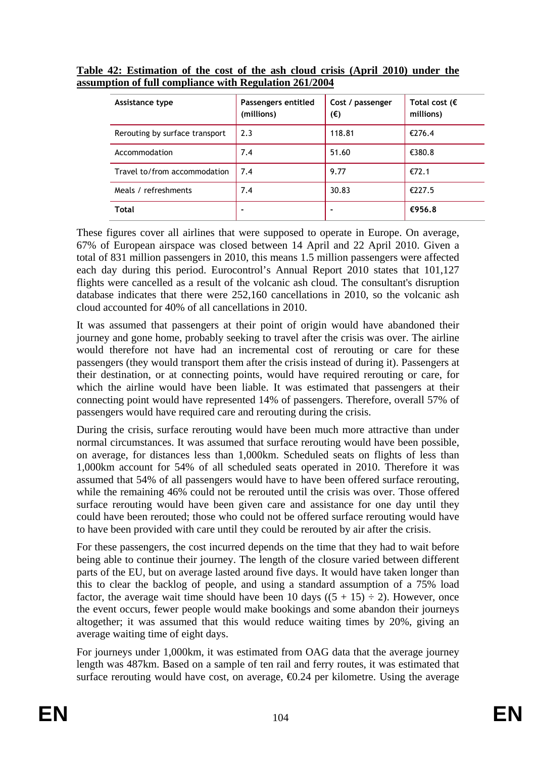| Assistance type                | Passengers entitled<br>(millions) | Cost / passenger<br>(€) | Total cost ( $\epsilon$<br>millions) |
|--------------------------------|-----------------------------------|-------------------------|--------------------------------------|
| Rerouting by surface transport | 2.3                               | 118.81                  | €276.4                               |
| Accommodation                  | 7.4                               | 51.60                   | €380.8                               |
| Travel to/from accommodation   | 7.4                               | 9.77                    | €72.1                                |
| Meals / refreshments           | 7.4                               | 30.83                   | €227.5                               |
| Total                          |                                   |                         | €956.8                               |

**Table 42: Estimation of the cost of the ash cloud crisis (April 2010) under the assumption of full compliance with Regulation 261/2004**

These figures cover all airlines that were supposed to operate in Europe. On average, 67% of European airspace was closed between 14 April and 22 April 2010. Given a total of 831 million passengers in 2010, this means 1.5 million passengers were affected each day during this period. Eurocontrol's Annual Report 2010 states that 101,127 flights were cancelled as a result of the volcanic ash cloud. The consultant's disruption database indicates that there were 252,160 cancellations in 2010, so the volcanic ash cloud accounted for 40% of all cancellations in 2010.

It was assumed that passengers at their point of origin would have abandoned their journey and gone home, probably seeking to travel after the crisis was over. The airline would therefore not have had an incremental cost of rerouting or care for these passengers (they would transport them after the crisis instead of during it). Passengers at their destination, or at connecting points, would have required rerouting or care, for which the airline would have been liable. It was estimated that passengers at their connecting point would have represented 14% of passengers. Therefore, overall 57% of passengers would have required care and rerouting during the crisis.

During the crisis, surface rerouting would have been much more attractive than under normal circumstances. It was assumed that surface rerouting would have been possible, on average, for distances less than 1,000km. Scheduled seats on flights of less than 1,000km account for 54% of all scheduled seats operated in 2010. Therefore it was assumed that 54% of all passengers would have to have been offered surface rerouting, while the remaining 46% could not be rerouted until the crisis was over. Those offered surface rerouting would have been given care and assistance for one day until they could have been rerouted; those who could not be offered surface rerouting would have to have been provided with care until they could be rerouted by air after the crisis.

For these passengers, the cost incurred depends on the time that they had to wait before being able to continue their journey. The length of the closure varied between different parts of the EU, but on average lasted around five days. It would have taken longer than this to clear the backlog of people, and using a standard assumption of a 75% load factor, the average wait time should have been 10 days  $((5 + 15) \div 2)$ . However, once the event occurs, fewer people would make bookings and some abandon their journeys altogether; it was assumed that this would reduce waiting times by 20%, giving an average waiting time of eight days.

For journeys under 1,000km, it was estimated from OAG data that the average journey length was 487km. Based on a sample of ten rail and ferry routes, it was estimated that surface rerouting would have cost, on average,  $\bigoplus$  24 per kilometre. Using the average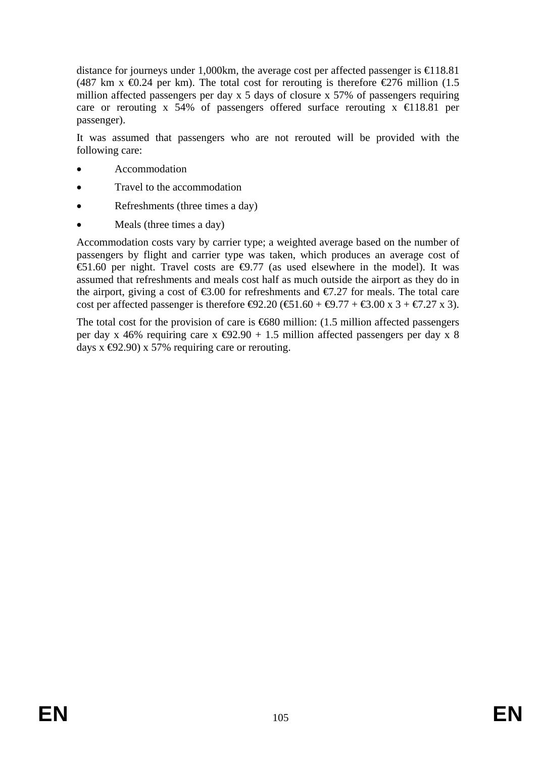distance for journeys under 1,000km, the average cost per affected passenger is  $\bigoplus$  18.81 (487 km x  $\bigoplus$ .24 per km). The total cost for rerouting is therefore  $\bigoplus$ 76 million (1.5) million affected passengers per day x 5 days of closure x 57% of passengers requiring care or rerouting x 54% of passengers offered surface rerouting  $x \in \{18.81 \text{ per } 10^{-10}\}$ passenger).

It was assumed that passengers who are not rerouted will be provided with the following care:

- Accommodation
- Travel to the accommodation
- Refreshments (three times a day)
- Meals (three times a day)

Accommodation costs vary by carrier type; a weighted average based on the number of passengers by flight and carrier type was taken, which produces an average cost of  $\epsilon$ 51.60 per night. Travel costs are  $\epsilon$ 9.77 (as used elsewhere in the model). It was assumed that refreshments and meals cost half as much outside the airport as they do in the airport, giving a cost of  $\epsilon$ 3.00 for refreshments and  $\epsilon$ 7.27 for meals. The total care cost per affected passenger is therefore  $\Theta$ 2.20 ( $\Theta$ 1.60 +  $\Theta$ .77 +  $\Theta$ .00 x 3 +  $\Theta$ .27 x 3).

The total cost for the provision of care is  $680$  million: (1.5 million affected passengers per day x 46% requiring care x  $\bigoplus$  2.90 + 1.5 million affected passengers per day x 8 days  $x \bigoplus 2.90$  x 57% requiring care or rerouting.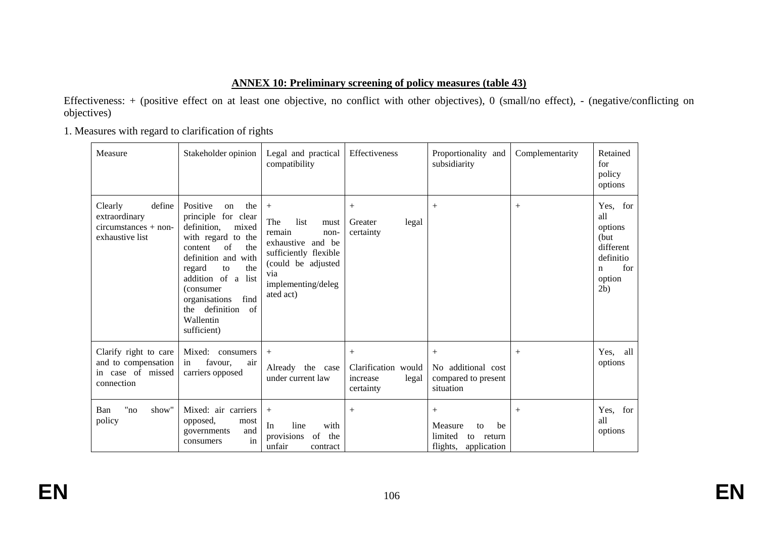# **ANNEX 10: Preliminary screening of policy measures (table 43)**

Effectiveness: + (positive effect on at least one objective, no conflict with other objectives), 0 (small/no effect), - (negative/conflicting on objectives)

1. Measures with regard to clarification of rights

| Measure                                                                         | Stakeholder opinion                                                                                                                                                                                                                                                                    | Legal and practical<br>compatibility                                                                                                                          | Effectiveness                                                   | Proportionality and<br>subsidiarity                                              | Complementarity | Retained<br>for<br>policy<br>options                                                                 |
|---------------------------------------------------------------------------------|----------------------------------------------------------------------------------------------------------------------------------------------------------------------------------------------------------------------------------------------------------------------------------------|---------------------------------------------------------------------------------------------------------------------------------------------------------------|-----------------------------------------------------------------|----------------------------------------------------------------------------------|-----------------|------------------------------------------------------------------------------------------------------|
| define<br>Clearly<br>extraordinary<br>$circumstances + non-$<br>exhaustive list | Positive<br>the<br>on<br>principle for clear<br>definition,<br>mixed<br>with regard to the<br>of<br>the<br>content<br>definition and<br>with<br>the<br>regard<br>to<br>addition of a list<br>(consumer<br>organisations<br>find<br>definition<br>of<br>the<br>Wallentin<br>sufficient) | $^{+}$<br>The<br>list<br>must<br>remain<br>non-<br>exhaustive and be<br>sufficiently flexible<br>(could be adjusted<br>via<br>implementing/deleg<br>ated act) | $^{+}$<br>Greater<br>legal<br>certainty                         | $+$                                                                              | $^{+}$          | Yes, for<br>all<br>options<br>(but)<br>different<br>definitio<br>for<br>$\mathbf n$<br>option<br>2b) |
| Clarify right to care<br>and to compensation<br>in case of missed<br>connection | Mixed:<br>consumers<br>favour,<br>in<br>air<br>carriers opposed                                                                                                                                                                                                                        | $^{+}$<br>Already the case<br>under current law                                                                                                               | $^{+}$<br>Clarification would<br>increase<br>legal<br>certainty | $^{+}$<br>No additional cost<br>compared to present<br>situation                 | $^{+}$          | Yes,<br>all<br>options                                                                               |
| "no<br>show"<br>Ban<br>policy                                                   | Mixed: air carriers<br>opposed,<br>most<br>and<br>governments<br>in<br>consumers                                                                                                                                                                                                       | $^{+}$<br>In<br>line<br>with<br>provisions<br>of<br>the<br>unfair<br>contract                                                                                 | $+$                                                             | $^{+}$<br>Measure<br>be<br>to<br>limited<br>to return<br>flights,<br>application | $^{+}$          | Yes, for<br>all<br>options                                                                           |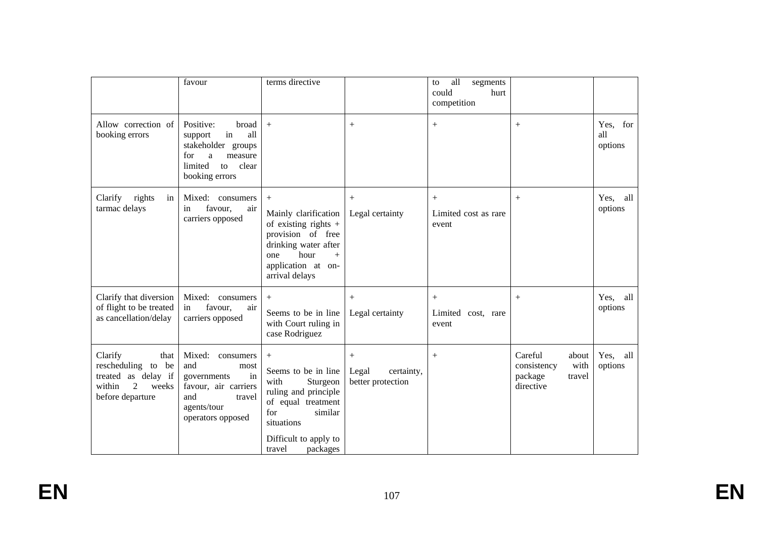|                                                                                                          | favour                                                                                                                                     | terms directive                                                                                                                                                                |                                                 | all<br>segments<br>to<br>could<br>hurt<br>competition |                                                                           |                            |
|----------------------------------------------------------------------------------------------------------|--------------------------------------------------------------------------------------------------------------------------------------------|--------------------------------------------------------------------------------------------------------------------------------------------------------------------------------|-------------------------------------------------|-------------------------------------------------------|---------------------------------------------------------------------------|----------------------------|
| Allow correction of<br>booking errors                                                                    | Positive:<br>broad<br>all<br>in<br>support<br>stakeholder groups<br>for<br>$\rm{a}$<br>measure<br>limited<br>to<br>clear<br>booking errors | $+$                                                                                                                                                                            |                                                 | $^{+}$                                                | $^{+}$                                                                    | Yes, for<br>all<br>options |
| rights<br>Clarify<br>in<br>tarmac delays                                                                 | Mixed: consumers<br>favour,<br>air<br>in<br>carriers opposed                                                                               | $+$<br>Mainly clarification<br>of existing rights $+$<br>provision of free<br>drinking water after<br>hour<br>one<br>$+$<br>application at on-<br>arrival delays               | Legal certainty                                 | Limited cost as rare<br>event                         | $^{+}$                                                                    | Yes, all<br>options        |
| Clarify that diversion<br>of flight to be treated<br>as cancellation/delay                               | Mixed: consumers<br>favour,<br>air<br>in<br>carriers opposed                                                                               | $+$<br>Seems to be in line<br>with Court ruling in<br>case Rodriguez                                                                                                           | $+$<br>Legal certainty                          | $\boldsymbol{+}$<br>Limited cost, rare<br>event       | $^{+}$                                                                    | Yes, all<br>options        |
| Clarify<br>that<br>rescheduling to be<br>treated as delay if<br>2<br>within<br>weeks<br>before departure | Mixed:<br>consumers<br>and<br>most<br>in<br>governments<br>favour, air carriers<br>and<br>travel<br>agents/tour<br>operators opposed       | $^{+}$<br>Seems to be in line<br>with<br>Sturgeon<br>ruling and principle<br>of equal treatment<br>for<br>similar<br>situations<br>Difficult to apply to<br>packages<br>travel | $+$<br>Legal<br>certainty,<br>better protection | $+$                                                   | Careful<br>about<br>consistency<br>with<br>package<br>travel<br>directive | Yes, all<br>options        |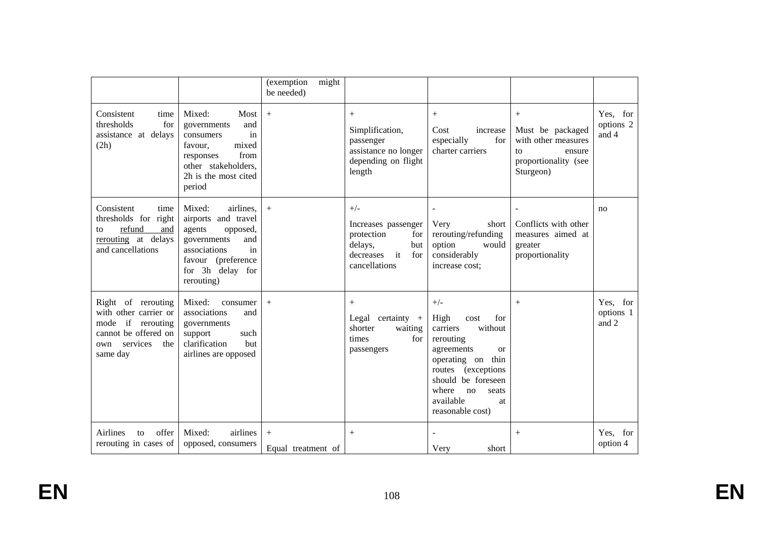|                                                                                                                                |                                                                                                                                                                      | (exemption<br>might<br>be needed) |                                                                                                                |                                                                                                                                                                                                                                 |                                                                                                        |                                |
|--------------------------------------------------------------------------------------------------------------------------------|----------------------------------------------------------------------------------------------------------------------------------------------------------------------|-----------------------------------|----------------------------------------------------------------------------------------------------------------|---------------------------------------------------------------------------------------------------------------------------------------------------------------------------------------------------------------------------------|--------------------------------------------------------------------------------------------------------|--------------------------------|
| Consistent<br>time<br>thresholds<br>for<br>assistance at delays<br>(2h)                                                        | Mixed:<br>Most<br>and<br>governments<br>in<br>consumers<br>mixed<br>favour.<br>from<br>responses<br>other stakeholders,<br>2h is the most cited<br>period            | $+$                               | $+$<br>Simplification,<br>passenger<br>assistance no longer<br>depending on flight<br>length                   | $^{+}$<br>Cost<br>increase<br>especially<br>for<br>charter carriers                                                                                                                                                             | $^{+}$<br>Must be packaged<br>with other measures<br>ensure<br>to<br>proportionality (see<br>Sturgeon) | Yes, for<br>options 2<br>and 4 |
| Consistent<br>time<br>thresholds for right<br>refund<br>and<br>to<br>rerouting at delays<br>and cancellations                  | Mixed:<br>airlines,<br>airports and travel<br>agents<br>opposed,<br>governments<br>and<br>associations<br>in<br>favour (preference<br>for 3h delay for<br>rerouting) | $+$                               | $+/-$<br>Increases passenger<br>protection<br>for<br>delays,<br>but<br>decreases<br>it<br>for<br>cancellations | $\overline{\phantom{a}}$<br>Very<br>short<br>rerouting/refunding<br>option<br>would<br>considerably<br>increase cost;                                                                                                           | Conflicts with other<br>measures aimed at<br>greater<br>proportionality                                | no                             |
| Right of rerouting<br>with other carrier or<br>mode if rerouting<br>cannot be offered on<br>services<br>the<br>own<br>same day | Mixed:<br>consumer<br>associations<br>and<br>governments<br>support<br>such<br>clarification<br>but<br>airlines are opposed                                          | $+$                               | $+$<br>Legal certainty $+$<br>shorter<br>waiting<br>times<br>for<br>passengers                                 | $+/-$<br>High<br>for<br>cost<br>without<br>carriers<br>rerouting<br>agreements<br><sub>or</sub><br>operating on thin<br>routes (exceptions<br>should be foreseen<br>where<br>no<br>seats<br>available<br>at<br>reasonable cost) | $^{+}$                                                                                                 | Yes, for<br>options 1<br>and 2 |
| offer<br>Airlines<br>to<br>rerouting in cases of                                                                               | airlines<br>Mixed:<br>opposed, consumers                                                                                                                             | $^{+}$<br>Equal treatment of      | $+$                                                                                                            | $\overline{\phantom{a}}$<br>Very<br>short                                                                                                                                                                                       | $^{+}$                                                                                                 | Yes, for<br>option 4           |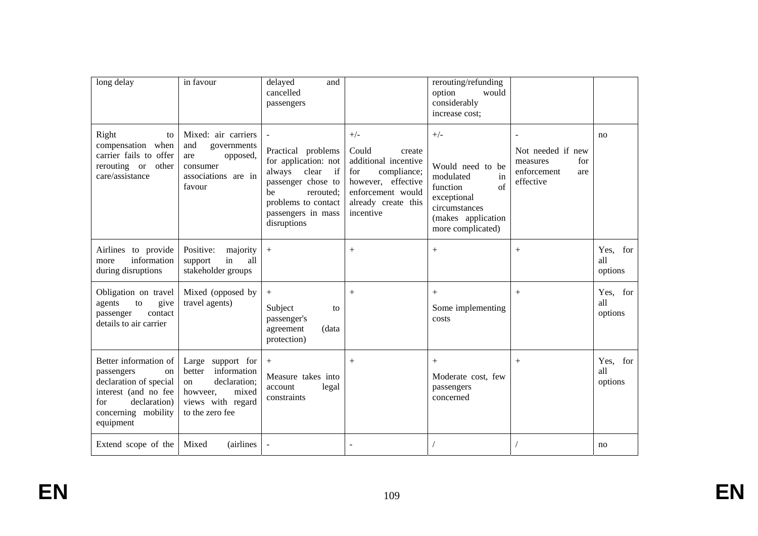| long delay                                                                                                                                             | in favour                                                                                                                        | delayed<br>and<br>cancelled<br>passengers                                                                                                                                |                                                                                                                                                       | rerouting/refunding<br>option<br>would<br>considerably<br>increase cost;                                                                  |                                                                         |                            |
|--------------------------------------------------------------------------------------------------------------------------------------------------------|----------------------------------------------------------------------------------------------------------------------------------|--------------------------------------------------------------------------------------------------------------------------------------------------------------------------|-------------------------------------------------------------------------------------------------------------------------------------------------------|-------------------------------------------------------------------------------------------------------------------------------------------|-------------------------------------------------------------------------|----------------------------|
| Right<br>to<br>compensation when<br>carrier fails to offer<br>rerouting or other<br>care/assistance                                                    | Mixed: air carriers<br>and<br>governments<br>opposed,<br>are<br>consumer<br>associations are in<br>favour                        | Practical problems<br>for application: not<br>always<br>if<br>clear<br>passenger chose to<br>be<br>rerouted;<br>problems to contact<br>passengers in mass<br>disruptions | $+/-$<br>Could<br>create<br>additional incentive<br>for<br>compliance;<br>however, effective<br>enforcement would<br>already create this<br>incentive | $+/-$<br>Would need to be<br>modulated<br>in<br>of<br>function<br>exceptional<br>circumstances<br>(makes application<br>more complicated) | Not needed if new<br>for<br>measures<br>enforcement<br>are<br>effective | no                         |
| Airlines to provide<br>information<br>more<br>during disruptions                                                                                       | Positive:<br>majority<br>in<br>all<br>support<br>stakeholder groups                                                              | $^{+}$                                                                                                                                                                   | $+$                                                                                                                                                   | $^{+}$                                                                                                                                    | $^{+}$                                                                  | Yes, for<br>all<br>options |
| Obligation on travel<br>agents<br>to<br>give<br>contact<br>passenger<br>details to air carrier                                                         | Mixed (opposed by<br>travel agents)                                                                                              | $^{+}$<br>Subject<br>to<br>passenger's<br>agreement<br>(data<br>protection)                                                                                              | $+$                                                                                                                                                   | $+$<br>Some implementing<br>costs                                                                                                         | $+$                                                                     | Yes, for<br>all<br>options |
| Better information of<br>passengers<br>on<br>declaration of special<br>interest (and no fee<br>declaration)<br>for<br>concerning mobility<br>equipment | support for<br>Large<br>information<br>better<br>declaration;<br>on<br>mixed<br>howveer,<br>views with regard<br>to the zero fee | $^{+}$<br>Measure takes into<br>legal<br>account<br>constraints                                                                                                          | $+$                                                                                                                                                   | $+$<br>Moderate cost, few<br>passengers<br>concerned                                                                                      | $^{+}$                                                                  | Yes, for<br>all<br>options |
| Extend scope of the                                                                                                                                    | Mixed<br><i>(airlines)</i>                                                                                                       |                                                                                                                                                                          |                                                                                                                                                       |                                                                                                                                           |                                                                         | no                         |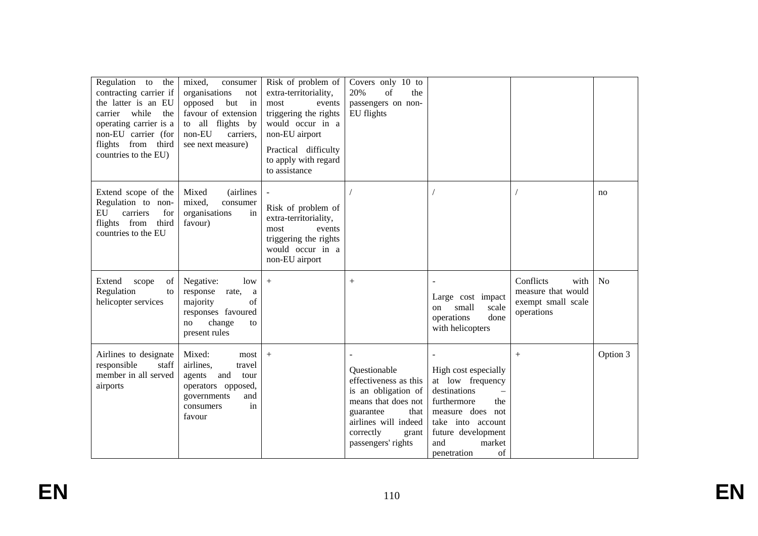| Regulation to the<br>contracting carrier if<br>the latter is an EU<br>carrier while<br>the<br>operating carrier is a<br>non-EU carrier (for<br>flights from third<br>countries to the EU) | mixed,<br>consumer<br>organisations<br>not<br>in<br>opposed<br>but<br>favour of extension<br>to all flights by<br>non-EU<br>carriers,<br>see next measure) | Risk of problem of<br>extra-territoriality,<br>most<br>events<br>triggering the rights<br>would occur in a<br>non-EU airport<br>Practical difficulty<br>to apply with regard<br>to assistance | Covers only 10 to<br>20%<br>of<br>the<br>passengers on non-<br>EU flights                                                                                                    |                                                                                                                                                                                                 |                                                                             |                |
|-------------------------------------------------------------------------------------------------------------------------------------------------------------------------------------------|------------------------------------------------------------------------------------------------------------------------------------------------------------|-----------------------------------------------------------------------------------------------------------------------------------------------------------------------------------------------|------------------------------------------------------------------------------------------------------------------------------------------------------------------------------|-------------------------------------------------------------------------------------------------------------------------------------------------------------------------------------------------|-----------------------------------------------------------------------------|----------------|
| Extend scope of the<br>Regulation to non-<br>EU<br>carriers<br>for<br>flights from<br>third<br>countries to the EU                                                                        | Mixed<br><i>(airlines)</i><br>mixed,<br>consumer<br>organisations<br>in<br>favour)                                                                         | Risk of problem of<br>extra-territoriality,<br>most<br>events<br>triggering the rights<br>would occur in a<br>non-EU airport                                                                  |                                                                                                                                                                              |                                                                                                                                                                                                 |                                                                             | no             |
| Extend<br>of<br>scope<br>Regulation<br>to<br>helicopter services                                                                                                                          | Negative:<br>low<br>response<br>rate,<br>a<br>of<br>majority<br>responses favoured<br>change<br>no<br>to<br>present rules                                  | $+$                                                                                                                                                                                           | $+$                                                                                                                                                                          | $\overline{\phantom{a}}$<br>Large cost impact<br>small<br>scale<br>on<br>operations<br>done<br>with helicopters                                                                                 | Conflicts<br>with<br>measure that would<br>exempt small scale<br>operations | N <sub>o</sub> |
| Airlines to designate<br>responsible<br>staff<br>member in all served<br>airports                                                                                                         | Mixed:<br>most<br>airlines,<br>travel<br>and<br>agents<br>tour<br>operators opposed,<br>governments<br>and<br>in<br>consumers<br>favour                    | $+$                                                                                                                                                                                           | Questionable<br>effectiveness as this<br>is an obligation of<br>means that does not<br>guarantee<br>that<br>airlines will indeed<br>correctly<br>grant<br>passengers' rights | High cost especially<br>at low frequency<br>destinations<br>$\equiv$<br>furthermore<br>the<br>measure does not<br>take into account<br>future development<br>and<br>market<br>of<br>penetration | $^{+}$                                                                      | Option 3       |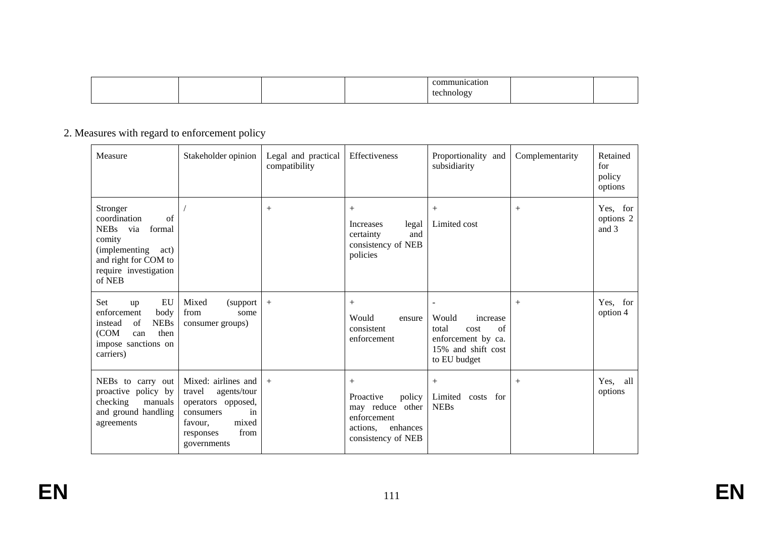|  |  | atıor                         |  |
|--|--|-------------------------------|--|
|  |  | teci<br>۱۵۵۱،<br>.chne:<br>-- |  |

# 2. Measures with regard to enforcement policy

| Measure                                                                                                                                            | Stakeholder opinion                                                                                                                           | Legal and practical<br>compatibility | Effectiveness                                                                                               | Proportionality and<br>subsidiarity                                                                                              | Complementarity | Retained<br>for<br>policy<br>options |
|----------------------------------------------------------------------------------------------------------------------------------------------------|-----------------------------------------------------------------------------------------------------------------------------------------------|--------------------------------------|-------------------------------------------------------------------------------------------------------------|----------------------------------------------------------------------------------------------------------------------------------|-----------------|--------------------------------------|
| Stronger<br>coordination<br>of<br>NEBs via<br>formal<br>comity<br>(implementing<br>act)<br>and right for COM to<br>require investigation<br>of NEB |                                                                                                                                               | $^{+}$                               | $+$<br>Increases<br>legal<br>certainty<br>and<br>consistency of NEB<br>policies                             | $^{+}$<br>Limited cost                                                                                                           | $^{+}$          | Yes, for<br>options 2<br>and 3       |
| EU<br>Set<br>up<br>enforcement<br>body<br><b>NEBs</b><br>of<br>instead<br>(COM<br>then<br>can<br>impose sanctions on<br>carriers)                  | Mixed<br>(support)<br>from<br>some<br>consumer groups)                                                                                        | $^{+}$                               | $^{+}$<br>Would<br>ensure<br>consistent<br>enforcement                                                      | $\overline{\phantom{0}}$<br>Would<br>increase<br>of<br>total<br>cost<br>enforcement by ca.<br>15% and shift cost<br>to EU budget | $^{+}$          | Yes, for<br>option 4                 |
| NEBs to carry out<br>proactive policy by<br>checking<br>manuals<br>and ground handling<br>agreements                                               | Mixed: airlines and<br>travel<br>agents/tour<br>operators opposed,<br>consumers<br>in<br>mixed<br>favour.<br>from<br>responses<br>governments | $+$                                  | $+$<br>policy<br>Proactive<br>may reduce other<br>enforcement<br>enhances<br>actions,<br>consistency of NEB | $+$<br>Limited<br>costs for<br><b>NEBs</b>                                                                                       | $^{+}$          | Yes, all<br>options                  |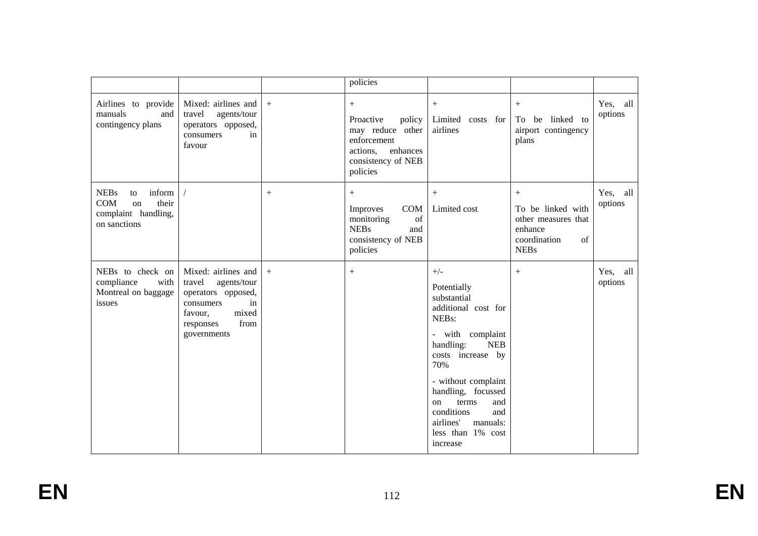|                                                                                                            |                                                                                                                                               |        | policies                                                                                                                   |                                                                                                                                                                                                                                                                                                             |                                                                                                 |                     |
|------------------------------------------------------------------------------------------------------------|-----------------------------------------------------------------------------------------------------------------------------------------------|--------|----------------------------------------------------------------------------------------------------------------------------|-------------------------------------------------------------------------------------------------------------------------------------------------------------------------------------------------------------------------------------------------------------------------------------------------------------|-------------------------------------------------------------------------------------------------|---------------------|
| Airlines to provide<br>manuals<br>and<br>contingency plans                                                 | Mixed: airlines and<br>travel<br>agents/tour<br>operators opposed,<br>consumers<br>in<br>favour                                               | $+$    | $^{+}$<br>Proactive<br>policy<br>may reduce other<br>enforcement<br>enhances<br>actions,<br>consistency of NEB<br>policies | $^{+}$<br>Limited costs for<br>airlines                                                                                                                                                                                                                                                                     | To be linked to<br>airport contingency<br>plans                                                 | Yes, all<br>options |
| <b>NEBs</b><br>inform<br>to<br>their<br><b>COM</b><br><sub>on</sub><br>complaint handling,<br>on sanctions |                                                                                                                                               | $^{+}$ | $+$<br><b>COM</b><br>Improves<br>of<br>monitoring<br><b>NEBs</b><br>and<br>consistency of NEB<br>policies                  | $^{+}$<br>Limited cost                                                                                                                                                                                                                                                                                      | $+$<br>To be linked with<br>other measures that<br>enhance<br>coordination<br>of<br><b>NEBs</b> | Yes, all<br>options |
| NEBs to check on<br>compliance<br>with<br>Montreal on baggage<br>issues                                    | Mixed: airlines and<br>travel<br>agents/tour<br>operators opposed,<br>consumers<br>in<br>mixed<br>favour,<br>from<br>responses<br>governments | $+$    | $^{+}$                                                                                                                     | $+/-$<br>Potentially<br>substantial<br>additional cost for<br>NEBs:<br>- with complaint<br>handling:<br><b>NEB</b><br>costs increase by<br>70%<br>- without complaint<br>handling, focussed<br>terms<br>and<br><sub>on</sub><br>conditions<br>and<br>airlines'<br>manuals:<br>less than 1% cost<br>increase | $+$                                                                                             | Yes, all<br>options |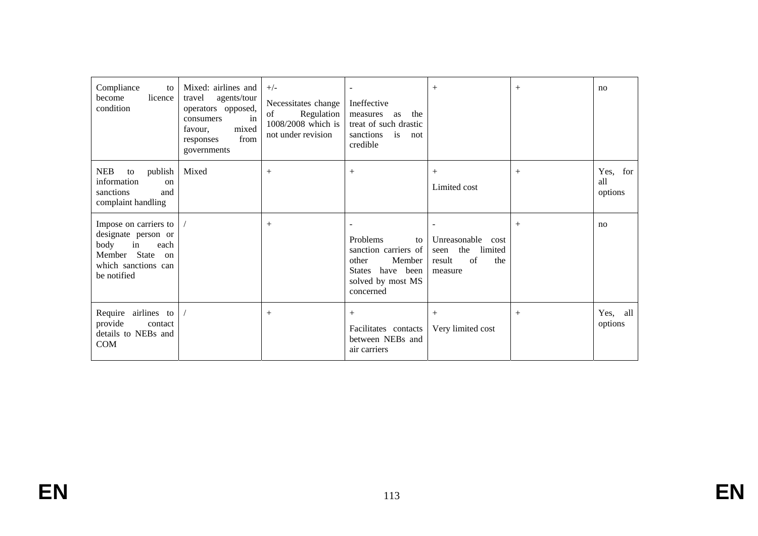| Compliance<br>to<br>licence<br>become<br>condition                                                                          | Mixed: airlines and<br>travel<br>agents/tour<br>operators opposed,<br>consumers<br>in<br>mixed<br>favour,<br>from<br>responses<br>governments | $+/-$<br>Necessitates change<br>Regulation<br>of<br>1008/2008 which is<br>not under revision | Ineffective<br>the<br>measures<br>as<br>treat of such drastic<br>is<br>sanctions<br>not<br>credible             | $+$                                                                                        | $^{+}$ | no                         |
|-----------------------------------------------------------------------------------------------------------------------------|-----------------------------------------------------------------------------------------------------------------------------------------------|----------------------------------------------------------------------------------------------|-----------------------------------------------------------------------------------------------------------------|--------------------------------------------------------------------------------------------|--------|----------------------------|
| <b>NEB</b><br>publish<br>to<br>information<br><sub>on</sub><br>sanctions<br>and<br>complaint handling                       | Mixed                                                                                                                                         | $+$                                                                                          | $^{+}$                                                                                                          | $^{+}$<br>Limited cost                                                                     | $^{+}$ | Yes, for<br>all<br>options |
| Impose on carriers to<br>designate person or<br>body<br>in<br>each<br>Member State on<br>which sanctions can<br>be notified |                                                                                                                                               | $^{+}$                                                                                       | Problems<br>to<br>sanction carriers of<br>Member<br>other<br>States have been<br>solved by most MS<br>concerned | $\sim$<br>Unreasonable<br>cost<br>the<br>limited<br>seen<br>of<br>result<br>the<br>measure | $^{+}$ | no                         |
| Require<br>airlines to<br>provide<br>contact<br>details to NEBs and<br>COM                                                  |                                                                                                                                               | $+$                                                                                          | $+$<br>Facilitates contacts<br>between NEBs and<br>air carriers                                                 | $^{+}$<br>Very limited cost                                                                | $^{+}$ | Yes, all<br>options        |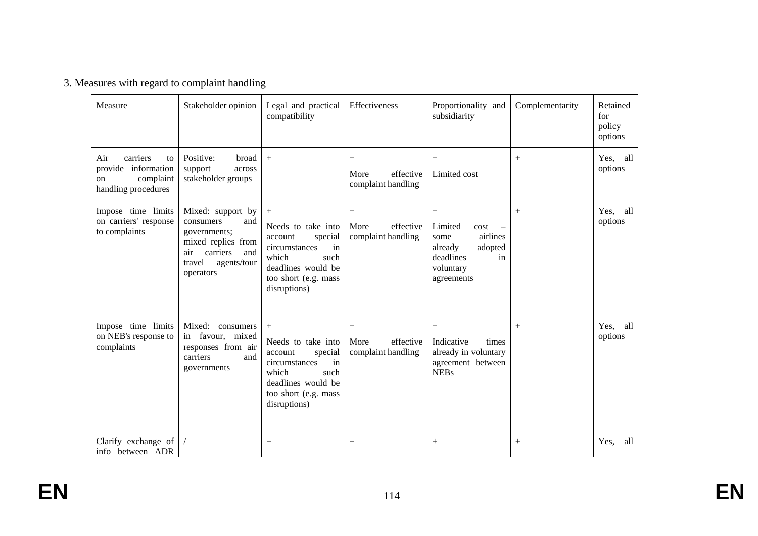|  |  |  | 3. Measures with regard to complaint handling |  |
|--|--|--|-----------------------------------------------|--|
|--|--|--|-----------------------------------------------|--|

| Measure                                                                                   | Stakeholder opinion                                                                                                                         | Legal and practical<br>compatibility                                                                                                                     | Effectiveness                                     | Proportionality and<br>subsidiarity                                                                                                        | Complementarity    | Retained<br>for<br>policy<br>options |
|-------------------------------------------------------------------------------------------|---------------------------------------------------------------------------------------------------------------------------------------------|----------------------------------------------------------------------------------------------------------------------------------------------------------|---------------------------------------------------|--------------------------------------------------------------------------------------------------------------------------------------------|--------------------|--------------------------------------|
| Air<br>carriers<br>to<br>provide<br>information<br>complaint<br>on<br>handling procedures | Positive:<br>broad<br>support<br>across<br>stakeholder groups                                                                               | $+$                                                                                                                                                      | $+$<br>effective<br>More<br>complaint handling    | $^{+}$<br>Limited cost                                                                                                                     | $^{+}$             | Yes, all<br>options                  |
| Impose time limits<br>on carriers' response<br>to complaints                              | Mixed: support by<br>and<br>consumers<br>governments;<br>mixed replies from<br>carriers<br>and<br>air<br>travel<br>agents/tour<br>operators | $+$<br>Needs to take into<br>account<br>special<br>circumstances<br>in<br>which<br>such<br>deadlines would be<br>too short (e.g. mass<br>disruptions)    | More<br>effective<br>complaint handling           | $+$<br>Limited<br>cost<br>$\overline{\phantom{m}}$<br>airlines<br>some<br>already<br>adopted<br>deadlines<br>in<br>voluntary<br>agreements | $^{+}$             | Yes, all<br>options                  |
| Impose time limits<br>on NEB's response to<br>complaints                                  | Mixed: consumers<br>in favour, mixed<br>responses from air<br>carriers<br>and<br>governments                                                | $^{+}$<br>Needs to take into<br>account<br>special<br>circumstances<br>in<br>which<br>such<br>deadlines would be<br>too short (e.g. mass<br>disruptions) | $^{+}$<br>More<br>effective<br>complaint handling | $^{+}$<br>Indicative<br>times<br>already in voluntary<br>agreement between<br><b>NEBs</b>                                                  | $^{+}$             | Yes, all<br>options                  |
| Clarify exchange of<br>info between ADR                                                   |                                                                                                                                             | $^{+}$                                                                                                                                                   | $^{+}$                                            | $^{+}$                                                                                                                                     | $\hspace{0.1mm} +$ | Yes,<br>all                          |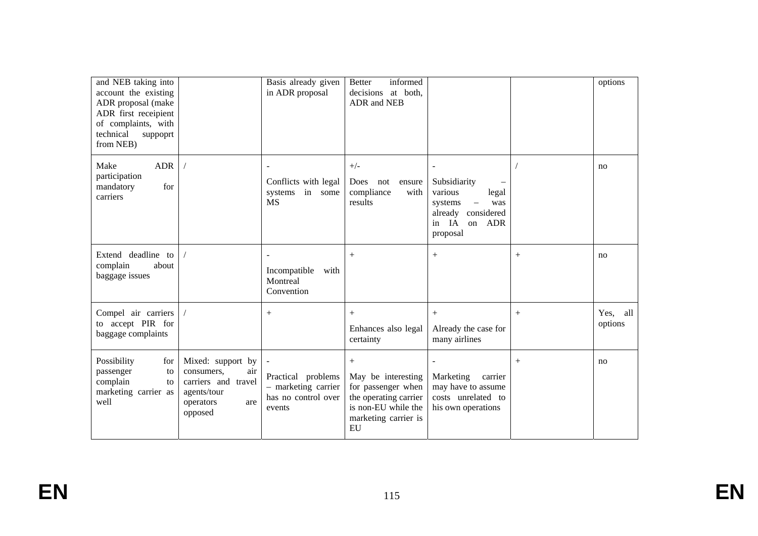| and NEB taking into<br>account the existing<br>ADR proposal (make<br>ADR first receipient<br>of complaints, with<br>technical<br>suppoprt<br>from NEB) |                                                                                                             | Basis already given<br>in ADR proposal                                     | informed<br><b>Better</b><br>decisions at both,<br>ADR and NEB                                                                |                                                                                                                                     |        | options             |
|--------------------------------------------------------------------------------------------------------------------------------------------------------|-------------------------------------------------------------------------------------------------------------|----------------------------------------------------------------------------|-------------------------------------------------------------------------------------------------------------------------------|-------------------------------------------------------------------------------------------------------------------------------------|--------|---------------------|
| Make<br><b>ADR</b><br>participation<br>mandatory<br>for<br>carriers                                                                                    |                                                                                                             | Conflicts with legal<br>systems in some<br><b>MS</b>                       | $+/-$<br>Does<br>not<br>ensure<br>compliance<br>with<br>results                                                               | Subsidiarity<br>various<br>legal<br>was<br>systems<br>$\overline{\phantom{m}}$<br>already considered<br>in IA<br>on ADR<br>proposal |        | no                  |
| Extend deadline to<br>complain<br>about<br>baggage issues                                                                                              |                                                                                                             | Incompatible<br>with<br>Montreal<br>Convention                             | $+$                                                                                                                           | $^{+}$                                                                                                                              | $^{+}$ | no                  |
| Compel air carriers<br>to accept PIR for<br>baggage complaints                                                                                         |                                                                                                             | $^{+}$                                                                     | $+$<br>Enhances also legal<br>certainty                                                                                       | $+$<br>Already the case for<br>many airlines                                                                                        | $^{+}$ | Yes, all<br>options |
| Possibility<br>for<br>passenger<br>to<br>complain<br>to<br>marketing carrier as<br>well                                                                | Mixed: support by<br>consumers,<br>air<br>carriers and travel<br>agents/tour<br>operators<br>are<br>opposed | Practical problems<br>- marketing carrier<br>has no control over<br>events | $+$<br>May be interesting<br>for passenger when<br>the operating carrier<br>is non-EU while the<br>marketing carrier is<br>EU | Marketing<br>carrier<br>may have to assume<br>costs unrelated to<br>his own operations                                              | $^{+}$ | no                  |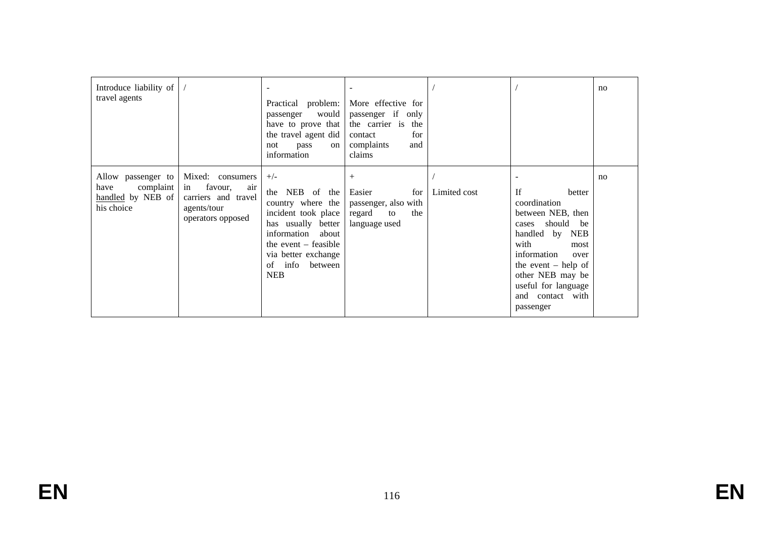| Introduce liability of<br>travel agents                                    |                                                                                                     | Practical problem:<br>passenger would<br>have to prove that<br>the travel agent did<br>not<br>pass<br>on<br>information                                                                                | More effective for<br>passenger if only<br>the carrier is the<br>for<br>contact<br>complaints<br>and<br>claims |              |                                                                                                                                                                                                                                              | no |
|----------------------------------------------------------------------------|-----------------------------------------------------------------------------------------------------|--------------------------------------------------------------------------------------------------------------------------------------------------------------------------------------------------------|----------------------------------------------------------------------------------------------------------------|--------------|----------------------------------------------------------------------------------------------------------------------------------------------------------------------------------------------------------------------------------------------|----|
| Allow passenger to<br>complaint<br>have<br>handled by NEB of<br>his choice | Mixed: consumers<br>favour,<br>in<br>air<br>carriers and travel<br>agents/tour<br>operators opposed | $+/-$<br>the NEB of the<br>country where the<br>incident took place<br>has usually better<br>information about<br>the event $-$ feasible<br>via better exchange<br>info<br>between<br>of<br><b>NEB</b> | $^{+}$<br>Easier<br>for<br>passenger, also with<br>regard<br>the<br>to<br>language used                        | Limited cost | <b>If</b><br>better<br>coordination<br>between NEB, then<br>should be<br>cases<br>handled by NEB<br>with<br>most<br>information<br>over<br>the event $-$ help of<br>other NEB may be<br>useful for language<br>and contact with<br>passenger | no |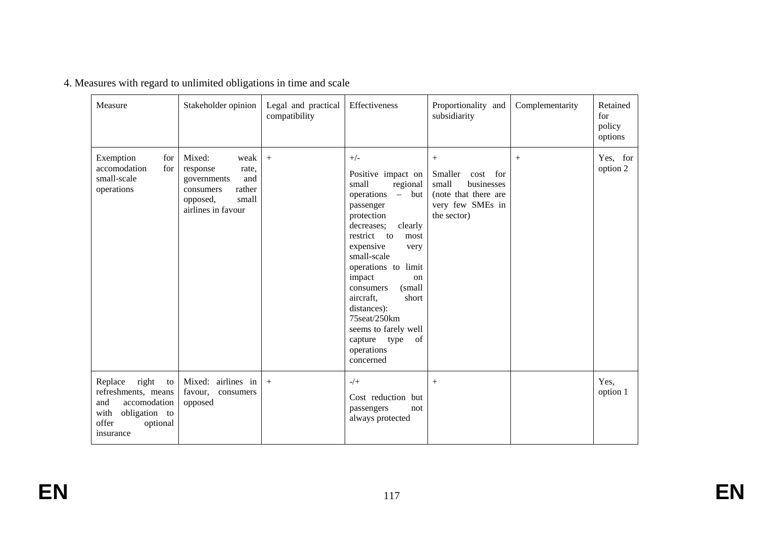| Measure                                                                                                                         | Stakeholder opinion                                                                                                         | Legal and practical<br>compatibility | Effectiveness                                                                                                                                                                                                                                                                                                                                                                      | Proportionality and<br>subsidiarity                                                                              | Complementarity | Retained<br>for<br>policy<br>options |
|---------------------------------------------------------------------------------------------------------------------------------|-----------------------------------------------------------------------------------------------------------------------------|--------------------------------------|------------------------------------------------------------------------------------------------------------------------------------------------------------------------------------------------------------------------------------------------------------------------------------------------------------------------------------------------------------------------------------|------------------------------------------------------------------------------------------------------------------|-----------------|--------------------------------------|
| Exemption<br>for<br>accomodation<br>for<br>small-scale<br>operations                                                            | Mixed:<br>weak<br>response<br>rate,<br>and<br>governments<br>rather<br>consumers<br>small<br>opposed,<br>airlines in favour | $+$                                  | $+/-$<br>Positive impact on<br>small<br>regional<br>operations - but<br>passenger<br>protection<br>decreases;<br>clearly<br>restrict to<br>most<br>expensive<br>very<br>small-scale<br>operations to limit<br>impact<br>on<br>(small<br>consumers<br>aircraft,<br>short<br>distances):<br>75seat/250km<br>seems to farely well<br>of<br>capture<br>type<br>operations<br>concerned | $\,+\,$<br>Smaller<br>cost for<br>small<br>businesses<br>(note that there are<br>very few SMEs in<br>the sector) | $^{+}$          | Yes, for<br>option 2                 |
| right<br>Replace<br>to<br>refreshments, means<br>and<br>accomodation<br>with<br>obligation to<br>offer<br>optional<br>insurance | Mixed: airlines in<br>favour,<br>consumers<br>opposed                                                                       | $+$                                  | $-/+$<br>Cost reduction but<br>passengers<br>not<br>always protected                                                                                                                                                                                                                                                                                                               | $+$                                                                                                              |                 | Yes,<br>option 1                     |

|  | 4. Measures with regard to unlimited obligations in time and scale |  |  |
|--|--------------------------------------------------------------------|--|--|
|  |                                                                    |  |  |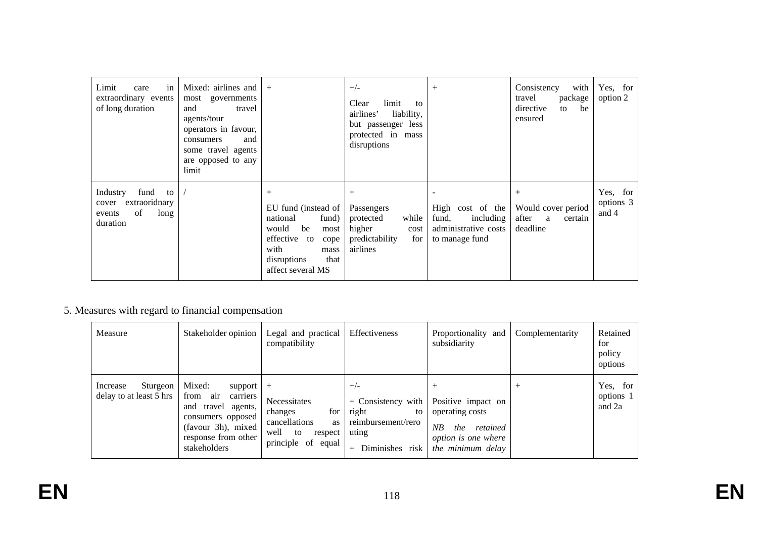| Limit<br>in<br>care<br>extraordinary events<br>of long duration                      | Mixed: airlines and<br>most governments<br>travel<br>and<br>agents/tour<br>operators in favour,<br>consumers<br>and<br>some travel agents<br>are opposed to any<br>limit | $+$                                                                                                                                                           | $+/-$<br>limit<br>Clear<br>to<br>airlines'<br>liability,<br>but passenger less<br>protected in mass<br>disruptions | $+$                                                                              | Consistency<br>with<br>package<br>travel<br>directive<br>be<br>to<br>ensured | Yes, for<br>option 2           |
|--------------------------------------------------------------------------------------|--------------------------------------------------------------------------------------------------------------------------------------------------------------------------|---------------------------------------------------------------------------------------------------------------------------------------------------------------|--------------------------------------------------------------------------------------------------------------------|----------------------------------------------------------------------------------|------------------------------------------------------------------------------|--------------------------------|
| fund<br>Industry<br>to<br>extraoridnary<br>cover<br>of<br>long<br>events<br>duration |                                                                                                                                                                          | $^{+}$<br>EU fund (instead of<br>national<br>fund)<br>be<br>would<br>most<br>effective to<br>cope<br>with<br>mass<br>disruptions<br>that<br>affect several MS | $+$<br>Passengers<br>protected<br>while<br>higher<br>cost<br>predictability<br>for<br>airlines                     | High cost of the<br>including<br>fund,<br>administrative costs<br>to manage fund | Would cover period<br>after a<br>certain<br>deadline                         | Yes, for<br>options 3<br>and 4 |

# 5. Measures with regard to financial compensation

| Measure                                         | Stakeholder opinion                                                                                                                                       | Effectiveness<br>Legal and practical<br>compatibility                                                          |                                                                                                     | Proportionality and<br>subsidiarity                                                                               | Complementarity | Retained<br>for<br>policy<br>options |
|-------------------------------------------------|-----------------------------------------------------------------------------------------------------------------------------------------------------------|----------------------------------------------------------------------------------------------------------------|-----------------------------------------------------------------------------------------------------|-------------------------------------------------------------------------------------------------------------------|-----------------|--------------------------------------|
| Sturgeon<br>Increase<br>delay to at least 5 hrs | Mixed:<br>support  <br>air<br>from<br>carriers<br>and travel<br>agents,<br>consumers opposed<br>(favour 3h), mixed<br>response from other<br>stakeholders | $^{+}$<br>Necessitates<br>for<br>changes<br>cancellations<br>as<br>well<br>to<br>respect<br>principle of equal | $+/-$<br>+ Consistency with<br>right<br>to<br>reimbursement/rero<br>uting<br>Diminishes risk<br>$+$ | Positive impact on<br>operating costs<br>NB<br>retained<br>the<br><i>option is one where</i><br>the minimum delay |                 | Yes, for<br>options 1<br>and 2a      |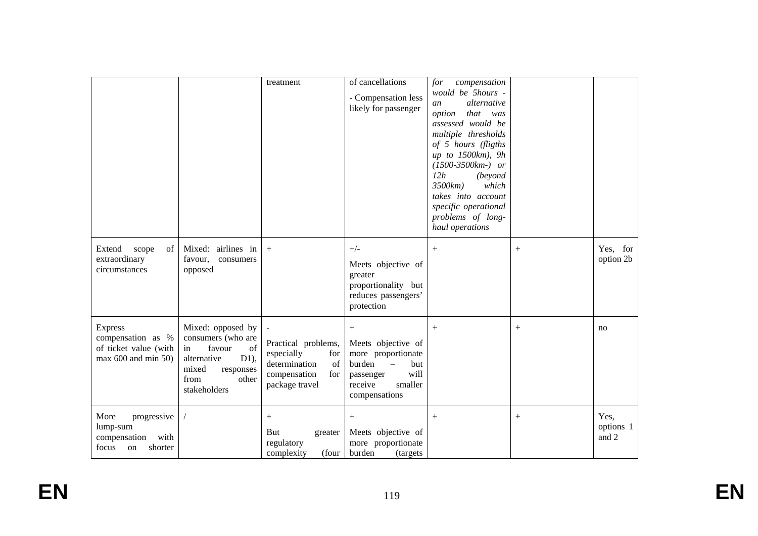|                                                                                        |                                                                                                                                                | treatment                                                                                                | of cancellations<br>- Compensation less<br>likely for passenger                                                                          | for<br>compensation<br>would be 5hours -<br>alternative<br>an<br>option<br>that was<br>assessed would be<br>multiple thresholds<br>of 5 hours (fligths<br>up to 1500km), 9h<br>$(1500-3500km)$ or<br>12h<br>(beyond<br>3500km)<br>which<br>takes into account<br>specific operational<br>problems of long-<br>haul operations |        |                            |
|----------------------------------------------------------------------------------------|------------------------------------------------------------------------------------------------------------------------------------------------|----------------------------------------------------------------------------------------------------------|------------------------------------------------------------------------------------------------------------------------------------------|-------------------------------------------------------------------------------------------------------------------------------------------------------------------------------------------------------------------------------------------------------------------------------------------------------------------------------|--------|----------------------------|
| Extend<br>scope<br>of<br>extraordinary<br>circumstances                                | Mixed: airlines in<br>favour,<br>consumers<br>opposed                                                                                          | $+$                                                                                                      | $+/-$<br>Meets objective of<br>greater<br>proportionality but<br>reduces passengers'<br>protection                                       | $+$                                                                                                                                                                                                                                                                                                                           | $^{+}$ | Yes, for<br>option 2b      |
| <b>Express</b><br>compensation as %<br>of ticket value (with<br>$max 600$ and $min 50$ | Mixed: opposed by<br>consumers (who are<br>favour<br>of<br>in<br>$D1$ ),<br>alternative<br>mixed<br>responses<br>from<br>other<br>stakeholders | Practical problems,<br>especially<br>for<br>determination<br>of<br>compensation<br>for<br>package travel | $+$<br>Meets objective of<br>more proportionate<br>burden<br>but<br>$\equiv$<br>will<br>passenger<br>receive<br>smaller<br>compensations | $+$                                                                                                                                                                                                                                                                                                                           | $^{+}$ | no                         |
| More<br>progressive<br>lump-sum<br>compensation<br>with<br>shorter<br>focus<br>on      |                                                                                                                                                | $+$<br>But<br>greater<br>regulatory<br>complexity<br>(four                                               | $+$<br>Meets objective of<br>more proportionate<br>burden<br>(targets                                                                    | $+$                                                                                                                                                                                                                                                                                                                           | $^{+}$ | Yes,<br>options 1<br>and 2 |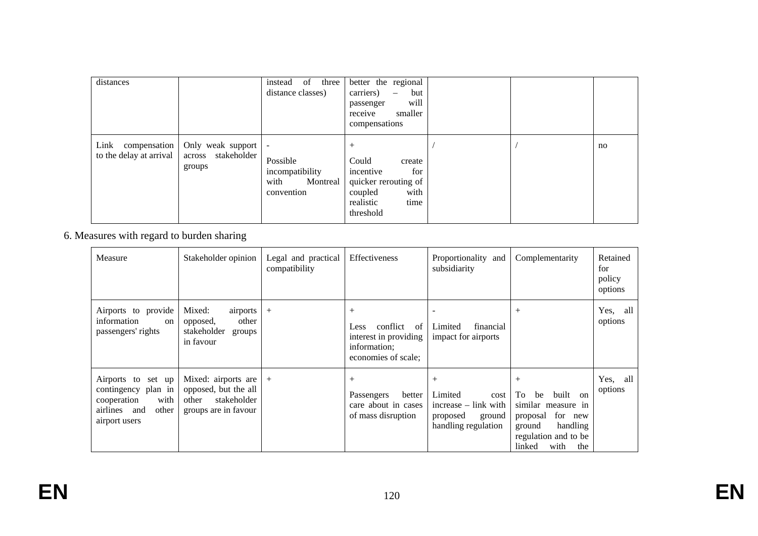| distances                                    |                                                      | of three<br>instead<br>distance classes)                                                  | better the regional<br>carriers)<br>but<br>$\overline{\phantom{0}}$<br>will<br>passenger<br>receive<br>smaller<br>compensations |  |    |
|----------------------------------------------|------------------------------------------------------|-------------------------------------------------------------------------------------------|---------------------------------------------------------------------------------------------------------------------------------|--|----|
| Link compensation<br>to the delay at arrival | Only weak support<br>stakeholder<br>across<br>groups | $\overline{\phantom{a}}$<br>Possible<br>incompatibility<br>with<br>Montreal<br>convention | Could<br>create<br>incentive<br>for<br>quicker rerouting of<br>with<br>coupled<br>realistic<br>time<br>threshold                |  | no |

6. Measures with regard to burden sharing

| Measure                                                                                                    | Stakeholder opinion                                                                         | Legal and practical<br>compatibility | Effectiveness                                                                                         | Proportionality and<br>subsidiarity                                                              | Complementarity                                                                                                                                       | Retained<br>for<br>policy<br>options |
|------------------------------------------------------------------------------------------------------------|---------------------------------------------------------------------------------------------|--------------------------------------|-------------------------------------------------------------------------------------------------------|--------------------------------------------------------------------------------------------------|-------------------------------------------------------------------------------------------------------------------------------------------------------|--------------------------------------|
| Airports to provide<br>information<br><sub>on</sub><br>passengers' rights                                  | Mixed:<br>airports<br>other<br>opposed,<br>stakeholder<br>groups<br>in favour               | $^{+}$                               | $+$<br>conflict<br>-of<br><b>Less</b><br>interest in providing<br>information;<br>economies of scale; | Limited<br>financial<br>impact for airports                                                      | $^{+}$                                                                                                                                                | Yes, all<br>options                  |
| Airports to set up<br>contingency plan in<br>with<br>cooperation<br>airlines and<br>other<br>airport users | Mixed: airports are<br>opposed, but the all<br>stakeholder<br>other<br>groups are in favour | $+$                                  | $^{+}$<br>better<br>Passengers<br>care about in cases<br>of mass disruption                           | $^{+}$<br>Limited<br>cost<br>$increase - link with$<br>proposed<br>ground<br>handling regulation | $^{+}$<br>To<br>built<br>be<br>on<br>similar measure in<br>for new<br>proposal<br>handling<br>ground<br>regulation and to be<br>linked<br>with<br>the | Yes, all<br>options                  |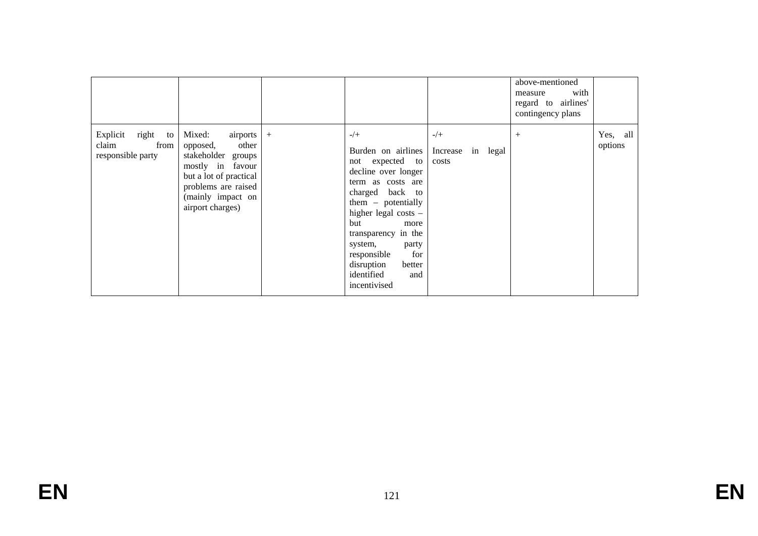|                                                            |                                                                                                                                                                               |                                                                                                                                                                                                                                                                                                            |                                           | above-mentioned<br>with<br>measure<br>regard to airlines'<br>contingency plans |                     |
|------------------------------------------------------------|-------------------------------------------------------------------------------------------------------------------------------------------------------------------------------|------------------------------------------------------------------------------------------------------------------------------------------------------------------------------------------------------------------------------------------------------------------------------------------------------------|-------------------------------------------|--------------------------------------------------------------------------------|---------------------|
| Explicit<br>right to<br>claim<br>from<br>responsible party | Mixed:<br>airports +<br>other<br>opposed,<br>stakeholder groups<br>mostly in favour<br>but a lot of practical<br>problems are raised<br>(mainly impact on<br>airport charges) | $-/+$<br>Burden on airlines<br>not expected to<br>decline over longer<br>term as costs are<br>charged back to<br>$them - potentially$<br>higher legal costs -<br>but<br>more<br>transparency in the<br>system,<br>party<br>for<br>responsible<br>disruption<br>better<br>identified<br>and<br>incentivised | $-/+$<br>Increase<br>in<br>legal<br>costs | $^{+}$                                                                         | Yes, all<br>options |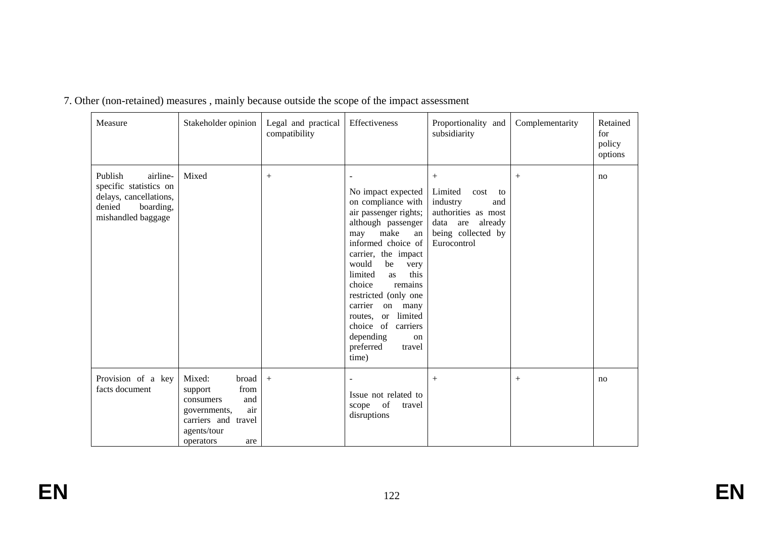| Measure                                                                                                              | Stakeholder opinion                                                                                                                        | Legal and practical<br>compatibility | Effectiveness                                                                                                                                                                                                                                                                                                                                                                                          | Proportionality and<br>subsidiarity                                                                                                   | Retained<br>for<br>policy<br>options |    |
|----------------------------------------------------------------------------------------------------------------------|--------------------------------------------------------------------------------------------------------------------------------------------|--------------------------------------|--------------------------------------------------------------------------------------------------------------------------------------------------------------------------------------------------------------------------------------------------------------------------------------------------------------------------------------------------------------------------------------------------------|---------------------------------------------------------------------------------------------------------------------------------------|--------------------------------------|----|
| Publish<br>airline-<br>specific statistics on<br>delays, cancellations,<br>denied<br>boarding,<br>mishandled baggage | Mixed                                                                                                                                      | $^{+}$                               | No impact expected<br>on compliance with<br>air passenger rights;<br>although passenger<br>make<br>may<br>an<br>informed choice of<br>carrier, the impact<br>would<br>be<br>very<br>limited<br>this<br><b>as</b><br>choice<br>remains<br>restricted (only one<br>carrier<br>on<br>many<br>limited<br>routes.<br><sub>or</sub><br>choice of carriers<br>depending<br>on<br>preferred<br>travel<br>time) | $^{+}$<br>Limited<br>cost<br>to<br>industry<br>and<br>authorities as most<br>already<br>data are<br>being collected by<br>Eurocontrol | $^{+}$                               | no |
| Provision of a key<br>facts document                                                                                 | Mixed:<br>broad<br>from<br>support<br>and<br>consumers<br>air<br>governments,<br>carriers and<br>travel<br>agents/tour<br>operators<br>are | $+$                                  | Issue not related to<br>scope of<br>travel<br>disruptions                                                                                                                                                                                                                                                                                                                                              | $^{+}$                                                                                                                                | $^{+}$                               | no |

7. Other (non-retained) measures , mainly because outside the scope of the impact assessment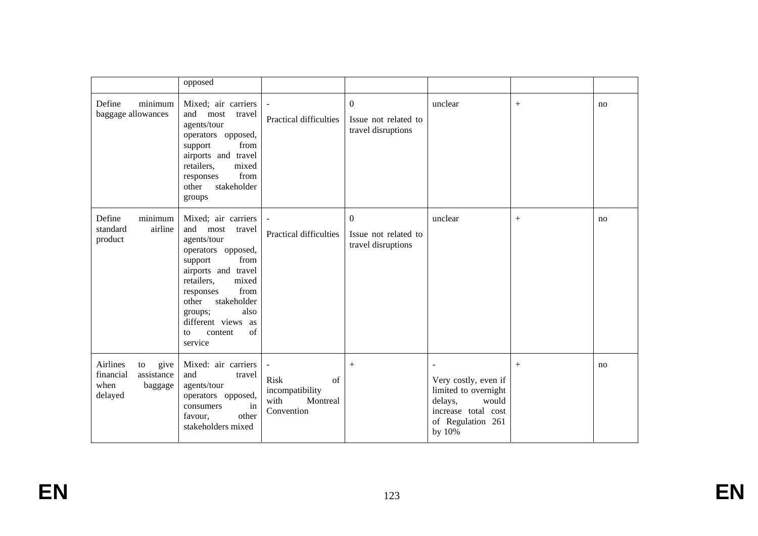|                                                                                 | opposed                                                                                                                                                                                                                                                                    |                                                                 |                                                            |                                                                                                                        |        |    |
|---------------------------------------------------------------------------------|----------------------------------------------------------------------------------------------------------------------------------------------------------------------------------------------------------------------------------------------------------------------------|-----------------------------------------------------------------|------------------------------------------------------------|------------------------------------------------------------------------------------------------------------------------|--------|----|
| minimum<br>Define<br>baggage allowances                                         | Mixed; air carriers<br>and<br>most<br>travel<br>agents/tour<br>operators opposed,<br>from<br>support<br>airports and travel<br>retailers,<br>mixed<br>from<br>responses<br>stakeholder<br>other<br>groups                                                                  | Practical difficulties                                          | $\Omega$<br>Issue not related to<br>travel disruptions     | unclear                                                                                                                | $^{+}$ | no |
| minimum<br>Define<br>airline<br>standard<br>product                             | Mixed; air carriers<br>and<br>most<br>travel<br>agents/tour<br>operators opposed,<br>from<br>support<br>airports and travel<br>retailers,<br>mixed<br>from<br>responses<br>other<br>stakeholder<br>also<br>groups;<br>different views as<br>of<br>content<br>to<br>service | Practical difficulties                                          | $\mathbf{0}$<br>Issue not related to<br>travel disruptions | unclear                                                                                                                | $+$    | no |
| Airlines<br>to<br>give<br>financial<br>assistance<br>when<br>baggage<br>delayed | Mixed: air carriers<br>and<br>travel<br>agents/tour<br>operators opposed,<br>consumers<br>in<br>other<br>favour,<br>stakeholders mixed                                                                                                                                     | Risk<br>of<br>incompatibility<br>with<br>Montreal<br>Convention | $+$                                                        | Very costly, even if<br>limited to overnight<br>delays,<br>would<br>increase total cost<br>of Regulation 261<br>by 10% | $+$    | no |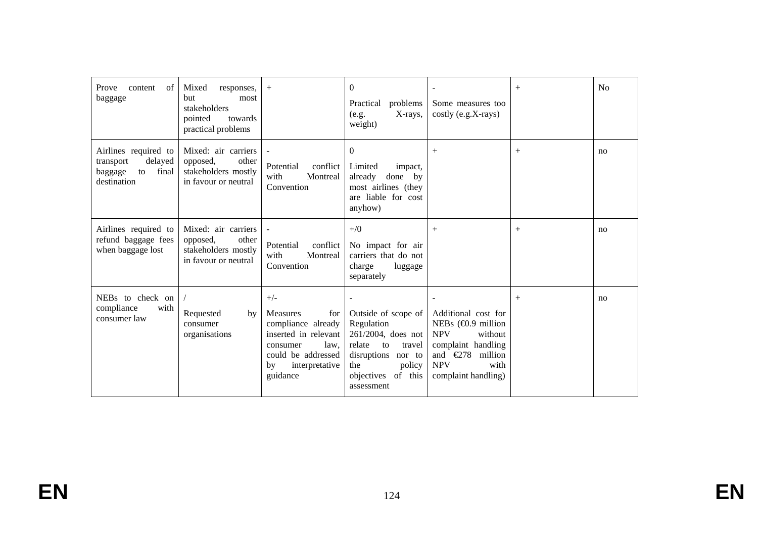| Prove<br>of<br>content<br>baggage                                                     | Mixed<br>responses,<br>but<br>most<br>stakeholders<br>towards<br>pointed<br>practical problems | $+$                                                                                                                                                         | $\Omega$<br>Practical<br>problems<br>X-rays,<br>(e.g.<br>weight)                                                                                                | $\overline{\phantom{a}}$<br>Some measures too<br>costly (e.g.X-rays)                                                                                                           | $^{+}$ | No |
|---------------------------------------------------------------------------------------|------------------------------------------------------------------------------------------------|-------------------------------------------------------------------------------------------------------------------------------------------------------------|-----------------------------------------------------------------------------------------------------------------------------------------------------------------|--------------------------------------------------------------------------------------------------------------------------------------------------------------------------------|--------|----|
| Airlines required to<br>delayed<br>transport<br>baggage<br>final<br>to<br>destination | Mixed: air carriers<br>other<br>opposed,<br>stakeholders mostly<br>in favour or neutral        | conflict<br>Potential<br>with<br>Montreal<br>Convention                                                                                                     | $\mathbf{0}$<br>Limited<br>impact,<br>done by<br>already<br>most airlines (they<br>are liable for cost<br>anyhow)                                               | $+$                                                                                                                                                                            | $^{+}$ | no |
| Airlines required to<br>refund baggage fees<br>when baggage lost                      | Mixed: air carriers<br>opposed,<br>other<br>stakeholders mostly<br>in favour or neutral        | conflict<br>Potential<br>Montreal<br>with<br>Convention                                                                                                     | $+$ /0<br>No impact for air<br>carriers that do not<br>charge<br>luggage<br>separately                                                                          | $^{+}$                                                                                                                                                                         | $^{+}$ | no |
| NEBs to check on<br>compliance<br>with<br>consumer law                                | Requested<br>by<br>consumer<br>organisations                                                   | $+/-$<br><b>Measures</b><br>for<br>compliance already<br>inserted in relevant<br>law,<br>consumer<br>could be addressed<br>interpretative<br>by<br>guidance | Outside of scope of<br>Regulation<br>261/2004, does not<br>relate<br>to<br>travel<br>disruptions<br>nor to<br>the<br>policy<br>objectives of this<br>assessment | Additional cost for<br>NEBs $(40.9 \text{ million})$<br><b>NPV</b><br>without<br>complaint handling<br>and $\epsilon$ 278 million<br><b>NPV</b><br>with<br>complaint handling) | $^{+}$ | no |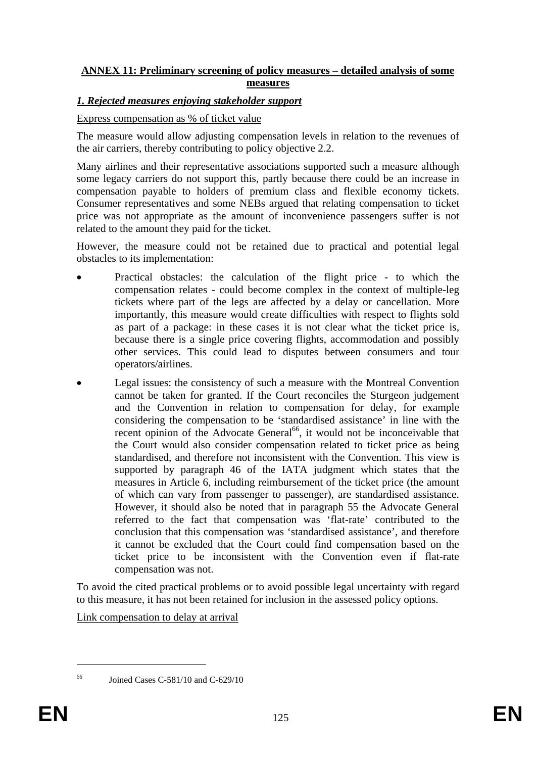# **ANNEX 11: Preliminary screening of policy measures – detailed analysis of some measures**

### *1. Rejected measures enjoying stakeholder support*

#### Express compensation as % of ticket value

The measure would allow adjusting compensation levels in relation to the revenues of the air carriers, thereby contributing to policy objective 2.2.

Many airlines and their representative associations supported such a measure although some legacy carriers do not support this, partly because there could be an increase in compensation payable to holders of premium class and flexible economy tickets. Consumer representatives and some NEBs argued that relating compensation to ticket price was not appropriate as the amount of inconvenience passengers suffer is not related to the amount they paid for the ticket.

However, the measure could not be retained due to practical and potential legal obstacles to its implementation:

- Practical obstacles: the calculation of the flight price to which the compensation relates - could become complex in the context of multiple-leg tickets where part of the legs are affected by a delay or cancellation. More importantly, this measure would create difficulties with respect to flights sold as part of a package: in these cases it is not clear what the ticket price is, because there is a single price covering flights, accommodation and possibly other services. This could lead to disputes between consumers and tour operators/airlines.
- Legal issues: the consistency of such a measure with the Montreal Convention cannot be taken for granted. If the Court reconciles the Sturgeon judgement and the Convention in relation to compensation for delay, for example considering the compensation to be 'standardised assistance' in line with the recent opinion of the Advocate General<sup>66</sup>, it would not be inconceivable that the Court would also consider compensation related to ticket price as being standardised, and therefore not inconsistent with the Convention. This view is supported by paragraph 46 of the IATA judgment which states that the measures in Article 6, including reimbursement of the ticket price (the amount of which can vary from passenger to passenger), are standardised assistance. However, it should also be noted that in paragraph 55 the Advocate General referred to the fact that compensation was 'flat-rate' contributed to the conclusion that this compensation was 'standardised assistance', and therefore it cannot be excluded that the Court could find compensation based on the ticket price to be inconsistent with the Convention even if flat-rate compensation was not.

To avoid the cited practical problems or to avoid possible legal uncertainty with regard to this measure, it has not been retained for inclusion in the assessed policy options.

Link compensation to delay at arrival

<sup>1</sup> 

 $^{66}$  Joined Cases C-581/10 and C-629/10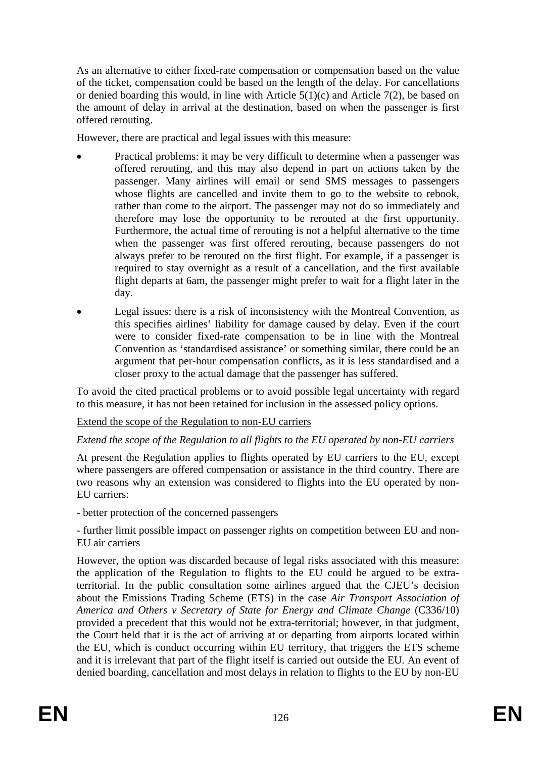As an alternative to either fixed-rate compensation or compensation based on the value of the ticket, compensation could be based on the length of the delay. For cancellations or denied boarding this would, in line with Article 5(1)(c) and Article 7(2), be based on the amount of delay in arrival at the destination, based on when the passenger is first offered rerouting.

However, there are practical and legal issues with this measure:

- Practical problems: it may be very difficult to determine when a passenger was offered rerouting, and this may also depend in part on actions taken by the passenger. Many airlines will email or send SMS messages to passengers whose flights are cancelled and invite them to go to the website to rebook, rather than come to the airport. The passenger may not do so immediately and therefore may lose the opportunity to be rerouted at the first opportunity. Furthermore, the actual time of rerouting is not a helpful alternative to the time when the passenger was first offered rerouting, because passengers do not always prefer to be rerouted on the first flight. For example, if a passenger is required to stay overnight as a result of a cancellation, and the first available flight departs at 6am, the passenger might prefer to wait for a flight later in the day.
- Legal issues: there is a risk of inconsistency with the Montreal Convention, as this specifies airlines' liability for damage caused by delay. Even if the court were to consider fixed-rate compensation to be in line with the Montreal Convention as 'standardised assistance' or something similar, there could be an argument that per-hour compensation conflicts, as it is less standardised and a closer proxy to the actual damage that the passenger has suffered.

To avoid the cited practical problems or to avoid possible legal uncertainty with regard to this measure, it has not been retained for inclusion in the assessed policy options.

# Extend the scope of the Regulation to non-EU carriers

# *Extend the scope of the Regulation to all flights to the EU operated by non-EU carriers*

At present the Regulation applies to flights operated by EU carriers to the EU, except where passengers are offered compensation or assistance in the third country. There are two reasons why an extension was considered to flights into the EU operated by non-EU carriers:

- better protection of the concerned passengers

- further limit possible impact on passenger rights on competition between EU and non-EU air carriers

However, the option was discarded because of legal risks associated with this measure: the application of the Regulation to flights to the EU could be argued to be extraterritorial. In the public consultation some airlines argued that the CJEU's decision about the Emissions Trading Scheme (ETS) in the case *Air Transport Association of America and Others v Secretary of State for Energy and Climate Change* (C336/10) provided a precedent that this would not be extra-territorial; however, in that judgment, the Court held that it is the act of arriving at or departing from airports located within the EU, which is conduct occurring within EU territory, that triggers the ETS scheme and it is irrelevant that part of the flight itself is carried out outside the EU. An event of denied boarding, cancellation and most delays in relation to flights to the EU by non-EU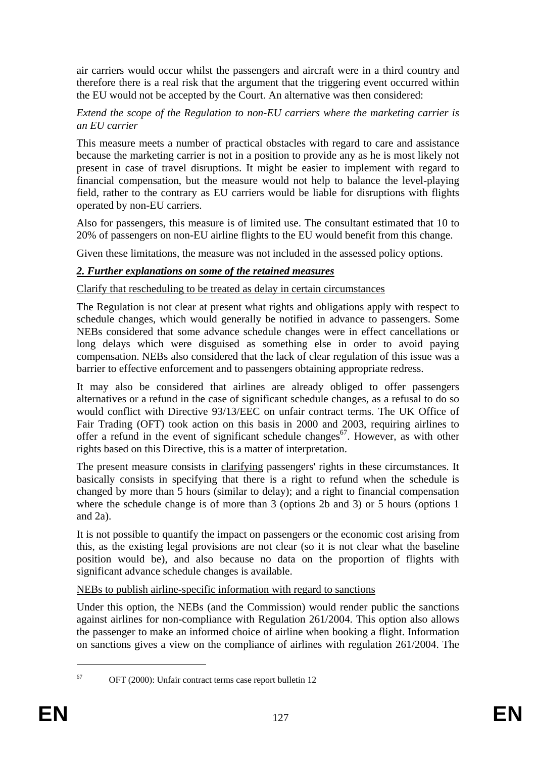air carriers would occur whilst the passengers and aircraft were in a third country and therefore there is a real risk that the argument that the triggering event occurred within the EU would not be accepted by the Court. An alternative was then considered:

#### *Extend the scope of the Regulation to non-EU carriers where the marketing carrier is an EU carrier*

This measure meets a number of practical obstacles with regard to care and assistance because the marketing carrier is not in a position to provide any as he is most likely not present in case of travel disruptions. It might be easier to implement with regard to financial compensation, but the measure would not help to balance the level-playing field, rather to the contrary as EU carriers would be liable for disruptions with flights operated by non-EU carriers.

Also for passengers, this measure is of limited use. The consultant estimated that 10 to 20% of passengers on non-EU airline flights to the EU would benefit from this change.

Given these limitations, the measure was not included in the assessed policy options.

# *2. Further explanations on some of the retained measures*

Clarify that rescheduling to be treated as delay in certain circumstances

The Regulation is not clear at present what rights and obligations apply with respect to schedule changes, which would generally be notified in advance to passengers. Some NEBs considered that some advance schedule changes were in effect cancellations or long delays which were disguised as something else in order to avoid paying compensation. NEBs also considered that the lack of clear regulation of this issue was a barrier to effective enforcement and to passengers obtaining appropriate redress.

It may also be considered that airlines are already obliged to offer passengers alternatives or a refund in the case of significant schedule changes, as a refusal to do so would conflict with Directive 93/13/EEC on unfair contract terms. The UK Office of Fair Trading (OFT) took action on this basis in 2000 and 2003, requiring airlines to offer a refund in the event of significant schedule changes<sup>67</sup>. However, as with other rights based on this Directive, this is a matter of interpretation.

The present measure consists in clarifying passengers' rights in these circumstances. It basically consists in specifying that there is a right to refund when the schedule is changed by more than 5 hours (similar to delay); and a right to financial compensation where the schedule change is of more than 3 (options 2b and 3) or 5 hours (options 1 and 2a).

It is not possible to quantify the impact on passengers or the economic cost arising from this, as the existing legal provisions are not clear (so it is not clear what the baseline position would be), and also because no data on the proportion of flights with significant advance schedule changes is available.

# NEBs to publish airline-specific information with regard to sanctions

Under this option, the NEBs (and the Commission) would render public the sanctions against airlines for non-compliance with Regulation 261/2004. This option also allows the passenger to make an informed choice of airline when booking a flight. Information on sanctions gives a view on the compliance of airlines with regulation 261/2004. The

1

<sup>67</sup> OFT (2000): Unfair contract terms case report bulletin 12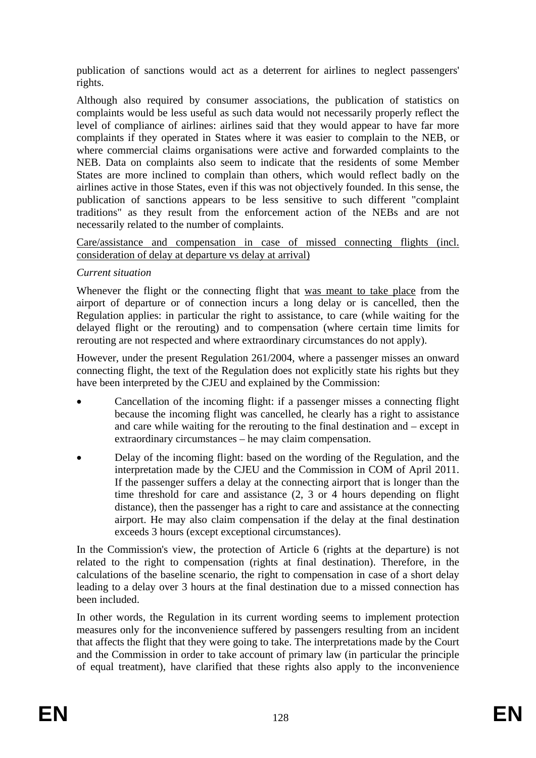publication of sanctions would act as a deterrent for airlines to neglect passengers' rights.

Although also required by consumer associations, the publication of statistics on complaints would be less useful as such data would not necessarily properly reflect the level of compliance of airlines: airlines said that they would appear to have far more complaints if they operated in States where it was easier to complain to the NEB, or where commercial claims organisations were active and forwarded complaints to the NEB. Data on complaints also seem to indicate that the residents of some Member States are more inclined to complain than others, which would reflect badly on the airlines active in those States, even if this was not objectively founded. In this sense, the publication of sanctions appears to be less sensitive to such different "complaint traditions" as they result from the enforcement action of the NEBs and are not necessarily related to the number of complaints.

#### Care/assistance and compensation in case of missed connecting flights (incl. consideration of delay at departure vs delay at arrival)

# *Current situation*

Whenever the flight or the connecting flight that was meant to take place from the airport of departure or of connection incurs a long delay or is cancelled, then the Regulation applies: in particular the right to assistance, to care (while waiting for the delayed flight or the rerouting) and to compensation (where certain time limits for rerouting are not respected and where extraordinary circumstances do not apply).

However, under the present Regulation 261/2004, where a passenger misses an onward connecting flight, the text of the Regulation does not explicitly state his rights but they have been interpreted by the CJEU and explained by the Commission:

- Cancellation of the incoming flight: if a passenger misses a connecting flight because the incoming flight was cancelled, he clearly has a right to assistance and care while waiting for the rerouting to the final destination and – except in extraordinary circumstances – he may claim compensation.
- Delay of the incoming flight: based on the wording of the Regulation, and the interpretation made by the CJEU and the Commission in COM of April 2011. If the passenger suffers a delay at the connecting airport that is longer than the time threshold for care and assistance (2, 3 or 4 hours depending on flight distance), then the passenger has a right to care and assistance at the connecting airport. He may also claim compensation if the delay at the final destination exceeds 3 hours (except exceptional circumstances).

In the Commission's view, the protection of Article 6 (rights at the departure) is not related to the right to compensation (rights at final destination). Therefore, in the calculations of the baseline scenario, the right to compensation in case of a short delay leading to a delay over 3 hours at the final destination due to a missed connection has been included.

In other words, the Regulation in its current wording seems to implement protection measures only for the inconvenience suffered by passengers resulting from an incident that affects the flight that they were going to take. The interpretations made by the Court and the Commission in order to take account of primary law (in particular the principle of equal treatment), have clarified that these rights also apply to the inconvenience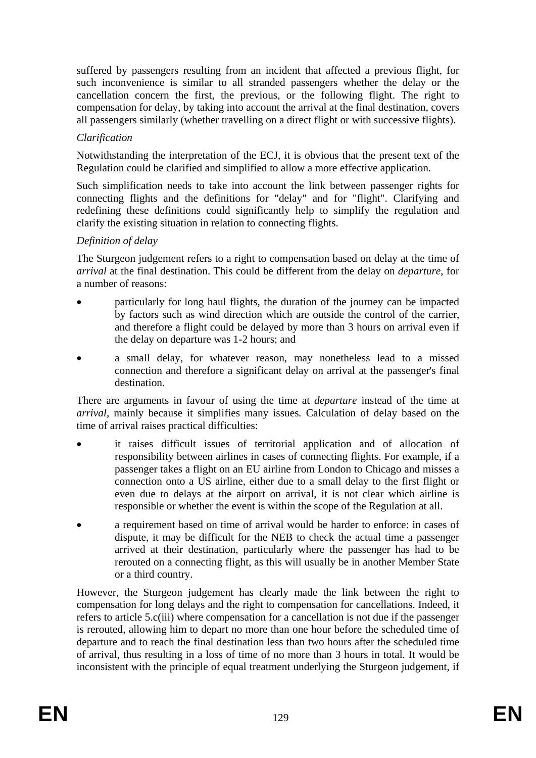suffered by passengers resulting from an incident that affected a previous flight, for such inconvenience is similar to all stranded passengers whether the delay or the cancellation concern the first, the previous, or the following flight. The right to compensation for delay, by taking into account the arrival at the final destination, covers all passengers similarly (whether travelling on a direct flight or with successive flights).

# *Clarification*

Notwithstanding the interpretation of the ECJ, it is obvious that the present text of the Regulation could be clarified and simplified to allow a more effective application.

Such simplification needs to take into account the link between passenger rights for connecting flights and the definitions for "delay" and for "flight". Clarifying and redefining these definitions could significantly help to simplify the regulation and clarify the existing situation in relation to connecting flights.

# *Definition of delay*

The Sturgeon judgement refers to a right to compensation based on delay at the time of *arrival* at the final destination. This could be different from the delay on *departure*, for a number of reasons:

- particularly for long haul flights, the duration of the journey can be impacted by factors such as wind direction which are outside the control of the carrier, and therefore a flight could be delayed by more than 3 hours on arrival even if the delay on departure was 1-2 hours; and
- a small delay, for whatever reason, may nonetheless lead to a missed connection and therefore a significant delay on arrival at the passenger's final destination.

There are arguments in favour of using the time at *departure* instead of the time at *arrival,* mainly because it simplifies many issues*.* Calculation of delay based on the time of arrival raises practical difficulties:

- it raises difficult issues of territorial application and of allocation of responsibility between airlines in cases of connecting flights. For example, if a passenger takes a flight on an EU airline from London to Chicago and misses a connection onto a US airline, either due to a small delay to the first flight or even due to delays at the airport on arrival, it is not clear which airline is responsible or whether the event is within the scope of the Regulation at all.
- a requirement based on time of arrival would be harder to enforce: in cases of dispute, it may be difficult for the NEB to check the actual time a passenger arrived at their destination, particularly where the passenger has had to be rerouted on a connecting flight, as this will usually be in another Member State or a third country.

However, the Sturgeon judgement has clearly made the link between the right to compensation for long delays and the right to compensation for cancellations. Indeed, it refers to article 5.c(iii) where compensation for a cancellation is not due if the passenger is rerouted, allowing him to depart no more than one hour before the scheduled time of departure and to reach the final destination less than two hours after the scheduled time of arrival, thus resulting in a loss of time of no more than 3 hours in total. It would be inconsistent with the principle of equal treatment underlying the Sturgeon judgement, if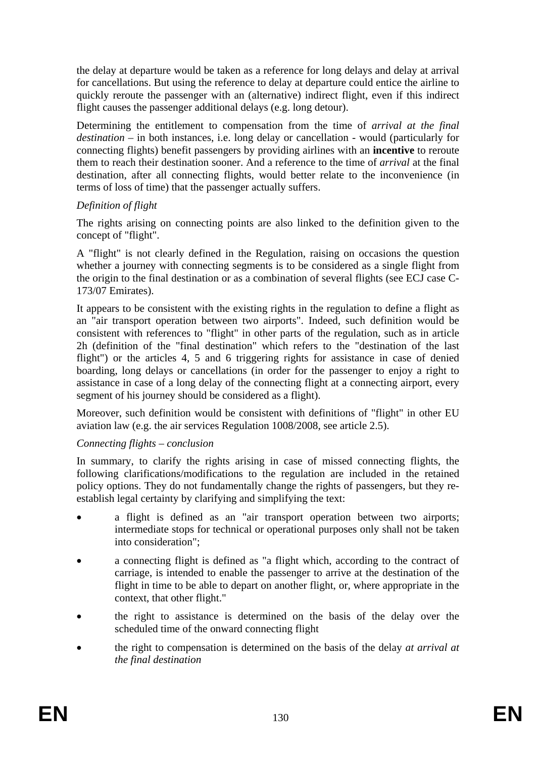the delay at departure would be taken as a reference for long delays and delay at arrival for cancellations. But using the reference to delay at departure could entice the airline to quickly reroute the passenger with an (alternative) indirect flight, even if this indirect flight causes the passenger additional delays (e.g. long detour).

Determining the entitlement to compensation from the time of *arrival at the final destination* – in both instances, i.e. long delay or cancellation - would (particularly for connecting flights) benefit passengers by providing airlines with an **incentive** to reroute them to reach their destination sooner. And a reference to the time of *arrival* at the final destination, after all connecting flights, would better relate to the inconvenience (in terms of loss of time) that the passenger actually suffers.

# *Definition of flight*

The rights arising on connecting points are also linked to the definition given to the concept of "flight".

A "flight" is not clearly defined in the Regulation, raising on occasions the question whether a journey with connecting segments is to be considered as a single flight from the origin to the final destination or as a combination of several flights (see ECJ case C-173/07 Emirates).

It appears to be consistent with the existing rights in the regulation to define a flight as an "air transport operation between two airports". Indeed, such definition would be consistent with references to "flight" in other parts of the regulation, such as in article 2h (definition of the "final destination" which refers to the "destination of the last flight") or the articles 4, 5 and 6 triggering rights for assistance in case of denied boarding, long delays or cancellations (in order for the passenger to enjoy a right to assistance in case of a long delay of the connecting flight at a connecting airport, every segment of his journey should be considered as a flight).

Moreover, such definition would be consistent with definitions of "flight" in other EU aviation law (e.g. the air services Regulation 1008/2008, see article 2.5).

# *Connecting flights – conclusion*

In summary, to clarify the rights arising in case of missed connecting flights, the following clarifications/modifications to the regulation are included in the retained policy options. They do not fundamentally change the rights of passengers, but they reestablish legal certainty by clarifying and simplifying the text:

- a flight is defined as an "air transport operation between two airports; intermediate stops for technical or operational purposes only shall not be taken into consideration";
- a connecting flight is defined as "a flight which, according to the contract of carriage, is intended to enable the passenger to arrive at the destination of the flight in time to be able to depart on another flight, or, where appropriate in the context, that other flight."
- the right to assistance is determined on the basis of the delay over the scheduled time of the onward connecting flight
- the right to compensation is determined on the basis of the delay *at arrival at the final destination*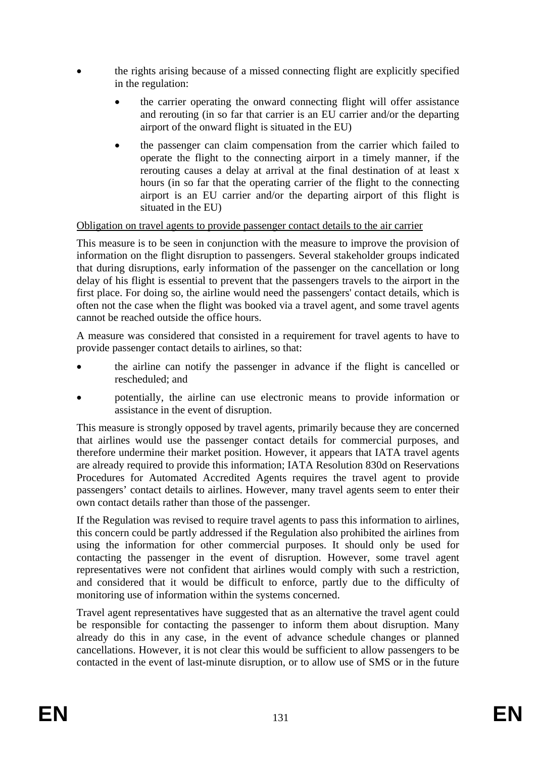- the rights arising because of a missed connecting flight are explicitly specified in the regulation:
	- the carrier operating the onward connecting flight will offer assistance and rerouting (in so far that carrier is an EU carrier and/or the departing airport of the onward flight is situated in the EU)
	- the passenger can claim compensation from the carrier which failed to operate the flight to the connecting airport in a timely manner, if the rerouting causes a delay at arrival at the final destination of at least x hours (in so far that the operating carrier of the flight to the connecting airport is an EU carrier and/or the departing airport of this flight is situated in the EU)

# Obligation on travel agents to provide passenger contact details to the air carrier

This measure is to be seen in conjunction with the measure to improve the provision of information on the flight disruption to passengers. Several stakeholder groups indicated that during disruptions, early information of the passenger on the cancellation or long delay of his flight is essential to prevent that the passengers travels to the airport in the first place. For doing so, the airline would need the passengers' contact details, which is often not the case when the flight was booked via a travel agent, and some travel agents cannot be reached outside the office hours.

A measure was considered that consisted in a requirement for travel agents to have to provide passenger contact details to airlines, so that:

- the airline can notify the passenger in advance if the flight is cancelled or rescheduled; and
- potentially, the airline can use electronic means to provide information or assistance in the event of disruption.

This measure is strongly opposed by travel agents, primarily because they are concerned that airlines would use the passenger contact details for commercial purposes, and therefore undermine their market position. However, it appears that IATA travel agents are already required to provide this information; IATA Resolution 830d on Reservations Procedures for Automated Accredited Agents requires the travel agent to provide passengers' contact details to airlines. However, many travel agents seem to enter their own contact details rather than those of the passenger.

If the Regulation was revised to require travel agents to pass this information to airlines, this concern could be partly addressed if the Regulation also prohibited the airlines from using the information for other commercial purposes. It should only be used for contacting the passenger in the event of disruption. However, some travel agent representatives were not confident that airlines would comply with such a restriction, and considered that it would be difficult to enforce, partly due to the difficulty of monitoring use of information within the systems concerned.

Travel agent representatives have suggested that as an alternative the travel agent could be responsible for contacting the passenger to inform them about disruption. Many already do this in any case, in the event of advance schedule changes or planned cancellations. However, it is not clear this would be sufficient to allow passengers to be contacted in the event of last-minute disruption, or to allow use of SMS or in the future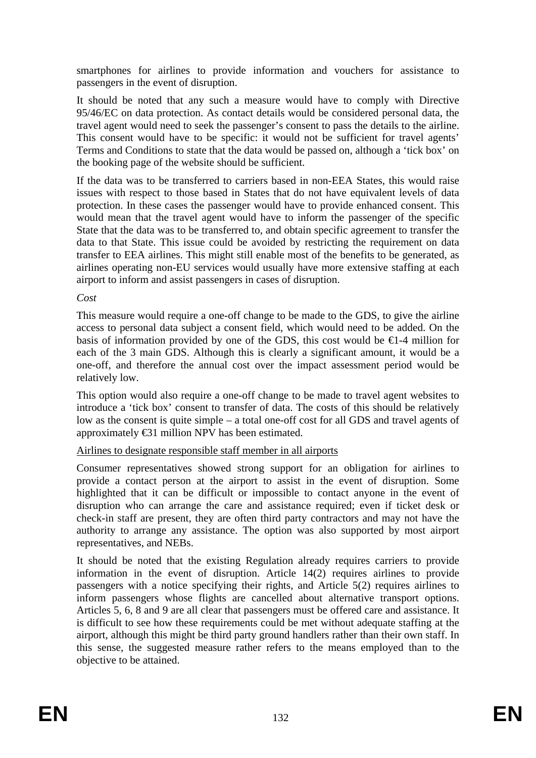smartphones for airlines to provide information and vouchers for assistance to passengers in the event of disruption.

It should be noted that any such a measure would have to comply with Directive 95/46/EC on data protection. As contact details would be considered personal data, the travel agent would need to seek the passenger's consent to pass the details to the airline. This consent would have to be specific: it would not be sufficient for travel agents' Terms and Conditions to state that the data would be passed on, although a 'tick box' on the booking page of the website should be sufficient.

If the data was to be transferred to carriers based in non-EEA States, this would raise issues with respect to those based in States that do not have equivalent levels of data protection. In these cases the passenger would have to provide enhanced consent. This would mean that the travel agent would have to inform the passenger of the specific State that the data was to be transferred to, and obtain specific agreement to transfer the data to that State. This issue could be avoided by restricting the requirement on data transfer to EEA airlines. This might still enable most of the benefits to be generated, as airlines operating non-EU services would usually have more extensive staffing at each airport to inform and assist passengers in cases of disruption.

### *Cost*

This measure would require a one-off change to be made to the GDS, to give the airline access to personal data subject a consent field, which would need to be added. On the basis of information provided by one of the GDS, this cost would be  $\epsilon 1$ -4 million for each of the 3 main GDS. Although this is clearly a significant amount, it would be a one-off, and therefore the annual cost over the impact assessment period would be relatively low.

This option would also require a one-off change to be made to travel agent websites to introduce a 'tick box' consent to transfer of data. The costs of this should be relatively low as the consent is quite simple – a total one-off cost for all GDS and travel agents of approximately €31 million NPV has been estimated.

# Airlines to designate responsible staff member in all airports

Consumer representatives showed strong support for an obligation for airlines to provide a contact person at the airport to assist in the event of disruption. Some highlighted that it can be difficult or impossible to contact anyone in the event of disruption who can arrange the care and assistance required; even if ticket desk or check-in staff are present, they are often third party contractors and may not have the authority to arrange any assistance. The option was also supported by most airport representatives, and NEBs.

It should be noted that the existing Regulation already requires carriers to provide information in the event of disruption. Article 14(2) requires airlines to provide passengers with a notice specifying their rights, and Article 5(2) requires airlines to inform passengers whose flights are cancelled about alternative transport options. Articles 5, 6, 8 and 9 are all clear that passengers must be offered care and assistance. It is difficult to see how these requirements could be met without adequate staffing at the airport, although this might be third party ground handlers rather than their own staff. In this sense, the suggested measure rather refers to the means employed than to the objective to be attained.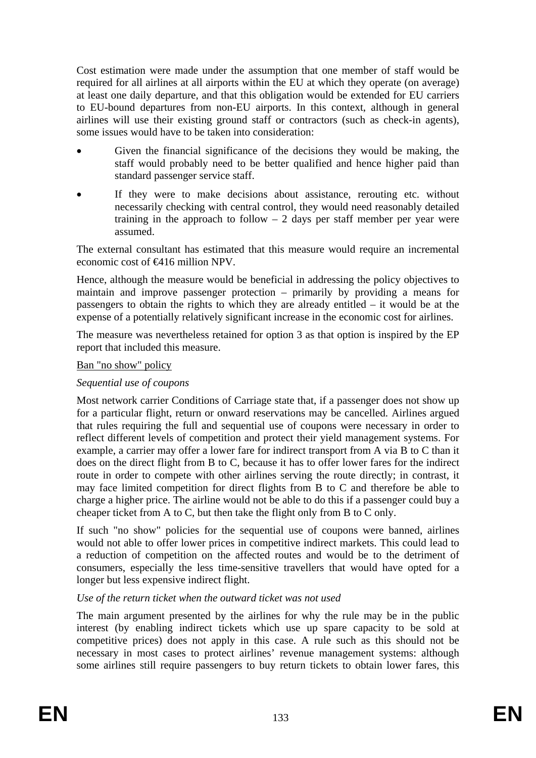Cost estimation were made under the assumption that one member of staff would be required for all airlines at all airports within the EU at which they operate (on average) at least one daily departure, and that this obligation would be extended for EU carriers to EU-bound departures from non-EU airports. In this context, although in general airlines will use their existing ground staff or contractors (such as check-in agents), some issues would have to be taken into consideration:

- Given the financial significance of the decisions they would be making, the staff would probably need to be better qualified and hence higher paid than standard passenger service staff.
- If they were to make decisions about assistance, rerouting etc. without necessarily checking with central control, they would need reasonably detailed training in the approach to follow  $-2$  days per staff member per year were assumed.

The external consultant has estimated that this measure would require an incremental economic cost of €416 million NPV.

Hence, although the measure would be beneficial in addressing the policy objectives to maintain and improve passenger protection – primarily by providing a means for passengers to obtain the rights to which they are already entitled – it would be at the expense of a potentially relatively significant increase in the economic cost for airlines.

The measure was nevertheless retained for option 3 as that option is inspired by the EP report that included this measure.

# Ban "no show" policy

## *Sequential use of coupons*

Most network carrier Conditions of Carriage state that, if a passenger does not show up for a particular flight, return or onward reservations may be cancelled. Airlines argued that rules requiring the full and sequential use of coupons were necessary in order to reflect different levels of competition and protect their yield management systems. For example, a carrier may offer a lower fare for indirect transport from A via B to C than it does on the direct flight from B to C, because it has to offer lower fares for the indirect route in order to compete with other airlines serving the route directly; in contrast, it may face limited competition for direct flights from B to C and therefore be able to charge a higher price. The airline would not be able to do this if a passenger could buy a cheaper ticket from A to C, but then take the flight only from B to C only.

If such "no show" policies for the sequential use of coupons were banned, airlines would not able to offer lower prices in competitive indirect markets. This could lead to a reduction of competition on the affected routes and would be to the detriment of consumers, especially the less time-sensitive travellers that would have opted for a longer but less expensive indirect flight.

#### *Use of the return ticket when the outward ticket was not used*

The main argument presented by the airlines for why the rule may be in the public interest (by enabling indirect tickets which use up spare capacity to be sold at competitive prices) does not apply in this case. A rule such as this should not be necessary in most cases to protect airlines' revenue management systems: although some airlines still require passengers to buy return tickets to obtain lower fares, this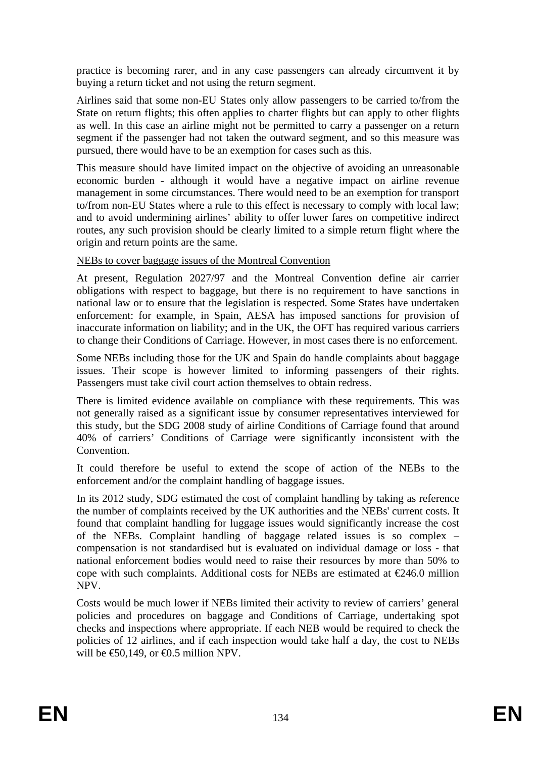practice is becoming rarer, and in any case passengers can already circumvent it by buying a return ticket and not using the return segment.

Airlines said that some non-EU States only allow passengers to be carried to/from the State on return flights; this often applies to charter flights but can apply to other flights as well. In this case an airline might not be permitted to carry a passenger on a return segment if the passenger had not taken the outward segment, and so this measure was pursued, there would have to be an exemption for cases such as this.

This measure should have limited impact on the objective of avoiding an unreasonable economic burden - although it would have a negative impact on airline revenue management in some circumstances. There would need to be an exemption for transport to/from non-EU States where a rule to this effect is necessary to comply with local law; and to avoid undermining airlines' ability to offer lower fares on competitive indirect routes, any such provision should be clearly limited to a simple return flight where the origin and return points are the same.

# NEBs to cover baggage issues of the Montreal Convention

At present, Regulation 2027/97 and the Montreal Convention define air carrier obligations with respect to baggage, but there is no requirement to have sanctions in national law or to ensure that the legislation is respected. Some States have undertaken enforcement: for example, in Spain, AESA has imposed sanctions for provision of inaccurate information on liability; and in the UK, the OFT has required various carriers to change their Conditions of Carriage. However, in most cases there is no enforcement.

Some NEBs including those for the UK and Spain do handle complaints about baggage issues. Their scope is however limited to informing passengers of their rights. Passengers must take civil court action themselves to obtain redress.

There is limited evidence available on compliance with these requirements. This was not generally raised as a significant issue by consumer representatives interviewed for this study, but the SDG 2008 study of airline Conditions of Carriage found that around 40% of carriers' Conditions of Carriage were significantly inconsistent with the Convention.

It could therefore be useful to extend the scope of action of the NEBs to the enforcement and/or the complaint handling of baggage issues.

In its 2012 study, SDG estimated the cost of complaint handling by taking as reference the number of complaints received by the UK authorities and the NEBs' current costs. It found that complaint handling for luggage issues would significantly increase the cost of the NEBs. Complaint handling of baggage related issues is so complex – compensation is not standardised but is evaluated on individual damage or loss - that national enforcement bodies would need to raise their resources by more than 50% to cope with such complaints. Additional costs for NEBs are estimated at  $\epsilon$ 246.0 million NPV.

Costs would be much lower if NEBs limited their activity to review of carriers' general policies and procedures on baggage and Conditions of Carriage, undertaking spot checks and inspections where appropriate. If each NEB would be required to check the policies of 12 airlines, and if each inspection would take half a day, the cost to NEBs will be  $\bigoplus$  60,149, or  $\bigoplus$  5 million NPV.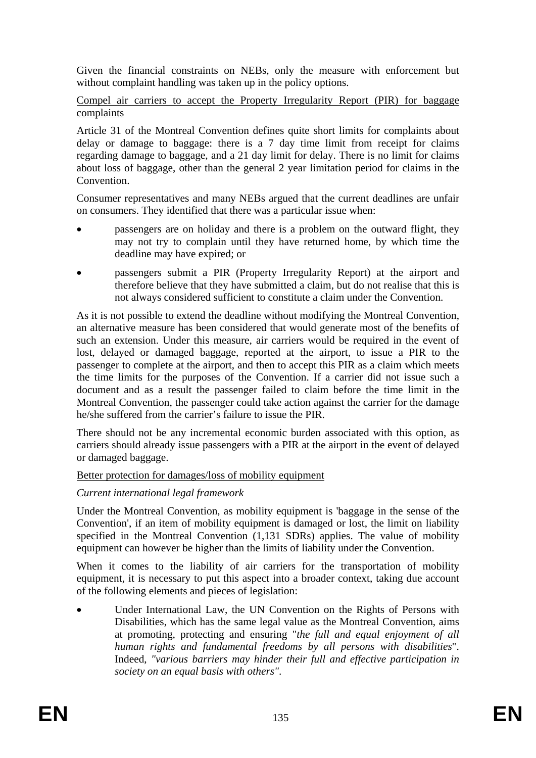Given the financial constraints on NEBs, only the measure with enforcement but without complaint handling was taken up in the policy options.

Compel air carriers to accept the Property Irregularity Report (PIR) for baggage complaints

Article 31 of the Montreal Convention defines quite short limits for complaints about delay or damage to baggage: there is a 7 day time limit from receipt for claims regarding damage to baggage, and a 21 day limit for delay. There is no limit for claims about loss of baggage, other than the general 2 year limitation period for claims in the Convention.

Consumer representatives and many NEBs argued that the current deadlines are unfair on consumers. They identified that there was a particular issue when:

- passengers are on holiday and there is a problem on the outward flight, they may not try to complain until they have returned home, by which time the deadline may have expired; or
- passengers submit a PIR (Property Irregularity Report) at the airport and therefore believe that they have submitted a claim, but do not realise that this is not always considered sufficient to constitute a claim under the Convention.

As it is not possible to extend the deadline without modifying the Montreal Convention, an alternative measure has been considered that would generate most of the benefits of such an extension. Under this measure, air carriers would be required in the event of lost, delayed or damaged baggage, reported at the airport, to issue a PIR to the passenger to complete at the airport, and then to accept this PIR as a claim which meets the time limits for the purposes of the Convention. If a carrier did not issue such a document and as a result the passenger failed to claim before the time limit in the Montreal Convention, the passenger could take action against the carrier for the damage he/she suffered from the carrier's failure to issue the PIR.

There should not be any incremental economic burden associated with this option, as carriers should already issue passengers with a PIR at the airport in the event of delayed or damaged baggage.

# Better protection for damages/loss of mobility equipment

# *Current international legal framework*

Under the Montreal Convention, as mobility equipment is 'baggage in the sense of the Convention', if an item of mobility equipment is damaged or lost, the limit on liability specified in the Montreal Convention (1,131 SDRs) applies. The value of mobility equipment can however be higher than the limits of liability under the Convention.

When it comes to the liability of air carriers for the transportation of mobility equipment, it is necessary to put this aspect into a broader context, taking due account of the following elements and pieces of legislation:

Under International Law, the UN Convention on the Rights of Persons with Disabilities, which has the same legal value as the Montreal Convention, aims at promoting, protecting and ensuring "*the full and equal enjoyment of all human rights and fundamental freedoms by all persons with disabilities*". Indeed, *"various barriers may hinder their full and effective participation in society on an equal basis with others"*.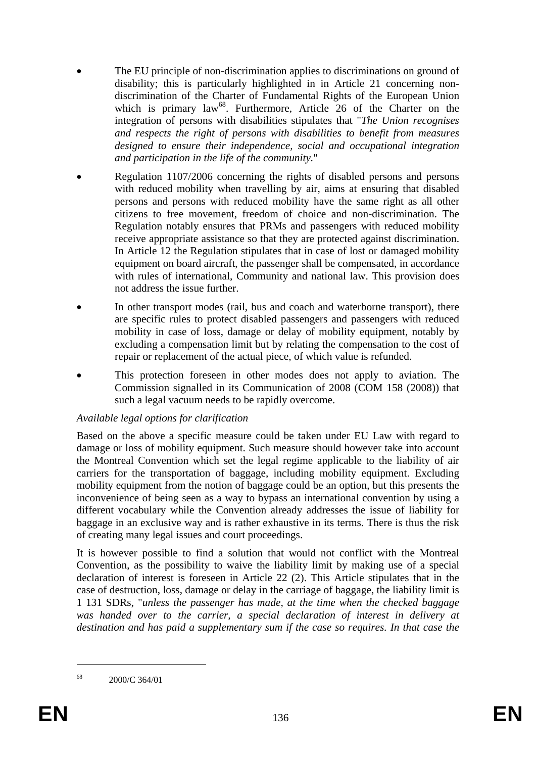- The EU principle of non-discrimination applies to discriminations on ground of disability; this is particularly highlighted in in Article 21 concerning nondiscrimination of the Charter of Fundamental Rights of the European Union which is primary law<sup>68</sup>. Furthermore, Article 26 of the Charter on the integration of persons with disabilities stipulates that "*The Union recognises and respects the right of persons with disabilities to benefit from measures designed to ensure their independence, social and occupational integration and participation in the life of the community.*"
- Regulation 1107/2006 concerning the rights of disabled persons and persons with reduced mobility when travelling by air, aims at ensuring that disabled persons and persons with reduced mobility have the same right as all other citizens to free movement, freedom of choice and non-discrimination. The Regulation notably ensures that PRMs and passengers with reduced mobility receive appropriate assistance so that they are protected against discrimination. In Article 12 the Regulation stipulates that in case of lost or damaged mobility equipment on board aircraft, the passenger shall be compensated, in accordance with rules of international, Community and national law. This provision does not address the issue further.
- In other transport modes (rail, bus and coach and waterborne transport), there are specific rules to protect disabled passengers and passengers with reduced mobility in case of loss, damage or delay of mobility equipment, notably by excluding a compensation limit but by relating the compensation to the cost of repair or replacement of the actual piece, of which value is refunded.
- This protection foreseen in other modes does not apply to aviation. The Commission signalled in its Communication of 2008 (COM 158 (2008)) that such a legal vacuum needs to be rapidly overcome.

# *Available legal options for clarification*

Based on the above a specific measure could be taken under EU Law with regard to damage or loss of mobility equipment. Such measure should however take into account the Montreal Convention which set the legal regime applicable to the liability of air carriers for the transportation of baggage, including mobility equipment. Excluding mobility equipment from the notion of baggage could be an option, but this presents the inconvenience of being seen as a way to bypass an international convention by using a different vocabulary while the Convention already addresses the issue of liability for baggage in an exclusive way and is rather exhaustive in its terms. There is thus the risk of creating many legal issues and court proceedings.

It is however possible to find a solution that would not conflict with the Montreal Convention, as the possibility to waive the liability limit by making use of a special declaration of interest is foreseen in Article 22 (2). This Article stipulates that in the case of destruction, loss, damage or delay in the carriage of baggage, the liability limit is 1 131 SDRs, "*unless the passenger has made, at the time when the checked baggage*  was handed over to the carrier, a special declaration of interest in delivery at *destination and has paid a supplementary sum if the case so requires. In that case the* 

1

<sup>68 2000/</sup>C 364/01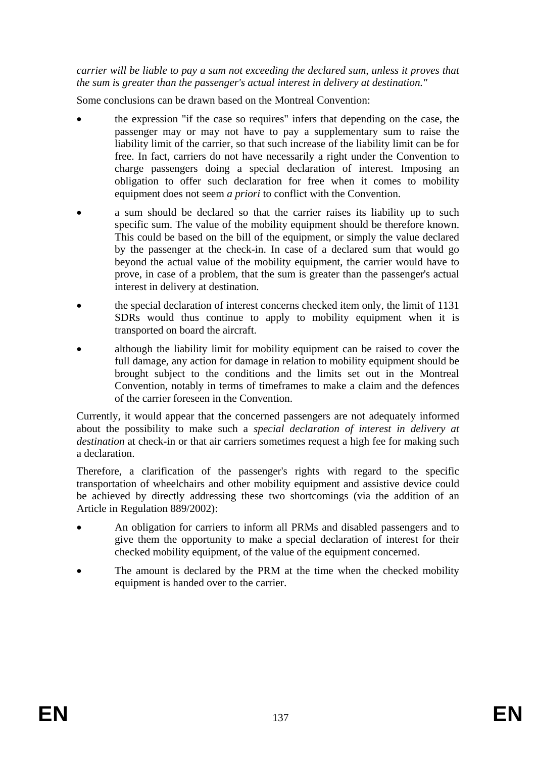*carrier will be liable to pay a sum not exceeding the declared sum, unless it proves that the sum is greater than the passenger's actual interest in delivery at destination."* 

Some conclusions can be drawn based on the Montreal Convention:

- the expression "if the case so requires" infers that depending on the case, the passenger may or may not have to pay a supplementary sum to raise the liability limit of the carrier, so that such increase of the liability limit can be for free. In fact, carriers do not have necessarily a right under the Convention to charge passengers doing a special declaration of interest. Imposing an obligation to offer such declaration for free when it comes to mobility equipment does not seem *a priori* to conflict with the Convention.
- a sum should be declared so that the carrier raises its liability up to such specific sum. The value of the mobility equipment should be therefore known. This could be based on the bill of the equipment, or simply the value declared by the passenger at the check-in. In case of a declared sum that would go beyond the actual value of the mobility equipment, the carrier would have to prove, in case of a problem, that the sum is greater than the passenger's actual interest in delivery at destination.
- the special declaration of interest concerns checked item only, the limit of 1131 SDRs would thus continue to apply to mobility equipment when it is transported on board the aircraft.
- although the liability limit for mobility equipment can be raised to cover the full damage, any action for damage in relation to mobility equipment should be brought subject to the conditions and the limits set out in the Montreal Convention, notably in terms of timeframes to make a claim and the defences of the carrier foreseen in the Convention.

Currently, it would appear that the concerned passengers are not adequately informed about the possibility to make such a *special declaration of interest in delivery at destination* at check-in or that air carriers sometimes request a high fee for making such a declaration.

Therefore, a clarification of the passenger's rights with regard to the specific transportation of wheelchairs and other mobility equipment and assistive device could be achieved by directly addressing these two shortcomings (via the addition of an Article in Regulation 889/2002):

- An obligation for carriers to inform all PRMs and disabled passengers and to give them the opportunity to make a special declaration of interest for their checked mobility equipment, of the value of the equipment concerned.
- The amount is declared by the PRM at the time when the checked mobility equipment is handed over to the carrier.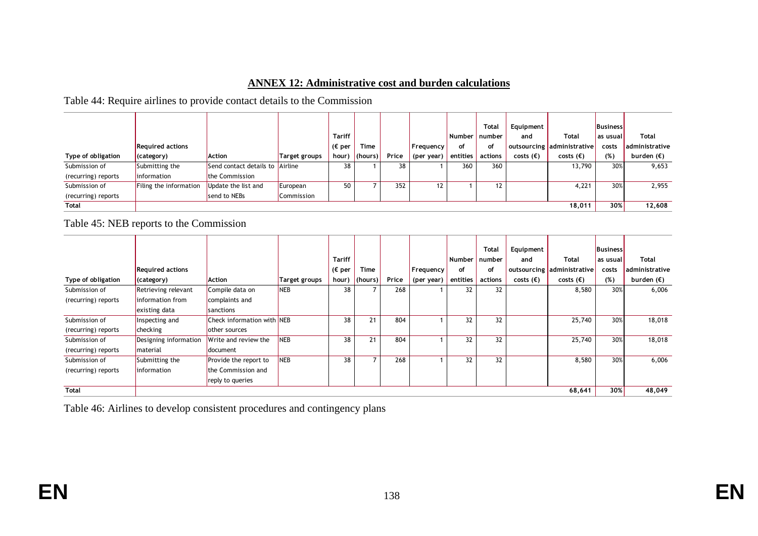#### **ANNEX 12: Administrative cost and burden calculations**

Table 44: Require airlines to provide contact details to the Commission

|                     |                         |                         |               |               |                 |       |                          |          | <b>Total</b> | Equipment          |                            | <b>Business</b> |                       |
|---------------------|-------------------------|-------------------------|---------------|---------------|-----------------|-------|--------------------------|----------|--------------|--------------------|----------------------------|-----------------|-----------------------|
|                     |                         |                         |               | <b>Tariff</b> |                 |       |                          | Number   | number       | and                | Total                      | l as usual      | Total                 |
|                     | <b>Required actions</b> |                         |               | , (€ per      | Time            |       | <sub>i</sub> Frequency ' | of       | of           |                    | outsourcing administrative | costs           | <b>administrative</b> |
| Type of obligation  | (category)              | <b>Action</b>           | Target groups | hour)         | $ $ (hours) $ $ | Price | (per year)               | entities | actions      | costs $(\epsilon)$ | costs $(\epsilon)$         | (%)             | burden $(\epsilon)$   |
| Submission of       | Submitting the          | Send contact details to | Airline       | 38            |                 | 38    |                          | 360      | 360          |                    | 13,790                     | 30%             | 9,653                 |
| (recurring) reports | information             | the Commission          |               |               |                 |       |                          |          |              |                    |                            |                 |                       |
| Submission of       | Filing the information  | Update the list and     | European      | 50            |                 | 352   | $12 \overline{ }$        |          | 12           |                    | 4,221                      | 30%             | 2,955                 |
| (recurring) reports |                         | send to NEBs            | Commission    |               |                 |       |                          |          |              |                    |                            |                 |                       |
| <b>Total</b>        |                         |                         |               |               |                 |       |                          |          |              |                    | 18,011                     | 30%             | 12,608                |

Table 45: NEB reports to the Commission

|                     |                         |                                    |               |                  |                |       |            |          | Total   | Equipment          |                    | <b>Business</b> |                     |
|---------------------|-------------------------|------------------------------------|---------------|------------------|----------------|-------|------------|----------|---------|--------------------|--------------------|-----------------|---------------------|
|                     |                         |                                    |               | <b>Tariff</b>    |                |       |            | Number   | number  | and                | Total              | as usual        | Total               |
|                     | <b>Required actions</b> |                                    |               | ( $\epsilon$ per | Time           |       | Frequency  | οf       | of      | outsourcing        | administrative     | costs           | administrative      |
| Type of obligation  | (category)              | Action                             | Target groups | hour)            | (hours)        | Price | (per year) | entities | actions | costs $(\epsilon)$ | costs $(\epsilon)$ | (%)             | burden $(\epsilon)$ |
| Submission of       | Retrieving relevant     | Compile data on                    | <b>NEB</b>    | 38               |                | 268   |            | 32       | 32      |                    | 8,580              | 30%             | 6,006               |
| (recurring) reports | linformation from       | complaints and                     |               |                  |                |       |            |          |         |                    |                    |                 |                     |
|                     | existing data           | sanctions                          |               |                  |                |       |            |          |         |                    |                    |                 |                     |
| Submission of       | Inspecting and          | <b>Check information with INEB</b> |               | 38               | 21             | 804   |            | 32       | 32      |                    | 25,740             | 30%             | 18,018              |
| (recurring) reports | checking                | other sources                      |               |                  |                |       |            |          |         |                    |                    |                 |                     |
| Submission of       | Designing information   | Write and review the               | <b>NEB</b>    | 38               | 21             | 804   |            | 32       | 32      |                    | 25,740             | 30%             | 18,018              |
| (recurring) reports | material                | document                           |               |                  |                |       |            |          |         |                    |                    |                 |                     |
| Submission of       | Submitting the          | Provide the report to              | <b>NEB</b>    | 38               | $\overline{ }$ | 268   |            | 32       | 32      |                    | 8,580              | 30%             | 6,006               |
| (recurring) reports | <i>l</i> information    | the Commission and                 |               |                  |                |       |            |          |         |                    |                    |                 |                     |
|                     |                         | reply to queries                   |               |                  |                |       |            |          |         |                    |                    |                 |                     |
| <b>Total</b>        |                         |                                    |               |                  |                |       |            |          |         |                    | 68,641             | 30%             | 48,049              |

Table 46: Airlines to develop consistent procedures and contingency plans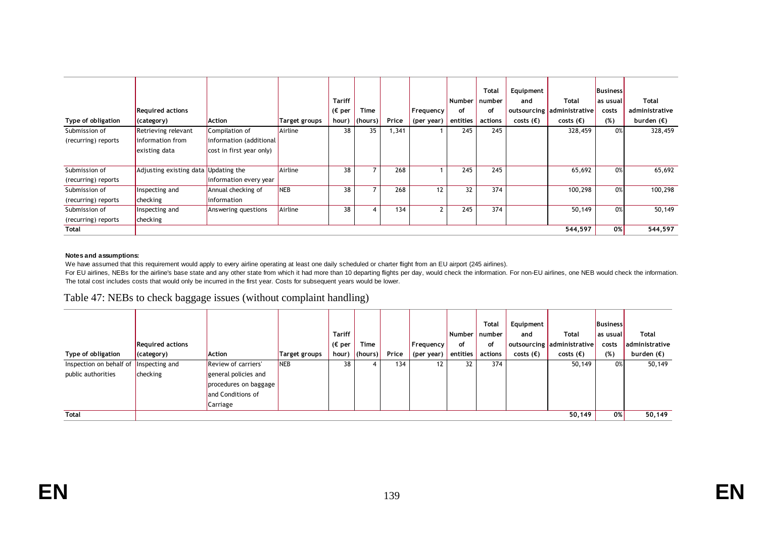|                     |                                      |                                                     |                | <b>Tariff</b>    |         |       |              | Number   | <b>Total</b><br>number | Equipment<br>and   | Total                      | <b>Business</b><br>as usual | <b>Total</b>        |
|---------------------|--------------------------------------|-----------------------------------------------------|----------------|------------------|---------|-------|--------------|----------|------------------------|--------------------|----------------------------|-----------------------------|---------------------|
|                     | <b>Required actions</b>              |                                                     |                | ( $\epsilon$ per | Time    |       | Frequency    | οf       | of                     |                    | outsourcing administrative | costs                       | administrative      |
| Type of obligation  | (category)                           | Action                                              | Target groups  | hour)            | (hours) | Price | (per year)   | entities | actions                | costs $(\epsilon)$ | costs $(\epsilon)$         | (%)                         | burden $(\epsilon)$ |
| Submission of       | Retrieving relevant                  | Compilation of                                      | Airline        | 38               | 35      | 1,341 |              | 245      | 245                    |                    | 328,459                    | 0%                          | 328,459             |
| (recurring) reports | information from<br>existing data    | information (additional<br>cost in first year only) |                |                  |         |       |              |          |                        |                    |                            |                             |                     |
| Submission of       | Adjusting existing data Updating the |                                                     | <b>Airline</b> | 38               |         | 268   |              | 245      | 245                    |                    | 65,692                     | 0%                          | 65,692              |
| (recurring) reports |                                      | information every year                              |                |                  |         |       |              |          |                        |                    |                            |                             |                     |
| Submission of       | Inspecting and                       | Annual checking of                                  | NEB            | 38               |         | 268   | 12           | 32       | 374                    |                    | 100,298                    | 0%                          | 100,298             |
| (recurring) reports | checking                             | <i>linformation</i>                                 |                |                  |         |       |              |          |                        |                    |                            |                             |                     |
| Submission of       | Inspecting and                       | Answering questions                                 | Airline        | 38               |         | 134   | $\mathbf{2}$ | 245      | 374                    |                    | 50,149                     | 0%                          | 50,149              |
| (recurring) reports | checking                             |                                                     |                |                  |         |       |              |          |                        |                    |                            |                             |                     |
| <b>Total</b>        |                                      |                                                     |                |                  |         |       |              |          |                        |                    | 544,597                    | 0%                          | 544,597             |

#### **Notes and assumptions:**

We have assumed that this requirement would apply to every airline operating at least one daily scheduled or charter flight from an EU airport (245 airlines).

For EU airlines, NEBs for the airline's base state and any other state from which it had more than 10 departing flights per day, would check the information. For non-EU airlines, one NEB would check the information. The total cost includes costs that would only be incurred in the first year. Costs for subsequent years would be lower.

#### Table 47: NEBs to check baggage issues (without complaint handling)

|                                        |                         |                       |               |                         |             |       |            |               | <b>Total</b> | Equipment          |                            | Business   |                     |
|----------------------------------------|-------------------------|-----------------------|---------------|-------------------------|-------------|-------|------------|---------------|--------------|--------------------|----------------------------|------------|---------------------|
|                                        |                         |                       |               | <b>Tariff</b>           |             |       |            | <b>Number</b> | number       | and                | <b>Total</b>               | l as usual | Total               |
|                                        | <b>Required actions</b> |                       |               | $_1$ (€ per $^{\prime}$ | Time        |       | Frequency  | οf            | of           |                    | outsourcing administrative | costs      | administrative      |
| Type of obligation                     | $ $ (category)          | <b>Action</b>         | Target groups | hour)                   | $ $ (hours) | Price | (per year) | entities      | actions      | costs $(\epsilon)$ | costs $(\epsilon)$         | (%)        | burden $(\epsilon)$ |
| Inspection on behalf of Inspecting and |                         | Review of carriers'   | <b>NEB</b>    | 38                      |             | 134   | 12.        | 32            | 374          |                    | 50,149                     | 0%         | 50,149              |
| public authorities                     | checking                | general policies and  |               |                         |             |       |            |               |              |                    |                            |            |                     |
|                                        |                         | procedures on baggage |               |                         |             |       |            |               |              |                    |                            |            |                     |
|                                        |                         | and Conditions of     |               |                         |             |       |            |               |              |                    |                            |            |                     |
|                                        |                         | Carriage              |               |                         |             |       |            |               |              |                    |                            |            |                     |
| <b>Total</b>                           |                         |                       |               |                         |             |       |            |               |              |                    | 50.149                     | 0%         | 50,149              |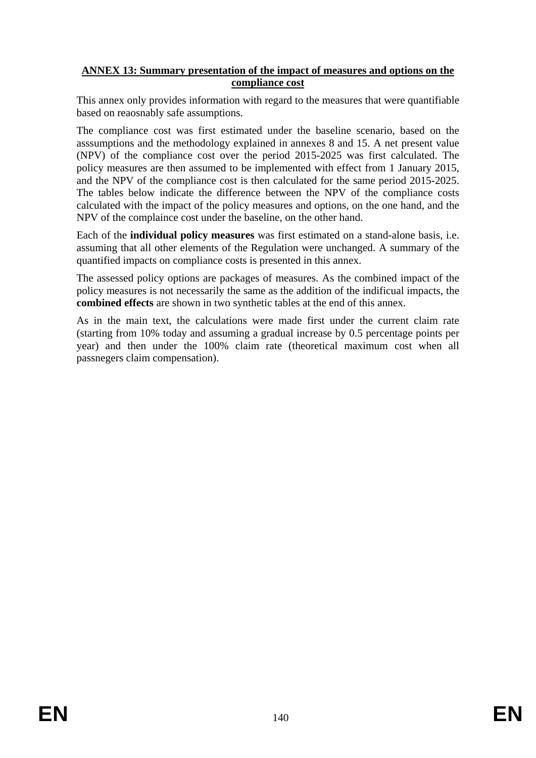# **ANNEX 13: Summary presentation of the impact of measures and options on the compliance cost**

This annex only provides information with regard to the measures that were quantifiable based on reaosnably safe assumptions.

The compliance cost was first estimated under the baseline scenario, based on the asssumptions and the methodology explained in annexes 8 and 15. A net present value (NPV) of the compliance cost over the period 2015-2025 was first calculated. The policy measures are then assumed to be implemented with effect from 1 January 2015, and the NPV of the compliance cost is then calculated for the same period 2015-2025. The tables below indicate the difference between the NPV of the compliance costs calculated with the impact of the policy measures and options, on the one hand, and the NPV of the complaince cost under the baseline, on the other hand.

Each of the **individual policy measures** was first estimated on a stand-alone basis, i.e. assuming that all other elements of the Regulation were unchanged. A summary of the quantified impacts on compliance costs is presented in this annex.

The assessed policy options are packages of measures. As the combined impact of the policy measures is not necessarily the same as the addition of the indificual impacts, the **combined effects** are shown in two synthetic tables at the end of this annex.

As in the main text, the calculations were made first under the current claim rate (starting from 10% today and assuming a gradual increase by 0.5 percentage points per year) and then under the 100% claim rate (theoretical maximum cost when all passnegers claim compensation).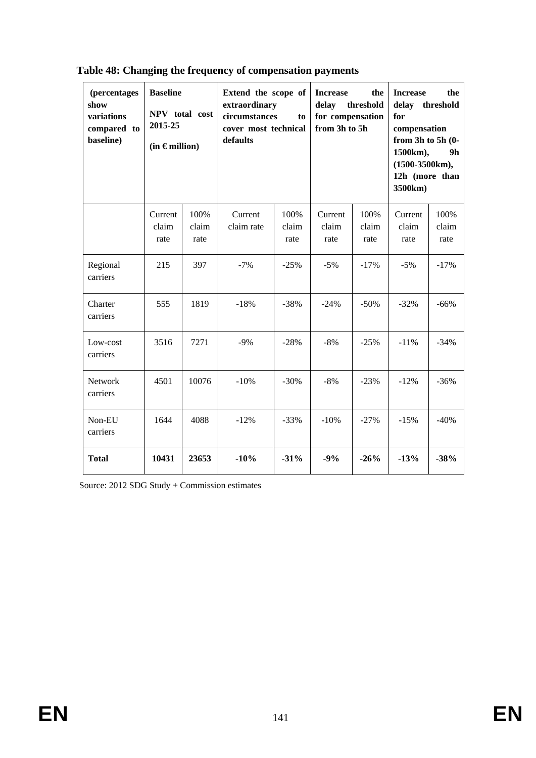| (percentages<br>show<br>variations<br>compared to<br>baseline) | <b>Baseline</b><br>NPV total cost<br>2015-25<br>$(in \in$ million) |                       | Extend the scope of<br>extraordinary<br>circumstances<br>to<br>cover most technical<br>defaults |                       | <b>Increase</b><br>the<br>delay<br>threshold<br>for compensation<br>from 3h to 5h |                       | the<br><b>Increase</b><br>threshold<br>delay<br>for<br>compensation<br>from $3h$ to $5h$ $(0-$<br>1500km),<br>9h<br>$(1500-3500km)$ ,<br>12h (more than<br>3500km) |                       |
|----------------------------------------------------------------|--------------------------------------------------------------------|-----------------------|-------------------------------------------------------------------------------------------------|-----------------------|-----------------------------------------------------------------------------------|-----------------------|--------------------------------------------------------------------------------------------------------------------------------------------------------------------|-----------------------|
|                                                                | Current<br>claim<br>rate                                           | 100%<br>claim<br>rate | Current<br>claim rate                                                                           | 100%<br>claim<br>rate | Current<br>claim<br>rate                                                          | 100%<br>claim<br>rate | Current<br>claim<br>rate                                                                                                                                           | 100%<br>claim<br>rate |
| Regional<br>carriers                                           | 215                                                                | 397                   | $-7%$                                                                                           | $-25%$                | $-5%$                                                                             | $-17%$                | $-5%$                                                                                                                                                              | $-17%$                |
| Charter<br>carriers                                            | 555                                                                | 1819                  | $-18%$                                                                                          | $-38%$                | $-24%$                                                                            | $-50%$                | $-32%$                                                                                                                                                             | $-66%$                |
| Low-cost<br>carriers                                           | 3516                                                               | 7271                  | $-9%$                                                                                           | $-28%$                | $-8%$                                                                             | $-25%$                | $-11%$                                                                                                                                                             | $-34%$                |
| Network<br>carriers                                            | 4501                                                               | 10076                 | $-10%$                                                                                          | $-30%$                | $-8%$                                                                             | $-23%$                | $-12%$                                                                                                                                                             | $-36%$                |
| Non-EU<br>carriers                                             | 1644                                                               | 4088                  | $-12%$                                                                                          | $-33%$                | $-10%$                                                                            | $-27%$                | $-15%$                                                                                                                                                             | $-40%$                |
| <b>Total</b>                                                   | 10431                                                              | 23653                 | $-10%$                                                                                          | $-31%$                | $-9%$                                                                             | $-26%$                | $-13%$                                                                                                                                                             | $-38%$                |

# **Table 48: Changing the frequency of compensation payments**

Source: 2012 SDG Study + Commission estimates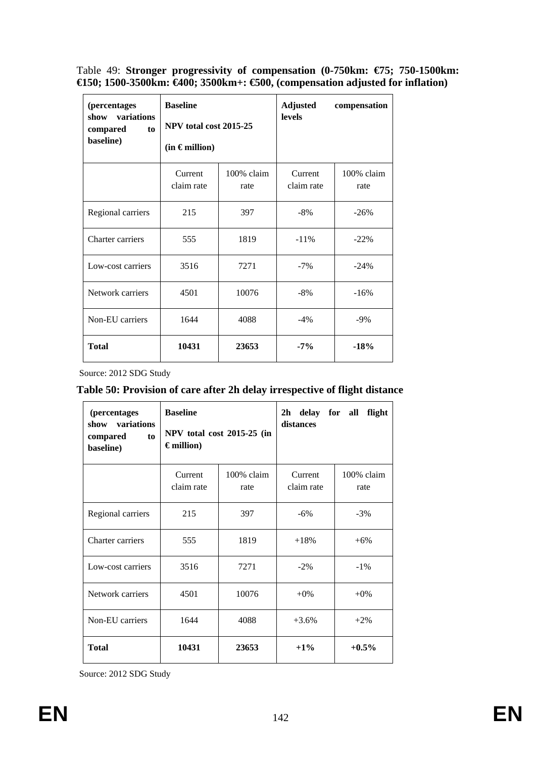Table 49: **Stronger progressivity of compensation (0-750km: €75; 750-1500km: €150; 1500-3500km: €400; 3500km+: €500, (compensation adjusted for inflation)** 

| <i>(percentages)</i><br>variations<br>show<br>compared<br>to<br>baseline) | <b>Baseline</b><br>NPV total cost 2015-25<br>$(in \in$ million) |                    | <b>Adjusted</b><br>levels | compensation       |
|---------------------------------------------------------------------------|-----------------------------------------------------------------|--------------------|---------------------------|--------------------|
|                                                                           | Current<br>claim rate                                           | 100% claim<br>rate | Current<br>claim rate     | 100% claim<br>rate |
| Regional carriers                                                         | 215                                                             | 397                | $-8%$                     | $-26%$             |
| Charter carriers                                                          | 555                                                             | 1819               | $-11\%$                   | $-22\%$            |
| Low-cost carriers                                                         | 3516                                                            | 7271               | $-7%$                     | $-24%$             |
| Network carriers                                                          | 4501                                                            | 10076              | $-8%$                     | $-16%$             |
| Non-EU carriers                                                           | 1644                                                            | 4088               | $-4%$                     | $-9%$              |
| <b>Total</b>                                                              | 10431                                                           | 23653              | $-7\%$                    | $-18%$             |

Source: 2012 SDG Study

# **Table 50: Provision of care after 2h delay irrespective of flight distance**

| (percentages<br>show variations<br>compared<br>to<br>baseline) | <b>Baseline</b><br>$\epsilon$ million)      | NPV total cost 2015-25 (in | 2h delay for all<br>flight<br>distances |                    |  |  |
|----------------------------------------------------------------|---------------------------------------------|----------------------------|-----------------------------------------|--------------------|--|--|
|                                                                | 100% claim<br>Current<br>claim rate<br>rate |                            | Current<br>claim rate                   | 100% claim<br>rate |  |  |
| Regional carriers                                              | 215                                         | 397                        | $-6%$                                   | $-3\%$             |  |  |
| Charter carriers                                               | 555                                         | 1819                       | $+18%$                                  | $+6\%$             |  |  |
| Low-cost carriers                                              | 3516                                        | 7271                       | $-2\%$                                  | $-1\%$             |  |  |
| Network carriers                                               | 4501                                        | 10076                      | $+0\%$                                  | $+0\%$             |  |  |
| Non-EU carriers<br>1644                                        |                                             | 4088                       | $+3.6%$                                 | $+2\%$             |  |  |
| <b>Total</b>                                                   | 10431                                       | 23653                      | $+1\%$                                  | $+0.5\%$           |  |  |

Source: 2012 SDG Study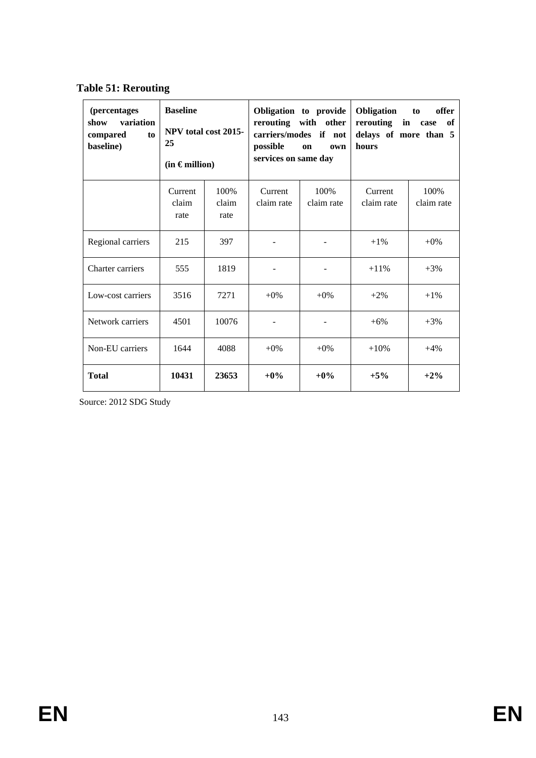| (percentages<br>variation<br>show<br>compared<br>to<br>baseline) | <b>Baseline</b><br>NPV total cost 2015-<br>25<br>$(in \in million)$ |                       | possible<br>services on same day | Obligation to provide<br>rerouting with other<br>carriers/modes if not<br>on<br>own | <b>Obligation</b><br>offer<br>to<br>rerouting in case<br>of<br>delays of more than 5<br>hours |                    |  |
|------------------------------------------------------------------|---------------------------------------------------------------------|-----------------------|----------------------------------|-------------------------------------------------------------------------------------|-----------------------------------------------------------------------------------------------|--------------------|--|
|                                                                  | Current<br>claim<br>rate                                            | 100%<br>claim<br>rate | Current<br>claim rate            | 100%<br>claim rate                                                                  | Current<br>claim rate                                                                         | 100%<br>claim rate |  |
| Regional carriers                                                | 215                                                                 | 397                   |                                  |                                                                                     | $+1\%$                                                                                        | $+0\%$             |  |
| Charter carriers                                                 | 555                                                                 | 1819                  |                                  |                                                                                     | $+11\%$                                                                                       | $+3%$              |  |
| Low-cost carriers                                                | 3516                                                                | 7271                  | $+0\%$                           | $+0\%$                                                                              | $+2\%$                                                                                        | $+1\%$             |  |
| Network carriers                                                 | 4501                                                                | 10076                 | $\overline{\phantom{a}}$         | $\overline{\phantom{a}}$                                                            | $+6%$                                                                                         | $+3%$              |  |
| Non-EU carriers                                                  | 1644                                                                | 4088                  | $+0\%$                           | $+0\%$                                                                              | $+10%$                                                                                        | $+4%$              |  |
| <b>Total</b>                                                     | 10431                                                               | 23653                 | $+0\%$                           | $+0\%$                                                                              | $+5%$                                                                                         | $+2\%$             |  |

Source: 2012 SDG Study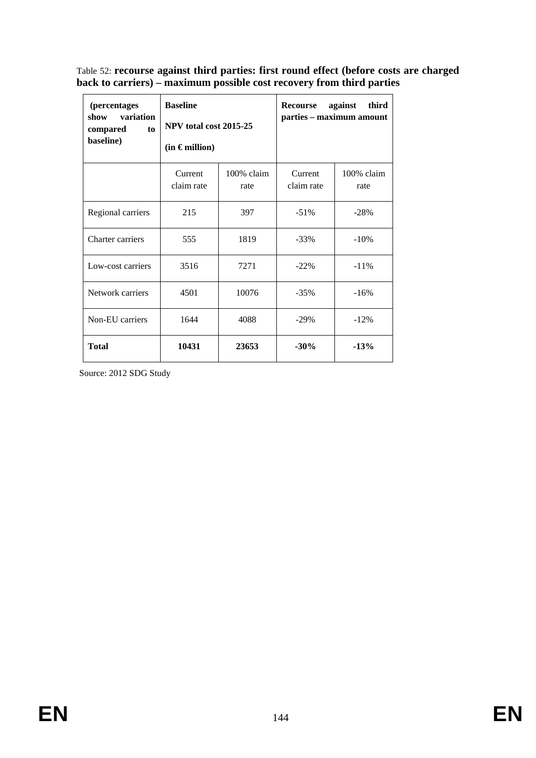Table 52: **recourse against third parties: first round effect (before costs are charged back to carriers) – maximum possible cost recovery from third parties** 

| <i>(percentages)</i><br>variation<br>show<br>compared<br>to<br>baseline) | <b>Baseline</b><br>NPV total cost 2015-25<br>$(in \in million)$ |                       | third<br>against<br>Recourse<br>parties - maximum amount |                    |  |
|--------------------------------------------------------------------------|-----------------------------------------------------------------|-----------------------|----------------------------------------------------------|--------------------|--|
|                                                                          | Current<br>claim rate                                           | $100\%$ claim<br>rate | Current<br>claim rate                                    | 100% claim<br>rate |  |
| Regional carriers                                                        | 215                                                             | 397                   | $-51\%$                                                  | $-28%$             |  |
| Charter carriers                                                         | 555                                                             | 1819                  | $-33\%$                                                  | $-10%$             |  |
| Low-cost carriers                                                        | 3516                                                            | 7271                  | $-22\%$                                                  | $-11%$             |  |
| Network carriers                                                         | 4501                                                            | 10076                 | $-35%$                                                   | $-16%$             |  |
| Non-EU carriers                                                          | 1644                                                            | 4088                  | $-29%$                                                   | $-12%$             |  |
| <b>Total</b>                                                             | 10431                                                           | 23653                 | $-30%$                                                   | $-13%$             |  |

Source: 2012 SDG Study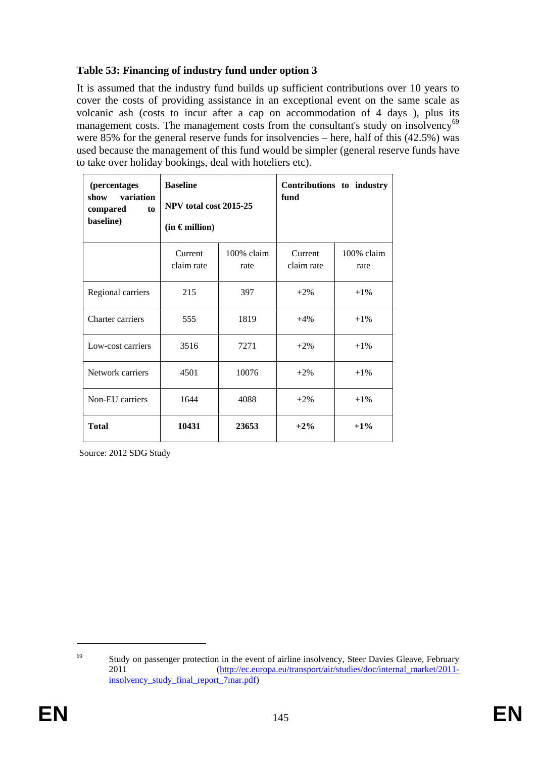# **Table 53: Financing of industry fund under option 3**

It is assumed that the industry fund builds up sufficient contributions over 10 years to cover the costs of providing assistance in an exceptional event on the same scale as volcanic ash (costs to incur after a cap on accommodation of 4 days ), plus its management costs. The management costs from the consultant's study on insolvency<sup>69</sup> were 85% for the general reserve funds for insolvencies – here, half of this (42.5%) was used because the management of this fund would be simpler (general reserve funds have to take over holiday bookings, deal with hoteliers etc).

| (percentages<br>variation<br>show<br>compared<br>to<br>baseline) | <b>Baseline</b><br>NPV total cost 2015-25<br>$(in \in million)$ |                    | Contributions to industry<br>fund |                    |  |
|------------------------------------------------------------------|-----------------------------------------------------------------|--------------------|-----------------------------------|--------------------|--|
|                                                                  | Current<br>claim rate                                           | 100% claim<br>rate | Current<br>claim rate             | 100% claim<br>rate |  |
| Regional carriers                                                | 215                                                             | 397                | $+2\%$                            | $+1\%$             |  |
| Charter carriers                                                 | 555                                                             | 1819               | $+4%$                             | $+1\%$             |  |
| Low-cost carriers                                                | 3516                                                            | 7271               | $+2\%$                            | $+1\%$             |  |
| Network carriers                                                 | 4501                                                            | 10076              | $+2\%$                            | $+1\%$             |  |
| Non-EU carriers                                                  | 1644                                                            | 4088               | $+2\%$                            | $+1\%$             |  |
| <b>Total</b>                                                     | 10431                                                           | 23653              | $+2%$                             | $+1\%$             |  |

Source: 2012 SDG Study

1

<sup>&</sup>lt;sup>69</sup> Study on passenger protection in the event of airline insolvency, Steer Davies Gleave, February 2011 [\(http://ec.europa.eu/transport/air/studies/doc/internal\\_market/2011](http://ec.europa.eu/transport/air/studies/doc/internal_market/2011-insolvency_study_final_report_7mar.pdf) [insolvency\\_study\\_final\\_report\\_7mar.pdf\)](http://ec.europa.eu/transport/air/studies/doc/internal_market/2011-insolvency_study_final_report_7mar.pdf)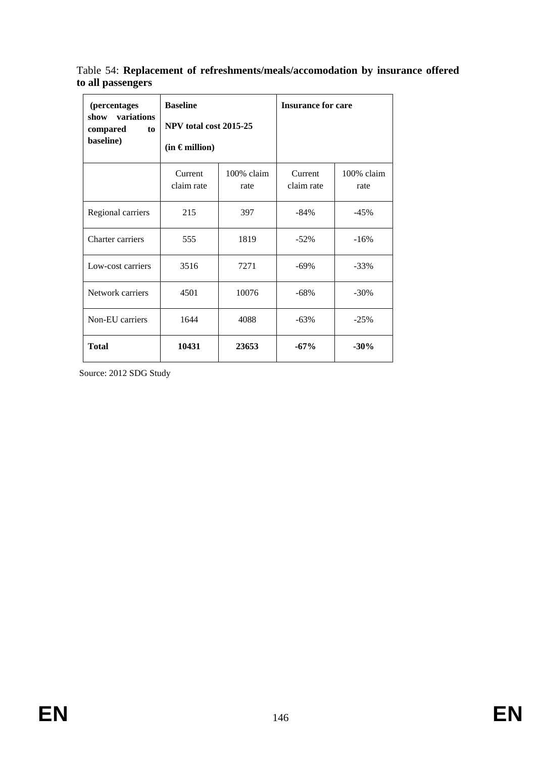Table 54: **Replacement of refreshments/meals/accomodation by insurance offered to all passengers** 

| (percentages<br>variations<br>show<br>compared<br>to<br>baseline) | <b>Baseline</b><br>NPV total cost 2015-25<br>$(in \in million)$ |                       | <b>Insurance for care</b> |                    |
|-------------------------------------------------------------------|-----------------------------------------------------------------|-----------------------|---------------------------|--------------------|
|                                                                   | Current<br>claim rate                                           | $100\%$ claim<br>rate | Current<br>claim rate     | 100% claim<br>rate |
| Regional carriers                                                 | 215                                                             | 397                   | $-84%$                    | $-45%$             |
| Charter carriers                                                  | 555                                                             | 1819                  | $-52\%$                   | $-16%$             |
| Low-cost carriers                                                 | 3516                                                            | 7271                  | $-69\%$                   | $-33%$             |
| Network carriers                                                  | 4501                                                            | 10076                 | $-68%$                    | $-30\%$            |
| Non-EU carriers                                                   | 1644                                                            | 4088                  | $-63%$                    | $-25%$             |
| <b>Total</b>                                                      | 10431                                                           | 23653                 | $-67%$                    | $-30%$             |

Source: 2012 SDG Study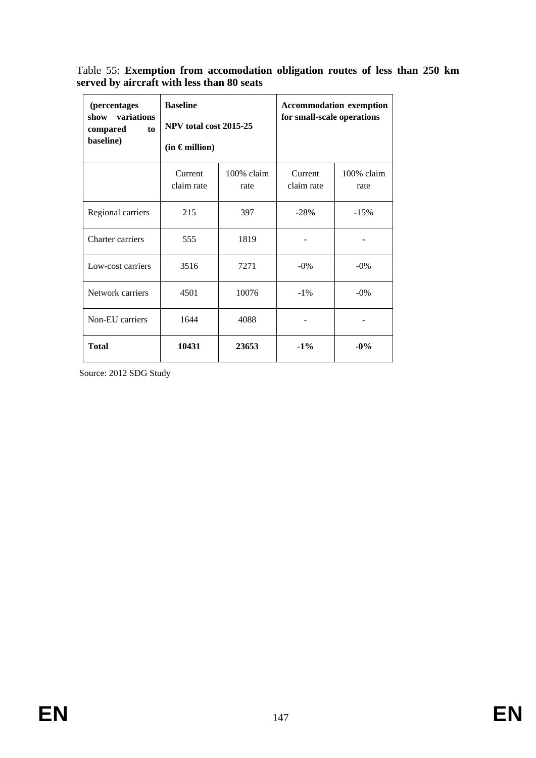Table 55: **Exemption from accomodation obligation routes of less than 250 km served by aircraft with less than 80 seats** 

| (percentages<br>variations<br>show<br>compared<br>to<br>baseline) | <b>Baseline</b><br>NPV total cost 2015-25<br>$(in \in million)$ |                    | <b>Accommodation exemption</b><br>for small-scale operations |                    |
|-------------------------------------------------------------------|-----------------------------------------------------------------|--------------------|--------------------------------------------------------------|--------------------|
|                                                                   | Current<br>claim rate                                           | 100% claim<br>rate | Current<br>claim rate                                        | 100% claim<br>rate |
| Regional carriers                                                 | 215                                                             | 397                | $-28%$                                                       | $-15%$             |
| Charter carriers                                                  | 555                                                             | 1819               |                                                              |                    |
| Low-cost carriers                                                 | 3516                                                            | 7271               | $-0\%$                                                       | $-0\%$             |
| Network carriers                                                  | 4501                                                            | 10076              | $-1\%$                                                       | $-0\%$             |
| Non-EU carriers                                                   | 1644                                                            | 4088               |                                                              |                    |
| <b>Total</b>                                                      | 10431                                                           | 23653              | $-1\%$                                                       | $-0\%$             |

Source: 2012 SDG Study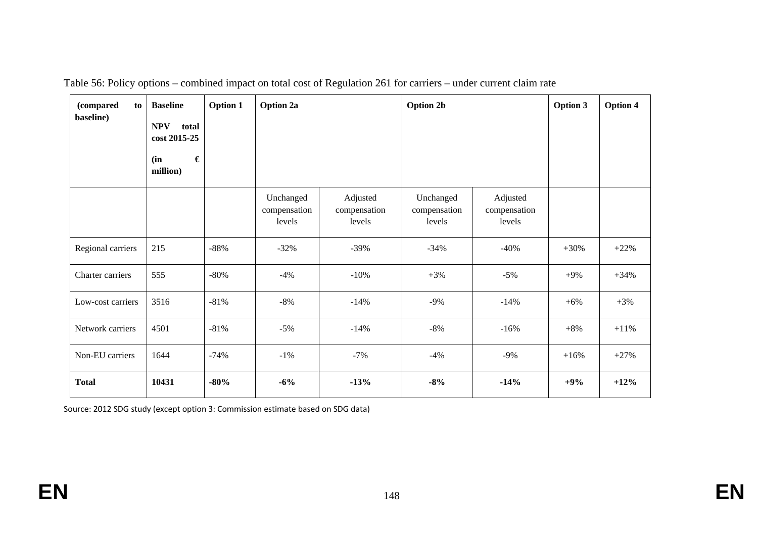| (compared<br>to<br>baseline) | <b>Baseline</b><br><b>NPV</b><br>total<br>cost 2015-25<br>$\pmb{\epsilon}$<br>(in<br>million) | <b>Option 1</b> | Option 2a                           |                                    | <b>Option 2b</b>                    |                                    | Option 3 | <b>Option 4</b> |
|------------------------------|-----------------------------------------------------------------------------------------------|-----------------|-------------------------------------|------------------------------------|-------------------------------------|------------------------------------|----------|-----------------|
|                              |                                                                                               |                 | Unchanged<br>compensation<br>levels | Adjusted<br>compensation<br>levels | Unchanged<br>compensation<br>levels | Adjusted<br>compensation<br>levels |          |                 |
| Regional carriers            | 215                                                                                           | $-88%$          | $-32%$                              | $-39%$                             | $-34%$                              | $-40%$                             | $+30%$   | $+22%$          |
| Charter carriers             | 555                                                                                           | $-80%$          | $-4%$                               | $-10%$                             | $+3%$                               | $-5%$                              | $+9%$    | $+34%$          |
| Low-cost carriers            | 3516                                                                                          | $-81%$          | $-8%$                               | $-14%$                             | $-9%$                               | $-14%$                             | $+6%$    | $+3%$           |
| Network carriers             | 4501                                                                                          | $-81%$          | $-5%$                               | $-14%$                             | $-8%$                               | $-16%$                             | $+8%$    | $+11%$          |
| Non-EU carriers              | 1644                                                                                          | $-74%$          | $-1\%$                              | $-7%$                              | $-4%$                               | $-9\%$                             | $+16%$   | $+27%$          |
| <b>Total</b>                 | 10431                                                                                         | $-80%$          | $-6%$                               | $-13%$                             | $-8%$                               | $-14%$                             | $+9%$    | $+12%$          |

Table 56: Policy options – combined impact on total cost of Regulation 261 for carriers – under current claim rate

Source: 2012 SDG study (except option 3: Commission estimate based on SDG data)

**EN**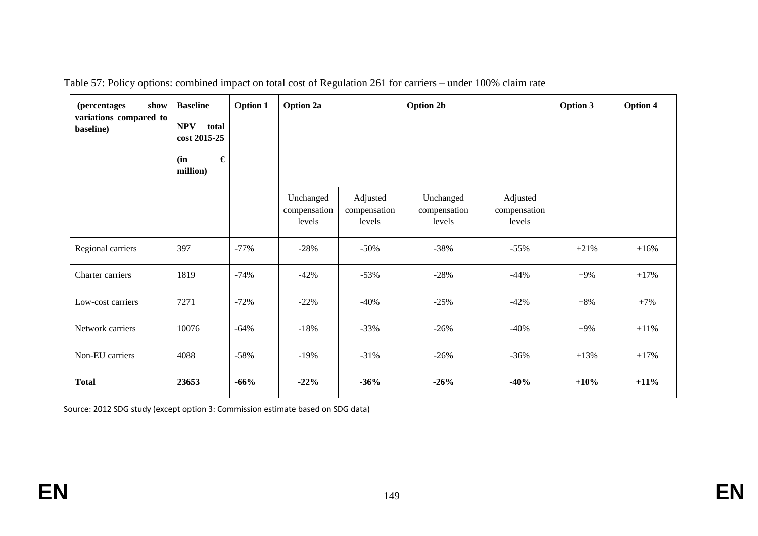| <i>(percentages)</i><br>show<br>variations compared to<br>baseline) | <b>Baseline</b><br><b>NPV</b><br>total<br>cost 2015-25<br>$\pmb{\epsilon}$<br>(in<br>million) | <b>Option 1</b> | <b>Option 2a</b>                    |                                    | <b>Option 2b</b>                    |                                    | <b>Option 3</b> | Option 4 |
|---------------------------------------------------------------------|-----------------------------------------------------------------------------------------------|-----------------|-------------------------------------|------------------------------------|-------------------------------------|------------------------------------|-----------------|----------|
|                                                                     |                                                                                               |                 | Unchanged<br>compensation<br>levels | Adjusted<br>compensation<br>levels | Unchanged<br>compensation<br>levels | Adjusted<br>compensation<br>levels |                 |          |
| Regional carriers                                                   | 397                                                                                           | $-77%$          | $-28%$                              | $-50\%$                            | $-38%$                              | $-55%$                             | $+21%$          | $+16%$   |
| Charter carriers                                                    | 1819                                                                                          | $-74%$          | $-42%$                              | $-53%$                             | $-28%$                              | $-44%$                             | $+9%$           | $+17%$   |
| Low-cost carriers                                                   | 7271                                                                                          | $-72%$          | $-22%$                              | $-40%$                             | $-25%$                              | $-42%$                             | $+8%$           | $+7%$    |
| Network carriers                                                    | 10076                                                                                         | $-64%$          | $-18%$                              | $-33%$                             | $-26%$                              | $-40%$                             | $+9\%$          | $+11%$   |
| Non-EU carriers                                                     | 4088                                                                                          | $-58%$          | $-19%$                              | $-31%$                             | $-26%$                              | $-36%$                             | $+13%$          | $+17%$   |
| <b>Total</b>                                                        | 23653                                                                                         | $-66%$          | $-22%$                              | $-36%$                             | $-26%$                              | $-40%$                             | $+10%$          | $+11\%$  |

Table 57: Policy options: combined impact on total cost of Regulation 261 for carriers – under 100% claim rate

Source: 2012 SDG study (except option 3: Commission estimate based on SDG data)

**EN**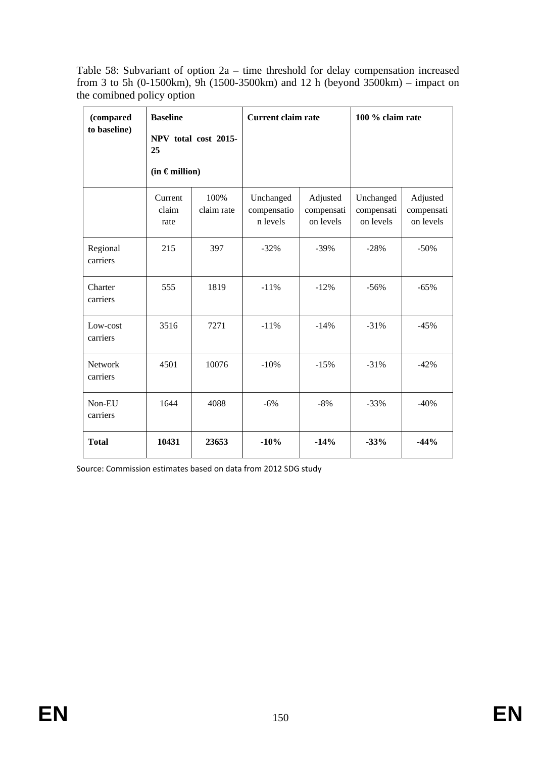Table 58: Subvariant of option 2a – time threshold for delay compensation increased from 3 to 5h (0-1500km), 9h (1500-3500km) and 12 h (beyond 3500km) – impact on the comibned policy option

| (compared<br>to baseline)  | <b>Baseline</b><br>NPV total cost 2015-<br>25<br>$(in \in$ million) |                    | <b>Current claim rate</b>            |                                     | 100 % claim rate                     |                                     |
|----------------------------|---------------------------------------------------------------------|--------------------|--------------------------------------|-------------------------------------|--------------------------------------|-------------------------------------|
|                            | Current<br>claim<br>rate                                            | 100%<br>claim rate | Unchanged<br>compensatio<br>n levels | Adjusted<br>compensati<br>on levels | Unchanged<br>compensati<br>on levels | Adjusted<br>compensati<br>on levels |
| Regional<br>carriers       | 215                                                                 | 397                | $-32%$                               | $-39%$                              | $-28%$                               | $-50%$                              |
| Charter<br>carriers        | 555                                                                 | 1819               | $-11%$                               | $-12%$                              | $-56%$                               | $-65%$                              |
| Low-cost<br>carriers       | 3516                                                                | 7271               | $-11%$                               | $-14%$                              | $-31%$                               | $-45%$                              |
| <b>Network</b><br>carriers | 4501                                                                | 10076              | $-10%$                               | $-15%$                              | $-31%$                               | $-42%$                              |
| Non-EU<br>carriers         | 1644                                                                | 4088               | $-6%$                                | $-8%$                               | $-33%$                               | $-40%$                              |
| <b>Total</b>               | 10431                                                               | 23653              | $-10%$                               | $-14%$                              | $-33%$                               | $-44%$                              |

Source: Commission estimates based on data from 2012 SDG study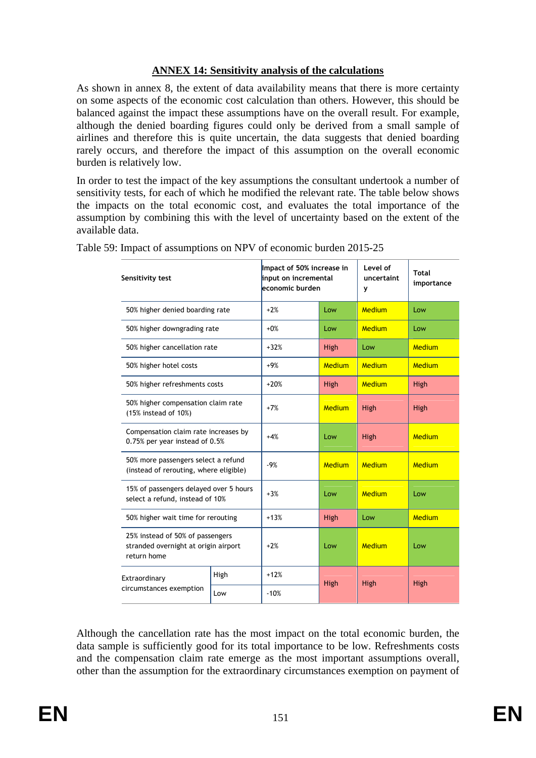## **ANNEX 14: Sensitivity analysis of the calculations**

As shown in annex 8, the extent of data availability means that there is more certainty on some aspects of the economic cost calculation than others. However, this should be balanced against the impact these assumptions have on the overall result. For example, although the denied boarding figures could only be derived from a small sample of airlines and therefore this is quite uncertain, the data suggests that denied boarding rarely occurs, and therefore the impact of this assumption on the overall economic burden is relatively low.

In order to test the impact of the key assumptions the consultant undertook a number of sensitivity tests, for each of which he modified the relevant rate. The table below shows the impacts on the total economic cost, and evaluates the total importance of the assumption by combining this with the level of uncertainty based on the extent of the available data.

| Sensitivity test                                                                        |                                                                        | economic burden | Impact of 50% increase in<br>input on incremental |               | <b>Total</b><br>importance |
|-----------------------------------------------------------------------------------------|------------------------------------------------------------------------|-----------------|---------------------------------------------------|---------------|----------------------------|
| 50% higher denied boarding rate                                                         |                                                                        | $+2%$           | Low                                               | Medium        | Low                        |
| 50% higher downgrading rate                                                             |                                                                        | $+0%$           | Low                                               | Medium        | Low                        |
| 50% higher cancellation rate                                                            |                                                                        | $+32%$          | High                                              | Low           | Medium                     |
| 50% higher hotel costs                                                                  |                                                                        | $+9%$           | Medium                                            | Medium        | Medium                     |
| 50% higher refreshments costs                                                           |                                                                        | $+20%$          | High                                              | <b>Medium</b> | High                       |
| 50% higher compensation claim rate<br>$(15\%$ instead of $10\%)$                        | $+7%$                                                                  | Medium          | High                                              | High          |                            |
|                                                                                         | Compensation claim rate increases by<br>0.75% per year instead of 0.5% |                 | Low                                               | High          | Medium                     |
| 50% more passengers select a refund<br>(instead of rerouting, where eligible)           |                                                                        | $-9%$           | Medium                                            | Medium        | Medium                     |
| 15% of passengers delayed over 5 hours<br>select a refund, instead of 10%               |                                                                        | $+3%$           | Low                                               | Medium        | Low                        |
|                                                                                         | 50% higher wait time for rerouting                                     |                 | High                                              | Low           | <b>Medium</b>              |
| 25% instead of 50% of passengers<br>stranded overnight at origin airport<br>return home |                                                                        | $+2%$           | Low                                               | Medium        | Low                        |
| Extraordinary                                                                           | High                                                                   | $+12%$          | High                                              | High          | High                       |
| circumstances exemption                                                                 | Low                                                                    | $-10%$          |                                                   |               |                            |

Table 59: Impact of assumptions on NPV of economic burden 2015-25

Although the cancellation rate has the most impact on the total economic burden, the data sample is sufficiently good for its total importance to be low. Refreshments costs and the compensation claim rate emerge as the most important assumptions overall, other than the assumption for the extraordinary circumstances exemption on payment of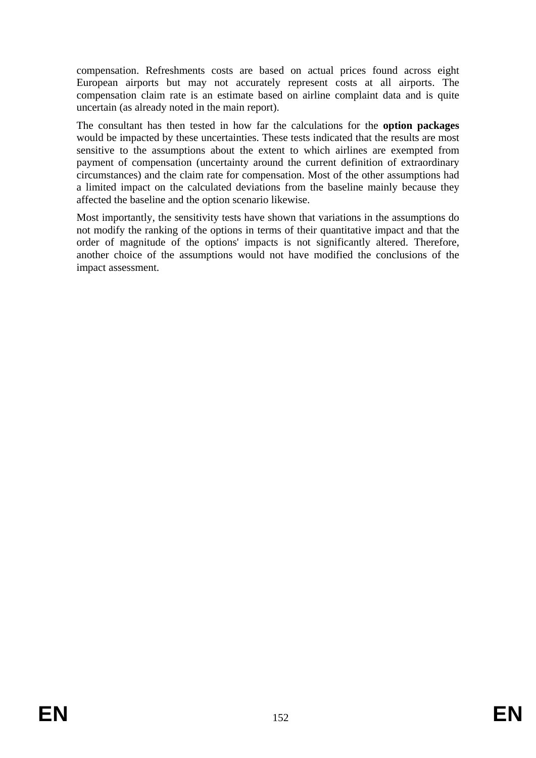compensation. Refreshments costs are based on actual prices found across eight European airports but may not accurately represent costs at all airports. The compensation claim rate is an estimate based on airline complaint data and is quite uncertain (as already noted in the main report).

The consultant has then tested in how far the calculations for the **option packages** would be impacted by these uncertainties. These tests indicated that the results are most sensitive to the assumptions about the extent to which airlines are exempted from payment of compensation (uncertainty around the current definition of extraordinary circumstances) and the claim rate for compensation. Most of the other assumptions had a limited impact on the calculated deviations from the baseline mainly because they affected the baseline and the option scenario likewise.

Most importantly, the sensitivity tests have shown that variations in the assumptions do not modify the ranking of the options in terms of their quantitative impact and that the order of magnitude of the options' impacts is not significantly altered. Therefore, another choice of the assumptions would not have modified the conclusions of the impact assessment.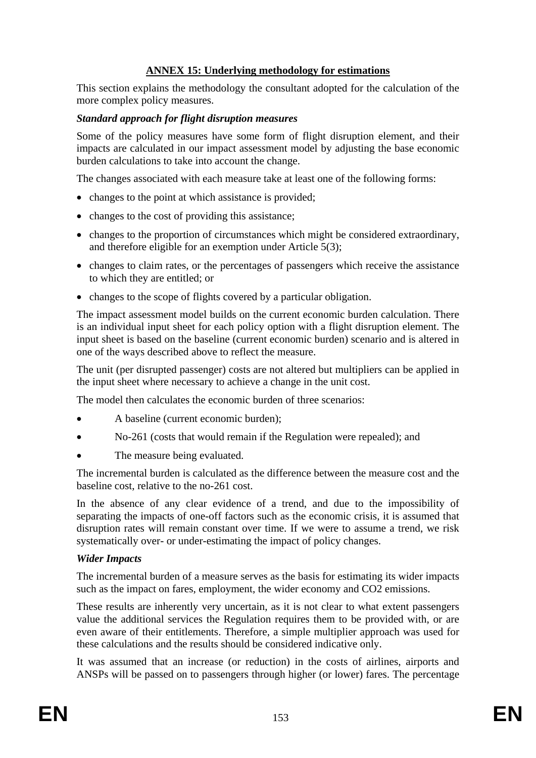# **ANNEX 15: Underlying methodology for estimations**

This section explains the methodology the consultant adopted for the calculation of the more complex policy measures.

#### *Standard approach for flight disruption measures*

Some of the policy measures have some form of flight disruption element, and their impacts are calculated in our impact assessment model by adjusting the base economic burden calculations to take into account the change.

The changes associated with each measure take at least one of the following forms:

- changes to the point at which assistance is provided;
- changes to the cost of providing this assistance;
- changes to the proportion of circumstances which might be considered extraordinary, and therefore eligible for an exemption under Article 5(3);
- changes to claim rates, or the percentages of passengers which receive the assistance to which they are entitled; or
- changes to the scope of flights covered by a particular obligation.

The impact assessment model builds on the current economic burden calculation. There is an individual input sheet for each policy option with a flight disruption element. The input sheet is based on the baseline (current economic burden) scenario and is altered in one of the ways described above to reflect the measure.

The unit (per disrupted passenger) costs are not altered but multipliers can be applied in the input sheet where necessary to achieve a change in the unit cost.

The model then calculates the economic burden of three scenarios:

- A baseline (current economic burden);
- No-261 (costs that would remain if the Regulation were repealed); and
- The measure being evaluated.

The incremental burden is calculated as the difference between the measure cost and the baseline cost, relative to the no-261 cost.

In the absence of any clear evidence of a trend, and due to the impossibility of separating the impacts of one-off factors such as the economic crisis, it is assumed that disruption rates will remain constant over time. If we were to assume a trend, we risk systematically over- or under-estimating the impact of policy changes.

#### *Wider Impacts*

The incremental burden of a measure serves as the basis for estimating its wider impacts such as the impact on fares, employment, the wider economy and CO2 emissions.

These results are inherently very uncertain, as it is not clear to what extent passengers value the additional services the Regulation requires them to be provided with, or are even aware of their entitlements. Therefore, a simple multiplier approach was used for these calculations and the results should be considered indicative only.

It was assumed that an increase (or reduction) in the costs of airlines, airports and ANSPs will be passed on to passengers through higher (or lower) fares. The percentage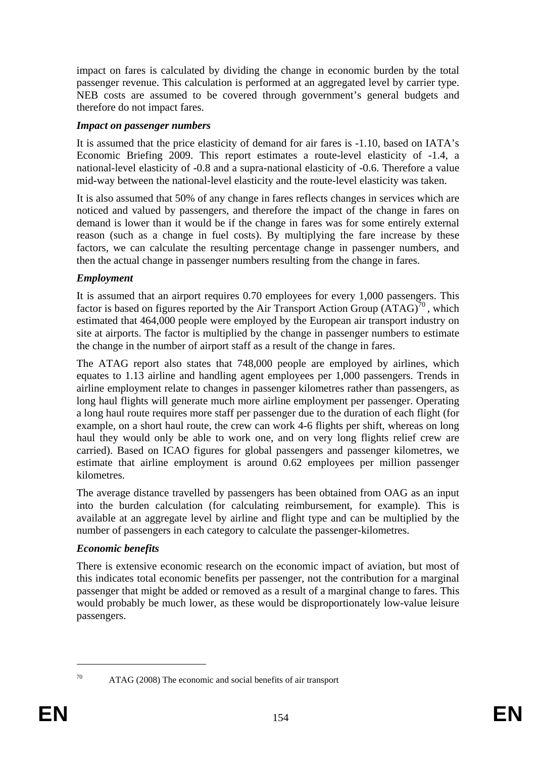impact on fares is calculated by dividing the change in economic burden by the total passenger revenue. This calculation is performed at an aggregated level by carrier type. NEB costs are assumed to be covered through government's general budgets and therefore do not impact fares.

#### *Impact on passenger numbers*

It is assumed that the price elasticity of demand for air fares is -1.10, based on IATA's Economic Briefing 2009. This report estimates a route-level elasticity of -1.4, a national-level elasticity of -0.8 and a supra-national elasticity of -0.6. Therefore a value mid-way between the national-level elasticity and the route-level elasticity was taken.

It is also assumed that 50% of any change in fares reflects changes in services which are noticed and valued by passengers, and therefore the impact of the change in fares on demand is lower than it would be if the change in fares was for some entirely external reason (such as a change in fuel costs). By multiplying the fare increase by these factors, we can calculate the resulting percentage change in passenger numbers, and then the actual change in passenger numbers resulting from the change in fares.

## *Employment*

It is assumed that an airport requires 0.70 employees for every 1,000 passengers. This factor is based on figures reported by the Air Transport Action Group  $(ATAG)^{70}$ , which estimated that 464,000 people were employed by the European air transport industry on site at airports. The factor is multiplied by the change in passenger numbers to estimate the change in the number of airport staff as a result of the change in fares.

The ATAG report also states that 748,000 people are employed by airlines, which equates to 1.13 airline and handling agent employees per 1,000 passengers. Trends in airline employment relate to changes in passenger kilometres rather than passengers, as long haul flights will generate much more airline employment per passenger. Operating a long haul route requires more staff per passenger due to the duration of each flight (for example, on a short haul route, the crew can work 4-6 flights per shift, whereas on long haul they would only be able to work one, and on very long flights relief crew are carried). Based on ICAO figures for global passengers and passenger kilometres, we estimate that airline employment is around 0.62 employees per million passenger kilometres.

The average distance travelled by passengers has been obtained from OAG as an input into the burden calculation (for calculating reimbursement, for example). This is available at an aggregate level by airline and flight type and can be multiplied by the number of passengers in each category to calculate the passenger-kilometres.

#### *Economic benefits*

There is extensive economic research on the economic impact of aviation, but most of this indicates total economic benefits per passenger, not the contribution for a marginal passenger that might be added or removed as a result of a marginal change to fares. This would probably be much lower, as these would be disproportionately low-value leisure passengers.

<sup>1</sup> 

<sup>70</sup> ATAG (2008) The economic and social benefits of air transport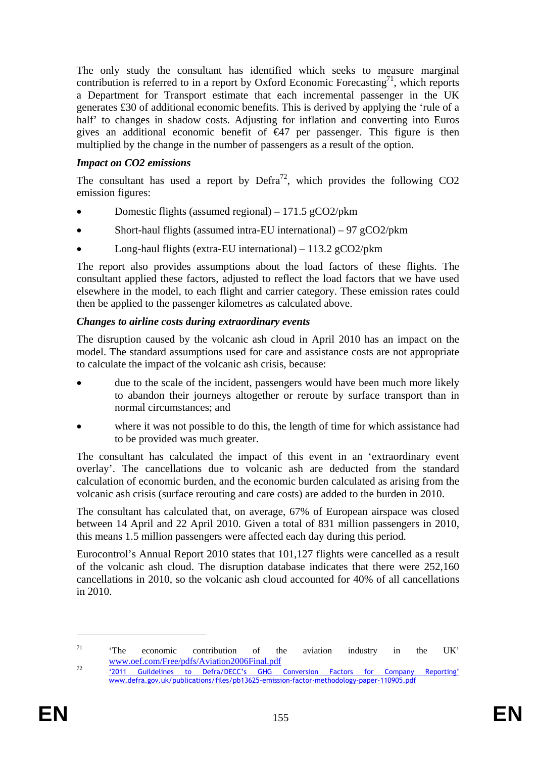The only study the consultant has identified which seeks to measure marginal contribution is referred to in a report by Oxford Economic Forecasting<sup>71</sup>, which reports a Department for Transport estimate that each incremental passenger in the UK generates £30 of additional economic benefits. This is derived by applying the 'rule of a half' to changes in shadow costs. Adjusting for inflation and converting into Euros gives an additional economic benefit of  $\bigoplus$  per passenger. This figure is then multiplied by the change in the number of passengers as a result of the option.

### *Impact on CO2 emissions*

The consultant has used a report by  $\text{Defra}^{72}$ , which provides the following CO2 emission figures:

- Domestic flights (assumed regional) 171.5 gCO2/pkm
- Short-haul flights (assumed intra-EU international)  $97 \text{ g}CO2/\text{pkm}$
- Long-haul flights (extra-EU international)  $113.2$  gCO2/pkm

The report also provides assumptions about the load factors of these flights. The consultant applied these factors, adjusted to reflect the load factors that we have used elsewhere in the model, to each flight and carrier category. These emission rates could then be applied to the passenger kilometres as calculated above.

## *Changes to airline costs during extraordinary events*

The disruption caused by the volcanic ash cloud in April 2010 has an impact on the model. The standard assumptions used for care and assistance costs are not appropriate to calculate the impact of the volcanic ash crisis, because:

- due to the scale of the incident, passengers would have been much more likely to abandon their journeys altogether or reroute by surface transport than in normal circumstances; and
- where it was not possible to do this, the length of time for which assistance had to be provided was much greater.

The consultant has calculated the impact of this event in an 'extraordinary event overlay'. The cancellations due to volcanic ash are deducted from the standard calculation of economic burden, and the economic burden calculated as arising from the volcanic ash crisis (surface rerouting and care costs) are added to the burden in 2010.

The consultant has calculated that, on average, 67% of European airspace was closed between 14 April and 22 April 2010. Given a total of 831 million passengers in 2010, this means 1.5 million passengers were affected each day during this period.

Eurocontrol's Annual Report 2010 states that 101,127 flights were cancelled as a result of the volcanic ash cloud. The disruption database indicates that there were 252,160 cancellations in 2010, so the volcanic ash cloud accounted for 40% of all cancellations in 2010.

1

<sup>&</sup>lt;sup>71</sup>  $\cdot$  <sup>71</sup> **The economic contribution of the aviation industry in the UK'** 

[www.oef.com/Free/pdfs/Aviation2006Final.pdf](http://www.oef.com/Free/pdfs/Aviation2006Final.pdf)<br>
<sup>72</sup> '2011 Guildelines to Defra/DECC's GHG Conversion Factors for Company Reporting' www.defra.gov.uk/publications/files/pb13625-emission-factor-methodology-paper-110905.pdf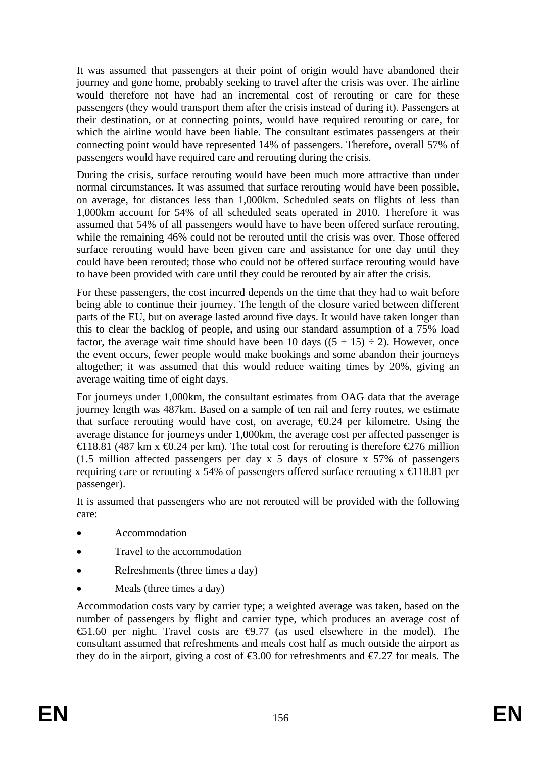It was assumed that passengers at their point of origin would have abandoned their journey and gone home, probably seeking to travel after the crisis was over. The airline would therefore not have had an incremental cost of rerouting or care for these passengers (they would transport them after the crisis instead of during it). Passengers at their destination, or at connecting points, would have required rerouting or care, for which the airline would have been liable. The consultant estimates passengers at their connecting point would have represented 14% of passengers. Therefore, overall 57% of passengers would have required care and rerouting during the crisis.

During the crisis, surface rerouting would have been much more attractive than under normal circumstances. It was assumed that surface rerouting would have been possible, on average, for distances less than 1,000km. Scheduled seats on flights of less than 1,000km account for 54% of all scheduled seats operated in 2010. Therefore it was assumed that 54% of all passengers would have to have been offered surface rerouting, while the remaining 46% could not be rerouted until the crisis was over. Those offered surface rerouting would have been given care and assistance for one day until they could have been rerouted; those who could not be offered surface rerouting would have to have been provided with care until they could be rerouted by air after the crisis.

For these passengers, the cost incurred depends on the time that they had to wait before being able to continue their journey. The length of the closure varied between different parts of the EU, but on average lasted around five days. It would have taken longer than this to clear the backlog of people, and using our standard assumption of a 75% load factor, the average wait time should have been 10 days  $((5 + 15) \div 2)$ . However, once the event occurs, fewer people would make bookings and some abandon their journeys altogether; it was assumed that this would reduce waiting times by 20%, giving an average waiting time of eight days.

For journeys under 1,000km, the consultant estimates from OAG data that the average journey length was 487km. Based on a sample of ten rail and ferry routes, we estimate that surface rerouting would have cost, on average,  $\Theta$ .24 per kilometre. Using the average distance for journeys under 1,000km, the average cost per affected passenger is €118.81 (487 km x  $\oplus$ .24 per km). The total cost for rerouting is therefore  $\oplus$ 276 million (1.5 million affected passengers per day x 5 days of closure x 57% of passengers requiring care or rerouting x 54% of passengers offered surface rerouting  $x \in 18.81$  per passenger).

It is assumed that passengers who are not rerouted will be provided with the following care:

- Accommodation
- Travel to the accommodation
- Refreshments (three times a day)
- Meals (three times a day)

Accommodation costs vary by carrier type; a weighted average was taken, based on the number of passengers by flight and carrier type, which produces an average cost of  $\text{\textsterling}1.60$  per night. Travel costs are  $\text{\textsterling}0.77$  (as used elsewhere in the model). The consultant assumed that refreshments and meals cost half as much outside the airport as they do in the airport, giving a cost of  $\epsilon$ 3.00 for refreshments and  $\epsilon$ 7.27 for meals. The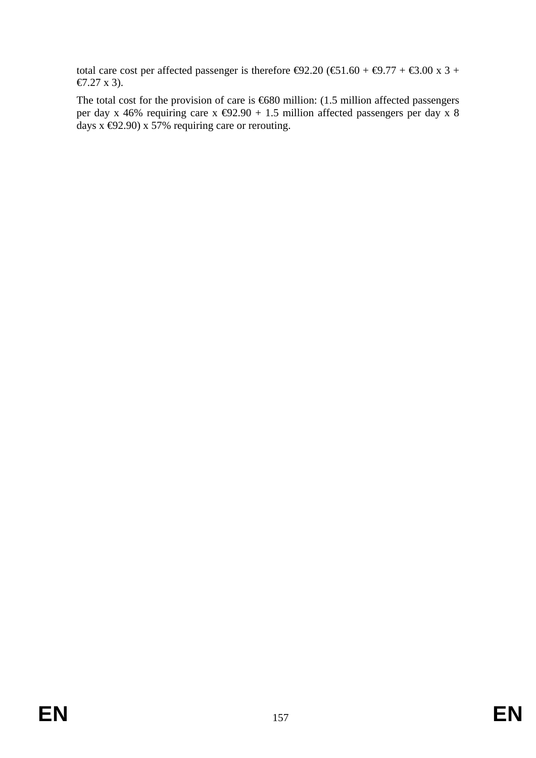total care cost per affected passenger is therefore  $\Theta$ 2.20 ( $\Theta$ 1.60 +  $\Theta$ .77 +  $\Theta$ .00 x 3 + €7.27 x 3).

The total cost for the provision of care is €680 million: (1.5 million affected passengers per day x 46% requiring care x  $\bigoplus$ 2.90 + 1.5 million affected passengers per day x 8 days  $\overline{x}$   $\oplus$  2.90)  $\overline{x}$  57% requiring care or rerouting.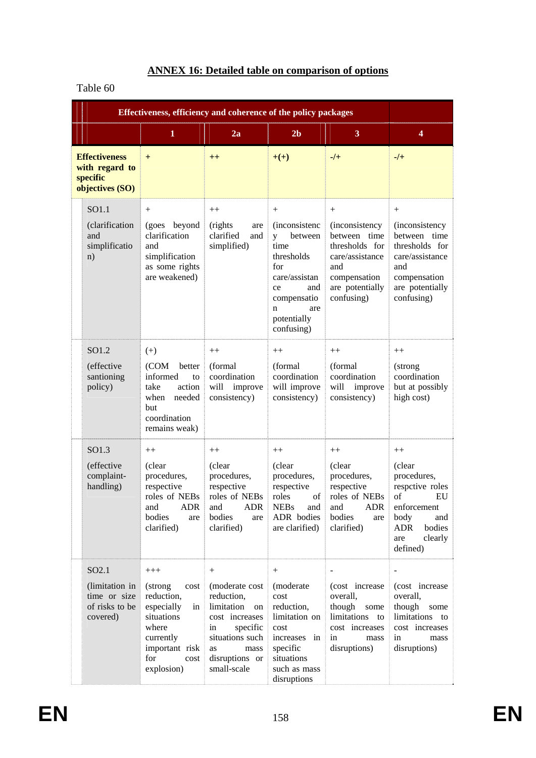# **ANNEX 16: Detailed table on comparison of options**

## Table 60

|                                                                                   | Effectiveness, efficiency and coherence of the policy packages                                                                                 |                                                                                                                                                                   |                                                                                                                                                                    |                                                                                                                                              |                                                                                                                                                  |
|-----------------------------------------------------------------------------------|------------------------------------------------------------------------------------------------------------------------------------------------|-------------------------------------------------------------------------------------------------------------------------------------------------------------------|--------------------------------------------------------------------------------------------------------------------------------------------------------------------|----------------------------------------------------------------------------------------------------------------------------------------------|--------------------------------------------------------------------------------------------------------------------------------------------------|
|                                                                                   | $\mathbf{1}$                                                                                                                                   | 2a                                                                                                                                                                | 2 <sub>b</sub>                                                                                                                                                     | 3                                                                                                                                            | 4                                                                                                                                                |
| <b>Effectiveness</b><br>with regard to<br>specific<br>objectives (SO)             | $+$                                                                                                                                            | $^{++}$                                                                                                                                                           | $+(+)$                                                                                                                                                             | $-$ /+                                                                                                                                       | $-$ /+                                                                                                                                           |
| SO1.1<br>(clarification<br>and<br>simplificatio<br>n)                             | $^{+}$<br>(goes beyond<br>clarification<br>and<br>simplification<br>as some rights<br>are weakened)                                            | $++$<br>(rights)<br>are<br>clarified<br>and<br>simplified)                                                                                                        | $^{+}$<br><i>(inconsistenc)</i><br>between<br>V<br>time<br>thresholds<br>for<br>care/assistan<br>and<br>ce<br>compensatio<br>are<br>n<br>potentially<br>confusing) | $^{+}$<br><i>(inconsistency</i><br>between time<br>thresholds for<br>care/assistance<br>and<br>compensation<br>are potentially<br>confusing) | $^{+}$<br><i>(inconsistency)</i><br>between time<br>thresholds for<br>care/assistance<br>and<br>compensation<br>are potentially<br>confusing)    |
| SO1.2<br>(effective<br>santioning<br>policy)                                      | $(+)$<br>(COM<br>better<br>informed<br>to<br>action<br>take<br>when<br>needed<br>but<br>coordination<br>remains weak)                          | $++$<br>(formal<br>coordination<br>improve<br>will<br>consistency)                                                                                                | $++$<br>(formal)<br>coordination<br>will improve<br>consistency)                                                                                                   | $++$<br>(formal<br>coordination<br>will improve<br>consistency)                                                                              | $++$<br>(strong<br>coordination<br>but at possibly<br>high cost)                                                                                 |
| SO1.3<br>(effective<br>complaint-<br>handling)                                    | $++$<br>(clear<br>procedures,<br>respective<br>roles of NEBs<br>and<br><b>ADR</b><br>bodies<br>are<br>clarified)                               | $^{++}$<br>(clear<br>procedures,<br>respective<br>roles of NEBs<br>and<br>ADR<br>bodies<br>are<br>clarified)                                                      | $^{++}$<br>(clear<br>procedures,<br>respective<br>roles<br>of<br><b>NEBs</b><br>and<br>ADR bodies<br>are clarified)                                                | $++$<br>(clear<br>procedures,<br>respective<br>roles of NEBs<br>and<br><b>ADR</b><br>bodies<br>are<br>clarified)                             | $++$<br>(clear<br>procedures,<br>respetive roles<br>of<br>EU<br>enforcement<br>body<br>and<br><b>ADR</b><br>bodies<br>clearly<br>are<br>defined) |
| SO <sub>2.1</sub><br>(limitation in<br>time or size<br>of risks to be<br>covered) | $+++$<br>cost<br>(strong)<br>reduction,<br>especially<br>in<br>situations<br>where<br>currently<br>important risk<br>for<br>cost<br>explosion) | $^{+}$<br>(moderate cost)<br>reduction,<br>limitation<br>on<br>cost increases<br>specific<br>in<br>situations such<br>as<br>mass<br>disruptions or<br>small-scale | $^{+}$<br>(moderate<br>cost<br>reduction,<br>limitation on<br>cost<br>increases in<br>specific<br>situations<br>such as mass<br>disruptions                        | $\mathbf{r}$<br>(cost increase<br>overall,<br>though<br>some<br>limitations to<br>cost increases<br>in<br>mass<br>disruptions)               | $\blacksquare$<br>(cost increase<br>overall,<br>though<br>some<br>limitations to<br>cost increases<br>in<br>mass<br>disruptions)                 |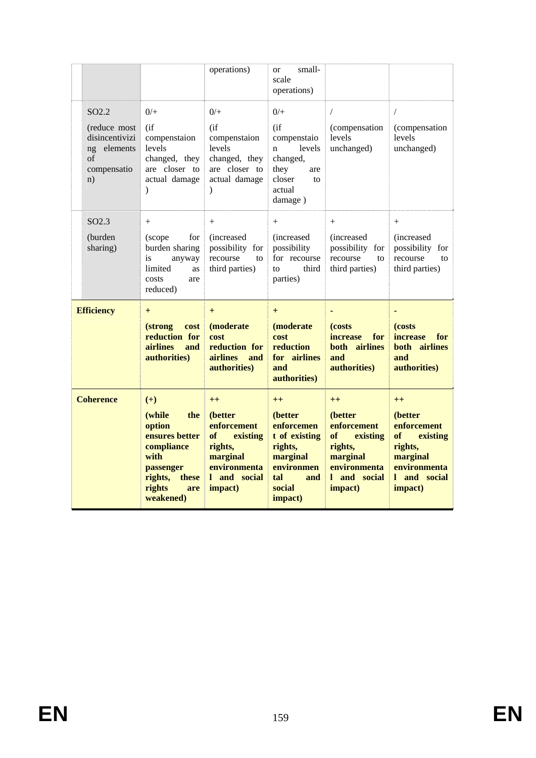|                                                                                               |                                                                                                                                         | operations)                                                                                                        | small-<br><b>or</b><br>scale<br>operations)                                                                            |                                                                                                                    |                                                                                                                    |
|-----------------------------------------------------------------------------------------------|-----------------------------------------------------------------------------------------------------------------------------------------|--------------------------------------------------------------------------------------------------------------------|------------------------------------------------------------------------------------------------------------------------|--------------------------------------------------------------------------------------------------------------------|--------------------------------------------------------------------------------------------------------------------|
| SO <sub>2.2</sub><br>(reduce most<br>disincentivizi<br>ng elements<br>of<br>compensatio<br>n) | $0/+$<br>(i f)<br>compenstaion<br>levels<br>changed, they<br>are closer to<br>actual damage<br>$\mathcal{E}$                            | $0/$ +<br>(i f)<br>compenstaion<br>levels<br>changed, they<br>are closer to<br>actual damage<br>$\mathcal{E}$      | $0/$ +<br>$($ if<br>compenstaio<br>levels<br>n<br>changed,<br>they<br>are<br>closer<br>to<br>actual<br>damage)         | $\sqrt{2}$<br>(compensation<br>levels<br>unchanged)                                                                | $\sqrt{2}$<br>(compensation<br>levels<br>unchanged)                                                                |
| SO <sub>2.3</sub><br>(burden<br>sharing)                                                      | $+$<br>for<br>(scope<br>burden sharing<br>is<br>anyway<br>limited<br>as<br>costs<br>are<br>reduced)                                     | $+$<br><i>(increased)</i><br>possibility for<br>recourse<br>to<br>third parties)                                   | $+$<br><i>(increased)</i><br>possibility<br>for recourse<br>third<br>to<br>parties)                                    | $+$<br><i>(increased)</i><br>possibility for<br>recourse<br>to<br>third parties)                                   | $^{+}$<br><i>(increased)</i><br>possibility for<br>recourse<br>to<br>third parties)                                |
| <b>Efficiency</b>                                                                             | $+$<br><i>(strong)</i><br>cost<br>reduction for<br><b>airlines</b><br>and<br>authorities)                                               | $+$<br>(moderate<br>cost<br>reduction for<br><b>airlines</b><br>and<br>authorities)                                | $+$<br>(moderate)<br>cost<br>reduction<br>for airlines<br>and<br>authorities)                                          | (costs)<br>for<br><i>increase</i><br>both airlines<br>and<br>authorities)                                          | ٠<br>(costs)<br><i>increase</i><br>for<br>both airlines<br>and<br>authorities)                                     |
| <b>Coherence</b>                                                                              | $(+)$<br>(while<br>the<br>option<br>ensures better<br>compliance<br>with<br>passenger<br>rights,<br>these<br>rights<br>are<br>weakened) | $++$<br>(better<br>enforcement<br>of<br>existing<br>rights,<br>marginal<br>environmenta<br>1 and social<br>impact) | $++$<br>(better<br>enforcemen<br>t of existing<br>rights,<br>marginal<br>environmen<br>tal<br>and<br>social<br>impact) | $++$<br>(better<br>enforcement<br>of<br>existing<br>rights,<br>marginal<br>environmenta<br>1 and social<br>impact) | $++$<br>(better<br>enforcement<br>of<br>existing<br>rights,<br>marginal<br>environmenta<br>1 and social<br>impact) |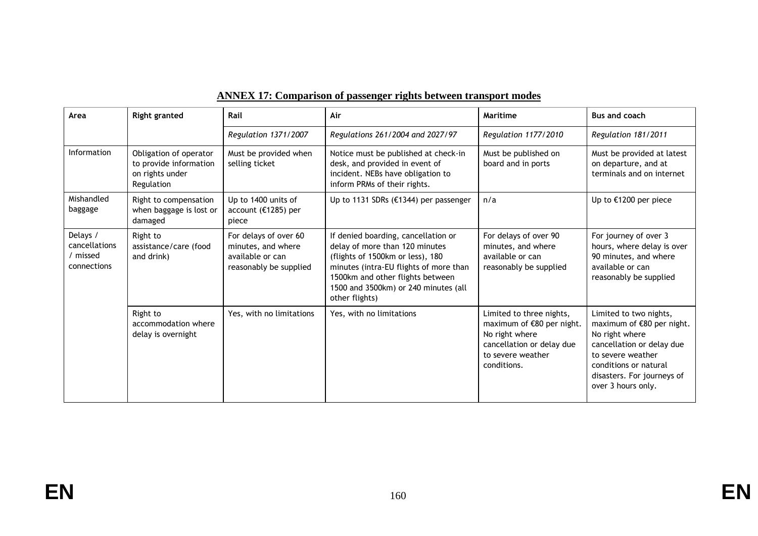| Area                                                 | <b>Right granted</b>                                                              | Rail                                                                                      | Air                                                                                                                                                                                                                                               | Maritime                                                                                                                                 | <b>Bus and coach</b>                                                                                                                                                                                 |
|------------------------------------------------------|-----------------------------------------------------------------------------------|-------------------------------------------------------------------------------------------|---------------------------------------------------------------------------------------------------------------------------------------------------------------------------------------------------------------------------------------------------|------------------------------------------------------------------------------------------------------------------------------------------|------------------------------------------------------------------------------------------------------------------------------------------------------------------------------------------------------|
|                                                      |                                                                                   | Regulation 1371/2007                                                                      | Regulations 261/2004 and 2027/97                                                                                                                                                                                                                  | Regulation 1177/2010                                                                                                                     | Regulation 181/2011                                                                                                                                                                                  |
| Information                                          | Obligation of operator<br>to provide information<br>on rights under<br>Regulation | Must be provided when<br>selling ticket                                                   | Notice must be published at check-in<br>desk, and provided in event of<br>incident. NEBs have obligation to<br>inform PRMs of their rights.                                                                                                       | Must be published on<br>board and in ports                                                                                               | Must be provided at latest<br>on departure, and at<br>terminals and on internet                                                                                                                      |
| Mishandled<br>baggage                                | Right to compensation<br>when baggage is lost or<br>damaged                       | Up to 1400 units of<br>account ( $£1285$ ) per<br>piece                                   | Up to 1131 SDRs (€1344) per passenger                                                                                                                                                                                                             | n/a                                                                                                                                      | Up to €1200 per piece                                                                                                                                                                                |
| Delays /<br>cancellations<br>/ missed<br>connections | Right to<br>assistance/care (food<br>and drink)                                   | For delays of over 60<br>minutes, and where<br>available or can<br>reasonably be supplied | If denied boarding, cancellation or<br>delay of more than 120 minutes<br>(flights of 1500km or less), 180<br>minutes (intra-EU flights of more than<br>1500km and other flights between<br>1500 and 3500km) or 240 minutes (all<br>other flights) | For delays of over 90<br>minutes, and where<br>available or can<br>reasonably be supplied                                                | For journey of over 3<br>hours, where delay is over<br>90 minutes, and where<br>available or can<br>reasonably be supplied                                                                           |
|                                                      | Right to<br>accommodation where<br>delay is overnight                             | Yes, with no limitations                                                                  | Yes, with no limitations                                                                                                                                                                                                                          | Limited to three nights,<br>maximum of €80 per night.<br>No right where<br>cancellation or delay due<br>to severe weather<br>conditions. | Limited to two nights,<br>maximum of €80 per night.<br>No right where<br>cancellation or delay due<br>to severe weather<br>conditions or natural<br>disasters. For journeys of<br>over 3 hours only. |

# **ANNEX 17: Comparison of passenger rights between transport modes**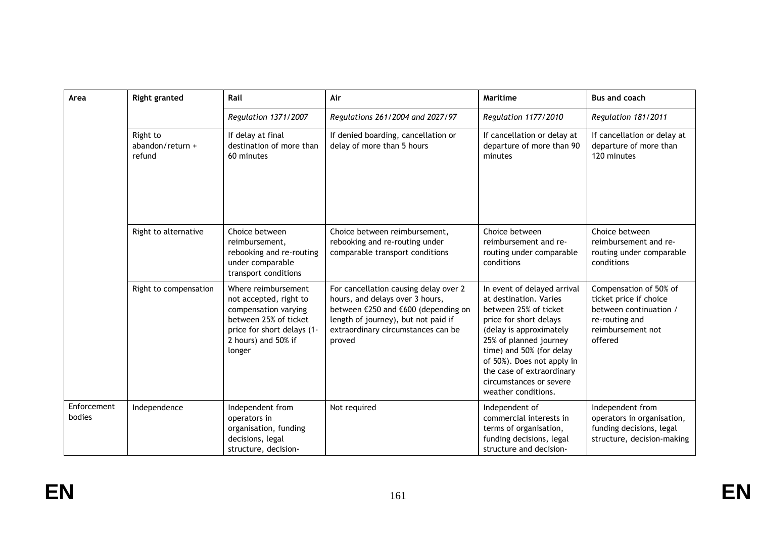| Area                  | <b>Right granted</b>                   | Rail                                                                                                                                                          | Air                                                                                                                                                                                                    | Maritime                                                                                                                                                                                                                                                                                               | <b>Bus and coach</b>                                                                                                         |
|-----------------------|----------------------------------------|---------------------------------------------------------------------------------------------------------------------------------------------------------------|--------------------------------------------------------------------------------------------------------------------------------------------------------------------------------------------------------|--------------------------------------------------------------------------------------------------------------------------------------------------------------------------------------------------------------------------------------------------------------------------------------------------------|------------------------------------------------------------------------------------------------------------------------------|
|                       |                                        | Regulation 1371/2007                                                                                                                                          | Regulations 261/2004 and 2027/97                                                                                                                                                                       | Regulation 1177/2010                                                                                                                                                                                                                                                                                   | Regulation 181/2011                                                                                                          |
|                       | Right to<br>abandon/return +<br>refund | If delay at final<br>destination of more than<br>60 minutes                                                                                                   | If denied boarding, cancellation or<br>delay of more than 5 hours                                                                                                                                      | If cancellation or delay at<br>departure of more than 90<br>minutes                                                                                                                                                                                                                                    | If cancellation or delay at<br>departure of more than<br>120 minutes                                                         |
|                       | Right to alternative                   | Choice between<br>reimbursement,<br>rebooking and re-routing<br>under comparable<br>transport conditions                                                      | Choice between reimbursement,<br>rebooking and re-routing under<br>comparable transport conditions                                                                                                     | Choice between<br>reimbursement and re-<br>routing under comparable<br>conditions                                                                                                                                                                                                                      | Choice between<br>reimbursement and re-<br>routing under comparable<br>conditions                                            |
|                       | Right to compensation                  | Where reimbursement<br>not accepted, right to<br>compensation varying<br>between 25% of ticket<br>price for short delays (1-<br>2 hours) and 50% if<br>longer | For cancellation causing delay over 2<br>hours, and delays over 3 hours,<br>between €250 and €600 (depending on<br>length of journey), but not paid if<br>extraordinary circumstances can be<br>proved | In event of delayed arrival<br>at destination. Varies<br>between 25% of ticket<br>price for short delays<br>(delay is approximately<br>25% of planned journey<br>time) and 50% (for delay<br>of 50%). Does not apply in<br>the case of extraordinary<br>circumstances or severe<br>weather conditions. | Compensation of 50% of<br>ticket price if choice<br>between continuation /<br>re-routing and<br>reimbursement not<br>offered |
| Enforcement<br>bodies | Independence                           | Independent from<br>operators in<br>organisation, funding<br>decisions, legal<br>structure, decision-                                                         | Not required                                                                                                                                                                                           | Independent of<br>commercial interests in<br>terms of organisation,<br>funding decisions, legal<br>structure and decision-                                                                                                                                                                             | Independent from<br>operators in organisation,<br>funding decisions, legal<br>structure, decision-making                     |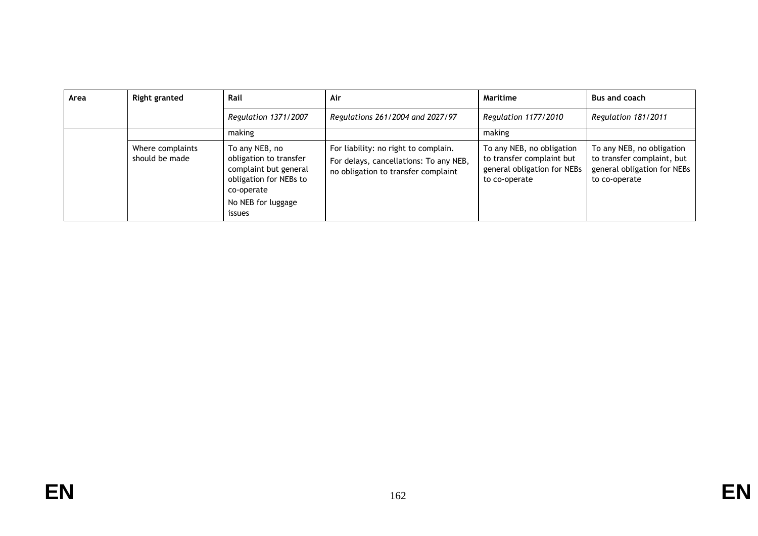| Area | <b>Right granted</b>               | Rail                                                                                                                                      | Air                                                                                                                   | Maritime                                                                                               | <b>Bus and coach</b>                                                                                    |
|------|------------------------------------|-------------------------------------------------------------------------------------------------------------------------------------------|-----------------------------------------------------------------------------------------------------------------------|--------------------------------------------------------------------------------------------------------|---------------------------------------------------------------------------------------------------------|
|      |                                    | Regulation 1371/2007                                                                                                                      | Regulations 261/2004 and 2027/97                                                                                      | Regulation 1177/2010                                                                                   | Regulation 181/2011                                                                                     |
|      |                                    | making                                                                                                                                    |                                                                                                                       | making                                                                                                 |                                                                                                         |
|      | Where complaints<br>should be made | To any NEB, no<br>obligation to transfer<br>complaint but general<br>obligation for NEBs to<br>co-operate<br>No NEB for luggage<br>issues | For liability: no right to complain.<br>For delays, cancellations: To any NEB,<br>no obligation to transfer complaint | To any NEB, no obligation<br>to transfer complaint but<br>general obligation for NEBs<br>to co-operate | To any NEB, no obligation<br>to transfer complaint, but<br>general obligation for NEBs<br>to co-operate |

**EN**